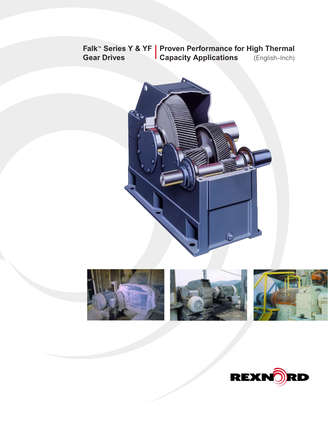### **Falk™ Series Y & YF | Proven Performance for High Thermal Capacity Applications** (English–Inch) **Gear Drives**





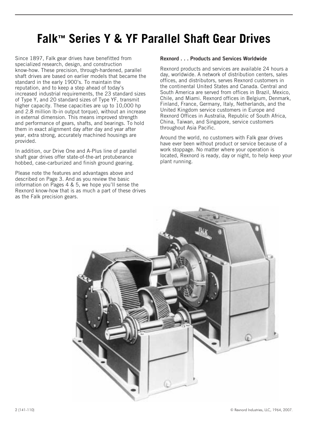# **Falk™ Series Y & YF Parallel Shaft Gear Drives**

Since 1897, Falk gear drives have benefitted from specialized research, design, and construction know-how. These precision, through-hardened, parallel shaft drives are based on earlier models that became the standard in the early 1900's. To maintain the reputation, and to keep a step ahead of today's increased industrial requirements, the 23 standard sizes of Type Y, and 20 standard sizes of Type YF, transmit higher capacity. These capacities are up to 10,000 hp and 2.8 million lb-in output torque), without an increase in external dimension. This means improved strength and performance of gears, shafts, and bearings. To hold them in exact alignment day after day and year after year, extra strong, accurately machined housings are provided.

In addition, our Drive One and A-Plus line of parallel shaft gear drives offer state-of-the-art protuberance hobbed, case-carburized and finish ground gearing.

Please note the features and advantages above and described on Page 3. And as you review the basic information on Pages 4 & 5, we hope you'll sense the Rexnord know-how that is as much a part of these drives as the Falk precision gears.

### **Rexnord... Products and Services Worldwide**

Rexnord products and services are available 24 hours a day, worldwide. A network of distribution centers, sales offices, and distributors, serves Rexnord customers in the continental United States and Canada. Central and South America are served from offices in Brazil, Mexico, Chile, and Miami. Rexnord offices in Belgium, Denmark, Finland, France, Germany, Italy, Netherlands, and the United Kingdom service customers in Europe and Rexnord Offices in Australia, Republic of South Africa, China, Taiwan, and Singapore, service customers throughout Asia Pacific.

Around the world, no customers with Falk gear drives have ever been without product or service because of a work stoppage. No matter where your operation is located, Rexnord is ready, day or night, to help keep your plant running.

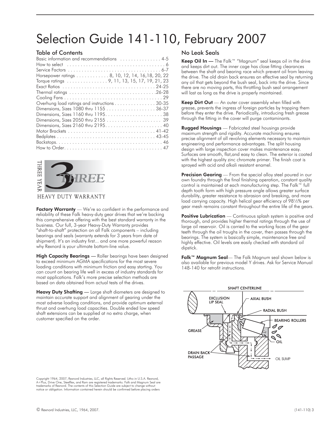# Selection Guide 141-110, February 2007

### Table of Contents

| Basic information and recommendations  4-5       |  |
|--------------------------------------------------|--|
|                                                  |  |
|                                                  |  |
| Horsepower ratings 8, 10, 12, 14, 16, 18, 20, 22 |  |
| Torque ratings 9, 11, 13, 15, 17, 19, 21, 23     |  |
|                                                  |  |
|                                                  |  |
|                                                  |  |
| Overhung load ratings and instructions 30-35     |  |
|                                                  |  |
|                                                  |  |
|                                                  |  |
|                                                  |  |
|                                                  |  |
|                                                  |  |
|                                                  |  |
|                                                  |  |



### HEAVY DUTY WARRANTY

Factory Warranty — We're so confident in the performance and reliability of these Falk heavy-duty gear drives that we're backing this comprehensive offering with the best standard warranty in the business. Our full, 3-year Heavy-Duty Warranty provides "shaft-to-shaft" protection on all Falk components – including bearings and seals (warranty extends for 3 years from date of shipment). It's an industry first... and one more powerful reason why Rexnord is your ultimate bottom-line value.

High Capacity Bearings — Roller bearings have been designed to exceed minimum AGMA specifications for the most severe loading conditions with minimum friction and easy starting. You can count on bearing life well in excess of industry standards for most applications. Falk's more precise selection methods are based on data obtained from actual tests of the drives.

Heavy Duty Shafting — Large shaft diameters are designed to maintain accurate support and alignment of gearing under the most adverse loading conditions, and provide optimum external thrust and overhung load capacities. Double ended low speed shaft extensions can be supplied at no extra charge, when customer specified on the order.

### No Leak Seals

Keep Oil In — The Falk™ "Magnum" seal keeps oil in the drive and keeps dirt out. The inner cage has close fitting clearances between the shaft and bearing race which prevent oil from leaving the drive. The old drain back ensures an effective seal by returning any oil that gets beyond the bush seal, back into the drive. Since there are no moving parts, this throttling bush seal arrangement will last as long as the drive is properly maintained.

Keep Dirt Out - An outer cover assembly when filled with grease, prevents the ingress of foreign particles by trapping them before they enter the drive. Periodically, introducing fresh grease through the fitting in the cover will purge contaminants.

**Rugged Housings** — Fabricated steel housings provide maximum strength and rigidity. Accurate machining ensures precise alignment of all revolving elements necessary to maintain engineering and performance advantages. The split housing design with large inspection cover makes maintenance easy. Surfaces are smooth, flat,and easy to clean. The exterior is coated with the highest quality zinc chromate primer. The finish coat is sprayed with acid and alkali resistant enamel.

**Precision Gearing** — From the special alloy steel poured in our own foundry through the final finishing operation, constant quality control is maintained at each manufacturing step. The Falk™ full depth tooth form with high pressure angle allows greater surface durability, greater resistance to abrasion and breaking, and more load carrying capacity. High helical gear efficiency of 98½% per gear mesh remains constant throughout the entire life of the gears.

**Positive Lubrication** — Continuous splash system is positive and thorough, and provides higher thermal ratings through the use of large oil reservoir. Oil is carried to the working faces of the gear teeth through the oil troughs in the cover, then passes through the bearings. The system is basically simple, maintenance free and highly effective. Oil levels are easily checked with standard oil dipstick.

Falk™ Magnum Seal— The Falk Magnum seal shown below is also available for previous model Y drives. Ask for Service Manual 148-140 for retrofit instructions.



Copyright 1964, 2007, Rexnord Industries, LLC, all Rights Reserved. Litho in U.S.A. Rexnord,<br>A+Plus, Drive One, Steelflex, and Ram are registered trademarks. Falk and Magnum Seal are<br>trademarks of Rexnord. The contents of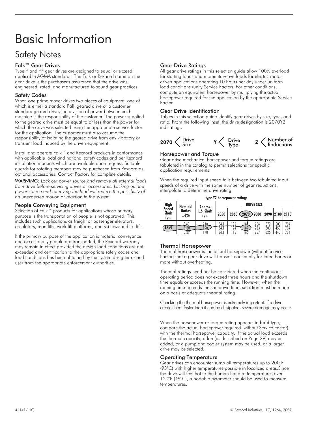# Basic Information

### Safety Notes

### Falk™ Gear Drives

Type Y and YF gear drives are designed to equal or exceed applicable AGMA standards. The Falk or Rexnord name on the gear drive is the purchaser's assurance that the drive was engineered, rated, and manufactured to sound gear practices.

### Safety Codes

When one prime mover drives two pieces of equipment, one of which is either a standard Falk geared drive or a customer standard geared drive, the division of power between each machine is the responsibility of the customer. The power supplied to the geared drive must be equal to or less than the power for which the drive was selected using the appropriate service factor for the application. The customer must also assume the responsibility of isolating the geared drive from any vibratory or transient load induced by the driven equipment.

Install and operate Falk™ and Rexnord products in conformance with applicable local and national safety codes and per Rexnord installation manuals which are available upon request. Suitable guards for rotating members may be purchased from Rexnord as optional accessories. Contact Factory for complete details.

*WARNING: Lock out power source and remove all external loads from drive before servicing drives or accessories. Locking out the power source and removing the load will reduce the possibility of an unexpected motion or reaction in the system.*

### People Conveying Equipment

Selection of Falk™ products for applications whose primary purpose is the transportation of people is not approved. This includes such applications as freight or passenger elevators, escalators, man lifts, work lift platforms, and ski tows and ski lifts.

If the primary purpose of the application is material conveyance and occasionally people are transported, the Rexnord warranty may remain in effect provided the design load conditions are not exceeded and certification to the appropriate safety codes and load conditions has been obtained by the system designer or end user from the appropriate enforcement authorities.

### Gear Drive Ratings

All gear drive ratings in this selection guide allow 100% overload for starting loads and momentary overloads for electric motor driven applications operating 10 hours per day under uniform load conditions (unity Service Factor). For other conditions, compute an equivalent horsepower by multiplying the actual horsepower required for the application by the appropriate Service Factor.

### Gear Drive Identification

Tables in this selection guide identify gear drives by size, type, and ratio. From the following inset, the drive designation is 2070Y2 indicating...



### Horsepower and Torque

Gear drive mechanical horsepower and torque ratings are tabulated in the catalog to permit selections for specific application requirements.

When the required input speed falls between two tabulated input speeds of a drive with the same number of gear reductions, interpolate to determine drive rating.

|                                     |                        |                   |                      | type Y2 horsepower ratings |                  |                   |                   |                   |                   |
|-------------------------------------|------------------------|-------------------|----------------------|----------------------------|------------------|-------------------|-------------------|-------------------|-------------------|
| <b>High</b>                         | <b>Nominal</b>         | Approx.           |                      |                            |                  | <b>DRIVE SIZE</b> |                   |                   |                   |
| <b>Speed</b><br><b>Shaft</b><br>rpm | <b>Ratios</b><br>$+4%$ | L.S. Shaft<br>rpm | 2050                 |                            | 2060 (2070) 2080 |                   |                   | 2090 2100 2110    |                   |
| 1750                                | 8.40<br>.30            | 210<br>70         | 84.1<br>84.1<br>84 1 | 132<br>124                 | 181<br>187<br>66 | 266<br>223<br>257 | 372<br>303<br>325 | 500<br>450<br>440 | 704<br>704<br>704 |

### Thermal Horsepower

Thermal horsepower is the actual horsepower (without Service Factor) that a gear drive will transmit continually for three hours or more without overheating.

Thermal ratings need not be considered when the continuous operating period does not exceed three hours and the shutdown time equals or exceeds the running time. However, when the running time exceeds the shutdown time, selection must be made on a basis of adequate thermal rating.

Checking the thermal horsepower is extremely important. If a drive creates heat faster than it can be dissipated, severe damage may occur.

When the horsepower or torque rating appears in **bold** type, compare the actual horsepower required (without Service Factor) with the thermal horsepower capacity. If the actual load exceeds the thermal capacity, a fan (as described on Page 29) may be added, or a pump and cooler system may be used, or a larger drive may be selected.

### Operating Temperature

Gear drives can encounter sump oil temperatures up to 200°F (93°C) with higher temperatures possible in localized areas.Since the drive will feel hot to the human hand at temperatures over 120°F (49°C), a portable pyrometer should be used to measure temperatures.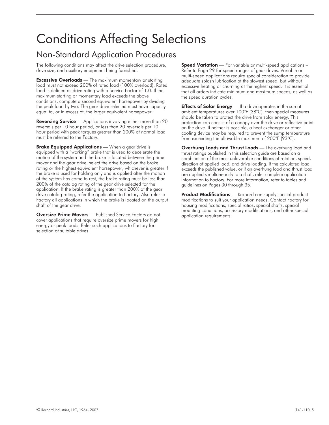# Conditions Affecting Selections

### Non-Standard Application Procedures

The following conditions may affect the drive selection procedure, drive size, and auxiliary equipment being furnished.

**Excessive Overloads** — The maximum momentary or starting load must not exceed 200% of rated load (100% overload). Rated load is defined as drive rating with a Service Factor of 1.0. If the maximum starting or momentary load exceeds the above conditions, compute a second equivalent horsepower by dividing the peak load by two. The gear drive selected must have capacity equal to, or in excess of, the larger equivalent horsepower.

Reversing Service — Applications involving either more than 20 reversals per 10 hour period, or less than 20 reversals per 10 hour period with peak torques greater than 200% of normal load must be referred to the Factory.

Brake Equipped Applications - When a gear drive is equipped with a "working" brake that is used to decelerate the motion of the system and the brake is located between the prime mover and the gear drive, select the drive based on the brake rating or the highest equivalent horsepower, whichever is greater.If the brake is used for holding only and is applied after the motion of the system has come to rest, the brake rating must be less than 200% of the catalog rating of the gear drive selected for the application. If the brake rating is greater than 200% of the gear drive catalog rating, refer the application to Factory. Also refer to Factory all applications in which the brake is located on the output shaft of the gear drive.

**Oversize Prime Movers** — Published Service Factors do not cover applications that require oversize prime movers for high energy or peak loads. Refer such applications to Factory for selection of suitable drives.

**Speed Variation** — For variable or multi-speed applications – Refer to Page 29 for speed ranges of gear drives. Variable or multi-speed applications require special consideration to provide adequate splash lubrication at the slowest speed, but without excessive heating or churning at the highest speed. It is essential that all orders indicate minimum and maximum speeds, as well as the speed duration cycles.

Effects of Solar Energy - If a drive operates in the sun at ambient temperatures over 100°F (38°C), then special measures should be taken to protect the drive from solar energy. This protection can consist of a canopy over the drive or reflective paint on the drive. If neither is possible, a heat exchanger or other cooling device may be required to prevent the sump temperature from exceeding the allowable maximum of 200°F (93°C).

**Overhung Loads and Thrust Loads** — The overhung load and thrust ratings published in this selection guide are based on a combination of the most unfavorable conditions of rotation, speed, direction of applied load, and drive loading. If the calculated load exceeds the published value, or if an overhung load and thrust load are applied simultaneously to a shaft, refer complete application information to Factory. For more information, refer to tables and guidelines on Pages 30 through 35.

**Product Modifications** — Rexnord can supply special product modifications to suit your application needs. Contact Factory for housing modifications, special ratios, special shafts, special mounting conditions, accessory modifications, and other special application requirements.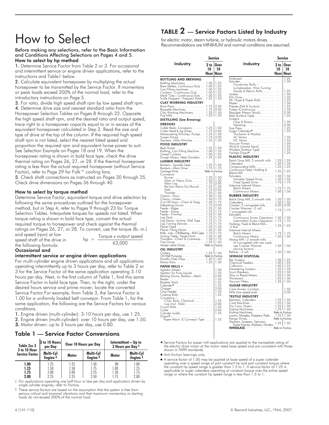# How to Select

Before making any selections, refer to the Basic Information and Conditions Affecting Selections on Pages 4 and 5. How to select by hp method

1. Determine Service Factor from Table 2 or 3. For occasional and intermittent service or engine driven applications, refer to the instructions and Table1 below.

2. Calculate equivalent horsepower by multiplying the actual horsepower to be transmitted by the Service Factor. If momentary or peak loads exceed 200% of the normal load, refer to the introductory instructions on Page 5.

3. For ratio, divide high speed shaft rpm by low speed shaft rpm. 4. Determine drive size and nearest standard ratio from the Horsepower Selection Tables on Pages 8 through 22. Opposite the high speed shaft rpm, and the desired ratio and output speed, trace right to a horsepower capacity equal to or in excess of the equivalent horsepower calculated in Step 2. Read the size and type of drive at the top of the column. If the required high speed shaft rpm is not listed, select the nearest listed speed and proportion the required rpm and equivalent horse-power to suit. See Selection Example on Pages 18 and 19. When the horsepower rating is shown in bold face type, check the drive thermal rating on Pages 26, 27, or 28. If the thermal horsepower rating is less than the actual required horsepower (without Service Factor), refer to Page 29 for Falk™ cooling fans.

5. Check shaft connections as instructed on Pages 30 through 35. Check drive dimensions on Pages 36 through 40.

### How to select by torque method

Determine Service Factor, equivalent torque and drive selection by following the same procedures outlined for the horsepower method, but in Step 4, refer to Pages 9 through 23 for Torque Selection Tables. Interpolate torques for speeds not listed. When torque rating is shown in bold face type, convert the actual required torque to horsepower and check against the thermal ratings on Pages 26, 27, or 28. To convert, use the torque (lb.-in.) and speed (rpm) at low

speed shaft of the drive in the following formula:

| hp | $=$ | Torque x output speed |
|----|-----|-----------------------|
|    |     | 63,000                |

### Occasional and

### intermittent service or engine driven applications

For multi-cylinder engine driven applications and all applications operating intermittently up to 3 hours per day, refer to Table 2 or 3 for the Service Factor of the same application operating 3-10 hours per day. Next, in the first column of Table 1, find this same Service Factor in bold face type. Then, to the right, under the desired hours service and prime mover, locate the converted Service Factor.For example, from Table 3, the Service Factor is 1.00 for a uniformly loaded belt conveyor. From Table 1, for the same application, the following are the Service Factors for various conditions.

1. Engine driven (multi-cylinder): 3-10 hours per day, use 1.25.

2. Engine driven (multi-cylinder): over 10 hours per day, use 1.50.

3. Motor driven: up to 3 hours per day, use 0.80.

### Table 1 — Service Factor Conversions

| Table 2or 3                           | 3 to 10 Hours<br>per Day         |                             | Over 10 Hours per Day            | 3 Hours per Day t           | Intermittent - Up to             |
|---------------------------------------|----------------------------------|-----------------------------|----------------------------------|-----------------------------|----------------------------------|
| 3 to 10 Hour<br><b>Service Factor</b> | Multi-Cyl<br>Engine <sup>#</sup> | Motor                       | Multi-Cyl<br>Engine <sup>#</sup> | Motor                       | Multi-Cyl<br>Engine <sup>#</sup> |
| 1.00<br>1.25<br>1.75<br>2.00          | 1.25<br>1.50<br>2.00<br>225      | 1.25<br>1.50<br>2.00<br>225 | 1.50<br>1.75<br>2.25<br>2.50     | .80<br>1.00<br>1.50<br>1 75 | 1.00<br>1.25<br>1.75<br>2.00     |

† For applications operating one half hour or less per day and application driven by single cylinder engines, refer to Factory.

‡ These service factors are based on the assumption that the system is free from serious critical and torsional vibrations and that maximum momentary or starting loads do not exceed 200% of the normal load.

### TABLE  $2$  — Service Factors Listed by Industry

for electric motor, steam turbine, or hydraulic motors drives. . . Recommendations are MINIMUM and normal conditions are assumed.

|                                                                                                                                                                                      | <b>Service</b> |                              |                                                                                                                                                                                                                                                    | <b>Service</b> |                                                     |
|--------------------------------------------------------------------------------------------------------------------------------------------------------------------------------------|----------------|------------------------------|----------------------------------------------------------------------------------------------------------------------------------------------------------------------------------------------------------------------------------------------------|----------------|-----------------------------------------------------|
| Industry                                                                                                                                                                             | 10             | 3 to Over<br>10<br>Hour Hour | Industry                                                                                                                                                                                                                                           | 3 to<br>10     | Over<br>10<br>Hour Hour                             |
| <b>BOTTLING AND BREWING</b>                                                                                                                                                          |                |                              | Embosser                                                                                                                                                                                                                                           |                | 1.25<br>1.50                                        |
| Bottling Machinery<br>Brew Kettles, Continuous Duty . 1.00                                                                                                                           |                | 1.25                         | Extruder<br>Fourdrinier Rolls-                                                                                                                                                                                                                     | $\ldots$       |                                                     |
|                                                                                                                                                                                      |                | $\frac{1.25}{1.25}$          | Lumpbreaker, Wire Turning<br>Dandy & Return Rolls.                                                                                                                                                                                                 |                |                                                     |
|                                                                                                                                                                                      |                | 1.25                         |                                                                                                                                                                                                                                                    |                | $\begin{array}{c} 1.25 \\ 1.50 \\ 1.50 \end{array}$ |
| Scale Hoppers-Frequent Starts . 1.25                                                                                                                                                 |                | 1.50                         |                                                                                                                                                                                                                                                    |                |                                                     |
| <b>CLAY WORKING INDUSTRY</b>                                                                                                                                                         |                |                              |                                                                                                                                                                                                                                                    |                | $\frac{1.30}{1.50}$<br>$\frac{1.50}{1.25}$          |
|                                                                                                                                                                                      |                |                              |                                                                                                                                                                                                                                                    |                | 1.50                                                |
| Brick Press<br>Brick Press<br>Bridge Mochines<br>Clay Working Machines<br>Clay Working Machines<br>Pug Mills<br>1.50<br>Pug Mills<br>1.50<br>Pug Mills                               |                |                              |                                                                                                                                                                                                                                                    |                | $2.00$<br>$1.25$                                    |
|                                                                                                                                                                                      |                |                              |                                                                                                                                                                                                                                                    |                |                                                     |
| <b>DISTILLING (See Brewing)</b><br><b>DREDGES</b>                                                                                                                                    |                |                              |                                                                                                                                                                                                                                                    |                | $1.50$<br>$2.00$                                    |
|                                                                                                                                                                                      |                | 1.50                         |                                                                                                                                                                                                                                                    | $\ldots$       | 1.25                                                |
|                                                                                                                                                                                      |                | $2.00$<br>$1.50$             |                                                                                                                                                                                                                                                    | $\cdots$       | 1.25                                                |
|                                                                                                                                                                                      |                | 2.00                         |                                                                                                                                                                                                                                                    |                | 1.50                                                |
|                                                                                                                                                                                      |                | 1.50                         |                                                                                                                                                                                                                                                    |                |                                                     |
| <b>FOOD INDUSTRY</b>                                                                                                                                                                 |                |                              |                                                                                                                                                                                                                                                    |                | $\frac{1.25}{1.50}$<br>$\frac{1.25}{1.25}$          |
| Beet Slicers .<br>$\frac{1}{25}$                                                                                                                                                     |                | 1.50                         |                                                                                                                                                                                                                                                    |                | 1.25                                                |
|                                                                                                                                                                                      |                | $\frac{1.25}{1.25}$          | Yankee Dryers*                                                                                                                                                                                                                                     |                | 1.25                                                |
| <b>LUMBER INDUSTRY</b>                                                                                                                                                               |                | 1.50                         | PLASTIC INDUSTRY                                                                                                                                                                                                                                   |                |                                                     |
|                                                                                                                                                                                      |                |                              |                                                                                                                                                                                                                                                    |                | $\begin{array}{c} 1.25 \\ 1.50 \\ 1.25 \end{array}$ |
| Barkers—Spindle Feed  1.25   1.50<br>Barkers—Main Drive  1.75   1.75<br>Carriage Drive Refer to Factory                                                                              |                |                              |                                                                                                                                                                                                                                                    |                |                                                     |
| Conveyors                                                                                                                                                                            |                |                              |                                                                                                                                                                                                                                                    |                | 1.25                                                |
|                                                                                                                                                                                      |                | 1.50                         |                                                                                                                                                                                                                                                    |                | 1.50<br>1.50                                        |
|                                                                                                                                                                                      |                | 1.50<br>2.00                 |                                                                                                                                                                                                                                                    |                | 1.75                                                |
| Main Log 1.75<br>Re-Saw Merry-Go-Round. 1.25                                                                                                                                         |                | 1.50                         |                                                                                                                                                                                                                                                    | 1.75           | 1.75                                                |
|                                                                                                                                                                                      |                |                              | Batch Mixers<br>Continuous Mixers                                                                                                                                                                                                                  | 1.50           | 1.50                                                |
|                                                                                                                                                                                      |                |                              | <b>RUBBER INDUSTRY</b>                                                                                                                                                                                                                             |                |                                                     |
|                                                                                                                                                                                      |                |                              | Batch Drop Mill, 2 smooth rolls.                                                                                                                                                                                                                   | 1.50<br>1.50   | 1.50<br>1.50                                        |
|                                                                                                                                                                                      |                |                              |                                                                                                                                                                                                                                                    | 2.00           | 2.00                                                |
|                                                                                                                                                                                      |                |                              | Calenders<br>Cracker, 2 corrugated rolls<br>Cracker Warmer—2 roll,<br>1 corrugated roll.<br>1 corrugated roll.                                                                                                                                     | 1.75           | 1.75                                                |
|                                                                                                                                                                                      |                |                              | Fatruders<br>Continuous Screw Operation<br>Intermittent Screw Operation<br>Holding, Feed & Blend Mill—                                                                                                                                             |                |                                                     |
|                                                                                                                                                                                      |                |                              |                                                                                                                                                                                                                                                    | 1.50<br>1.75   | 1.50<br>1.75                                        |
|                                                                                                                                                                                      |                |                              |                                                                                                                                                                                                                                                    | 1.25           | 1.25                                                |
|                                                                                                                                                                                      |                |                              | 2 Roll<br>Intensive Internal Mixers.                                                                                                                                                                                                               |                |                                                     |
|                                                                                                                                                                                      |                |                              | Batch Mixers                                                                                                                                                                                                                                       | 1.75           | 1.75                                                |
|                                                                                                                                                                                      |                |                              | Continuous Mixers<br>.<br>Mixing Mill-2 smooth rolls                                                                                                                                                                                               | 1.50           | 1.50                                                |
|                                                                                                                                                                                      |                |                              | (if corrugated rolls are used,<br>use Cracker Warmer                                                                                                                                                                                               |                |                                                     |
| OIL INDUSTRY                                                                                                                                                                         |                |                              | service factors) $\ldots \ldots$                                                                                                                                                                                                                   | 1.50           | 1.50                                                |
| Chillers<br>Oil Well Pumping<br>Paraffin Filter Press<br>Paraffin Filter Press<br>Discussion 1.25<br>Rotary Kilns<br>Notary Kilns<br>Notary San 1.25<br>1.50<br>1.50<br>1.50<br>1.50 |                |                              | $Refiner—2 roll$                                                                                                                                                                                                                                   | 1.50           | 1.50                                                |
|                                                                                                                                                                                      |                |                              | <b>SEWAGE DISPOSAL</b>                                                                                                                                                                                                                             |                |                                                     |
|                                                                                                                                                                                      |                |                              | Bar Screens 1.00                                                                                                                                                                                                                                   |                | 1.25                                                |
| <b>PAPER MILLS *</b>                                                                                                                                                                 |                |                              |                                                                                                                                                                                                                                                    |                | $\frac{1.25}{1.25}$                                 |
|                                                                                                                                                                                      |                | $\frac{1.50}{1.25}$          |                                                                                                                                                                                                                                                    |                | 1.50<br>1.50                                        |
| Agitator (Mixer)<br>Agitator for Pure Liquids<br>Barking Drums, Barkers—Mech.                                                                                                        |                | 2.00                         |                                                                                                                                                                                                                                                    |                | $1.50$<br>$1.50$                                    |
|                                                                                                                                                                                      |                | $\frac{1.50}{1.25}$          |                                                                                                                                                                                                                                                    |                | 1.50                                                |
|                                                                                                                                                                                      |                | 1.25                         | <b>SUGAR INDUSTRY</b>                                                                                                                                                                                                                              |                |                                                     |
|                                                                                                                                                                                      |                | 2.00                         | Cane Knives, Crushers                                                                                                                                                                                                                              |                | 1.50<br>2.00                                        |
|                                                                                                                                                                                      |                | $\frac{1.50}{1.25}$          | Mills (low speed end).<br><b>TEXTILE INDUSTRY</b>                                                                                                                                                                                                  |                |                                                     |
|                                                                                                                                                                                      |                |                              |                                                                                                                                                                                                                                                    |                |                                                     |
|                                                                                                                                                                                      |                | $\frac{1.25}{2.00}$          |                                                                                                                                                                                                                                                    |                |                                                     |
|                                                                                                                                                                                      |                | $\frac{1.25}{2.00}$          |                                                                                                                                                                                                                                                    |                |                                                     |
|                                                                                                                                                                                      |                | 1.25                         |                                                                                                                                                                                                                                                    |                |                                                     |
| Couveyors<br>Chip, Bark, Chemical<br>Log (incl. Slab)<br>Couch Rolls<br>Cutter<br>Cutter<br>Cylinder mods<br>Cylinder<br>Paper Mach & C                                              |                | 1.25                         | Father Wood Machines<br>Earthree Control (1.25   1.50<br>Dard Machines<br>Dyc Cans, Dyers, Worker, 1.25   1.50<br>Dyeing Machinery<br>Normal Machines<br>Normal Machines<br>Normal Machines<br>Normal Machines<br>Normal Machines<br>Scopers, Span |                |                                                     |
|                                                                                                                                                                                      |                |                              |                                                                                                                                                                                                                                                    |                |                                                     |
|                                                                                                                                                                                      |                |                              | ishers, Soapers, Spinners,<br>Tenter Frames, Washers, Winders, 1.25   1.50<br>INDI ASS Refer to Easten                                                                                                                                             |                |                                                     |

\* Service Factors for paper mill applications are applied to the nameplate rating of the electric drive motor at the motor rated base speed and are consistent with those shown in TAPPI standards.

- Anti-friction bearings only.

 A service factor of 1.00 may be applied at base speed of a super calender operating over a speed range of part constant hp and part constant torque where<br>the constant hp speed range is greater than 1.5 to 1. A service factor of 1.25 is<br>applicable to super calenders operating at constant torque o range or where the constant hp speed range is less than 1.5 to 1.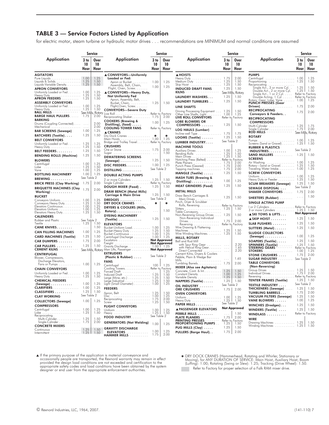### TABLE 3 — Service Factors Listed by Application

for electric motor, steam turbine or hydraulic motor drives... recommendations are MINIMUM and normal conditions are assumed

|                                                         |                     | <b>Service</b>            |                                                                     |                      | <b>Service</b>      |                                                                            |                      | Service               |                                                                                                                       |                               | Service                                     |
|---------------------------------------------------------|---------------------|---------------------------|---------------------------------------------------------------------|----------------------|---------------------|----------------------------------------------------------------------------|----------------------|-----------------------|-----------------------------------------------------------------------------------------------------------------------|-------------------------------|---------------------------------------------|
| <b>Application</b>                                      | 3 to<br>10<br>Hour  | Over<br>10<br>Hour        | <b>Application</b>                                                  | 3 to<br>10<br>Hour   | Over<br>10<br>Hour  | <b>Application</b>                                                         | 3 to<br>10<br>Hour   | Over<br>10<br>Hour    | <b>Application</b>                                                                                                    | 3 <sub>to</sub><br>10<br>Hour | Over<br>10<br>Hour                          |
| <b>AGITATORS</b>                                        |                     |                           | ▲ CONVEYORS-Uniformly                                               |                      |                     | ▲ HOISTS                                                                   |                      |                       | <b>PUMPS</b>                                                                                                          |                               |                                             |
|                                                         |                     | 1.25<br>1.50              | Loaded or Fed:                                                      |                      |                     | Heavy Duty 1.75                                                            |                      | $2.00$<br>$1.50$      | Centrifugal  1.00<br>Proportioning  1.25                                                                              |                               | $\frac{1.25}{1.50}$                         |
| Liquids-Variable Density 1.25                           |                     | 1.50                      | Apron or Bucket. 1.00<br>Assembly, Belt, Chain,                     |                      | 1.25                | Medium Duty<br>Skip Hoist 1.25                                             |                      | 1.50                  |                                                                                                                       |                               |                                             |
| <b>APRON CONVEYORS</b>                                  |                     |                           | Flight, Oven, Screw.                                                | 1.00                 | 1.25                | <b>INDUCED DRAFT FANS</b>                                                  | 1.25                 | 1.50                  |                                                                                                                       |                               | 1.50<br>1.50                                |
| Uniformly Loaded or Fed 1.00<br>Heavy Duty              |                     | 1.25<br>1.50              | ▲ CONVEYORS-Heavy Duty,<br>Not Uniformly Fed                        |                      |                     |                                                                            |                      | See Mills, Rotary     |                                                                                                                       | Refer to Factory              |                                             |
| <b>APRON FEEDERS</b> 1.25                               |                     | 1.50                      | Apron, Assembly, Belt,                                              |                      |                     | LAUNDRY WASHERS                                                            | 1.25                 | 1.50                  |                                                                                                                       | Reter to Factory              | 1.25                                        |
| <b>ASSEMBLY CONVEYORS</b>                               |                     |                           | Bucket, Chain,  1.25                                                |                      | 1.50                | LAUNDRY TUMBLERS                                                           | 1.25                 | 1.50                  | <b>PUNCH PRESSES (Gear</b>                                                                                            |                               |                                             |
| Uniformly Loaded or Fed 1.00<br>Heavy Duty 1.25         |                     | 1.25<br>1.50              | Flight, Oven, Screw.<br><b>CONVEYORS-Severe Duty</b>                |                      |                     | LINE SHAFTS                                                                |                      |                       | $Diriven$ )<br><b>RECIPROCATING</b>                                                                                   | 1.75                          | 2.00                                        |
| BALL MILLS  See Mills, Rotary                           |                     |                           |                                                                     |                      |                     | Driving Processing Equipment  1.25<br>Other Line Shafts, Light 1.00        |                      | 1.50<br>1.25          | Conveyors & Feeders                                                                                                   | 1.75                          | 2.00                                        |
| <b>BARGE HAUL PULLERS 1.75</b><br><b>BARKING</b>        |                     | 2.00                      | Reciprocating Shaker 1.75                                           |                      | 2.00                | LIVE ROLL CONVEYORS                                                        |                      | Refer to Factory      | <b>RECIPROCATING</b>                                                                                                  |                               |                                             |
| Drums (Coupling Connected).                             |                     | 2.00                      | <b>COOKERS (Brewing &amp;</b><br>Distilling), (food) $\ldots$ .     | 1.00                 | 1.25                | <b>LOBE BLOWERS OR</b><br>COMPRESSORS                                      | 1.25                 | 1.50                  | <b>COMPRESSORS</b>                                                                                                    |                               |                                             |
| Mechanical                                              |                     | 2.00                      | <b>COOLING TOWER FANS</b>                                           |                      | Refer to Factory    | LOG HAULS (Lumber)                                                         |                      |                       | Multl-Cylinder<br>Single Cylinder<br>Cylinder<br>Communication of the Mults<br>See Mills, Rotary<br>See Mills, Rotary |                               |                                             |
| <b>BAR SCREENS (Sewage)</b>                             | 1.00                | 1.25                      | <b>A CRANES</b>                                                     |                      |                     | Incline-well Type $\dots \dots \dots \dots \dots 1.75$                     |                      | 1.75                  |                                                                                                                       |                               |                                             |
| BATCHERS (Textile)                                      | 1.25                | 1.50                      | Dry Dock Cranes  *<br>Main Hoists 1,00   1.25                       |                      | $\ast$              | $LOOMS$ (Textile) $\ldots \ldots$                                          | $1.25$   1.50        |                       | <b>ROTARY</b>                                                                                                         |                               |                                             |
| <b>BELT CONVEYORS</b><br>Uniformly Loaded or Fed 1.25   |                     | 1.25                      | Bridge and Trolley Travel Refer to Factory                          |                      |                     | LUMBER INDUSTRY                                                            | See Table 2          |                       | Screens (Sand or Gravel) 1.25   1.50                                                                                  |                               | 1.25                                        |
| Heavy Duty 1.25                                         |                     | 1.50                      | <b>CRUSHERS</b>                                                     |                      |                     | <b>MACHINE TOOLS</b>                                                       |                      |                       | <b>RUBBER &amp; PLASTICS</b>                                                                                          |                               |                                             |
| <b>BELT FEEDERS</b>                                     | 1.25                | 1.50                      | Ore or Stone 1.75                                                   |                      | 2.00<br>1.50        | Auxiliary Drives 1.00<br>Bending Rolls  1.25                               |                      | 1.25<br>1.50          | $INDUSTRIES$                                                                                                          | See Table 2                   |                                             |
| <b>BENDING ROLLS (Machine)</b>                          | 1.25                | 1.50                      | <b>DEWATERING SCREENS</b>                                           |                      |                     | Main Drives 1.25                                                           |                      | 1.50                  | <b>SAND MULLERS</b> 1.25<br><b>SCREENS</b>                                                                            |                               | 1.50                                        |
| <b>BLOWERS</b>                                          |                     |                           | $($ Sewage $) \ldots \ldots \ldots$                                 | 1.25                 | 1.50                | Notching Press (Belted) Refer to Factory                                   |                      | 2.00                  |                                                                                                                       |                               |                                             |
| Centrifugal  1.00<br>Lobe  1.25                         |                     | 1.25<br>1.50              | DISC FEEDERS.                                                       | 1.00                 | 1.25                |                                                                            |                      | $2.00$<br>$2.00$      |                                                                                                                       |                               | $\begin{array}{c} 1.25 \\ 1.50 \end{array}$ |
| Vane  1.00                                              |                     | 1.25                      | DISTILLING                                                          | See Table 2          |                     | Tapping machines 1.75<br>MANGLE (Textile)                                  | 1.25                 | 1.50                  | Traveling Water Intake 1.00<br><b>SCREW CONVEYORS</b>                                                                 |                               | 1.25                                        |
| <b>BOTTLING MACHINERY</b>                               | 1.00<br>See Table 2 | 1.25                      | <b>DOUBLE ACTING PUMPS</b>                                          |                      |                     | <b>MASH TUBS (Brewing &amp;</b>                                            |                      |                       |                                                                                                                       | 1.00                          | 1.25                                        |
| BREWING                                                 |                     |                           | 2 or more Cylinders 1.25   1.50<br>Single Cylinder Refer to Factory |                      |                     | $Distilling$                                                               | 1.00                 | 1.25                  | Heavy Duty or Feeder 1.25                                                                                             |                               | 1.50                                        |
| <b>BRICK PRESS (Clay Working)</b>                       | 1.75                | 2.00                      | <b>DOUGH MIXER (Food).</b>                                          | 1.25                 | 1.50                | <b>MEAT GRINDERS (Food)</b>                                                | 1.25                 | 1.50                  | <b>SCUM BREAKERS (Sewage)</b>                                                                                         | 1.25<br>See Table 2           | 1.50                                        |
| <b>BRIQUETTE MACHINES (Clay</b><br>Working $\ldots$     | 1.75                | 2.00                      | <b>DRAW BENCH (Metal Mills)</b>                                     |                      |                     | <b>METAL MILLS</b>                                                         |                      |                       | SEWAGE DISPOSAL<br><b>SHAKER CONVEYORS</b> 1.75                                                                       |                               | 2.00                                        |
| <b>BUCKET</b>                                           |                     |                           | <b>Carriage &amp; Main Drive</b>                                    | 1.25                 | 1.50                | Draw Bench Carriages &                                                     | 1.25                 |                       |                                                                                                                       | $\sim$ $\sim$ $\sim$          | 1.50                                        |
| Conveyors Uniform 1.00                                  |                     | 1.25                      | DREDGES                                                             | See Table 2          |                     | Main Drives<br>Pinch, Dryer & Scrubber                                     |                      | 1.50                  | <b>SHEETERS (Rubber)</b>                                                                                              |                               |                                             |
| Conveyors Heavy Duty 1.25<br>Elevators Continuous. 1.00 |                     | 1.50<br>1.25              | DRY DOCK CRANES                                                     | *                    | $\ast$              | Rolls, Reversing Refer to Factory                                          |                      |                       | <b>SINGLE ACTING PUMP</b>                                                                                             |                               |                                             |
| Elevators Uniform 1.00                                  |                     | 1.25                      | <b>DRYERS &amp; COOLERS (Mills,</b><br>Rotary)                      | $\sim$ $\sim$ $\sim$ | 1.50                |                                                                            |                      | 1.50                  | l or 2 Cylinders Refer to Factory<br>3 or more Cylinders 1.25   1.50                                                  |                               |                                             |
| Elevators Heavy Duty 1.25                               |                     | 1.50                      | <b>DYEING MACHINERY</b>                                             |                      |                     | Table Conveyors,<br>Non-Reversing Group Drives 1.25                        |                      | 1.50                  | $\triangle$ SKI TOWS & LIFTS $\dots$                                                                                  |                               | <b>Not Approved</b>                         |
| <b>CALENDERS</b><br>Rubber and Plastic  See Table 2     |                     |                           | $(Textile) \ldots \ldots \ldots$                                    | 1.25                 | 1.50                | Non-Reversing Individual                                                   | $1.75$   2.00        |                       | $\triangle$ SKIP HOIST $\dots \dots$                                                                                  | 1.25                          | 1.50                                        |
|                                                         |                     | 1.50                      | <b>ELEVATORS</b>                                                    |                      |                     | $Drives. \ldots \ldots \ldots \ldots \ldots$<br>Reversing Refer to Factory |                      |                       | SLAB PUSHERS                                                                                                          | 1.25                          | 1.50                                        |
| <b>CANE KNIVES</b>                                      | $\sim 100$          | 1.50                      | Bucket-Uniform Load 1.00<br>Bucket-Heavy Duty  1.25                 |                      | $\frac{1.25}{1.50}$ | Wire Drawing & Flattening                                                  |                      | 1.50                  | SLITTERS (Metal)                                                                                                      | 1.25                          | 1.50                                        |
| <b>CAN FILLING MACHINES</b>                             | 1.00                | 1.25                      | Bucket-Continuous  1.00                                             |                      | 1.25                | Machines 1.25<br>Wire Winding Machines. 1.25                               |                      | 1.50                  | <b>SLUDGE COLLECTORS</b>                                                                                              |                               |                                             |
| <b>CARD MACHINES (Textile)</b>                          | 1.25                | 1.50                      | Centrifugal Discharge 1.00   1.25<br>Escalators Not Approved        |                      |                     | <b>MILLS, ROTARY</b>                                                       |                      |                       | $(Sewage) \ldots \ldots \ldots$                                                                                       | 1.00                          | 1.25                                        |
| <b>CAR DUMPERS </b>                                     | 1.75                | 2.00                      | Freight <b>Not Approved</b>                                         |                      |                     | <b>Ball and Rod Mill</b><br>with Spur Ring Gear                            |                      | 2.20                  | SOAPERS (Textile)<br><b>SPINNERS (Textile)</b>                                                                        | 1.25<br>1.25                  | 1.50<br>1.50                                |
| CAR PULLERS<br><b>CEMENT KILNS</b>                      | 1.25                | 1.50<br>See Mills, Rotary | Gravity Discharge 1.00 1 1.25<br>Man Lifts, Passenger Not Approved  |                      |                     | with Helical Ring Gear                                                     |                      | 1.65                  | STEERING GEARS                                                                                                        | Refer to Factory              |                                             |
| <b>CENTRIFUGAL</b>                                      |                     |                           | <b>EXTRUDERS</b>                                                    |                      |                     | Direct Connected<br>Cement Kilns, Dryers & Coolers                         |                      | 2.20                  | STONE CRUSHERS                                                                                                        | 1.00<br>1.75                  | 1.25<br>2.00                                |
| Blower, Compressors,                                    |                     |                           | (Plastic & Rubber) $\ldots$ .                                       | See Table 2          |                     | Pebble, Plain & Wedge Bar                                                  |                      | 1.65                  | <b>SUGAR INDUSTRY</b> See Table 2                                                                                     |                               |                                             |
| Discharge Elevators,<br>Fans or Pumps 1.00              |                     | 1.25                      | <b>FANS</b>                                                         |                      |                     |                                                                            |                      | 2.00                  | <b>TABLE CONVEYORS</b>                                                                                                |                               |                                             |
| <b>CHAIN CONVEYORS</b>                                  |                     |                           | Centrifugal  100   1.25<br>Cooling Towers. Refer to Factory         |                      |                     | <b>MIXER (Also see Agitators)</b>                                          |                      |                       | (Non-Reversing)                                                                                                       |                               |                                             |
| Uniformly Loaded or Fed 1.00                            |                     | 1.25                      | Forced Draft<br>Induced Draft<br>All All All All All 25             |                      | 1.25<br>1.50        | Concrete, Cont. & Int. 1.25<br>Constant Density 1.00                       |                      | 1.50<br>1.25          | Group Drives  1.25<br>Individual Drives 1.75   2.00                                                                   |                               | -1.50                                       |
| Heavy Duty 1.25                                         |                     | 1.50                      | Large (Mine, etc.) 1.25                                             |                      | 1.50                | Variable Density  1.25                                                     |                      | 1.50                  | Reversing Refer to Factory                                                                                            |                               |                                             |
| <b>CHEMICAL FEEDERS</b>                                 | 1.00                | 1.25                      |                                                                     |                      | 1.50<br>1.25        | $NAPPERS$ (Textile) $\ldots$ .                                             | $1.25$   1.50        |                       | <b>TENTER FRAMES (Textile)</b>                                                                                        | 1.25<br>See Table 2           | 1.50                                        |
| (Sewage)<br><b>CLARIFIERS</b> 1.00                      |                     | 1.25                      | <b>FEEDERS</b>                                                      |                      |                     | OIL INDUSTRY                                                               | See Table 2          |                       | <b>TEXTILE INDUSTRY</b>                                                                                               | $1.25$ 1.50                   |                                             |
| CLASSIFIERS                                             | $1.25$   1.50       |                           | Apron, Belt 1.25                                                    |                      |                     | <b>ORE CRUSHERS</b> 1.75<br><b>OVEN CONVEYORS</b>                          |                      | 2.00                  | THICKENERS (Sewage)<br><b>TUMBLING BARRELS</b>                                                                        | 1.75                          | 2.00                                        |
| <b>CLAY WORKING</b>                                     | See Table 2         |                           |                                                                     |                      | $\frac{1.50}{1.25}$ |                                                                            |                      | 1.25                  | <b>VACUUM FILTERS (Sewage)</b>                                                                                        | 1.25                          | 1.50                                        |
| <b>COLLECTORS (Sewage)</b>                              | 1.00                | 1.25                      | Reciprocating  1.75<br>Screw  1.25                                  |                      | 2.00<br>1.50        | Heavy Duty 1.25   1.50<br><b>PAPER MILLS</b> See Table 2                   |                      |                       | VANE BLOWERS                                                                                                          | 1.00                          | 1.25                                        |
| <b>COMPRESSORS</b>                                      |                     |                           | <b>FLIGHT CONVEYORS</b>                                             |                      |                     | PAPER MILLS                                                                |                      |                       | WINCHES (Dredges)                                                                                                     | 1.25                          | 1.50                                        |
| Centrifugal  1.00                                       |                     | 1.25<br>1.50              |                                                                     |                      | 1.25                | A PASSENGER ELEVATORS                                                      |                      | <b>Not Approved</b>   | WINDERS (Textile)                                                                                                     | 1.25                          | 1.50                                        |
| Reciprocating                                           |                     |                           | Heavy<br>FOOD INDUSTRY See Table 2<br><b>FOOD INDUSTRY</b>          |                      | 1.50                | PEBBLE MILLS                                                               | $\sim$ $\sim$ $\sim$ | 1.50<br>$1.75$   2.00 | WINDLASS                                                                                                              |                               | Refer to Factory                            |
| Multi-Cylinder 1.25<br>Single-Cylinder 1.75             |                     | 1.50<br>2.00              |                                                                     |                      |                     | <b>PLATE PLANERS</b><br><b>PRINTING PRESSES</b>                            | Refer to Factory     |                       | <b>WIRE</b>                                                                                                           |                               |                                             |
| <b>CONCRETE MIXERS</b>                                  |                     |                           | <b>GENERATORS (Not Welding)</b>                                     | 1.00                 | 1.25                | <b>PROPORTIONING PUMPS</b>                                                 | 1.25                 | 1.50                  | Drawing Machines 1.25<br>Winding Machines  1.25                                                                       |                               | 1.50<br>1.50                                |
|                                                         |                     | 1.50                      | <b>GRAVITY DISCHARGE</b>                                            | 1.00                 |                     | PUG MILLS (Clay)                                                           | 1.25                 | 1.50<br>$1.75$   2.00 |                                                                                                                       |                               |                                             |
|                                                         |                     | 1.50                      | <b>ELEVATORS</b><br>HAMMER MILLS                                    | 1.75                 | $\frac{1.25}{2.00}$ | PULLERS (Barge Haul)                                                       |                      |                       |                                                                                                                       |                               |                                             |

 $\blacktriangle$  If the primary purpose of the application is material conveyance and<br>occasionally people are transported, the Rexnord warranty may remain in effect<br>provided the design load conditions are not exceeded and certifica appropriate safety codes and load conditions have been obtained by the system designer or end user from the appropriate enforcement authorities.

 DRY DOCK CRANES (Hammerhead, Rotating and Whirler, Stationary or Moving), for ANY DURATION OF SERVICE: Main Hoist, Auxiliary Hoist, Boom (Luffing): 1.00; Rotating (Swing or Slew): 1.25; Tracking (Drive Wheel): 1.50. Refer to Factory for proper selection of a Falk RAM mixer drive.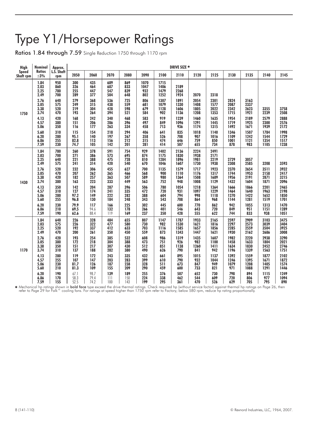# Type Y1/Horsepower Ratings

Ratios 1.84 through 7.59 Single Reduction 1750 through 1170 rpm

| <b>High</b>        | Nominal                          | Approx.                  |                             |                          |                          |                          |                            |                              | DRIVE SIZE *                 |                              |                              |                              |                              |                              |                              |
|--------------------|----------------------------------|--------------------------|-----------------------------|--------------------------|--------------------------|--------------------------|----------------------------|------------------------------|------------------------------|------------------------------|------------------------------|------------------------------|------------------------------|------------------------------|------------------------------|
| Speed<br>Shaft rpm | <b>Ratios</b><br>$\pm 3\%$       | L.S. Shaft<br>rpm        | 2050                        | 2060                     | 2070                     | 2080                     | 2090                       | 2100                         | 2110                         | 2120                         | 2125                         | 2130                         | 2135                         | 2140                         | 2145                         |
|                    | 1.84<br>2.03<br>2.25<br>2.49     | 950<br>860<br>780<br>700 | 300<br>326<br>255<br>289    | 435<br>464<br>447<br>377 | 689<br>687<br>547<br>504 | 869<br>833<br>839<br>648 | 1070<br>1047<br>932<br>802 | 1715<br>1406<br>1479<br>1252 | 2189<br>2268<br>1924         | 2070                         | 2318                         |                              |                              |                              |                              |
| 1750               | 2.76<br>3.05<br>3.38<br>3.74     | 640<br>575<br>520<br>470 | 279<br>249<br>219<br>193    | 368<br>315<br>304<br>264 | 536<br>438<br>428<br>394 | 725<br>559<br>598<br>521 | 806<br>681<br>679<br>584   | 1307<br>1079<br>1128<br>902  | 1891<br>1330<br>1606<br>1136 | 2054<br>1408<br>1805<br>1208 | 2301<br>1577<br>2022<br>1353 | 2824<br>2087<br>2342<br>1715 | 3163<br>2337<br>2623<br>1921 | 3355<br>2239                 | 3758<br>2508                 |
|                    | 4.13<br>4.57<br>5.06             | 420<br>380<br>350        | 168<br>151<br>116           | 242<br>206<br>177        | 340<br>286<br>263        | 468<br>396<br>334        | 583<br>497<br>458          | 919<br>849<br>713            | 1239<br>1096<br>936          | 1460<br>1291<br>1174         | 1635<br>1445<br>1315         | 1954<br>1719<br>1492         | 2189<br>1925<br>1671         | 2579<br>2300<br>1939         | 2888<br>2576<br>2172         |
|                    | 5.60<br>6.20<br>6.86<br>7.59     | 310<br>280<br>255<br>230 | 115<br>95.1<br>82.8<br>74.7 | 154<br>140<br>113<br>105 | 218<br>197<br>156<br>142 | 294<br>267<br>212<br>201 | 406<br>358<br>315<br>281   | 641<br>526<br>474<br>414     | 835<br>708<br>646<br>507     | 1018<br>907<br>759<br>655    | 1140<br>1016<br>850<br>734   | 1346<br>1109<br>1001<br>878  | 1507<br>1242<br>1121<br>983  | 1784<br>1544<br>1354<br>1105 | 1998<br>1729<br>1517<br>1238 |
| 1430               | 1.84<br>2.03<br>2.25<br>2.49     | 780<br>700<br>640<br>575 | 260<br>271<br>221<br>241    | 378<br>386<br>388<br>314 | 591<br>573<br>475<br>420 | 754<br>695<br>728<br>540 | 929<br>874<br>810<br>670   | 1402<br>1175<br>1284<br>1046 | 2136<br>1830<br>1896<br>1607 | 2224<br>1938<br>1981<br>1730 | 2491<br>2171<br>2219<br>1938 | 2729<br>2308                 | 3057<br>2585                 | 3208                         | 3593                         |
|                    | 2.76<br>3.05<br>3.38<br>3.74     | 520<br>470<br>420<br>380 | 232<br>207<br>182<br>163    | 306<br>262<br>257<br>223 | 455<br>365<br>363<br>333 | 627<br>466<br>507<br>449 | 700<br>568<br>589<br>563   | 1135<br>900<br>980<br>752    | 1579<br>1110<br>1364<br>948  | 1717<br>1176<br>1508<br>1008 | 1923<br>1317<br>1689<br>1129 | 2370<br>1744<br>1956<br>1432 | 2654<br>1953<br>2191<br>1604 | 3511<br>2158<br>2871<br>1871 | 3932<br>2417<br>3215<br>2096 |
|                    | 4.13<br>4.57<br>5.06<br>5.60     | 350<br>310<br>280<br>255 | 142<br>127<br>97.2<br>96.8  | 204<br>174<br>149<br>130 | 287<br>241<br>222<br>184 | 396<br>335<br>282<br>248 | 506<br>472<br>388<br>343   | 780<br>720<br>604<br>543     | 1054<br>931<br>794<br>708    | 1218<br>1097<br>998<br>864   | 1364<br>1229<br>1118<br>968  | 1666<br>1464<br>1270<br>1144 | 1866<br>1640<br>1422<br>1281 | 2201<br>1963<br>1652<br>1519 | 2465<br>2198<br>1850<br>1701 |
|                    | 6.20<br>6.86<br>7.59             | 230<br>210<br>190        | 79.9<br>69.5<br>62.6        | 117<br>94.6<br>88.4      | 166<br>132<br>119        | 225<br>178<br>169        | 302<br>266<br>237          | 445<br>401<br>350            | 600<br>546<br>428            | 770<br>643<br>555            | 862<br>720<br>622            | 942<br>849<br>744            | 1055<br>951<br>833           | 1313<br>1151<br>938          | 1470<br>1289<br>1051         |
|                    | 1.84<br>$2.03$<br>$2.25$<br>2.49 | 640<br>575<br>520<br>470 | 226<br>226<br>192<br>200    | 328<br>322<br>337<br>261 | 484<br>477<br>412<br>350 | 655<br>580<br>633<br>450 | 807<br>730<br>703<br>559   | 1147<br>982<br>1116<br>873   | 1787<br>1530<br>1585<br>1343 | 1933<br>1621<br>1657<br>1447 | 2165<br>1816<br>1856<br>1621 | 2597<br>2297<br>2285<br>1930 | 2909<br>2573<br>2559<br>2162 | 3103<br>3039<br>3504<br>2686 | 3475<br>3404<br>3925<br>3008 |
| 1170               | 2.76<br>3.05<br>3.38<br>3.74     | 420<br>380<br>350<br>310 | 193<br>172<br>151<br>137    | 254<br>218<br>217<br>188 | 385<br>304<br>307<br>282 | 532<br>388<br>430<br>380 | 608<br>473<br>512<br>490   | 986<br>751<br>851<br>626     | 1319<br>926<br>1138<br>790   | 1435<br>982<br>1260<br>841   | 1607<br>1100<br>1411<br>942  | 1982<br>1458<br>1634<br>1196 | 2220<br>1633<br>1830<br>1339 | 2938<br>1804<br>2452<br>1563 | 3290<br>2021<br>2746<br>1751 |
|                    | 4.13<br>4.57<br>5.06<br>5.60     | 280<br>255<br>230<br>210 | 119<br>107<br>81.7<br>81.3  | 172<br>147<br>126<br>109 | 243<br>203<br>187<br>155 | 335<br>283<br>238<br>209 | 432<br>399<br>328<br>290   | 661<br>610<br>511<br>459     | 895<br>790<br>673<br>600     | 1015<br>932<br>847<br>733    | 1137<br>1044<br>949<br>821   | 1392<br>1246<br>1079<br>971  | 1559<br>1395<br>1208<br>1088 | 1877<br>1671<br>1405<br>1291 | 2102<br>1872<br>1574<br>1446 |
|                    | 6.20<br>6.86<br>7.59             | 190<br>170<br>155        | 67.1<br>58.3<br>52.5        | 98.7<br>79.4<br>74.2     | 139<br>111<br>100        | 189<br>150<br>143        | 255<br>224<br>199          | 376<br>338<br>295            | 507<br>462<br>361            | 652<br>544<br>470            | 730<br>609<br>526            | 798<br>720<br>629            | 894<br>806<br>705            | 1115<br>977<br>795           | 1249<br>1094<br>890          |

**\*** Mechanical hp ratings shown in **bold face** type exceed the drive thermal ratings. Check required hp (without service factor) against thermal hp ratings on Page 26, ther<br>refer to Page 29 for Falk™ cooling fans. For rat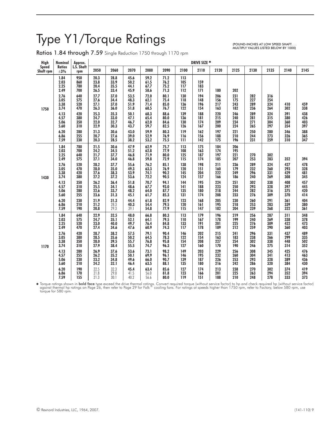# Type Y1/Torque Ratings

 $\mathbf{r}$ 

 $\mathbf{r}$ 

Ratios 1.84 through 7.59 Single Reduction 1750 through 1170 rpm

(POUND-INCHES AT LOW SPEED SHAFT. . . MULTIPLY VALUES LISTED BELOW BY 1000)

| <b>High</b>        | Nominal                                                      | Approx.                                              |                                                              |                                                              |                                                              |                                                              |                                                              |                                                      | DRIVE SIZE *                                  |                                        |                                        |                                        |                                        |                                        |                                        |
|--------------------|--------------------------------------------------------------|------------------------------------------------------|--------------------------------------------------------------|--------------------------------------------------------------|--------------------------------------------------------------|--------------------------------------------------------------|--------------------------------------------------------------|------------------------------------------------------|-----------------------------------------------|----------------------------------------|----------------------------------------|----------------------------------------|----------------------------------------|----------------------------------------|----------------------------------------|
| Speed<br>Shaft rpm | <b>Ratios</b><br>$\pm 3\%$                                   | L.S. Shaft<br>rpm                                    | 2050                                                         | 2060                                                         | 2070                                                         | 2080                                                         | 2090                                                         | 2100                                                 | 2110                                          | 2120                                   | 2125                                   | 2130                                   | 2135                                   | 2140                                   | 2145                                   |
| 1750               | 1.84<br>2.03<br>2.25<br>2.49<br>2.76<br>3.05<br>3.38<br>3.74 | 950<br>860<br>780<br>700<br>640<br>575<br>520<br>470 | 20.3<br>23.8<br>20.4<br>26.5<br>27.7<br>27.6<br>27.1<br>26.3 | 28.8<br>33.9<br>35.5<br>33.4<br>37.0<br>34.4<br>37.0<br>36.0 | 45.6<br>50.2<br>44.1<br>45.9<br>53.5<br>48.3<br>51.9<br>51.8 | 59.2<br>61.5<br>67.7<br>58.6<br>72.0<br>62.1<br>71.4<br>68.5 | 71.2<br>76.2<br>75.2<br>71.3<br>80.1<br>75.4<br>85.0<br>76.7 | 113<br>105<br>117<br>112<br>130<br>118<br>136<br>122 | 159<br>183<br>171<br>194<br>148<br>196<br>154 | 180<br>206<br>156<br>217<br>163        | 202<br>231<br>175<br>243<br>182        | 282<br>227<br>289<br>236               | 316<br>254<br>324<br>264               | 410<br>302                             | 459<br>338                             |
|                    | 4.13<br>4.57<br>5.06<br>5.60<br>6.20<br>6.86                 | 420<br>380<br>350<br>310<br>280<br>255               | 25.3<br>24.7<br>22.0<br>22.9<br>21.3<br>20.7                 | 35.3<br>33.0<br>32.7<br>30.3<br>30.6<br>27.6                 | 50.1<br>47.1<br>46.7<br>43.7<br>43.0<br>39.0                 | 68.3<br>65.4<br>62.0<br>59.7<br>59.9<br>52.9                 | 88.6<br>80.0<br>84.6<br>82.5<br>80.3<br>76.9                 | 139<br>136<br>130<br>126<br>119<br>116               | 188<br>181<br>174<br>167<br>162<br>156        | 220<br>215<br>209<br>200<br>197<br>188 | 246<br>240<br>234<br>224<br>221<br>210 | 289<br>281<br>271<br>265<br>250<br>244 | 324<br>315<br>304<br>297<br>280<br>273 | 391<br>380<br>360<br>354<br>346<br>326 | 438<br>426<br>403<br>397<br>388<br>365 |
|                    | 7.59                                                         | 230                                                  | 20.3                                                         | 28.5                                                         | 38.2                                                         | 53.2                                                         | 75.5                                                         | 111                                                  | 142                                           | 175                                    | 196                                    | 231                                    | 259                                    | 310                                    | 347                                    |
|                    | 1.84<br>2.03<br>2.25<br>2.49                                 | 780<br>700<br>640<br>575                             | 21.5<br>24.2<br>21.7<br>27.1                                 | 30.6<br>34.5<br>37.7<br>34.0                                 | 47.9<br>51.2<br>46.8<br>46.8                                 | 62.9<br>62.8<br>71.9<br>59.8                                 | 75.7<br>77.9<br>80.0<br>72.9                                 | 113<br>108<br>125<br>115                             | 175<br>163<br>187<br>174                      | 184<br>174<br>197<br>185               | 206<br>195<br>221<br>207               | 270<br>253                             | 302<br>283                             | 352                                    | 394                                    |
| 1430               | 2.76<br>3.05<br>3.38<br>3.74                                 | 520<br>470<br>420<br>380                             | 28.2<br>28.0<br>27.6<br>27.2                                 | 37.7<br>35.0<br>38.3<br>37.2                                 | 55.6<br>49.3<br>53.9<br>53.6                                 | 76.2<br>63.3<br>74.1<br>72.2                                 | 85.1<br>76.9<br>90.2<br>90.5                                 | 138<br>120<br>145<br>124                             | 198<br>151<br>204<br>157                      | 211<br>160<br>222<br>166               | 236<br>179<br>249<br>186               | 289<br>232<br>296<br>240               | 324<br>260<br>331<br>269               | 427<br>293<br>429<br>308               | 478<br>328<br>481<br>345               |
|                    | 4.13<br>4.57<br>5.06<br>5.60                                 | 350<br>310<br>280<br>255                             | 26.2<br>25.5<br>22.6<br>23.6                                 | 36.4<br>34.1<br>33.7<br>31.3                                 | 51.8<br>48.6<br>48.2<br>45.1                                 | 70.7<br>67.7<br>64.0<br>61.7                                 | 94.1<br>93.0<br>87.7<br>85.3                                 | 144<br>141<br>135<br>131                             | 195<br>188<br>180<br>174                      | 224<br>223<br>218<br>208               | 251<br>250<br>244<br>233               | 302<br>293<br>282<br>276               | 338<br>328<br>316<br>309               | 408<br>397<br>375<br>370               | 457<br>445<br>420<br>414               |
|                    | 6.20<br>6.86<br>7.59                                         | 230<br>210<br>190                                    | 21.9<br>21.2<br>20.8                                         | 31.3<br>28.3<br>29.3                                         | 44.4<br>40.3<br>39.1                                         | 61.8<br>54.4<br>54.8                                         | 82.9<br>79.5<br>77.9                                         | 123<br>120<br>115                                    | 168<br>161<br>147                             | 205<br>195<br>182                      | 230<br>218<br>204                      | 260<br>253<br>239                      | 291<br>283<br>268                      | 361<br>339<br>322                      | 404<br>380<br>361                      |
|                    | 1.84<br>2.03<br>2.25<br>2.49                                 | 640<br>575<br>520<br>470                             | 22.9<br>24.7<br>23.0<br>27.4                                 | 32.5<br>35.1<br>40.0<br>34.6                                 | 48.0<br>52.1<br>49.7<br>47.6                                 | 66.8<br>64.1<br>76.4<br>60.9                                 | 80.3<br>79.5<br>84.8<br>74.3                                 | 113<br>110<br>133<br>117                             | 179<br>167<br>191<br>178                      | 196<br>178<br>201<br>189               | 219<br>199<br>225<br>212               | 256<br>240<br>276<br>259               | 287<br>269<br>309<br>290               | 311<br>338<br>422<br>360               | 348<br>378<br>473<br>403               |
| 1170               | 2.76<br>3.05<br>3.38<br>3.74                                 | 420<br>380<br>350<br>310                             | 28.7<br>28.5<br>28.0<br>27.9                                 | 38.2<br>35.6<br>39.5<br>38.4                                 | 57.5<br>50.2<br>55.7<br>55.5                                 | 79.1<br>64.5<br>76.8<br>74.7                                 | 90.4<br>78.3<br>95.8<br>96.3                                 | 146<br>122<br>154<br>127                             | 202<br>154<br>208<br>160                      | 215<br>163<br>227<br>170               | 241<br>183<br>254<br>190               | 296<br>238<br>302<br>246               | 331<br>266<br>338<br>275               | 437<br>299<br>448<br>314               | 489<br>335<br>502<br>352               |
|                    | 4.13<br>4.57<br>5.06<br>5.60                                 | 280<br>255<br>230<br>210                             | 26.9<br>26.2<br>23.2<br>24.2                                 | 37.6<br>35.2<br>34.8<br>32.1                                 | 53.6<br>50.1<br>49.6<br>46.4                                 | 73.1<br>69.9<br>66.0<br>63.5                                 | 98.2<br>96.1<br>90.7<br>88.1                                 | 149<br>146<br>139<br>135                             | 203<br>195<br>187<br>180                      | 229<br>232<br>226<br>216               | 256<br>260<br>253<br>242               | 308<br>304<br>293<br>286               | 345<br>341<br>328<br>320               | 425<br>413<br>389<br>384               | 476<br>463<br>436<br>430               |
|                    | 6.20<br>6.86<br>7.59                                         | 190<br>170<br>155                                    | 22.5<br>21.8<br>21.3                                         | 32.3<br>29.0<br>30.1                                         | 45.4<br>41.5<br>40.2                                         | 63.4<br>56.0<br>56.6                                         | 85.6<br>81.8<br>80.0                                         | 127<br>123<br>119                                    | 174<br>166<br>151                             | 213<br>201<br>188                      | 238<br>225<br>210                      | 270<br>263<br>248                      | 302<br>294<br>278                      | 374<br>352<br>333                      | 419<br>394<br>373                      |

¥ Torque ratings shown in **bold face** type exceed the drive thermal ratings. Convert required torque (without service factor) to hp and check required hp (without service factor)<br>against thermal hp ratings on Page 26, the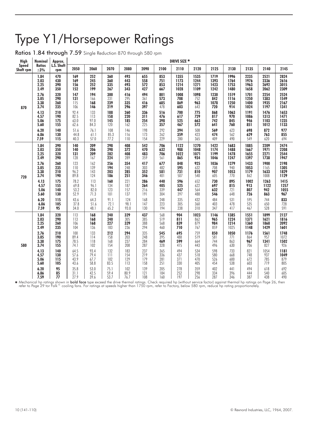# Type Y1/Horsepower Ratings

Ratios 1.84 through 7.59 Single Reduction 870 through 580 rpm

| <b>High</b>        | <b>Nominal</b>                                                                                                       | Approx.                                                                                              |                                                                                                                 |                                                                                                              |                                                                                                                                          |                                                                                                         |                                                                                                                    |                                                                                                           | DRIVE SIZE *                                                                                            |                                                                                                          |                                                                                                            |                                                                                                             |                                                                                                               |                                                                                                                 |                                                                                                                  |
|--------------------|----------------------------------------------------------------------------------------------------------------------|------------------------------------------------------------------------------------------------------|-----------------------------------------------------------------------------------------------------------------|--------------------------------------------------------------------------------------------------------------|------------------------------------------------------------------------------------------------------------------------------------------|---------------------------------------------------------------------------------------------------------|--------------------------------------------------------------------------------------------------------------------|-----------------------------------------------------------------------------------------------------------|---------------------------------------------------------------------------------------------------------|----------------------------------------------------------------------------------------------------------|------------------------------------------------------------------------------------------------------------|-------------------------------------------------------------------------------------------------------------|---------------------------------------------------------------------------------------------------------------|-----------------------------------------------------------------------------------------------------------------|------------------------------------------------------------------------------------------------------------------|
| Speed<br>Shaft rpm | <b>Ratios</b><br>$\pm 3\%$                                                                                           | L.S. Shaft<br>rpm                                                                                    | 2050                                                                                                            | 2060                                                                                                         | 2070                                                                                                                                     | 2080                                                                                                    | 2090                                                                                                               | 2100                                                                                                      | 2110                                                                                                    | 2120                                                                                                     | 2125                                                                                                       | 2130                                                                                                        | 2135                                                                                                          | 2140                                                                                                            | 2145                                                                                                             |
| 870                | 1.84<br>2.03<br>2.25<br>2.49<br>2.76<br>3.05<br>3.38<br>3.74                                                         | 470<br>430<br>390<br>350<br>320<br>290<br>260<br>235                                                 | 169<br>169<br>156<br>152<br>147<br>131<br>115<br>106                                                            | 252<br>245<br>252<br>199<br>194<br>166<br>168<br>146                                                         | 360<br>360<br>335<br>267<br>300<br>231<br>239<br>219                                                                                     | 493<br>443<br>493<br>343<br>416<br>295<br>335<br>296                                                    | 655<br>558<br>572<br>427<br>494<br>361<br>416<br>397                                                               | 853<br>751<br>853<br>667<br>801<br>573<br>685<br>478                                                      | 1355<br>1173<br>1214<br>1028<br>1008<br>708<br>869<br>603                                               | 1535<br>1244<br>1271<br>1109<br>1098<br>752<br>963<br>643                                                | 1719<br>1393<br>1423<br>1242<br>1230<br>842<br>1078<br>720                                                 | 1996<br>1764<br>1753<br>1480<br>1519<br>1116<br>1250<br>914                                                 | 2235<br>1976<br>1963<br>1658<br>1701<br>1250<br>1400<br>1024                                                  | 2521<br>2336<br>2692<br>2062<br>2254<br>1383<br>1935<br>1197                                                    | 2824<br>2616<br>3015<br>2309<br>2524<br>1549<br>2167<br>1341                                                     |
|                    | 4.13<br>4.57<br>5.06<br>5.60<br>6.20<br>6.86<br>7.59                                                                 | 210<br>190<br>175<br>155<br>140<br>130<br>115                                                        | 92.4<br>82.5<br>63.0<br>62.6<br>51.6<br>44.8<br>40.3                                                            | 133<br>113<br>97.0<br>84.3<br>76.1<br>61.1<br>57.0                                                           | 188<br>158<br>145<br>120<br>108<br>85.3<br>77.2                                                                                          | 260<br>220<br>185<br>162<br>146<br>116<br>110                                                           | 336<br>311<br>254<br>225<br>198<br>173<br>154                                                                      | 516<br>476<br>398<br>357<br>292<br>262<br>229                                                             | 700<br>617<br>525<br>467<br>394<br>359<br>280                                                           | 775<br>729<br>663<br>572<br>508<br>423<br>365                                                            | 868<br>817<br>742<br>641<br>569<br>474<br>409                                                              | 1063<br>970<br>845<br>760<br>623<br>562<br>490                                                              | 1191<br>1086<br>946<br>851<br>698<br>629<br>549                                                               | 1476<br>1313<br>1103<br>1012<br>872<br>763<br>620                                                               | 1653<br>1471<br>1235<br>1133<br>977<br>855<br>694                                                                |
| 720                | 1.84<br>2.03<br>2.25<br>2.49<br>2.76<br>3.05<br>3.38<br>3.74<br>4.13<br>4.57<br>5.06<br>5.60<br>6.20<br>6.86<br>7.59 | 390<br>350<br>320<br>290<br>260<br>235<br>210<br>190<br>175<br>155<br>140<br>130<br>115<br>105<br>95 | 140<br>140<br>131<br>128<br>123<br>110<br>96.2<br>89.8<br>78.2<br>69.8<br>53.2<br>52.9<br>43.6<br>37.8<br>34.0  | 209<br>206<br>209<br>167<br>162<br>139<br>143<br>124<br>113<br>96.1<br>82.0<br>71.3<br>64.3<br>51.6<br>48.1  | 298<br>298<br>282<br>224<br>256<br>194<br>203<br>186<br>160<br>134<br>123<br>101<br>91.1<br>72.1<br>65.2                                 | 408<br>372<br>408<br>289<br>354<br>248<br>285<br>251<br>221<br>187<br>157<br>137<br>124<br>98.1<br>93.0 | 542<br>470<br>483<br>359<br>417<br>303<br>352<br>346<br>286<br>264<br>216<br>191<br>168<br>147<br>130              | 706<br>632<br>706<br>561<br>677<br>482<br>581<br>401<br>440<br>405<br>339<br>304<br>248<br>223<br>194     | 1122<br>988<br>1022<br>865<br>848<br>595<br>731<br>507<br>596<br>525<br>447<br>397<br>335<br>305<br>238 | 1270<br>1048<br>1071<br>934<br>925<br>632<br>810<br>540<br>652<br>622<br>564<br>488<br>432<br>360<br>310 | 1422<br>1174<br>1199<br>1046<br>1036<br>708<br>907<br>605<br>730<br>697<br>632<br>546<br>484<br>403<br>347 | 1683<br>1488<br>1478<br>1247<br>1279<br>940<br>1053<br>770<br>895<br>815<br>721<br>648<br>531<br>478<br>417 | 1885<br>1667<br>1655<br>1397<br>1433<br>1053<br>1179<br>862<br>1002<br>913<br>807<br>726<br>595<br>535<br>467 | 2209<br>1971<br>2271<br>1738<br>1900<br>1165<br>1633<br>1008<br>1263<br>1122<br>942<br>863<br>744<br>650<br>528 | 2474<br>2208<br>2544<br>1947<br>2198<br>1305<br>1829<br>1129<br>1415<br>1257<br>1055<br>967<br>833<br>728<br>591 |
| 580                | 1.84<br>2.03<br>2.25<br>2.49<br>2.76<br>3.05<br>3.38<br>3.74<br>4.13<br>4.57<br>5.06<br>5.60<br>6.20<br>6.86<br>7.59 | 320<br>290<br>260<br>235<br>210<br>190<br>175<br>155<br>140<br>130<br>115<br>105<br>95<br>85<br>77   | 113<br>113<br>106<br>104<br>100<br>89.4<br>78.5<br>74.1<br>64.5<br>57.6<br>43.9<br>43.6<br>35.8<br>31.1<br>27.9 | 168<br>168<br>168<br>136<br>133<br>114<br>118<br>102<br>93.4<br>79.4<br>67.7<br>58.8<br>53.0<br>42.5<br>39.6 | 240<br>240<br>227<br>183<br>212<br>158<br>168<br>154<br>$\begin{array}{c} 132 \\ 111 \end{array}$<br>102<br>83.5<br>75.1<br>59.4<br>53.7 | 329<br>305<br>329<br>236<br>294<br>203<br>237<br>208<br>183<br>154<br>129<br>113<br>102<br>80.9<br>76.7 | 437<br>385<br>388<br>294<br>335<br>248<br>284<br>287<br>237<br>$\overline{219}$<br>179<br>158<br>139<br>121<br>108 | 568<br>519<br>568<br>460<br>545<br>395<br>469<br>328<br>$365$<br>$336$<br>281<br>251<br>205<br>184<br>160 | 904<br>811<br>839<br>710<br>695<br>488<br>599<br>415<br>494<br>437<br>371<br>330<br>278<br>252<br>197   | 1023<br>862<br>879<br>767<br>759<br>519<br>664<br>443<br>534<br>518<br>470<br>405<br>359<br>298<br>256   | 1146<br>965<br>984<br>859<br>850<br>581<br>744<br>496<br>598<br>580<br>526<br>454<br>402<br>334<br>287     | 1385<br>1224<br>1214<br>1025<br>1050<br>771<br>863<br>630<br>733<br>668<br>600<br>538<br>441<br>396<br>346  | 1551<br>1371<br>1360<br>1148<br>1176<br>864<br>967<br>706<br>821<br>748<br>672<br>603<br>494<br>444<br>387    | 1899<br>1621<br>1868<br>1429<br>1561<br>957<br>1341<br>827<br>1054<br>937<br>785<br>719<br>618<br>540<br>438    | 2127<br>1816<br>2092<br>1601<br>1748<br>1072<br>1502<br>926<br>1181<br>1049<br>879<br>805<br>692<br>605<br>490   |

★ Mechanical hp ratings shown in **bold face** type exceed the drive thermal ratings. Check required hp (without service factor) against thermal hp ratings on Page 26, ther<br>refer to Page 29 tor Falk™ cooling fans. For ratin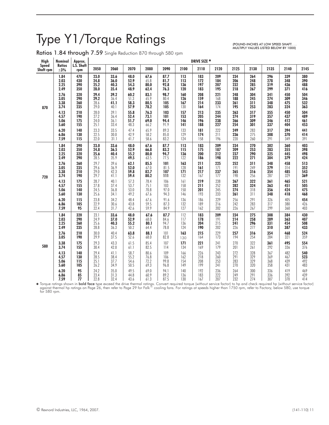# Type Y1/Torque Ratings

Ratios 1.84 through 7.59 Single Reduction 870 through 580 rpm

(POUND-INCHES AT LOW SPEED SHAFT. . . MULTIPLY VALUES LISTED BELOW BY 1000)

| <b>High</b>                      | <b>Nominal</b>               | Approx.                  |                              |                              |                              |                              |                              |                          | DRIVE SIZE *             |                          |                          |                          |                          |                          |                          |
|----------------------------------|------------------------------|--------------------------|------------------------------|------------------------------|------------------------------|------------------------------|------------------------------|--------------------------|--------------------------|--------------------------|--------------------------|--------------------------|--------------------------|--------------------------|--------------------------|
| <b>Speed</b><br><b>Shaft rpm</b> | <b>Ratios</b><br>$\pm 3\%$   | L.S. Shaft<br>rpm        | 2050                         | 2060                         | 2070                         | 2080                         | 2090                         | 2100                     | 2110                     | 2120                     | 2125                     | 2130                     | 2135                     | 2140                     | 2145                     |
|                                  | 1.84                         | 470                      | 23.0                         | 33.6                         | 48.0                         | 67.6                         | 87.7                         | 113                      | 183                      | 209                      | 234                      | 264                      | 296                      | 339                      | 380                      |
|                                  | 2.03                         | 430                      | 24.8                         | 36.0                         | 52.9                         | 65.8                         | 81.7                         | 113                      | 172                      | 184                      | 206                      | 248                      | 278                      | 348                      | 390                      |
|                                  | 2.25                         | 390                      | 25.2                         | 40.3                         | 54.3                         | 80.0                         | 92.8                         | 136                      | 197                      | 207                      | 232                      | 285                      | 319                      | 436                      | 488                      |
|                                  | 2.49                         | 350                      | 28.0                         | 35.4                         | 48.9                         | 62.4                         | 76.3                         | 120                      | 183                      | 195                      | 218                      | 267                      | 299                      | 371                      | 416                      |
|                                  | 2.76                         | 320                      | 29.4                         | 39.2                         | 60.2                         | 83.1                         | 98.7                         | 160                      | 208                      | 221                      | 248                      | 304                      | 341                      | 450                      | 504                      |
|                                  | 3.05                         | 290                      | 29.2                         | 36.4                         | 51.3                         | 65.9                         | 80.4                         | 126                      | 159                      | 168                      | 188                      | 245                      | 274                      | 309                      | 346                      |
| 870                              | 3.38                         | 260                      | 28.6                         | 41.1                         | 58.3                         | 80.5                         | 105                          | 167                      | 214                      | 233                      | 261                      | 311                      | 348                      | 475                      | 532                      |
|                                  | 3.74                         | 235                      | 29.0                         | 40.1                         | 57.9                         | 78.2                         | 105                          | 130                      | 164                      | 174                      | 195                      | 253                      | 283                      | 324                      | 363                      |
|                                  | 4.13                         | 210                      | 28.0                         | 39.1                         | 55.8                         | 76.3                         | 103                          | 157                      | 213                      | 235                      | 263                      | 317                      | 355                      | 450                      | 504                      |
|                                  | 4.57                         | 190                      | 27.2                         | 36.4                         | 52.4                         | 73.1                         | 101                          | 153                      | 205                      | 244                      | 274                      | 319                      | 357                      | 437                      | 489                      |
|                                  | 5.06                         | 175                      | 24.0                         | 36.1                         | 51.7                         | 69.0                         | 94.4                         | 146                      | 196                      | 238                      | 266                      | 309                      | 346                      | 412                      | 461                      |
|                                  | 5.60                         | 155                      | 25.1                         | 33.4                         | 48.3                         | 66.2                         | 91.9                         | 141                      | 188                      | 227                      | 254                      | 301                      | 337                      | 404                      | 453                      |
|                                  | 6.20                         | 140                      | 23.3                         | 33.5                         | 47.4                         | 65.9                         | 89.3                         | 133                      | 181                      | 222                      | 249                      | 283                      | 317                      | 394                      | 441                      |
|                                  | 6.86                         | 130                      | 22.5                         | 30.0                         | 42.9                         | 58.2                         | 85.0                         | 129                      | 174                      | 211                      | 236                      | 275                      | 308                      | 370                      | 414                      |
|                                  | 7.59                         | 115                      | 22.0                         | 31.1                         | 41.7                         | 58.6                         | 83.2                         | 124                      | 158                      | 196                      | 220                      | 260                      | 291                      | 349                      | 391                      |
|                                  | 1.84                         | 390                      | 23.0                         | 33.6                         | 48.0                         | 67.6                         | 87.7                         | 113                      | 183                      | 209                      | 234                      | 270                      | 302                      | 360                      | 403                      |
|                                  | 2.03                         | 350                      | 24.8                         | 36.5                         | 52.9                         | 66.8                         | 83.2                         | 115                      | 175                      | 187                      | 209                      | 253                      | 283                      | 355                      | 398                      |
|                                  | 2.25                         | 320                      | 25.6                         | 40.4                         | 55.2                         | 80.0                         | 94.7                         | 136                      | 200                      | 212                      | 237                      | 290                      | 325                      | 445                      | 498                      |
|                                  | 2.49                         | 290                      | 28.5                         | 35.9                         | 49.5                         | 63.5                         | 77.5                         | 122                      | 186                      | 198                      | 222                      | 271                      | 304                      | 379                      | 424                      |
| 720                              | 2.76                         | 260                      | 29.7                         | 39.6                         | 62.1                         | 85.5                         | 101                          | 163                      | 211                      | 225                      | 252                      | 311                      | 348                      | 458                      | 513                      |
|                                  | 3.05                         | 235                      | 29.6                         | 36.9                         | 52.0                         | 67.0                         | 81.5                         | 128                      | 161                      | 171                      | 191                      | 249                      | 279                      | 314                      | 352                      |
|                                  | 3.38                         | 210                      | 29.0                         | 42.3                         | 59.8                         | 82.7                         | 107                          | 171                      | 217                      | 237                      | 265                      | 316                      | 354                      | 485                      | 543                      |
|                                  | 3.74                         | 190                      | 29.7                         | 41.1                         | 59.4                         | 80.2                         | 111                          | 132                      | 167                      | 177                      | 198                      | 256                      | 287                      | 329                      | 369                      |
|                                  | 4.13                         | 175                      | 28.7                         | 40.1                         | 57.3                         | 78.4                         | 106                          | 161                      | 219                      | 238                      | 267                      | 322                      | 361                      | 465                      | 521                      |
|                                  | 4.57                         | 155                      | 27.8                         | 37.4                         | 53.7                         | 75.1                         | 103                          | 158                      | 211                      | 252                      | 282                      | 324                      | 363                      | 451                      | 505                      |
|                                  | 5.06                         | 140                      | 24.5                         | 36.8                         | 53.0                         | 70.8                         | 97.0                         | 150                      | 201                      | 245                      | 274                      | 318                      | 356                      | 424                      | 475                      |
|                                  | 5.60                         | 130                      | 25.6                         | 34.1                         | 49.2                         | 67.6                         | 94.3                         | 146                      | 193                      | 233                      | 261                      | 311                      | 348                      | 418                      | 468                      |
|                                  | 6.20                         | 115                      | 23.8                         | 34.2                         | 48.4                         | 67.6                         | 91.6                         | 136                      | 186                      | 229                      | 256                      | 291                      | 326                      | 405                      | 454                      |
|                                  | 6.86                         | 105                      | 22.9                         | 30.6                         | 43.8                         | 59.5                         | 87.3                         | 132                      | 189                      | 216                      | 242                      | 283                      | 317                      | 380                      | 426                      |
|                                  | 7.59                         | 95                       | 22.4                         | 31.7                         | 42.6                         | 59.9                         | 84.9                         | 127                      | 162                      | 202                      | 226                      | 267                      | 299                      | 360                      | 403                      |
|                                  | 1.84<br>2.03<br>2.25<br>2.49 | 320<br>290<br>260<br>235 | 23.1<br>24.9<br>25.6<br>28.8 | 33.6<br>37.0<br>40.3<br>36.3 | 48.0<br>52.9<br>55.2<br>50.2 | 67.6<br>68.0<br>80.1<br>64.4 | 87.7<br>84.6<br>94.7<br>78.8 | 112<br>117<br>136<br>124 | 183<br>178<br>204<br>190 | 209<br>191<br>215<br>202 | 234<br>214<br>241<br>226 | 275<br>258<br>296<br>277 | 308<br>289<br>331<br>310 | 384<br>363<br>454<br>387 | 430<br>407<br>508<br>433 |
|                                  | 2.76                         | 210                      | 30.0                         | 40.4                         | 63.8                         | 88.1                         | 101                          | 163                      | 215                      | 229                      | 257                      | 316                      | 354                      | 468                      | 524                      |
|                                  | 3.05                         | 190                      | 29.9                         | 37.5                         | 52.6                         | 68.0                         | 82.8                         | 130                      | 164                      | 173                      | 194                      | 254                      | 284                      | 321                      | 359                      |
| 580                              | 3.38                         | 175                      | 29.3                         | 43.3                         | 61.5                         | 85.4                         | 107                          | 171                      | 221                      | 241                      | 270                      | 322                      | 361                      | 495                      | 554                      |
|                                  | 3.74                         | 155                      | 30.4                         | 42.0                         | 61.1                         | 82.5                         | 114                          | 134                      | 169                      | 179                      | 201                      | 261                      | 292                      | 336                      | 376                      |
|                                  | 4.13<br>4.57<br>5.06<br>5.60 | 140<br>130<br>115<br>105 | 29.4<br>28.5<br>25.1<br>26.2 | 41.1<br>38.4<br>37.7<br>34.9 | 58.7<br>55.2<br>54.6<br>50.5 | 80.6<br>76.8<br>72.2<br>69.3 | 109<br>106<br>99.8<br>96.8   | 166<br>162<br>154<br>149 | 226<br>218<br>208<br>199 | 243<br>260<br>253<br>241 | 272<br>291<br>283<br>270 | 328<br>329<br>329<br>320 | 367<br>369<br>368<br>358 | 482<br>467<br>439<br>431 | 540<br>523<br>492<br>483 |
|                                  | 6.20                         | 95                       | 24.2                         | 35.0                         | 49.5                         | 69.0                         | 94.1                         | 140                      | 192                      | 236                      | 264                      | 300                      | 336                      | 419                      | 469                      |
|                                  | L OL                         | <b>OF</b>                | 221                          | 212                          | $A A$ <sup>O</sup>           | $\ell \cap \Omega$           | 002                          | 12 <sub>L</sub>          | 102                      | つつつ                      | 210                      | 201                      | 22 <sub>L</sub>          | 202                      | 00N                      |

**6.86 85 2**3.4 31.3 44.8 60.9 89.2 136 183 222 249 291 336 392 439<br>**7.59 77** 22.8 32.4 43.6 61.3 87.5 130 167 207 232 274 307 310 414 Torque ratings shown in **bold face** type exceed the drive thermal ratings. Convert required torque (without service factor) to hp and check required hp (without service factor) to have against thermal hp ratings on Page 26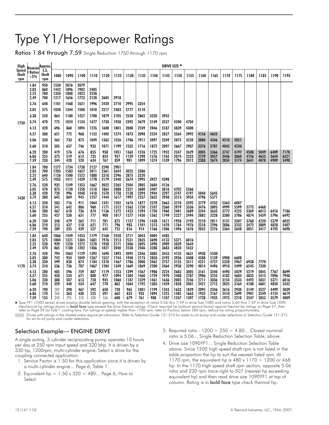# Type Y1/Horsepower Ratings

Ratios 1.84 through 7.59 Single Reduction 1750 through 1170 rpm

| High                  | Nomina <sup>Approx.</sup>    |                          |                              |                              |                              |                              |                              |                              |                              |                              |                              |                              | DRIVE SIZE *                 |                              |                              |                              |                              |                              |                              |                              |                              |                              |
|-----------------------|------------------------------|--------------------------|------------------------------|------------------------------|------------------------------|------------------------------|------------------------------|------------------------------|------------------------------|------------------------------|------------------------------|------------------------------|------------------------------|------------------------------|------------------------------|------------------------------|------------------------------|------------------------------|------------------------------|------------------------------|------------------------------|------------------------------|
| Speed<br>Shaft<br>rpm | <b>Ratios</b><br>$\pm 3\%$   | LS.<br>Shaft<br>rpm      | 1080                         | 1090                         | 1100                         | 1110                         | 1120                         | 1125                         | 1130                         | 1135                         | 1140                         | 1145                         | 1150                         | 1155                         | 1160                         | 1165                         | 1170                         | 1175                         | 1180                         | 1185                         | 1190                         | 1195                         |
|                       | 1.84<br>2.03<br>2.25<br>2.49 | 950<br>860<br>780<br>700 | 1530<br>1442<br>1350<br>1217 | 2076<br>1896<br>1800<br>1656 | 2079<br>1982<br>1822<br>1723 | 2405<br>2258<br>2128         | 2605                         | 2918                         |                              |                              |                              |                              |                              |                              |                              |                              |                              |                              |                              |                              |                              |                              |
|                       | 2.76                         | 640                      | 1101                         | 1468                         | 1621                         | 1996                         | 2420                         | 2710                         | 2995                         | 3354                         |                              |                              |                              |                              |                              |                              |                              |                              |                              |                              |                              |                              |
|                       | 3.05                         | 575                      | 1030                         | 1344                         | 1508                         | 1818                         | 2217                         | 2483                         | 2777                         | 3110                         |                              |                              |                              |                              |                              |                              |                              |                              |                              |                              |                              |                              |
|                       | 3.38                         | 520                      | 864                          | 1180                         | 1257                         | 1700                         | 1879                         | 2105                         | 2558                         | 2865                         | 3520                         | 3942                         |                              |                              |                              |                              |                              |                              |                              |                              |                              |                              |
| 1750                  | 3.74                         | 470                      | 775                          | 1024                         | 1134                         | 1477                         | 1730                         | 1938                         | 2392                         | 2679                         | 3149                         | 3527                         | 4200                         | 4704                         |                              |                              |                              |                              |                              |                              |                              |                              |
|                       | 4.13                         | 420                      | 696                          | 860                          | 1094                         | 1276                         | 1608                         | 1801                         | 2008                         | 2249                         | 2846                         | 3187                         | 3839                         | 4300                         |                              |                              |                              |                              |                              |                              |                              |                              |
|                       | 4.57                         | 380                      | 651                          | 772                          | 968                          | 1152                         | 1405                         | 1574                         | 1873                         | 2098                         | 2524                         | 2827                         | 3564                         | 3992                         | 4156                         | 4655                         |                              |                              |                              |                              |                              |                              |
|                       | 5.06                         | 350                      | 562                          | 733                          | 873                          | 1049                         | 1363                         | 1526                         | 1706                         | 1911                         | 2097                         | 2349                         | 2875                         | 3220                         | 3880                         | 4346                         | 4510                         | 5051                         |                              |                              |                              |                              |
|                       | 5.60                         | 310                      | 505                          | 637                          | 746                          | 933                          | 1071                         | 1199                         | 1532                         | 1716                         | 1872                         | 2097                         | 2667                         | 2987                         | 3376                         | 3781                         | 4045                         | 4530                         |                              |                              |                              |                              |
|                       | 6.20<br>6.86<br>7.59         | 280<br>255<br>230        | 419<br>375<br>344            | 576<br>519<br>428            | 676<br>613<br>520            | 855<br>735<br>634            | 938<br>854<br>767            | 1051<br>957<br>859           | 1363<br>1159<br>981          | 1526<br>1298<br>1099         | 1725<br>1576<br>1374         | 1932<br>1765<br>1539         | 2347<br>2074<br>1796         | 2629<br>2323<br>2012         | 3005<br>2729<br>2388         | 3366<br>3057<br>2674         | 3747<br>3446<br>2834         | 4197<br>3860<br>3174         | 4508<br>4156<br>3641         | 5049<br>4655<br>4078         | 6409<br>5644<br>4909         | 7178<br>6321<br>5498         |
|                       | 1.84<br>2.03<br>2.25<br>2.49 | 780<br>700<br>640<br>575 | 1277<br>1203<br>1126<br>1035 | 1734<br>1583<br>1500<br>1411 | 1738<br>1657<br>1522<br>1439 | 2127<br>2011<br>1888<br>1778 | 2590<br>2361<br>2318<br>2179 | 2901<br>2644<br>2596<br>2440 | 3023<br>2875<br>2674         | 3386<br>3220<br>2995         | 3927                         | 4398                         |                              |                              |                              |                              |                              |                              |                              |                              |                              |                              |
| 1430                  | 2.76<br>3.05<br>3.38<br>3.74 | 520<br>470<br>420<br>380 | 935<br>875<br>720<br>645     | 1249<br>1120<br>996<br>869   | 1353<br>1258<br>1048<br>945  | 1667<br>1518<br>1418<br>1257 | 2022<br>1864<br>1570<br>1444 | 2265<br>2088<br>1758<br>1617 | 2504<br>2321<br>2138<br>1997 | 2805<br>2600<br>2394<br>2237 | 3684<br>3407<br>2944<br>2632 | 4126<br>3816<br>3297<br>2948 | 4702<br>3747<br>3513         | 5266<br>4197<br>3934         | 5040<br>4796                 | 5645<br>5371                 |                              |                              |                              |                              |                              |                              |
|                       | 4.13<br>4.57<br>5.06<br>5.60 | 350<br>310<br>280<br>255 | 583<br>541<br>467<br>427     | 716<br>642<br>610<br>530     | 911<br>806<br>736<br>631     | 1064<br>960<br>874<br>777    | 1341<br>1171<br>1136<br>908  | 1502<br>1312<br>1272<br>1017 | 1676<br>1563<br>1423<br>1277 | 1877<br>1750<br>1594<br>1430 | 2378<br>2107<br>1750<br>1562 | 2663<br>2360<br>1960<br>1749 | 3210<br>2979<br>2401<br>2227 | 3595<br>3336<br>2689<br>2494 | 3779<br>3476<br>3244<br>2882 | 4232<br>3893<br>3633<br>3228 | 5363<br>4999<br>3772<br>3380 | 6007<br>5599<br>4225<br>3786 | 5775<br>5369<br>4874         | 6468<br>6013<br>5459         | 6416<br>5796                 | 7186<br>6492                 |
|                       | 6.20<br>6.86<br>7.59         | 230<br>210<br>190        | 348<br>313<br>289            | 479<br>437<br>355            | 562<br>518<br>439            | 711<br>621<br>527            | 781<br>711<br>645            | 875<br>796<br>722            | 1157<br>983<br>816           | 1296<br>1101<br>914          | 1438<br>1313<br>1166         | 1611<br>1470<br>1306         | 1958<br>1764<br>1496         | 2193<br>1976<br>1676         | 2510<br>2318<br>2032         | 2811<br>2596<br>2276         | 3131<br>2886<br>2364         | 3507<br>3232<br>2648         | 3768<br>3472<br>3051         | 4220<br>3889<br>3417         | 5379<br>4828<br>4195         | 6025<br>5407<br>4698         |
|                       | 1.84<br>2.03<br>2.25<br>2.49 | 640<br>575<br>520<br>470 | 1066<br>1004<br>939<br>865   | 1449<br>1321<br>1250<br>1180 | 1453<br>1384<br>1272<br>1202 | 1779<br>1681<br>1578<br>1486 | 2168<br>1976<br>1938<br>1821 | 2428<br>2213<br>2171<br>2040 | 2717<br>2531<br>2406<br>2238 | 3043<br>2835<br>2695<br>2506 | 4004<br>3690<br>3490<br>3288 | 4485<br>4133<br>3909<br>3683 | 5371<br>5039<br>4850         | 6016<br>5644<br>5432         |                              |                              |                              |                              |                              |                              |                              |                              |
| 1170                  | 2.76<br>3.05<br>3.38<br>3.74 | 420<br>380<br>350<br>310 | 794<br>742<br>599<br>536     | 1062<br>934<br>830<br>736    | 1129<br>1049<br>874<br>787   | 1392<br>1267<br>1184<br>1067 | 1690<br>1557<br>1310<br>1204 | 1893<br>1744<br>1467<br>1349 | 2095<br>1940<br>1786<br>1669 | 2346<br>2173<br>2000<br>1869 | 3083<br>2850<br>2462<br>2200 | 3453<br>3192<br>2757<br>2464 | 4135<br>3936<br>3135<br>2938 | 4631<br>4408<br>3511<br>3290 | 4938<br>4588<br>4221<br>4014 | 5530<br>5139<br>4727<br>4496 | 5900<br>5328<br>4910         | 6608<br>5967<br>5499         | 6938<br>6545                 | 7770<br>7330                 |                              |                              |
|                       | 4.13<br>4.57<br>5.06<br>5.60 | 280<br>255<br>230<br>210 | 485<br>450<br>388<br>359     | 596<br>534<br>507<br>440     | 759<br>671<br>613<br>534     | 887<br>800<br>728<br>647     | 1119<br>977<br>945<br>770    | 1253<br>1094<br>1060<br>862  | 1399<br>1304<br>1187<br>1064 | 1567<br>1460<br>1329<br>1192 | 1986<br>1759<br>1461<br>1303 | 2224<br>1970<br>1636<br>1459 | 2683<br>2488<br>2005<br>1858 | 3005<br>2787<br>2246<br>2081 | 3161<br>2906<br>2711<br>2421 | 3540<br>3255<br>3036<br>2712 | 4490<br>4182<br>3154<br>2825 | 5029<br>4684<br>3533<br>3164 | 5219<br>4835<br>4492<br>4108 | 5845<br>5415<br>5031<br>4601 | 7767<br>7096<br>5371<br>4850 | 8699<br>7948<br>6016<br>5432 |
|                       | 6.20<br>6.86<br>7.59         | 190<br>170<br>155        | 289<br>260<br>243            | 398<br>363<br>295            | 467<br>430<br>370            | 592<br>525<br>438            | 650<br>591<br>536            | 728<br>662<br>600            | 965<br>833<br>679            | 1081<br>933<br>761           | 1199<br>1094<br>988          | 1343<br>1225<br>1107         | 1633<br>1485<br>1247         | 1829<br>1663<br>1397         | 2095<br>1935<br>1728         | 2346<br>2167<br>1935         | 2616<br>2410<br>1973         | 2930<br>2699<br>2210         | 3149<br>2901<br>2547         | 3527<br>3249<br>2853         | 4499<br>4124<br>3579         | 5039<br>4619<br>4009         |

Fype YF1 (1000 series) drives employ double helical gearing, with the exception of ratios 5.06 thru 7.59 in drive Size 1080 and ratios 5.60 thru 7.59 in drive Size 1090.<br>Mechanical hp (without service of the drive thermal Drives with ratings in the shaded areas require jet lubrication. Refer to Selection Guide 131-310 for water-to-oil pump and cooler selections or Selection Guide 131-315 for air-to-oil pump and cooler selections.

### Selection Example— ENGINE DRIVE

A single acting, 3 cylinder reciprocating pump operates 10 hours per day at 250 rpm input speed and 320 bhp. It is driven by a 330 hp, 1200rpm, multi-cylinder engine. Select a drive for the coupling connected application.

- 1. Service Factor is 1.50 for this application since it is driven by a multi-cylinder engine... Page 6, Table 1.
- 2. Equivalent hp =  $1.50 \times 320 = 480...$  Page 6, How to Select.
- 3. Required ratio  $1200 \div 250 = 4.80...$  Closest nominal ratio is 5.06... Single Reduction Selection Table, above.
- 4. Drive size 1090YF1... Single Reduction Selection Table above. Since 1200 high speed shaft rpm is not listed in the table proportion the hp to suit the nearest listed rpm. At 1170 rpm, the equivalent hp is  $480 \times 1170 \div 1200$  or  $468$ hp. In the 1170 high speed shaft rpm section, opposite 5.06 ratio and 230 rpm trace right to 507 (nearest hp exceeding equivalent hp) and then read drive size 1090YF1 at top of column. Rating is in bold face type check thermal hp.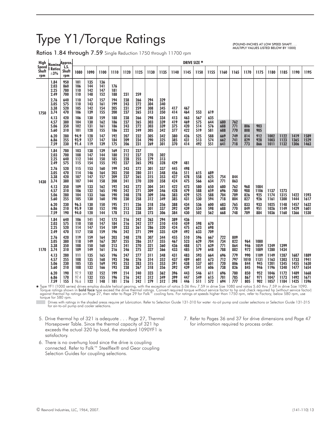# Type Y1/Torque Ratings

(POUND-INCHES AT LOW SPEED SHAFT. . . MULTIPLY VALUES LISTED BELOW BY 1000)

Ratios 1.84 through 7.59 Single Reduction 1750 through 11700 rpm

| High                         | Nomina Approx.               |                          |                          |                          |                          |                          |                          |                          |                          |                          |                          |                          | DRIVE SIZE *             |                          |                          |                          |                           |                            |                              |                              |                              |                              |
|------------------------------|------------------------------|--------------------------|--------------------------|--------------------------|--------------------------|--------------------------|--------------------------|--------------------------|--------------------------|--------------------------|--------------------------|--------------------------|--------------------------|--------------------------|--------------------------|--------------------------|---------------------------|----------------------------|------------------------------|------------------------------|------------------------------|------------------------------|
| <b>Speed</b><br>Shaft<br>rpm | <b>Ratios</b><br>$\pm 3\%$   | LS.<br>Shaft<br>rpm      | 1080                     | 1090                     | 1100                     | 1110                     | 1120                     | 1125                     | 1130                     | 1135                     | 1140                     | 1145                     | 1150                     | 1155                     | 1160                     | 1165                     | 1170                      | 1175                       | 1180                         | 1185                         | 1190                         | 1195                         |
|                              | 1.84<br>2.03<br>2.25<br>2.49 | 950<br>860<br>780<br>700 | 101<br>106<br>110<br>110 | 135<br>144<br>142<br>148 | 136<br>141<br>147<br>152 | 176<br>181<br>188        | 231                      | 259                      |                          |                          |                          |                          |                          |                          |                          |                          |                           |                            |                              |                              |                              |                              |
| 1750                         | 2.76<br>3.05<br>3.38<br>3.74 | 640<br>575<br>520<br>470 | 110<br>110<br>105<br>106 | 147<br>143<br>142<br>139 | 157<br>161<br>154<br>155 | 194<br>199<br>205<br>200 | 238<br>243<br>231<br>237 | 266<br>272<br>259<br>265 | 294<br>304<br>308<br>313 | 329<br>340<br>345<br>350 | 417<br>414               | 467<br>464               | 553                      | 619                      |                          |                          |                           |                            |                              |                              |                              |                              |
|                              | 4.13<br>4.57<br>5.06<br>5.60 | 420<br>380<br>350<br>310 | 106<br>104<br>102<br>101 | 130<br>130<br>131<br>128 | 159<br>162<br>161<br>155 | 188<br>186<br>186<br>186 | 238<br>237<br>243<br>222 | 266<br>265<br>272<br>249 | 298<br>303<br>303<br>305 | 334<br>339<br>339<br>342 | 413<br>419<br>375<br>377 | 463<br>469<br>420<br>422 | 567<br>575<br>514<br>519 | 635<br>644<br>576<br>581 | 680<br>688<br>688        | 762<br>771<br>770        | 806<br>808                | 903<br>905                 |                              |                              |                              |                              |
|                              | 6.20<br>6.86<br>7.59         | 280<br>255<br>230        | 94.9<br>93.9<br>91.4     | 128<br>127<br>119        | 147<br>147<br>139        | 192<br>184<br>175        | 207<br>209<br>206        | 232<br>234<br>231        | 305<br>290<br>269        | 342<br>325<br>301        | 380<br>385<br>370        | 426<br>431<br>414        | 525<br>513<br>492        | 588<br>574<br>551        | 669<br>662<br>641        | 749<br>741<br>718        | 814<br>829<br>773         | 912<br>928<br>866          | 1002<br>1003<br>1011         | 1122<br>1123<br>1132         | 1419<br>1365<br>1306         | 1589<br>1529<br>1463         |
| 1430                         | 1.84<br>2.03<br>2.25<br>2.49 | 780<br>700<br>640<br>575 | 103<br>108<br>112<br>115 | 138<br>147<br>144<br>154 | 139<br>144<br>150<br>155 | 169<br>180<br>185<br>192 | 212<br>212<br>228<br>237 | 237<br>237<br>255<br>265 | 270<br>279<br>293        | 302<br>313<br>328        | 429                      | 481                      |                          |                          |                          |                          |                           |                            |                              |                              |                              |                              |
|                              | 2.76<br>3.05<br>3.38<br>3.74 | 520<br>470<br>420<br>380 | 115<br>114<br>107<br>107 | 153<br>146<br>147<br>144 | 160<br>164<br>157<br>158 | 199<br>203<br>209<br>208 | 243<br>250<br>237<br>241 | 272<br>280<br>265<br>270 | 301<br>311<br>315<br>320 | 337<br>348<br>353<br>358 | 445<br>456<br>427<br>424 | 498<br>511<br>478<br>475 | 615<br>558<br>566        | 689<br>625<br>634        | 754<br>771               | 844<br>863               |                           |                            |                              |                              |                              |                              |
|                              | 4.13<br>4.57<br>5.06<br>5.60 | 350<br>310<br>280<br>255 | 109<br>106<br>104<br>105 | 133<br>132<br>133<br>130 | 162<br>165<br>166<br>160 | 192<br>190<br>190<br>190 | 243<br>242<br>248<br>230 | 272<br>271<br>278<br>258 | 304<br>309<br>309<br>312 | 341<br>346<br>346<br>349 | 422<br>428<br>383<br>385 | 473<br>479<br>429<br>431 | 580<br>588<br>525<br>530 | 650<br>659<br>588<br>594 | 680<br>696<br>704<br>718 | 762<br>780<br>789<br>804 | 968<br>988<br>826<br>827  | 1084<br>1106<br>925<br>926 | 1137<br>1174<br>1161         | 1273<br>1315<br>1300         | 1422<br>1444                 | 1593<br>1617                 |
|                              | 6.20<br>6.86<br>7.59         | 230<br>210<br>190        | 96.5<br>95.9<br>94.0     | 130<br>130<br>120        | 150<br>152<br>144        | 195<br>190<br>178        | 211<br>213<br>213        | 236<br>238<br>238        | 318<br>301<br>273        | 356<br>337<br>306        | 388<br>392<br>384        | 434<br>439<br>430        | 536<br>534<br>502        | 600<br>598<br>562        | 683<br>688<br>668        | 765<br>770<br>748        | 833<br>849<br>789         | 933<br>951<br>884          | 1025<br>1026<br>1036         | 1148<br>1149<br>1160         | 1457<br>1429<br>1366         | 1632<br>1601<br>1530         |
|                              | 1.84<br>2.03<br>2.25<br>2.49 | 640<br>575<br>520<br>470 | 106<br>110<br>114<br>117 | 141<br>150<br>147<br>158 | 142<br>147<br>154<br>159 | 173<br>184<br>189<br>196 | 216<br>216<br>233<br>242 | 242<br>242<br>261<br>271 | 263<br>277<br>286<br>299 | 294<br>310<br>320<br>335 | 389<br>410<br>424<br>439 | 436<br>459<br>475<br>492 | 598<br>623<br>633        | 670<br>698<br>709        |                          |                          |                           |                            |                              |                              |                              |                              |
| 1170                         | 2.76<br>3.05<br>3.38<br>3.74 | 420<br>380<br>350<br>310 | 119<br>118<br>108<br>109 | 159<br>149<br>150<br>149 | 164<br>167<br>160<br>161 | 203<br>207<br>213<br>216 | 248<br>255<br>241<br>246 | 278<br>286<br>270<br>275 | 307<br>317<br>321<br>327 | 344<br>355<br>360<br>366 | 455<br>467<br>436<br>433 | 510<br>523<br>488<br>485 | 596<br>629<br>571<br>579 | 667<br>704<br>639<br>648 | 722<br>734<br>771<br>788 | 809<br>822<br>864<br>882 | 964<br>946<br>972         | 1080<br>1059<br>1089       | 1249<br>1280                 | 1399<br>1434                 |                              |                              |
|                              | 4.13<br>4.57<br>5.06<br>5.60 | 280<br>255<br>230<br>210 | 111<br>108<br>105<br>108 | 135<br>135<br>135<br>132 | 165<br>168<br>169<br>166 | 196<br>193<br>193<br>193 | 247<br>246<br>253<br>238 | 277<br>276<br>283<br>267 | 311<br>314<br>315<br>318 | 348<br>352<br>353<br>356 | 431<br>437<br>391<br>392 | 483<br>489<br>438<br>439 | 593<br>601<br>537<br>541 | 664<br>673<br>601<br>606 | 696<br>712<br>720<br>738 | 779<br>797<br>806<br>826 | 990<br>1010<br>844<br>845 | 1109<br>1131<br>945<br>946 | 1149<br>1163<br>1201<br>1196 | 1287<br>1303<br>1345<br>1340 | 1687<br>1733<br>1455<br>1477 | 1889<br>1941<br>1630<br>1654 |
|                              | 6.20<br>6.86<br>7.59         | 190<br>170<br>155        | 97.9<br>97.4<br>96.6     | 132<br>132<br>122        | 152<br>155<br>148        | 199<br>196<br>181        | 214<br>216<br>216        | 240<br>242<br>242        | 323<br>312<br>279        | 362<br>349<br>312        | 396<br>399<br>398        | 443<br>447<br>446        | 546<br>549<br>511        | 611<br>615<br>572        | 696<br>701<br>694        | 780<br>785<br>777        | 850<br>867<br>805         | 952<br>971<br>902          | 1046<br>1047<br>1057         | 1172<br>1173<br>1184         | 1489<br>1492<br>1425         | 1668<br>1671<br>1596         |

Figure YF1 (1000 series) drives employ double helical gearing, with the exception of ratios 5.06 thru 7.59 in drive Size 1080 and ratios 5.60 thru 7.59 in drive Size 1090.<br>Torque ration some the drive thermal ratings. Co torque for 580 rpm.<br>Drives with ratin

Drives with ratings in the shaded areas require jet lubrication. Refer to Selection Guide 131-310 for water -to-oil pump and cooler selections or Selection Guide 131-315 for air-to-oil pump and cooler selections.

- 5. Drive thermal hp of 321 is adequate . . . Page 27, Thermal Horsepower Table. Since the thermal capacity of 321 hp exceeds the actual 320 hp load, the standard 1090YF1 is satisfactory.
- 6. There is no overhung load since the drive is coupling connected. Refer to Falk™ Steelflex® and Gear coupling Selection Guides for coupling selections.
- 7. Refer to Pages 36 and 37 for drive dimensions and Page 47 for information required to process order.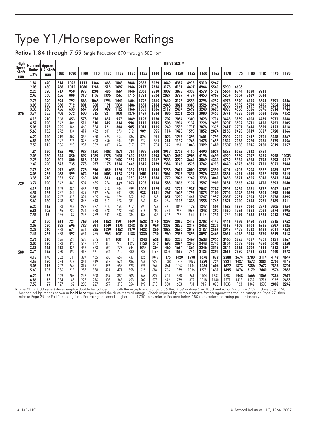# Type Y1/Horsepower Ratings

Ratios 1.84 through 7.59 Single Reduction 870 through 580 rpm

| High                  | Nominal  Approx.             |                          |                          |                            |                            |                              |                              |                              |                              |                              |                              |                              | DRIVE SIZE *                 |                              |                              |                              |                              |                              |                              |                              |                              |                              |
|-----------------------|------------------------------|--------------------------|--------------------------|----------------------------|----------------------------|------------------------------|------------------------------|------------------------------|------------------------------|------------------------------|------------------------------|------------------------------|------------------------------|------------------------------|------------------------------|------------------------------|------------------------------|------------------------------|------------------------------|------------------------------|------------------------------|------------------------------|
| Speed<br>Shaft<br>rpm | <b>Ratios</b><br>$\pm 3\%$   | L.S. Shaft<br>rpm        | 1080                     | 1090                       | 1100                       | 1110                         | 1120                         | 1125                         | 1130                         | 1135                         | 1140                         | 1145                         | 1150                         | 1155                         | 1160                         | 1165                         | 1170                         | 1175                         | 1180                         | 1185                         | 1190                         | 1195                         |
|                       | 1.84<br>2.03<br>2.25<br>2.49 | 470<br>430<br>390<br>350 | 814<br>766<br>717<br>656 | 1096<br>1010<br>950<br>888 | 1113<br>1060<br>973<br>919 | 1364<br>1288<br>1208<br>1137 | 1663<br>1515<br>1486<br>1396 | 1863<br>1697<br>1664<br>1563 | 2088<br>1944<br>1846<br>1715 | 2338<br>2177<br>2068<br>1921 | 3079<br>2836<br>2680<br>2524 | 3449<br>3176<br>3002<br>2827 | 4387<br>4131<br>3873<br>3727 | 4913<br>4627<br>4338<br>4174 | 5310<br>4964<br>4579<br>4453 | 5947<br>5560<br>5129<br>4987 | 5900<br>5664<br>5254         | 6608<br>6344<br>5884         | 8230<br>7629                 | 9218<br>8544                 |                              |                              |
| 870                   | 2.76                         | 320                      | 594                      | 792                        | 863                        | 1065                         | 1294                         | 1449                         | 1604                         | 1797                         | 2365                         | 2649                         | 3175                         | 3556                         | 3796                         | 4252                         | 4973                         | 5570                         | 6155                         | 6894                         | 8791                         | 9846                         |
|                       | 3.05                         | 290                      | 560                      | 712                        | 801                        | 968                          | 1191                         | 1334                         | 1486                         | 1664                         | 2184                         | 2446                         | 3021                         | 3383                         | 3526                         | 3949                         | 4538                         | 5082                         | 5799                         | 6495                         | 8254                         | 9244                         |
|                       | 3.38                         | 260                      | 456                      | 633                        | 667                        | 904                          | 1002                         | 1122                         | 1366                         | 1530                         | 1886                         | 2112                         | 2404                         | 2692                         | 3240                         | 3629                         | 4095                         | 4586                         | 5336                         | 5976                         | 6914                         | 7744                         |
|                       | 3.74                         | 235                      | 408                      | 572                        | 600                        | 815                          | 921                          | 1031                         | 1276                         | 1429                         | 1684                         | 1886                         | 2251                         | 2521                         | 3080                         | 3450                         | 3771                         | 4223                         | 5030                         | 5634                         | 6386                         | 7152                         |
|                       | 4.13                         | 210                      | 368                      | 453                        | 578                        | 676                          | 854                          | 957                          | 1069                         | 1197                         | 1520                         | 1702                         | 2054                         | 2300                         | 2423                         | 2714                         | 3446                         | 3859                         | 4008                         | 4489                         | 5971                         | 6688                         |
|                       | 4.57                         | 190                      | 342                      | 406                        | 511                        | 610                          | 745                          | 834                          | 996                          | 1115                         | 1345                         | 1506                         | 1904                         | 2132                         | 2226                         | 2493                         | 3207                         | 3592                         | 3711                         | 4156                         | 5451                         | 6105                         |
|                       | 5.06                         | 175                      | 295                      | 386                        | 466                        | 554                          | 721                          | 808                          | 905                          | 1014                         | 1115                         | 1249                         | 1533                         | 1717                         | 2076                         | 2325                         | 2417                         | 2707                         | 3446                         | 3859                         | 4123                         | 4618                         |
|                       | 5.60                         | 155                      | 272                      | 334                        | 414                        | 492                          | 601                          | 673                          | 812                          | 909                          | 995                          | 1114                         | 1420                         | 1590                         | 1852                         | 2074                         | 2163                         | 2423                         | 3149                         | 3527                         | 3720                         | 4166                         |
|                       | 6.20                         | 140                      | 219                      | 302                        | 355                        | 450                          | 495                          | 554                          | 736                          | 824                          | 914                          | 1024                         | 1246                         | 1396                         | 1601                         | 1793                         | 2002                         | 2242                         | 2412                         | 2701                         | 3448                         | 3862                         |
|                       | 6.86                         | 130                      | 197                      | 275                        | 327                        | 403                          | 450                          | 504                          | 649                          | 727                          | 834                          | 934                          | 1132                         | 1268                         | 1478                         | 1655                         | 1842                         | 2063                         | 2220                         | 2486                         | 3175                         | 3556                         |
|                       | 7.59                         | 115                      | 186                      | 223                        | 287                        | 332                          | 407                          | 456                          | 517                          | 579                          | 754                          | 845                          | 951                          | 1065                         | 1329                         | 1489                         | 1507                         | 1688                         | 1946                         | 2180                         | 2819                         | 3157                         |
|                       | 1.84<br>2.03<br>2.25<br>2.49 | 390<br>350<br>320<br>290 | 685<br>644<br>602<br>543 | 907<br>850<br>800<br>735   | 937<br>892<br>818<br>773   | 1150<br>1085<br>1018<br>957  | 1403<br>1278<br>1252<br>1175 | 1571<br>1431<br>1402<br>1316 | 1761<br>1639<br>1557<br>1446 | 1972<br>1836<br>1744<br>1619 | 2600<br>2393<br>2262<br>2129 | 2912<br>2680<br>2533<br>2384 | 3705<br>3489<br>3270<br>3146 | 4150<br>3908<br>3662<br>3523 | 4490<br>4196<br>3869<br>3762 | 5029<br>4699<br>4333<br>4213 | 5388<br>4990<br>4789<br>4440 | 6035<br>5589<br>5364<br>4973 | 7813<br>7397<br>6963<br>6385 | 8751<br>8285<br>7798<br>7151 | 8958<br>8493<br>8021         | 10033<br>9512<br>8984        |
| 720                   | 2.76                         | 260                      | 492                      | 655                        | 726                        | 896                          | 1089                         | 1220                         | 1352                         | 1514                         | 1994                         | 2233                         | 2679                         | 3000                         | 3205                         | 3590                         | 4201                         | 4705                         | 5203                         | 5827                         | 7435                         | 8327                         |
|                       | 3.05                         | 235                      | 463                      | 599                        | 674                        | 814                          | 1003                         | 1123                         | 1251                         | 1401                         | 1841                         | 2062                         | 2546                         | 2852                         | 2976                         | 3333                         | 3831                         | 4291                         | 4899                         | 5487                         | 6978                         | 7815                         |
|                       | 3.38                         | 210                      | 383                      | 531                        | 560                        | 760                          | 843                          | 944                          | 1150                         | 1288                         | 1588                         | 1779                         | 2026                         | 2269                         | 2733                         | 3061                         | 3456                         | 3871                         | 4505                         | 5046                         | 5843                         | 6544                         |
|                       | 3.74                         | 190                      | 342                      | 480                        | 504                        | 685                          | 774                          | 867                          | 1074                         | 1203                         | 1418                         | 1588                         | 1896                         | 2124                         | 2597                         | 2909                         | 3181                         | 3563                         | 4246                         | 4756                         | 5393                         | 6040                         |
|                       | 4.13                         | 175                      | 309                      | 380                        | 486                        | 568                          | 718                          | 804                          | 899                          | 1007                         | 1279                         | 1432                         | 1729                         | 1937                         | 2042                         | 2287                         | 2905                         | 3254                         | 3381                         | 3787                         | 5042                         | 5647                         |
|                       | 4.57                         | 155                      | 287                      | 341                        | 429                        | 512                          | 626                          | 701                          | 838                          | 938                          | 1131                         | 1267                         | 1603                         | 1795                         | 1875                         | 2100                         | 2704                         | 3028                         | 3129                         | 3505                         | 4598                         | 5150                         |
|                       | 5.06                         | 140                      | 247                      | 323                        | 391                        | 465                          | 606                          | 679                          | 762                          | 853                          | 938                          | 1051                         | 1290                         | 1445                         | 1747                         | 1957                         | 2037                         | 2281                         | 2904                         | 3252                         | 3478                         | 3895                         |
|                       | 5.60                         | 130                      | 228                      | 280                        | 347                        | 413                          | 512                          | 573                          | 681                          | 763                          | 836                          | 936                          | 1195                         | 1338                         | 1558                         | 1745                         | 1821                         | 2040                         | 2653                         | 2971                         | 3135                         | 3511                         |
|                       | 6.20                         | 115                      | 183                      | 253                        | 298                        | 377                          | 415                          | 465                          | 617                          | 691                          | 769                          | 861                          | 1047                         | 1173                         | 1347                         | 1509                         | 1685                         | 1887                         | 2030                         | 2274                         | 2905                         | 3254                         |
|                       | 6.86                         | 105                      | 165                      | 230                        | 274                        | 338                          | 378                          | 423                          | 553                          | 619                          | 700                          | 784                          | 952                          | 1066                         | 1243                         | 1392                         | 1550                         | 1736                         | 1868                         | 2092                         | 2674                         | 2995                         |
|                       | 7.59                         | 95                       | 155                      | 187                        | 243                        | 279                          | 342                          | 383                          | 434                          | 486                          | 633                          | 709                          | 798                          | 894                          | 1117                         | 1251                         | 1267                         | 1419                         | 1638                         | 1834                         | 2413                         | 2703                         |
|                       | 1.84<br>2.03<br>2.25<br>2.49 | 320<br>290<br>260<br>235 | 561<br>528<br>488<br>438 | 731<br>696<br>671<br>592   | 769<br>732<br>671<br>634   | 944<br>891<br>835<br>785     | 1153<br>1049<br>1029<br>965  | 1291<br>1175<br>1152<br>1081 | 1449<br>1348<br>1279<br>1188 | 1623<br>1510<br>1433<br>1330 | 2140<br>1969<br>1860<br>1750 | 2397<br>2205<br>2083<br>1960 | 3052<br>2872<br>2690<br>2588 | 3418<br>3217<br>3013<br>2898 | 3703<br>3458<br>3187<br>3097 | 4147<br>3873<br>3569<br>3469 | 4446<br>4115<br>3948<br>3659 | 4979<br>4609<br>4422<br>4098 | 6450<br>6104<br>5743<br>5143 | 7224<br>6836<br>6432<br>5760 | 7815<br>7397<br>7011<br>6619 | 8753<br>8285<br>7852<br>7413 |
| 580                   | 2.76                         | 210                      | 396                      | 528                        | 595                        | 735                          | 894                          | 1001                         | 1110                         | 1243                         | 1638                         | 1835                         | 2203                         | 2467                         | 2638                         | 2955                         | 3460                         | 3875                         | 4287                         | 4801                         | 6131                         | 6867                         |
|                       | 3.05                         | 190                      | 373                      | 490                        | 552                        | 667                          | 815                          | 913                          | 1027                         | 1150                         | 1512                         | 1693                         | 2094                         | 2345                         | 2448                         | 2742                         | 3154                         | 3532                         | 4036                         | 4520                         | 5670                         | 6350                         |
|                       | 3.38                         | 175                      | 313                      | 435                        | 458                        | 623                          | 690                          | 773                          | 944                          | 1057                         | 1304                         | 1460                         | 1664                         | 1864                         | 2246                         | 2516                         | 2844                         | 3185                         | 3709                         | 4154                         | 4813                         | 5391                         |
|                       | 3.74                         | 155                      | 280                      | 390                        | 412                        | 561                          | 634                          | 710                          | 880                          | 986                          | 1163                         | 1303                         | 1557                         | 1744                         | 2135                         | 2391                         | 2616                         | 2930                         | 3494                         | 3913                         | 4440                         | 4973                         |
|                       | 4.13                         | 140                      | 252                      | 311                        | 397                        | 465                          | 588                          | 659                          | 737                          | 825                          | 1049                         | 1175                         | 1420                         | 1590                         | 1678                         | 1879                         | 2388                         | 2674                         | 2780                         | 3114                         | 4149                         | 4647                         |
|                       | 4.57                         | 130                      | 234                      | 278                        | 351                        | 419                          | 513                          | 574                          | 686                          | 768                          | 927                          | 1038                         | 1314                         | 1472                         | 1539                         | 1724                         | 2221                         | 2487                         | 2572                         | 2881                         | 3703                         | 4148                         |
|                       | 5.06                         | 115                      | 202                      | 264                        | 319                        | 381                          | 496                          | 555                          | 623                          | 698                          | 769                          | 861                          | 1057                         | 1184                         | 1434                         | 1606                         | 1672                         | 1873                         | 2386                         | 2672                         | 2858                         | 3201                         |
|                       | 5.60                         | 105                      | 186                      | 229                        | 283                        | 338                          | 421                          | 471                          | 558                          | 625                          | 684                          | 766                          | 979                          | 1096                         | 1278                         | 1431                         | 1495                         | 1674                         | 2179                         | 2440                         | 2576                         | 2885                         |
|                       | 6.20                         | 95                       | 149                      | 206                        | 243                        | 308                          | 339                          | 380                          | 505                          | 566                          | 629                          | 704                          | 858                          | 961                          | 1104                         | 1237                         | 1382                         | 1548                         | 1666                         | 1866                         | 2386                         | 2672                         |
|                       | 6.86                         | 85                       | 134                      | 188                        | 223                        | 276                          | 308                          | 345                          | 453                          | 507                          | 573                          | 642                          | 779                          | 872                          | 1018                         | 1140                         | 1271                         | 1423                         | 1532                         | 1716                         | 2195                         | 2458                         |
|                       | 7.59                         | 77                       | 127                      | 152                        | 200                        | 227                          | 279                          | 313                          | 354                          | 397                          | 518                          | 580                          | 653                          | 731                          | 915                          | 1025                         | 1038                         | 1163                         | 1342                         | 1503                         | 2002                         | 2242                         |

€ Type YF1 (1000 series) drives employ double helical gearing, with the exception of ratios 5.06 thru 7.59 in drive Size 1080 and ratios 5.60 thru 7.59 in drive Size 1090.<br>Mechanical hp ratios of the streament ratings and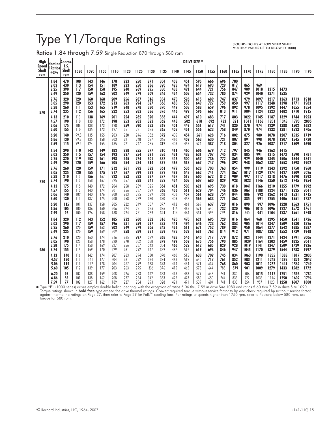# Type Y1/Torque Ratings

Ratios 1.84 through 7.59 Single Reduction 870 through 580 rpm

(POUND-INCHES AT LOW SPEED SHAFT. .. MULTIPLY VALUES LISTED BELOW BY 1000)

| High                  | Nomina'                      | Approx.                  |                          |                          |                          |                          |                          |                          |                          |                          |                          |                          | <b>DRIVE SIZE *</b>      |                          |                          |                          |                            |                             |                              |                              |                              |                              |
|-----------------------|------------------------------|--------------------------|--------------------------|--------------------------|--------------------------|--------------------------|--------------------------|--------------------------|--------------------------|--------------------------|--------------------------|--------------------------|--------------------------|--------------------------|--------------------------|--------------------------|----------------------------|-----------------------------|------------------------------|------------------------------|------------------------------|------------------------------|
| Speed<br>Shaft<br>rpm | <b>Ratios</b><br>$\pm 3\%$   | L.S.<br>Shaft<br>rpm     | 1080                     | 1090                     | 1100                     | 1110                     | 1120                     | 1125                     | 1130                     | 1135                     | 1140                     | 1145                     | 1150                     | 1155                     | 1160                     | 1165                     | 1170                       | 1175                        | 1180                         | 1185                         | 1190                         | 1195                         |
|                       | 1.84<br>2.03<br>2.25<br>2.49 | 470<br>430<br>390<br>350 | 108<br>113<br>117<br>120 | 143<br>154<br>150<br>159 | 146<br>151<br>158<br>163 | 178<br>189<br>195<br>202 | 223<br>223<br>240<br>249 | 250<br>250<br>269<br>279 | 271<br>286<br>295<br>309 | 304<br>320<br>330<br>346 | 403<br>423<br>438<br>454 | 451<br>474<br>491<br>508 | 595<br>619<br>644<br>654 | 666<br>693<br>721<br>732 | 696<br>729<br>756<br>780 | 780<br>817<br>847<br>874 | 865<br>909<br>929          | 969<br>1018<br>1040         | 1315<br>1371                 | 1473<br>1535                 |                              |                              |
| 870                   | 2.76                         | 320                      | 120                      | 160                      | 168                      | 209                      | 256                      | 287                      | 316                      | 354                      | 470                      | 526                      | 615                      | 689                      | 747                      | 837                      | 979                        | 1097                        | 1217                         | 1363                         | 1713                         | 1918                         |
|                       | 3.05                         | 290                      | 120                      | 153                      | 172                      | 213                      | 263                      | 294                      | 327                      | 366                      | 480                      | 538                      | 649                      | 727                      | 759                      | 850                      | 997                        | 1117                        | 1248                         | 1398                         | 1771                         | 1983                         |
|                       | 3.38                         | 260                      | 111                      | 153                      | 165                      | 219                      | 248                      | 278                      | 330                      | 370                      | 449                      | 503                      | 588                      | 659                      | 796                      | 892                      | 978                        | 1095                        | 1292                         | 1447                         | 1655                         | 1854                         |
|                       | 3.74                         | 235                      | 112                      | 156                      | 165                      | 222                      | 253                      | 283                      | 336                      | 376                      | 446                      | 499                      | 596                      | 667                      | 813                      | 911                      | 1004                       | 1124                        | 1323                         | 1482                         | 1710                         | 1915                         |
|                       | 4.13<br>4.57<br>5.06<br>5.60 | 210<br>190<br>175<br>155 | 113<br>110<br>108<br>110 | 138<br>138<br>138<br>135 | 169<br>172<br>173<br>173 | 201<br>198<br>198<br>197 | 254<br>253<br>259<br>251 | 285<br>283<br>290<br>281 | 320<br>323<br>323<br>326 | 358<br>362<br>362<br>365 | 444<br>448<br>401<br>403 | 497<br>502<br>449<br>451 | 610<br>618<br>551<br>556 | 683<br>692<br>617<br>623 | 717<br>733<br>741<br>758 | 803<br>821<br>830<br>849 | 1022<br>1041<br>870<br>870 | 1145<br>1166<br>974<br>974  | 1187<br>1201<br>1239<br>1233 | 1329<br>1345<br>1388<br>1381 | 1744<br>1790<br>1502<br>1523 | 1953<br>2005<br>1682<br>1706 |
|                       | 6.20                         | 140                      | 99.8                     | 135                      | 155                      | 203                      | 220                      | 246                      | 332                      | 372                      | 405                      | 454                      | 561                      | 628                      | 716                      | 802                      | 875                        | 980                         | 1078                         | 1207                         | 1535                         | 1719                         |
|                       | 6.86                         | 130                      | 99.2                     | 135                      | 158                      | 203                      | 221                      | 248                      | 327                      | 366                      | 410                      | 459                      | 563                      | 630                      | 721                      | 807                      | 891                        | 998                         | 1078                         | 1207                         | 1545                         | 1730                         |
|                       | 7.59                         | 115                      | 99.4                     | 124                      | 155                      | 185                      | 221                      | 247                      | 285                      | 319                      | 408                      | 457                      | 524                      | 587                      | 718                      | 804                      | 827                        | 926                         | 1087                         | 1217                         | 1509                         | 1690                         |
|                       | 1.84<br>2.03<br>2.25<br>2.49 | 390<br>350<br>320<br>290 | 110<br>115<br>119<br>120 | 143<br>157<br>153<br>159 | 149<br>154<br>161<br>166 | 182<br>193<br>198<br>205 | 228<br>227<br>245<br>254 | 255<br>254<br>274<br>284 | 277<br>291<br>301<br>314 | 310<br>326<br>337<br>352 | 411<br>431<br>446<br>463 | 460<br>483<br>500<br>518 | 606<br>631<br>657<br>667 | 679<br>707<br>736<br>747 | 712<br>745<br>772<br>796 | 797<br>834<br>865<br>892 | 845<br>885<br>929<br>948   | 946<br>991<br>1040<br>1062  | 1263<br>1315<br>1345<br>1387 | 1415<br>1473<br>1506<br>1553 | 1590<br>1644<br>1698         | 1781<br>1841<br>1902         |
| 720                   | 2.76                         | 260                      | 120                      | 159                      | 171                      | 212                      | 261                      | 292                      | 322                      | 361                      | 479                      | 536                      | 628                      | 703                      | 763                      | 854                      | 999                        | 1119                        | 1243                         | 1392                         | 1750                         | 1960                         |
|                       | 3.05                         | 235                      | 120                      | 155                      | 175                      | 217                      | 267                      | 299                      | 332                      | 372                      | 489                      | 548                      | 662                      | 741                      | 774                      | 867                      | 1017                       | 1139                        | 1274                         | 1427                         | 1809                         | 2026                         |
|                       | 3.38                         | 210                      | 113                      | 156                      | 167                      | 223                      | 253                      | 283                      | 337                      | 377                      | 457                      | 512                      | 600                      | 672                      | 812                      | 909                      | 997                        | 1117                        | 1318                         | 1476                         | 1690                         | 1893                         |
|                       | 3.74                         | 190                      | 113                      | 158                      | 167                      | 225                      | 257                      | 288                      | 341                      | 382                      | 454                      | 508                      | 607                      | 680                      | 829                      | 928                      | 1023                       | 1146                        | 1350                         | 1512                         | 1745                         | 1954                         |
|                       | 4.13                         | 175                      | 115                      | 140                      | 172                      | 204                      | 258                      | 289                      | 325                      | 364                      | 451                      | 505                      | 621                      | 695                      | 730                      | 818                      | 1041                       | 1166                        | 1210                         | 1355                         | 1779                         | 1992                         |
|                       | 4.57                         | 155                      | 112                      | 140                      | 174                      | 201                      | 256                      | 287                      | 329                      | 368                      | 456                      | 511                      | 629                      | 704                      | 746                      | 836                      | 1061                       | 1188                        | 1224                         | 1371                         | 1825                         | 2041                         |
|                       | 5.06                         | 140                      | 109                      | 140                      | 176                      | 200                      | 263                      | 295                      | 329                      | 368                      | 408                      | 457                      | 561                      | 628                      | 754                      | 844                      | 886                        | 992                         | 1262                         | 1413                         | 1531                         | 1715                         |
|                       | 5.60                         | 130                      | 111                      | 137                      | 175                      | 200                      | 258                      | 289                      | 330                      | 370                      | 409                      | 458                      | 565                      | 633                      | 771                      | 863                      | 885                        | 991                         | 1255                         | 1406                         | 1551                         | 1737                         |
|                       | 6.20                         | 115                      | 101                      | 137                      | 158                      | 205                      | 222                      | 249                      | 337                      | 377                      | 412                      | 461                      | 569                      | 637                      | 729                      | 816                      | 890                        | 997                         | 1096                         | 1228                         | 1563                         | 1751                         |
|                       | 6.86                         | 105                      | 100                      | 136                      | 160                      | 206                      | 224                      | 251                      | 336                      | 376                      | 415                      | 465                      | 571                      | 640                      | 732                      | 820                      | 906                        | 1015                        | 1096                         | 1227                         | 1572                         | 1761                         |
|                       | 7.59                         | 95                       | 100                      | 126                      | 158                      | 188                      | 224                      | 251                      | 289                      | 324                      | 414                      | 464                      | 531                      | 595                      | 729                      | 816                      | 840                        | 941                         | 1104                         | 1237                         | 1561                         | 1748                         |
|                       | 1.84<br>2.03<br>2.25<br>2.49 | 320<br>290<br>260<br>235 | 112<br>117<br>120<br>120 | 143<br>159<br>159<br>159 | 152<br>157<br>163<br>169 | 185<br>196<br>202<br>209 | 232<br>231<br>249<br>258 | 260<br>259<br>279<br>289 | 282<br>297<br>306<br>321 | 316<br>333<br>343<br>359 | 420<br>441<br>456<br>472 | 470<br>494<br>511<br>529 | 621<br>646<br>671<br>681 | 695<br>723<br>752<br>763 | 729<br>762<br>789<br>814 | 816<br>853<br>884<br>912 | 864<br>905<br>950<br>971   | 968<br>1014<br>1064<br>1087 | 1295<br>1347<br>1377<br>1387 | 1450<br>1509<br>1542<br>1553 | 1541<br>1630<br>1685<br>1739 | 1726<br>1826<br>1887<br>1948 |
| 580                   | 2.76                         | 210                      | 120                      | 160                      | 174                      | 216                      | 265                      | 297                      | 329                      | 368                      | 488                      | 546                      | 640                      | 717                      | 779                      | 872                      | 1021                       | 1144                        | 1271                         | 1424                         | 1791                         | 2006                         |
|                       | 3.05                         | 190                      | 120                      | 158                      | 178                      | 220                      | 270                      | 302                      | 338                      | 379                      | 499                      | 559                      | 675                      | 756                      | 790                      | 885                      | 1039                       | 1164                        | 1303                         | 1459                         | 1825                         | 2041                         |
|                       | 3.38                         | 175                      | 114                      | 158                      | 169                      | 227                      | 256                      | 287                      | 343                      | 384                      | 466                      | 522                      | 612                      | 685                      | 829                      | 928                      | 1019                       | 1141                        | 1347                         | 1509                         | 1729                         | 1936                         |
|                       | 3.74                         | 155                      | 115                      | 159                      | 170                      | 229                      | 261                      | 292                      | 347                      | 389                      | 462                      | 517                      | 619                      | 693                      | 846                      | 947                      | 1045                       | 1170                        | 1379                         | 1544                         | 1783                         | 1997                         |
|                       | 4.13                         | 140                      | 116                      | 142                      | 174                      | 207                      | 263                      | 294                      | 330                      | 370                      | 460                      | 515                      | 633                      | 709                      | 745                      | 834                      | 1063                       | 1190                        | 1235                         | 1383                         | 1817                         | 2035                         |
|                       | 4.57                         | 130                      | 113                      | 141                      | 177                      | 204                      | 261                      | 292                      | 334                      | 374                      | 463                      | 519                      | 640                      | 717                      | 761                      | 852                      | 1081                       | 1211                        | 1248                         | 1398                         | 1826                         | 2042                         |
|                       | 5.06                         | 115                      | 111                      | 142                      | 178                      | 204                      | 267                      | 299                      | 333                      | 373                      | 414                      | 464                      | 571                      | 639                      | 768                      | 860                      | 903                        | 1011                        | 1287                         | 1441                         | 1562                         | 1749                         |
|                       | 5.60                         | 105                      | 112                      | 139                      | 177                      | 203                      | 263                      | 295                      | 336                      | 376                      | 415                      | 465                      | 575                      | 644                      | 785                      | 879                      | 901                        | 1009                        | 1279                         | 1433                         | 1582                         | 1772                         |
|                       | 6.20                         | 95                       | 102                      | 138                      | 159                      | 208                      | 226                      | 253                      | 342                      | 383                      | 418                      | 468                      | 579                      | 648                      | 741                      | 830                      | 906                        | 1015                        | 1117                         | 1251                         | 1593                         | 1784                         |
|                       | 6.86                         | 85                       | 101                      | 138                      | 162                      | 208                      | 227                      | 254                      | 342                      | 383                      | 422                      | 473                      | 580                      | 650                      | 744                      | 833                      | 922                        | 1033                        | 1116                         | 1250                         | 1602                         | 1794                         |
|                       | 7.59                         | 77                       | 102                      | 127                      | 162                      | 189                      | 227                      | 254                      | 293                      | 328                      | 421                      | 471                      | 539                      | 604                      | 741                      | 830                      | 854                        | 957                         | 1123                         | 1258                         | 1607                         | 1800                         |

 Figure YF1 (1000 series) drives employ double helical gearing, with the exception of ratios 5.06 thru 7.59 in drive Size 1080 and ratios 5.60 thru 7.59 in drive Size 1090.<br>Torque ratings shown in **bold face** type exceed th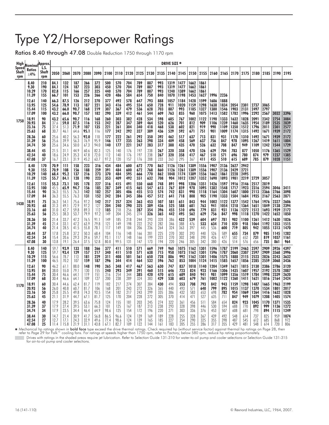# Type Y2/Horsepower Ratings

Ratios 8.40 through 47.08 Double Reduction 1750 through 1170 rpm

|              | Speed <b>Nominal</b> Approx.            |                                 |                                      |                                  |                                 |                                 |                                 |                                 |                                 |                                 |                                 |                                 |                                 | DRIVE SIZE *                         |                                      |                                      |                                      |                              |                                              |                              |                              |                              |                                   |                      |                              |
|--------------|-----------------------------------------|---------------------------------|--------------------------------------|----------------------------------|---------------------------------|---------------------------------|---------------------------------|---------------------------------|---------------------------------|---------------------------------|---------------------------------|---------------------------------|---------------------------------|--------------------------------------|--------------------------------------|--------------------------------------|--------------------------------------|------------------------------|----------------------------------------------|------------------------------|------------------------------|------------------------------|-----------------------------------|----------------------|------------------------------|
| Shaft<br>rpm | <b>Ratios</b><br>$\pm 4\%$              | Shatt<br>rpm                    | 2050                                 | 2060                             | 2070                            | 2080                            | 2090                            | 2100                            | 2110                            | 2120                            | 2125                            | 2130                            |                                 | 2135 2140                            | 2145                                 |                                      |                                      |                              | 2150 2155 2160 2165 2170 2175 2180 2185 2190 |                              |                              |                              |                                   |                      | 2195                         |
|              | 8.40<br>9.30<br>10.29<br>11.39<br>12.61 | 210<br>190<br>170<br>155<br>140 | 84.1<br>84.1<br>82.8<br>66.7<br>66.3 | 132<br>124<br>115<br>101<br>87.5 | 187<br>187<br>166<br>153<br>126 | 266<br>223<br>257<br>226<br>212 | 372<br>303<br>325<br>266<br>270 | 500<br>450<br>440<br>420<br>377 | 570<br>570<br>570<br>486<br>492 | 704<br>704<br>704<br>584<br>578 | 789<br>789<br>789<br>654<br>647 | 887<br>887<br>887<br>750<br>793 | 993<br>993<br>993<br>840<br>888 | 1319<br>1319<br>1240<br>1070<br>1057 | 1477<br>1477<br>1389<br>1198<br>1184 | 1662<br>1662<br>1662<br>1453<br>1428 | 1861<br>1861<br>1861<br>1627<br>1599 | 1996<br>1686                 | 2236<br>1888                                 |                              |                              |                              |                                   |                      |                              |
|              | 13.95<br>15.44<br>17.09                 | 125<br>115<br>100               | 54.6<br>43.2<br>43.2                 | 78.9<br>66.0<br>66.0             | 113<br>90.7<br>90.7             | 187<br>168<br>157               | 221<br>219<br>182               | 343<br>307<br>290               | 416<br>367<br>339               | 495<br>479<br>412               | 554<br>536<br>461               | 650<br>628<br>544               | 728<br>703<br>609               | 911<br>887<br>763                    | 1020<br>993<br>855                   | 1159<br>1185<br>960                  | 1298<br>1327<br>1075                 | 1638<br>1380<br>1413         | 1834<br>1546<br>1582                         | 2054<br>1903<br>1782         | 2301<br>2131<br>1996         | 2737<br>2497<br>2292         | 3065<br>2797<br>2567              | 3032                 | 3396                         |
| 1750         | 18.91                                   | 90                              | 43.2                                 | 65.6                             | 90.7                            | 116                             | 168                             | 260                             | 303                             | 382                             | 428                             | 534                             | 598                             | 685                                  | 767                                  | 1002                                 | 1122                                 | 1190                         | 1333                                         | 1632                         | 1828                         | 2091                         | 2342                              | 2754                 | 3084                         |
|              | 20.93                                   | 84                              | 37.6                                 | 59.0                             | 87.5                            | 116                             | 153                             | 242                             | 287                             | 347                             | 389                             | 464                             | 520                             | 626                                  | 701                                  | 812                                  | 909                                  | 1106                         | 1239                                         | 1460                         | 1635                         | 1954                         | 2189                              | 2535                 | 2839                         |
|              | 23.16                                   | 75                              | 37.4                                 | 51.3                             | 71.9                            | 107                             | 135                             | 221                             | 261                             | 304                             | 340                             | 418                             | 468                             | 538                                  | 602                                  | 821                                  | 919                                  | 990                          | 1109                                         | 1350                         | 1512                         | 1796                         | 2011                              | 2301                 | 2577                         |
|              | 25.63                                   | 68                              | 30.7                                 | 46.1                             | 64.6                            | 95.1                            | 116                             | 177                             | 242                             | 292                             | 327                             | 389                             | 436                             | 529                                  | 592                                  | 671                                  | 751                                  | 901                          | 1009                                         | 1174                         | 1315                         | 1492                         | 1671                              | 1939                 | 2172                         |
|              | 28.36                                   | 60                              | 25.6                                 | 40.2                             | 56.3                            | 92.0                            | 110                             | 177                             | 222                             | 261                             | 292                             | 350                             | 392                             | 462                                  | 517                                  | 637                                  | 713                                  | 831                          | 931                                          | 1170                         | 1310                         | 1492                         | 1671                              | 1939                 | 2172                         |
|              | 31.39                                   | 56                              | 25.6                                 | 39.9                             | 56.3                            | 76.9                            | 95.9                            | 146                             | 177                             | 235                             | 263                             | 298                             | 334                             | 409                                  | 458                                  | 569                                  | 637                                  | 756                          | 847                                          | 978                          | 1095                         | 1267                         | 1419                              | 1611                 | 1804                         |
|              | 34.74                                   | 50                              | 25.6                                 | 34.6                             | 50.0                            | 67.3                            | 94.0                            | 140                             | 177                             | 221                             | 247                             | 283                             | 317                             | 388                                  | 435                                  | 470                                  | 526                                  | 632                          | 708                                          | 847                          | 949                          | 1109                         | 1242                              | 1544                 | 1729                         |
|              | 38.44                                   | 45                              | 21.5                                 | 31.1                             | 44.9                            | 60.6                            | 82.3                            | 125                             | 140                             | 176                             | 197                             | 238                             | 267                             | 320                                  | 358                                  | 470                                  | 526                                  | 629                          | 704                                          | 783                          | 877                          | 1050                         | 1176                              | 1365                 | 1529                         |
|              | 42.54                                   | 40                              | 18.6                                 | 24.9                             | 35.3                            | 47.8                            | 72.0                            | 112                             | 140                             | 176                             | 197                             | 238                             | 267                             | 320                                  | 358                                  | 417                                  | 467                                  | 510                          | 571                                          | 696                          | 780                          | 874                          | 979                               | 1237                 | 1385                         |
|              | 47.08                                   | 37                              | 16.7                                 | 23.1                             | 31.9                            | 45.2                            | 63.7                            | 97.2                            | 120                             | 157                             | 176                             | 208                             | 233                             | 263                                  | 295                                  | 367                                  | 411                                  | 455                          | 510                                          | 615                          | 689                          | 785                          | 879                               | 1028                 | 1151                         |
|              | 8.40<br>9.30<br>10.29<br>11.39          | 170<br>155<br>140<br>125        | 70.9<br>70.9<br>68.4<br>55.7         | 111<br>108<br>95.2<br>84.1       | 158<br>156<br>137<br>128        | 223<br>188<br>216<br>190        | 316<br>259<br>273<br>223        | 434<br>391<br>370<br>353        | 484<br>484<br>484<br>409        | 600<br>600<br>595<br>492        | 672<br>672<br>666<br>551        | 770<br>768<br>770<br>632        | 862<br>860<br>862<br>708        | 1126<br>1126<br>1048<br>904          | 1261<br>1261<br>1174<br>1012         | 1389<br>1389<br>1389<br>1207         | 1556<br>1556<br>1556<br>1352         | 1907<br>1907<br>1662<br>1690 | 2136<br>2136<br>1861<br>1893                 | 2627<br>2429<br>2228<br>1981 | 2942<br>2721<br>2495<br>2219 | 2729                         | 3057                              |                      |                              |
|              | 12.61<br>13.95<br>15.44<br>17.09        | 115<br>100<br>90<br>84          | 55.3<br>45.5<br>36.3<br>36.3         | 73.1<br>65.9<br>55.5<br>55.5     | 105<br>94.7<br>76.3<br>76.3     | 178<br>156<br>142<br>131        | 227<br>185<br>182<br>152        | 316<br>287<br>257<br>242        | 415<br>349<br>305<br>284        | 491<br>415<br>406<br>345        | 550<br>465<br>455<br>386        | 668<br>547<br>513<br>457        | 748<br>613<br>574<br>512        | 891<br>767<br>742<br>641             | 998<br>859<br>831<br>718             | 1206<br>978<br>998<br>808            | 1351<br>1095<br>1118<br>905          | 1426<br>1382<br>1164<br>1190 | 1597<br>1548<br>1304<br>1333                 | 1916<br>1717<br>1607<br>1504 | 2146<br>1923<br>1800<br>1684 | 2517<br>2316<br>2113<br>1935 | 2819<br>2594<br>2366<br>2167      | 3046<br>2766<br>2563 | 3411<br>3098<br>2871         |
| 1430         | 18.91                                   | 75                              | 36.3                                 | 54.1                             | 75.6                            | 97.2                            | 142                             | 217                             | 257                             | 324                             | 363                             | 453                             | 507                             | 581                                  | 651                                  | 843                                  | 944                                  | 1002                         | 1122                                         | 1377                         | 1542                         | 1764                         | 1976                              | 2327                 | 2606                         |
|              | 20.93                                   | 68                              | 31.3                                 | 49.1                             | 72.9                            | 97.2                            | 127                             | 204                             | 240                             | 290                             | 325                             | 389                             | 436                             | 525                                  | 588                                  | 681                                  | 763                                  | 941                          | 1054                                         | 1218                         | 1364                         | 1651                         | 1849                              | 2138                 | 2394                         |
|              | 23.16                                   | 60                              | 31.0                                 | 42.7                             | 59.8                            | 89.3                            | 112                             | 185                             | 218                             | 256                             | 287                             | 354                             | 396                             | 455                                  | 510                                  | 696                                  | 779                                  | 831                          | 931                                          | 1136                         | 1272                         | 1512                         | 1693                              | 1939                 | 2172                         |
|              | 25.63                                   | 56                              | 25.5                                 | 38.3                             | 53.7                            | 79.9                            | 97.2                            | 149                             | 204                             | 245                             | 274                             | 326                             | 365                             | 442                                  | 495                                  | 562                                  | 629                                  | 756                          | 847                                          | 998                          | 1118                         | 1270                         | 1422                              | 1652                 | 1850                         |
|              | 28.36                                   | 50                              | 21.4                                 | 33.7                             | 47.2                            | 76.5                            | 91.1                            | 149                             | 185                             | 218                             | 244                             | 293                             | 328                             | 386                                  | 432                                  | 539                                  | 604                                  | 697                          | 781                                          | 982                          | 1100                         | 1261                         | 1412                              | 1630                 | 1826                         |
|              | 31.39                                   | 45                              | 21.4                                 | 33.1                             | 47.2                            | 63.9                            | 79.8                            | 121                             | 149                             | 198                             | 222                             | 252                             | 282                             | 346                                  | 388                                  | 476                                  | 533                                  | 634                          | 710                                          | 820                          | 918                          | 1064                         | 1192                              | 1353                 | 1515                         |
|              | 34.74                                   | 40                              | 21.4                                 | 28.5                             | 41.5                            | 55.8                            | 78.1                            | 117                             | 149                             | 184                             | 206                             | 236                             | 264                             | 324                                  | 363                                  | 397                                  | 445                                  | 536                          | 600                                          | 719                          | 805                          | 942                          | 1055                              | 1313                 | 1470                         |
|              | 38.44                                   | 37                              | 17.8                                 | 25.8                             | 37.2                            | 50.3                            | 68.4                            | 104                             | 116                             | 148                             | 166                             | 201                             | 225                             | 270                                  | 302                                  | 393                                  | 440                                  | 526                          | 589                                          | 655                          | 734                          | 879                          | 985                               | 1145                 | 1282                         |
|              | 42.54                                   | 34                              | 15.4                                 | 20.6                             | 29.3                            | 39.6                            | 59.7                            | 93.1                            | 117                             | 148                             | 166                             | 199                             | 223                             | 270                                  | 302                                  | 348                                  | 390                                  | 426                          | 477                                          | 582                          | 652                          | 731                          | 819                               | 1037                 | 1161                         |
|              | 47.08                                   | 30                              | 13.8                                 | 19.1                             | 26.4                            | 37.5                            | 52.8                            | 80.8                            | 99.5                            | 131                             | 147                             | 173                             | 194                             | 220                                  | 246                                  | 305                                  | 342                                  | 380                          | 426                                          | 514                          | 576                          | 656                          | 735                               | 861                  | 964                          |
|              | 8.40                                    | 140                             | 59.7                                 | 93.9                             | 133                             | 188                             | 266                             | 377                             | 411                             | 510                             | 571                             | 669                             | 749                             | 960                                  | 1075                                 | 1162                                 | 1301                                 | 1596                         | 1787                                         | 2199                         | 2463                         | 2597                         | 2909                              | 3926                 | 4397                         |
|              | 9.30                                    | 125                             | 59.7                                 | 93.4                             | 129                             | 157                             | 217                             | 340                             | 411                             | 510                             | 571                             | 638                             | 715                             | 958                                  | 1073                                 | 1162                                 | 1301                                 | 1596                         | 1787                                         | 2060                         | 2307                         | 2597                         | 2909                              | 3568                 | 3996                         |
|              | 10.29                                   | 115                             | 56.6                                 | 78.7                             | 113                             | 181                             | 229                             | 311                             | 408                             | 501                             | 561                             | 650                             | 728                             | 886                                  | 992                                  | 1162                                 | 1301                                 | 1406                         | 1575                                         | 1888                         | 2115                         | 2523                         | 2826                              | 3243                 | 3632                         |
|              | 11.39                                   | 100                             | 46.5                                 | 70.2                             | 107                             | 159                             | 187                             | 296                             | 344                             | 414                             | 464                             | 532                             | 596                             | 762                                  | 853                                  | 1004                                 | 1124                                 | 1415                         | 1585                                         | 1657                         | 1856                         | 2285                         | 2559                              | 3068                 | 3436                         |
|              | 12.61<br>13.95<br>15.44<br>17.09        | 90<br>84<br>75<br>68            | 46.2<br>38.0<br>30.4<br>30.4         | 61.1<br>55.0<br>46.6<br>46.6     | 88.0<br>79.1<br>64.1<br>64.1    | 148<br>130<br>119<br>109        | 190<br>155<br>151<br>127        | 265<br>240<br>216<br>200        | 348<br>293<br>254<br>238        | 417<br>349<br>344<br>289        | 467<br>391<br>385<br>324        | 563<br>460<br>420<br>383        | 630<br>515<br>470<br>429        | 747<br>646<br>615<br>538             | 837<br>723<br>689<br>603             | 1018<br>824<br>840<br>679            | 1140<br>923<br>941<br>761            | 1204<br>1166<br>981<br>1002  | 1349<br>1306<br>1099<br>1122                 | 1621<br>1435<br>1356<br>1260 | 1815<br>1607<br>1519<br>1411 | 2130<br>1957<br>1784<br>1621 | 2386 2786<br>2192<br>1998<br>1816 | 2578<br>2339<br>2164 | 3120<br>2887<br>2620<br>2424 |
| 1170         | 18.91                                   | 60                              | 30.4                                 | 44.6                             | 62.4                            | 81.7                            | 119                             | 182                             | 217                             | 274                             | 307                             | 384                             | 430                             | 494                                  | 553                                  | 708                                  | 793                                  | 842                          | 943                                          | 1159                         | 1298                         | 1487                         | 1665                              | 1963                 | 2199                         |
|              | 20.93                                   | 56                              | 26.0                                 | 40.8                             | 60.7                            | 81.7                            | 106                             | 168                             | 201                             | 243                             | 272                             | 326                             | 365                             | 440                                  | 493                                  | 571                                  | 640                                  | 799                          | 895                                          | 1015                         | 1137                         | 1370                         | 1534                              | 1801                 | 2017                         |
|              | 23.16                                   | 50                              | 25.8                                 | 35.5                             | 49.8                            | 74.3                            | 93.5                            | 154                             | 182                             | 217                             | 243                             | 299                             | 335                             | 386                                  | 432                                  | 583                                  | 653                                  | 698                          | 782                                          | 954                          | 1069                         | 1264                         | 1416                              | 1632                 | 1828                         |
|              | 25.63                                   | 45                              | 21.1                                 | 31.9                             | 44.7                            | 67.1                            | 81.7                            | 125                             | 170                             | 204                             | 228                             | 272                             | 305                             | 370                                  | 414                                  | 471                                  | 527                                  | 635                          | 711                                          | 847                          | 949                          | 1079                         | 1208                              | 1405                 | 1574                         |
|              | 28.36                                   | 40                              | 17.9                                 | 28.2                             | 39.5                            | 63.6                            | 75.8                            | 124                             | 155                             | 181                             | 203                             | 245                             | 274                             | 322                                  | 361                                  | 456                                  | 511                                  | 584                          | 654                                          | 824                          | 923                          | 1045                         | 1170                              | 1371                 | 1535                         |
|              | 31.39                                   | 37                              | 17.9                                 | 27.4                             | 39.5                            | 53.1                            | 66.3                            | 101                             | 125                             | 167                             | 187                             | 213                             | 238                             | 293                                  | 328                                  | 398                                  | 446                                  | 530                          | 594                                          | 688                          | 770                          | 892                          | 999                               | 1136                 | 1272                         |
|              | 34.74                                   | 34                              | 17.9                                 | 23.5                             | 34.4                            | 46.4                            | 64.9                            | 98.6                            | 125                             | 154                             | 172                             | 196                             | 220                             | 271                                  | 303                                  | 336                                  | 376                                  | 453                          | 507                                          | 608                          | 681                          | 798                          | 894                               | 1115                 | 1249                         |
|              | 38.44                                   | 30                              | 14.7                                 | 21.4                             | 30.9                            | 41.7                            | 56.8                            | 86.5                            | 96.6                            | 124                             | 139                             | 169                             | 189                             | 228                                  | 255                                  | 328                                  | 367                                  | 439                          | 492                                          | 548                          | 614                          | 737                          | 825                               | 959                  | 1074                         |
|              | 42.54                                   | 27                              | 12.7                                 | 17.1                             | 24.3                            | 32.9                            | 49.6                            | 77.4                            | 98.6                            | 124                             | 139                             | 165                             | 185                             | 227                                  | 254                                  | 290                                  | 325                                  | 355                          | 398                                          | 487                          | 545                          | 612                          | 685                               | 868                  | 972                          |
|              | 47.08                                   | 25                              | 111.4                                | 15.8                             | 21.9                            | 31.1                            | 43.8                            | 67.1                            | 82.7                            | <b>109</b>                      | 122                             | 144                             | 161                             | 183                                  | 205                                  | 255                                  | 286                                  | 317                          | 355                                          | 429                          | 481                          | 548                          | 614                               | 720                  | 806                          |

∗ Mechanical hp ratings shown in **bold face** type exceed the drive thermal ratings. Check required hp (without service factor) against thermal hp ratings on Page 28, ther<br>refer to Page 29 for Falk™ cooling fans. For ratin

Drives with ratings in the shaded areas require jet lubrication. Refer to Selection Guide 131-310 for water-to-oil pump and cooler selections or Selection Guide 131-315<br>for air-to-oil pump and cooler selections.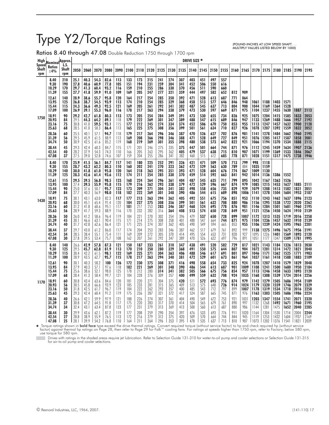# Type Y2/Torque Ratings

Ratios 8.40 through 47.08 Double Reduction 1750 through 1700 rpm

(POUND-INCHES AT LOW SPEED SHAFT. . . MULTIPLY VALUES LISTED BELOW BY 1000)

|              | Speed Nominal Approx.                            |                                        |                                              |                                              |                                              |                                              |                                        |                                        |                                        |                                        |                                        |                                        |                                        | DRIVE SIZE *                           |                                        |                                        |                                        |                          |                           |                              |                              |                              |                              |                      |                      |
|--------------|--------------------------------------------------|----------------------------------------|----------------------------------------------|----------------------------------------------|----------------------------------------------|----------------------------------------------|----------------------------------------|----------------------------------------|----------------------------------------|----------------------------------------|----------------------------------------|----------------------------------------|----------------------------------------|----------------------------------------|----------------------------------------|----------------------------------------|----------------------------------------|--------------------------|---------------------------|------------------------------|------------------------------|------------------------------|------------------------------|----------------------|----------------------|
| Shaft<br>rpm | <b>Ratios</b><br>±4%                             | Shaft<br>rpm                           | 2050                                         | 2060                                         | 2070                                         | 2080                                         | 2090                                   | 2100                                   | 2110                                   | 2120                                   | 2125                                   | 2130                                   | 2135                                   | 2140 2145                              |                                        | 2150                                   | 2155                                   | 2160                     | 2165                      | 2170                         | 2175                         | 2180                         | 2185                         | 2190                 | 2195                 |
|              | 8.40<br>9.30<br>10.29<br>11.39<br>12.61<br>13.95 | 210<br>190<br>170<br>155<br>140<br>125 | 25.1<br>27.8<br>29.7<br>27.7<br>28.9<br>26.8 | 40.3<br>40.6<br>41.3<br>41.8<br>38.6<br>38.7 | 54.3<br>60.9<br>60.4<br>59.9<br>55.7<br>54.5 | 82.6<br>77.8<br>93.2<br>91.0<br>95.8<br>93.9 | 113<br>105<br>116<br>109<br>120<br>113 | 133<br>151<br>159<br>169<br>164<br>174 | 173<br>194<br>210<br>205<br>217<br>210 | 215<br>231<br>255<br>247<br>254<br>254 | 241<br>259<br>286<br>277<br>285<br>285 | 274<br>304<br>330<br>321<br>350<br>329 | 307<br>341<br>370<br>359<br>392<br>368 | 403<br>452<br>456<br>444<br>471<br>458 | 451<br>506<br>511<br>497<br>528<br>513 | 497<br>550<br>590<br>582<br>613<br>577 | 557<br>616<br>660<br>652<br>687<br>646 | 812<br>771<br>846        | 909<br>864<br>948         | 1061                         | 1188                         | 1403                         | 1571                         |                      |                      |
|              | 15.44<br>17.09                                   | 115<br>100                             | 24.3<br>26.9                                 | 36.6<br>39.1                                 | 49.3<br>55.3                                 | 92.5<br>96.0                                 | 121<br>116                             | 169<br>178                             | 205<br>217                             | 261<br>263                             | 292<br>294                             | 341<br>338                             | 382<br>379                             | 487<br>473                             | 545<br>530                             | 637<br>597                             | 713<br>669                             | 804<br>871               | 900<br>975                | 1044<br>1104                 | 1169<br>1237                 | 1364<br>1455                 | 1528<br>1630                 | 1887                 | 2113                 |
| 1750         | 18.91                                            | 90                                     | 29.2                                         | 42.7                                         | 61.8                                         | 80.3                                         | 113                                    | 173                                    | 205                                    | 254                                    | 284                                    | 349                                    | 391                                    | 473                                    | 530                                    | 655                                    | 734                                    | 826                      | 925                       | 1075                         | 1204                         | 1415                         | 1585                         | 1833                 | 2053                 |
|              | 20.93                                            | 84                                     | 29.5                                         | 44.3                                         | 64.2                                         | 89.1                                         | 118                                    | 179                                    | 222                                    | 269                                    | 301                                    | 347                                    | 389                                    | 488                                    | 547                                    | 615                                    | 689                                    | 846                      | 947                       | 1133                         | 1269                         | 1488                         | 1666                         | 1957                 | 2192                 |
|              | 23.16                                            | 75                                     | 30.8                                         | 41.0                                         | 59.5                                         | 93.1                                         | 115                                    | 177                                    | 212                                    | 245                                    | 274                                    | 334                                    | 374                                    | 452                                    | 506                                    | 670                                    | 750                                    | 853                      | 955                       | 1113                         | 1247                         | 1457                         | 1632                         | 1900                 | 2128                 |
|              | 25.63                                            | 68                                     | 28.5                                         | 41.0                                         | 58.3                                         | 86.4                                         | 113                                    | 165                                    | 225                                    | 275                                    | 308                                    | 356                                    | 399                                    | 501                                    | 561                                    | 634                                    | 710                                    | 827                      | 926                       | 1078                         | 1207                         | 1392                         | 1559                         | 1832                 | 2052                 |
|              | 28.36                                            | 60                                     | 25.5                                         | 40.1                                         | 57.1                                         | 94.7                                         | 118                                    | 179                                    | 217                                    | 264                                    | 296                                    | 346                                    | 387                                    | 470                                    | 526                                    | 627                                    | 702                                    | 876                      | 981                       | 1141                         | 1278                         | 1484                         | 1662                         | 1960                 | 2195                 |
|              | 31.39                                            | 56                                     | 29.5                                         | 45.9                                         | 61.5                                         | 88.9                                         | 113                                    | 169                                    | 208                                    | 266                                    | 298                                    | 346                                    | 388                                    | 471                                    | 528                                    | 649                                    | 727                                    | 849                      | 951                       | 1076                         | 1205                         | 1417                         | 1587                         | 1858                 | 2081                 |
|              | 34.74                                            | 50                                     | 30.9                                         | 42.5                                         | 61.6                                         | 85.2                                         | 119                                    | 168                                    | 219                                    | 269                                    | 301                                    | 355                                    | 398                                    | 480                                    | 538                                    | 573                                    | 642                                    | 822                      | 921                       | 1066                         | 1194                         | 1370                         | 1534                         | 1888                 | 2115                 |
|              | 38.44                                            | 45                                     | 29.3                                         | 42.4                                         | 60.3                                         | 84.7                                         | 115                                    | 171                                    | 201                                    | 246                                    | 275                                    | 335                                    | 375                                    | 447                                    | 501                                    | 664                                    | 744                                    | 871                      | 976                       | 1112                         | 1245                         | 1459                         | 1634                         | 1907                 | 2136                 |
|              | 42.54                                            | 40                                     | 28.2                                         | 37.9                                         | 54.3                                         | 74.3                                         | 110                                    | 166                                    | 205                                    | 263                                    | 295                                    | 362                                    | 405                                    | 479                                    | 537                                    | 638                                    | 715                                    | 810                      | 907                       | 1071                         | 1199                         | 1369                         | 1533                         | 1846                 | 2067                 |
|              | 47.08                                            | 37                                     | 27.5                                         | 39.0                                         | 52.8                                         | 74.6                                         | 107                                    | 159                                    | 204                                    | 255                                    | 286                                    | 341                                    | 382                                    | 460                                    | 515                                    | 612                                    | 685                                    | 778                      | 871                       | 1028                         | 1151                         | 1317                         | 1475                         | 1738                 | 1946                 |
|              | 8.40<br>9.30<br>10.29<br>11.39                   | 170<br>155<br>140<br>125               | 25.9<br>28.7<br>30.0<br>28.3                 | 41.5<br>43.2<br>41.8<br>42.6                 | 56.1<br>62.2<br>61.0<br>61.4                 | 84.7<br>80.3<br>95.8<br>93.6                 | 117<br>110<br>120<br>112               | 141<br>160<br>164<br>174               | 180<br>202<br>218<br>211               | 225<br>241<br>263<br>254               | 252<br>270<br>295<br>285               | 291<br>323<br>351<br>330               | 326<br>362<br>393<br>370               | 421<br>472<br>471<br>459               | 471<br>529<br>528<br>514               | 509<br>563<br>604<br>592               | 570<br>630<br>676<br>663               | 713<br>789<br>774<br>841 | 799<br>884<br>867<br>942  | 998<br>1035<br>1009<br>1014  | 1118<br>1159<br>1130<br>1136 | 1386                         | 1552                         |                      |                      |
|              | 12.61<br>13.95<br>15.44<br>17.09                 | 115<br>100<br>90<br>84                 | 29.5<br>27.4<br>25.0<br>27.7                 | 39.5<br>39.5<br>37.6<br>40.3                 | 56.8<br>55.9<br>50.7<br>56.9                 | 98.5<br>95.8<br>95.7<br>98.0                 | 123<br>115<br>123<br>118               | 168<br>179<br>173<br>182               | 224<br>216<br>209<br>222               | 264<br>262<br>271<br>269               | 296<br>293<br>304<br>301               | 361<br>338<br>341<br>348               | 404<br>379<br>382<br>390               | 487<br>472<br>498<br>486               | 545<br>529<br>558<br>544               | 635<br>596<br>656<br>615               | 711<br>667<br>735<br>689               | 799<br>874<br>829<br>898 | 895<br>979<br>929<br>1006 | 1042<br>1085<br>1079<br>1141 | 1167<br>1215<br>1208<br>1278 | 1363<br>1453<br>1413<br>1504 | 1526<br>1627<br>1582<br>1684 | 1885<br>1831<br>1953 | 2111<br>2051<br>2187 |
| 1430         | 18.91                                            | 75                                     | 30.1                                         | 43.1                                         | 63.0                                         | 82.3                                         | 117                                    | 177                                    | 213                                    | 263                                    | 294                                    | 362                                    | 405                                    | 492                                    | 551                                    | 675                                    | 756                                    | 851                      | 953                       | 1110                         | 1243                         | 1462                         | 1637                         | 1896                 | 2123                 |
|              | 20.93                                            | 68                                     | 30.0                                         | 45.1                                         | 65.4                                         | 91.4                                         | 120                                    | 184                                    | 227                                    | 275                                    | 308                                    | 356                                    | 399                                    | 501                                    | 561                                    | 632                                    | 708                                    | 880                      | 986                       | 1156                         | 1295                         | 1538                         | 1722                         | 2020                 | 2262                 |
|              | 23.16                                            | 60                                     | 31.2                                         | 41.8                                         | 60.6                                         | 95.1                                         | 117                                    | 181                                    | 217                                    | 253                                    | 283                                    | 346                                    | 387                                    | 468                                    | 524                                    | 695                                    | 778                                    | 876                      | 981                       | 1146                         | 1284                         | 1501                         | 1681                         | 1960                 | 2195                 |
|              | 25.63                                            | 56                                     | 28.9                                         | 41.7                                         | 59.3                                         | 88.9                                         | 116                                    | 170                                    | 232                                    | 282                                    | 316                                    | 364                                    | 408                                    | 513                                    | 574                                    | 650                                    | 728                                    | 849                      | 951                       | 1121                         | 1256                         | 1450                         | 1624                         | 1910                 | 2139                 |
|              | 28.36<br>31.39<br>34.74                          | 50<br>45<br>40                         | 26.0<br>30.1<br>31.7                         | 41.2<br>46.6<br>42.8                         | 58.6<br>63.1<br>62.6                         | 96.4<br>90.4<br>86.4                         | 119<br>115<br>121                      | 184<br>171<br>171                      | 221<br>214<br>225                      | 270<br>275<br>274                      | 302<br>308<br>307                      | 354<br>358<br>362                      | 396<br>401<br>405                      | 479<br>488<br>490                      | 537<br>547<br>549                      | 650<br>664<br>594                      | 728<br>744<br>665                      | 899<br>871<br>853        | 1007<br>975<br>955        | 1172<br>1104<br>1106         | 1313<br>1236<br>1239         | 1535<br>1457<br>1424         | 1719<br>1632<br>1595         | 2016<br>1910<br>1965 | 2258<br>2139<br>2201 |
|              | 38.44                                            | 37                                     | 29.7                                         | 43.0                                         | 61.2                                         | 86.0                                         | 117                                    | 174                                    | 204                                    | 253                                    | 283                                    | 346                                    | 387                                    | 462                                    | 517                                    | 679                                    | 761                                    | 892                      | 999                       | 1138                         | 1275                         | 1496                         | 1675                         | 1956                 | 2191                 |
|              | 42.54                                            | 34                                     | 28.5                                         | 38.4                                         | 55.1                                         | 75.4                                         | 111                                    | 169                                    | 209                                    | 272                                    | 305                                    | 370                                    | 414                                    | 495                                    | 554                                    | 653                                    | 731                                    | 828                      | 927                       | 1095                         | 1226                         | 1401                         | 1569                         | 1893                 | 2120                 |
|              | 47.08                                            | 30                                     | 27.8                                         | 39.5                                         | 53.4                                         | 75.7                                         | 108                                    | 162                                    | 207                                    | 261                                    | 292                                    | 347                                    | 389                                    | 470                                    | 526                                    | 622                                    | 697                                    | 796                      | 891                       | 1051                         | 1177                         | 1347                         | 1509                         | 1781                 | 1995                 |
|              | 8.40                                             | 140                                    | 26.6                                         | 42.9                                         | 57.8                                         | 87.3                                         | 121                                    | 150                                    | 187                                    | 233                                    | 261                                    | 310                                    | 347                                    | 438                                    | 491                                    | 520                                    | 582                                    | 729                      | 817                       | 1021                         | 1143                         | 1184                         | 1326                         | 1813                 | 2030                 |
|              | 9.30                                             | 125                                    | 29.5                                         | 45.7                                         | 62.8                                         | 81.9                                         | 113                                    | 170                                    | 210                                    | 250                                    | 280                                    | 329                                    | 368                                    | 491                                    | 550                                    | 575                                    | 644                                    | 807                      | 904                       | 1072                         | 1201                         | 1314                         | 1472                         | 1821                 | 2040                 |
|              | 10.29                                            | 115                                    | 30.4                                         | 42.2                                         | 61.5                                         | 98.1                                         | 122                                    | 169                                    | 225                                    | 271                                    | 304                                    | 363                                    | 406                                    | 488                                    | 546                                    | 617                                    | 691                                    | 801                      | 897                       | 1046                         | 1171                         | 1362                         | 1525                         | 1771                 | 1983                 |
|              | 11.39                                            | 100                                    | 28.9                                         | 43.5                                         | 62.7                                         | 95.7                                         | 115                                    | 178                                    | 217                                    | 263                                    | 294                                    | 340                                    | 381                                    | 472                                    | 529                                    | 601                                    | 673                                    | 861                      | 964                       | 1037                         | 1161                         | 1418                         | 1588                         | 1883                 | 2109                 |
|              | 12.61                                            | 90                                     | 30.1                                         | 40.3                                         | 58.2                                         | 100                                          | 126                                    | 172                                    | 230                                    | 275                                    | 308                                    | 371                                    | 416                                    | 498                                    | 558                                    | 654                                    | 733                                    | 825                      | 924                       | 1078                         | 1207                         | 1410                         | 1579                         | 1829                 | 2048                 |
|              | 13.95                                            | 84                                     | 27.9                                         | 40.3                                         | 57.1                                         | 97.6                                         | 118                                    | 182                                    | 221                                    | 269                                    | 301                                    | 348                                    | 390                                    | 486                                    | 544                                    | 613                                    | 687                                    | 901                      | 1009                      | 1108                         | 1241                         | 1500                         | 1680                         | 1950                 | 2184                 |
|              | 15.44                                            | 75                                     | 25.6                                         | 38.6                                         | 52.1                                         | 98.0                                         | 125                                    | 178                                    | 212                                    | 280                                    | 314                                    | 341                                    | 382                                    | 505                                    | 566                                    | 675                                    | 756                                    | 854                      | 957                       | 1113                         | 1246                         | 1458                         | 1633                         | 1893                 | 2120                 |
|              | 17.09                                            | 68                                     | 28.4                                         | 41.3                                         | 58.4                                         | 99.7                                         | 121                                    | 184                                    | 228                                    | 276                                    | 309                                    | 357                                    | 400                                    | 499                                    | 559                                    | 632                                    | 708                                    | 924                      | 1035                      | 1168                         | 1308                         | 1539                         | 1724                         | 2014                 | 2256                 |
| 1170         | 18.91                                            | 60                                     | 30.8                                         | 43.4                                         | 63.6                                         | 84.6                                         | 120                                    | 181                                    | 220                                    | 271                                    | 304                                    | 375                                    | 420                                    | 511                                    | 572                                    | 693                                    | 776                                    | 874                      | 979                       | 1142                         | 1279                         | 1505                         | 1686                         | 1954                 | 2189                 |
|              | 20.93                                            | 56                                     | 30.5                                         | 45.8                                         | 66.6                                         | 93.9                                         | 123                                    | 185                                    | 233                                    | 281                                    | 315                                    | 365                                    | 409                                    | 513                                    | 575                                    | 648                                    | 726                                    | 914                      | 1024                      | 1179                         | 1320                         | 1559                         | 1746                         | 2079                 | 2329                 |
|              | 23.16                                            | 50                                     | 31.8                                         | 42.5                                         | 61.7                                         | 96.7                                         | 119                                    | 184                                    | 222                                    | 262                                    | 293                                    | 357                                    | 400                                    | 485                                    | 543                                    | 712                                    | 797                                    | 899                      | 1007                      | 1178                         | 1319                         | 1534                         | 1718                         | 2016                 | 2258                 |
|              | 25.63                                            | 45                                     | 29.3                                         | 42.4                                         | 60.4                                         | 91.2                                         | 119                                    | 175                                    | 236                                    | 287                                    | 321                                    | 372                                    | 417                                    | 524                                    | 587                                    | 665                                    | 745                                    | 871                      | 976                       | 1163                         | 1303                         | 1505                         | 1686                         | 1986                 | 2224                 |
|              | 28.36                                            | 40                                     | 26.6                                         | 42.1                                         | 59.9                                         | 97.9                                         | 121                                    | 188                                    | 226                                    | 274                                    | 307                                    | 361                                    | 404                                    | 490                                    | 549                                    | 672                                    | 753                                    | 921                      | 1031                      | 1203                         | 1347                         | 1554                         | 1741                         | 2071                 | 2320                 |
|              | 31.39                                            | 37                                     | 30.8                                         | 47.2                                         | 64.5                                         | 91.8                                         | 117                                    | 175                                    | 220                                    | 283                                    | 317                                    | 370                                    | 414                                    | 504                                    | 565                                    | 679                                    | 761                                    | 890                      | 997                       | 1132                         | 1268                         | 1492                         | 1671                         | 1960                 | 2195                 |
|              | 34.74                                            | 34                                     | 32.4                                         | 43.1                                         | 63.4                                         | 87.8                                         | 123                                    | 177                                    | 231                                    | 279                                    | 313                                    | 369                                    | 413                                    | 500                                    | 560                                    | 613                                    | 687                                    | 880                      | 986                       | 1144                         | 1281                         | 1475                         | 1652                         | 2040                 | 2285                 |
|              | 38.44                                            | 30                                     | 29.9                                         | 43.6                                         | 62.1                                         | 87.2                                         | 119                                    | 177                                    | 208                                    | 259                                    | 290                                    | 354                                    | 397                                    | 476                                    | 533                                    | 693                                    | 776                                    | 911                      | 1020                      | 1164                         | 1304                         | 1530                         | 1714                         | 2004                 | 2244                 |
|              | 42.54                                            | 27                                     | 28.8                                         | 38.9                                         | 55.9                                         | 76.5                                         | 113                                    | 172                                    | 216                                    | 279                                    | 312                                    | 375                                    | 420                                    | 509                                    | 570                                    | 664                                    | 744                                    | 844                      | 945                       | 1119                         | 1253                         | 1432                         | 1604                         | 1937                 | 2169                 |
|              | 47.08                                            | 25                                     | l 28.1                                       | 39.9                                         | 54.2                                         | 76.8                                         | 110                                    | 164                                    | 211                                    | 264                                    | 296                                    | 353                                    | 395                                    | 478                                    | 535                                    | 637                                    | 713                                    | 810                      | 907                       | 1073                         | 1202                         | 1376                         | 1541                         | 1821                 | 2039                 |

Forque ratings shown in **bold face** type exceed the drive thermal ratings. Convert required torque (without service factor) to hp and check required hp (without service factor) oginist thermal has been been been been bee

Drives with ratings in the shaded areas require jet lubrication. Refer to Selection Guide 131-310 for water-to-oil pump and cooler selections or Selection Guide 131-315<br>for air-to-oil pump and cooler selections.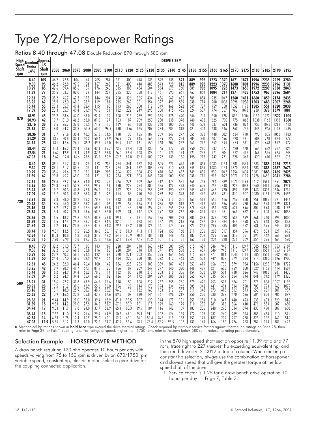# Type Y2/Horsepower Ratings

Ratios 8.40 through 47.08 Double Reduction 870 through 580 rpm

| High                         | Nominal Approx.            |                         |                      |                      |                      |                      |                          |                      |                      |                      |                      |                      |                     | DRIVE SIZE *       |                   |                   |                   |                   |                   |                   |                   |                   |                   |                   |                   |
|------------------------------|----------------------------|-------------------------|----------------------|----------------------|----------------------|----------------------|--------------------------|----------------------|----------------------|----------------------|----------------------|----------------------|---------------------|--------------------|-------------------|-------------------|-------------------|-------------------|-------------------|-------------------|-------------------|-------------------|-------------------|-------------------|-------------------|
| <b>Speed</b><br>Shaft<br>rpm | <b>Ratios</b><br>$\pm 4\%$ | LS.<br>Shaft<br>rpm     | 2050                 | 2060                 | 2070                 | 2080                 | 2090                     | 2100                 | 2110                 | 2120                 | 2125                 | 2130                 | 2135                | 2140               | 2145              | 2150              | 2155              | 2160              | 2165              | 2170              | 2175              | 2180              | 2185              | 2190              | 2195              |
|                              | 8.40                       | 105                     | 46.2                 | 72.8                 | 104                  | 144                  | 205                      | 284                  | 321                  | 400                  | 448                  | 535                  | 599                 | 738                | 827               | 889               | 996               | 1223              | 1370              | 1671              | 1871              | 1996              | 2235              | 2929              | 3280              |
|                              | 9.30                       | 95                      | 46.2                 | 72.8                 | 97.5                 | 121                  | 167                      | 268                  | 321                  | 400                  | 448                  | 485                  | 543                 | 728                | 815               | 889               | 996               | 1223              | 1370              | 1608              | 1801              | 1996              | 2235              | 2796              | 3131              |
|                              | 10.29                      | 85                      | 42.6                 | 59.4                 | 85.6                 | 139                  | 176                      | 240                  | 315                  | 388                  | 434                  | 504                  | 564                 | 679                | 760               | 889               | 996               | 1095              | 1226              | 1473              | 1650              | 1972              | 2209              | 2538              | 2843              |
|                              | 11.39                      | 77                      | 35.5                 | 53.7                 | 82.0                 | 122                  | 144                      | 227                  | 265                  | 320                  | 358                  | 412                  | 461                 | 590                | 661               | 763               | 854               | 1084              | 1214              | 1271              | 1423              | 1753              | 1963              | 2396              | 2684              |
|                              | 12.61                      | 70                      | 35.2                 | 46.7                 | 67.3                 | 113                  | 146                      | 204                  | 268                  | 326                  | 365                  | 434                  | 486                 | 567                | 635               | 789               | 884               | 935               | 1047              | 1260              | 1411              | 1660              | 1859              | 2174              | 2435              |
|                              | 13.95                      | 62                      | 28.9                 | 42.0                 | 60.5                 | 98.9                 | 119                      | 181                  | 225                  | 269                  | 301                  | 354                  | 397                 | 499                | 559               | 638               | 714               | 900               | 1008              | 1098              | 1230              | 1503              | 1683              | 2007              | 2248              |
|                              | 15.44                      | 55                      | 23.3                 | 35.9                 | 49.4                 | 92.4                 | 115                      | 165                  | 193                  | 268                  | 300                  | 312                  | 349                 | 466                | 522               | 649               | 727               | 759               | 850               | 1052              | 1178              | 1385              | 1551              | 1820              | 2038              |
|                              | 17.09                      | 50                      | 23.3                 | 35.9                 | 49.4                 | 81.9                 | 97.0                     | 151                  | 182                  | 222                  | 249                  | 295                  | 330                 | 415                | 465               | 524               | 587               | 774               | 867               | 963               | 1078              | 1230              | 1378              | 1679              | 1881              |
| 870                          | 18.91                      | 45                      | 23.2                 | 33.6                 | 47.0                 | 63.0                 | 92.4                     | 139                  | 168                  | 213                  | 239                  | 299                  | 335                 | 375                | 420               | 546               | 611               | 650               | 728               | 896               | 1004              | 1136              | 1272              | 1522              | 1705              |
|                              | 20.93                      | 42                      | 19.7                 | 31.0                 | 46.2                 | 63.0                 | 81.0                     | 127                  | 153                  | 187                  | 209                  | 250                  | 280                 | 338                | 378               | 440               | 493               | 625               | 700               | 775               | 868               | 1038              | 1163              | 1393              | 1560              |
|                              | 23.16                      | 38                      | 19.5                 | 26.7                 | 37.8                 | 56.5                 | 71.2                     | 118                  | 139                  | 168                  | 188                  | 232                  | 260                 | 300                | 336               | 448               | 502               | 537               | 601               | 736               | 824               | 958               | 1073              | 1262              | 1413              |
|                              | 25.63                      | 34                      | 16.0                 | 24.2                 | 33.9                 | 51.6                 | 63.0                     | 96.9                 | 130                  | 156                  | 175                  | 209                  | 234                 | 284                | 318               | 361               | 404               | 488               | 546               | 663               | 742               | 845               | 946               | 1103              | 1235              |
|                              | 28.36                      | 31                      | 13.7                 | 21.6                 | 30.4                 | 48.3                 | 57.6                     | 94.5                 | 118                  | 138                  | 155                  | 187                  | 209                 | 247                | 277               | 355               | 398               | 448               | 502               | 634               | 710               | 790               | 885               | 1056              | 1183              |
|                              | 31.39                      | 28                      | 13.7                 | 20.8                 | 30.4                 | 40.3                 | 50.4                     | 76.9                 | 96.9                 | 129                  | 145                  | 165                  | 185                 | 227                | 254               | 304               | 341               | 407               | 456               | 528               | 591               | 686               | 768               | 874               | 979               |
|                              | 34.74                      | 25                      | 13.4                 | 17.6                 | 26.1                 | 35.2                 | 49.3                     | 76.0                 | 94.9                 | 117                  | 131                  | 150                  | 168                 | 207                | 232               | 261               | 292               | 352               | 394               | 474               | 531               | 623               | 698               | 872               | 977               |
|                              | 38.44                      | 22                      | 11.1                 | 16.2                 | 23.4                 | 31.6                 | 43.1                     | 65.7                 | 73.5                 | 96.4                 | 108                  | 130                  | 146                 | 177                | 198               | 250               | 280               | 337               | 377               | 420               | 470               | 564               | 632               | 737               | 825               |
|                              | 42.54                      | 21                      | 9.62                 | 12.9                 | 18.4                 | 24.9                 | 37.6                     | 58.8                 | 76.0                 | 96.4                 | 108                  | 126                  | 141                 | 173                | 194               | 221               | 248               | 271               | 304               | 372               | 417               | 469               | 525               | 666               | 746               |
|                              | 47.08                      | 18                      | 8.62                 | 12.0                 | 16.6                 | 23.5                 | 33.2                     | 50.9                 | 62.8                 | 82.8                 | 92.7                 | 109                  | 122                 | 139                | 156               | 195               | 218               | 242               | 271               | 328               | 367               | 420               | 470               | 552               | 618               |
|                              | 8.40                       | 85                      | 39.1                 | 61.7                 | 87.9                 | 122                  | 173                      | 235                  | 274                  | 341                  | 382                  | 451                  | 505                 | 621                | 696               | 749               | 839               | 1030              | 1154              | 1383              | 1549              | 1683              | 1885              | 2424              | 2715              |
|                              | 9.30                       | 77                      | 39.1                 | 61.7                 | 81.5                 | 102                  | 141                      | 225                  | 274                  | 341                  | 382                  | 406                  | 455                 | 610                | 683               | 749               | 839               | 1030              | 1154              | 1370              | 1534              | 1683              | 1885              | 2387              | 2673              |
|                              | 10.29                      | 70                      | 35.6                 | 49.6                 | 71.5                 | 116                  | 149                      | 203                  | 266                  | 329                  | 368                  | 427                  | 478                 | 569                | 637               | 749               | 839               | 930               | 1042              | 1254              | 1404              | 1681              | 1883              | 2165              | 2425              |
|                              | 11.39                      | 62                      | 29.8                 | 45.2                 | 69.0                 | 102                  | 121                      | 189                  | 224                  | 271                  | 303                  | 348                  | 390                 | 500                | 560               | 638               | 715               | 913               | 1022              | 1071              | 1199              | 1478              | 1655              | 2041              | 2286              |
|                              | 12.61                      | 55                      | 29.6                 | 39.2                 | 56.6                 | 94.0                 | 123                      | 172                  | 226                  | 276                  | 309                  | 368                  | 412                 | 474                | 531               | 669               | 749               | 794               | 889               | 1071              | 1199              | 1412              | 1581              | 1851              | 2073              |
|                              | 13.95                      | 50                      | 24.3                 | 35.3                 | 50.9                 | 82.5                 | 99.9                     | 151                  | 190                  | 227                  | 254                  | 300                  | 336                 | 422                | 473               | 540               | 605               | 757               | 848               | 925               | 1036              | 1260              | 1411              | 1706              | 1911              |
|                              | 15.44                      | 45                      | 19.7                 | 30.3                 | 41.8                 | 77.8                 | 96.2                     | 139                  | 162                  | 228                  | 255                  | 258                  | 289                 | 390                | 437               | 549               | 615               | 643               | 720               | 892               | 999               | 1163              | 1302              | 1546              | 1732              |
|                              | 17.09                      | 42                      | 19.7                 | 30.3                 | 41.8                 | 68.3                 | 81.6                     | 126                  | 154                  | 188                  | 210                  | 249                  | 279                 | 351                | 393               | 443               | 496               | 653               | 731               | 810               | 907               | 1030              | 1154              | 1425              | 1596              |
| 720                          | 18.91                      | 38                      | 19.3                 | 28.0                 | 39.2                 | 53.2                 | 78.2                     | 117                  | 143                  | 181                  | 203                  | 254                  | 285                 | 313                | 351               | 461               | 516               | 550               | 616               | 759               | 850               | 951               | 1065              | 1291              | 1446              |
|                              | 20.93                      | 34                      | 16.5                 | 26.0                 | 38.7                 | 53.2                 | 68.0                     | 106                  | 129                  | 157                  | 176                  | 211                  | 236                 | 285                | 319               | 371               | 416               | 532               | 596               | 652               | 730               | 869               | 973               | 1179              | 1321              |
|                              | 23.16                      | 31                      | 16.2                 | 22.2                 | 31.7                 | 47.4                 | 59.8                     | 98.8                 | 117                  | 143                  | 160                  | 197                  | 221                 | 255                | 286               | 378               | 423               | 454               | 508               | 621               | 696               | 802               | 898               | 1068              | 1196              |
|                              | 25.63                      | 28                      | 13.4                 | 20.2                 | 28.4                 | 43.6                 | 53.2                     | 82.0                 | 109                  | 131                  | 147                  | 176                  | 197                 | 238                | 267               | 304               | 341               | 412               | 461               | 564               | 632               | 717               | 803               | 942               | 1055              |
|                              | 28.36                      | 25                      | 11.5                 | 18.2                 | 25.6                 | 40.5                 | 48.3                     | 78.8                 | 99.1                 | 117                  | 131                  | 157                  | 176                 | 208                | 233               | 303               | 339               | 378               | 423               | 535               | 599               | 661               | 740               | 893               | 1000              |
|                              | 31.39                      | 22                      | 11.5                 | 17.4                 | 25.6                 | 33.7                 | 42.2                     | 64.5                 | 82.0                 | 110                  | 123                  | 140                  | 157                 | 193                | 216               | 256               | 287               | 343               | 384               | 445               | 498               | 579               | 648               | 738               | 826               |
|                              | 34.74                      | 21                      | 11.2                 | 14.7                 | 21.8                 | 29.4                 | 41.3                     | 64.3                 | 79.6                 | 98.2                 | 110                  | 126                  | 141                 | 174                | 195               | 221               | 248               | 299               | 335               | 404               | 452               | 531               | 595               | 744               | 833               |
|                              | 38.44<br>42.54<br>47.08    | 18<br>17<br>15          | 9.31<br>8.03<br>7.20 | 13.5<br>10.8<br>9.99 | 19.5<br>15.3<br>13.8 | 26.5<br>20.8<br>19.7 | $36.0$<br>$31.5$<br>27.8 | 55.1<br>49.2<br>42.6 | 61.6<br>64.3<br>52.6 | 81.3<br>80.9<br>69.4 | 91.1<br>90.6<br>77.7 | 111<br>105<br>90.2   | 124<br>118<br>101   | 150<br>146<br>117  | 168<br>163<br>131 | 211<br>187<br>163 | 236<br>209<br>183 | 283<br>229<br>204 | 317<br>256<br>228 | 354<br>313<br>276 | 396<br>351<br>309 | 476<br>395<br>354 | 533<br>442<br>396 | 621<br>561<br>464 | 695<br>628<br>520 |
|                              | 8.40                       | 70                      | 32.2                 | 51.0                 | 72.7                 | 100                  | 143                      | 189                  | 228                  | 284                  | 318                  | 368                  | 412                 | 509                | 570               | 615               | 689               | 846               | 948               | 1113              | 1247              | 1385              | 1551              | 1953              | 2187              |
|                              | 9.30                       | 62                      | 32.2                 | 51.0                 | 66.3                 | 83.8                 | 116                      | 183                  | 228                  | 284                  | 318                  | 331                  | 371                 | 498                | 558               | 615               | 689               | 846               | 948               | 1113              | 1247              | 1385              | 1551              | 1953              | 2187              |
|                              | 10.29                      | 55                      | 28.9                 | 40.3                 | 58.1                 | 94.5                 | 122                      | 167                  | 220                  | 271                  | 303                  | 353                  | 395                 | 464                | 520               | 615               | 689               | 771               | 864               | 1041              | 1166              | 1385              | 1551              | 1802              | 2018              |
|                              | 11.39                      | 50                      | 24.4                 | 37.0                 | 56.6                 | 82.9                 | 99.7                     | 154                  | 184                  | 223                  | 250                  | 288                  | 322                 | 413                | 463               | 521               | 584               | 749               | 839               | 879               | 984               | 1214              | 1360              | 1696              | 1900              |
|                              | 12.61                      | 45                      | 24.2                 | 32.0                 | 46.4                 | 76.4                 | 100                      | 142                  | 186                  | 228                  | 255                  | 303                  | 339                 | 387                | 433               | 553               | 619               | 656               | 735               | 879               | 984               | 1156              | 1295              | 1538              | 1722              |
|                              | 13.95                      | 42                      | 19.9                 | 28.9                 | 41.7                 | 67.1                 | 81.9                     | 123                  | 156                  | 187                  | 209                  | 247                  | 277                 | 348                | 390               | 446               | 499               | 621               | 695               | 759               | 850               | 1029              | 1152              | 1414              | 1584              |
|                              | 15.44                      | 38                      | 16.2                 | 24.9                 | 34.4                 | 63.2                 | 78.5                     | 114                  | 132                  | 188                  | 210                  | 215                  | 233                 | 318                | 356               | 454               | 508               | 530               | 594               | 738               | 826               | 949               | 1063              | 1281              | 1435              |
|                              | 17.09                      | 34                      | 16.2                 | 24.9                 | 34.4                 | 55.4                 | 66.8                     | 102                  | 126                  | 154                  | 172                  | 204                  | 229                 | 288                | 323               | 365               | 409               | 535               | 599               | 664               | 744               | 841               | 942               | 1179              | 1320              |
| 580                          | 18.91                      | 31                      | 15.6                 | 22.7                 | 31.8                 | 43.9                 | 64.5                     | 95.6                 | 118                  | 150                  | 168                  | 212                  | 237                 | 255                | 286               | 379               | 425               | 453               | 507               | 626               | 701               | 775               | 868               | 1067              | 1195              |
|                              | 20.93                      | 28                      | 13.5                 | 21.2                 | 31.6                 | 43.9                 | 55.6                     | 86.0                 | 106                  | 129                  | 144                  | 173                  | 194                 | 234                | 262               | 305               | 342               | 441               | 494               | 534               | 598               | 708               | 793               | 963               | 1079              |
|                              | 23.16                      | 25                      | 13.1                 | 18.0                 | 25.9                 | 38.7                 | 48.9                     | 80.2                 | 96.0                 | 118                  | 132                  | 163                  | 183                 | 212                | 237               | 311               | 348               | 373               | 418               | 512               | 573               | 653               | 731               | 881               | 987               |
|                              | 25.63                      | 22                      | 10.9                 | 16.5                 | 23.2                 | 35.8                 | 43.9                     | 67.6                 | 89.3                 | 107                  | 120                  | 144                  | 161                 | 196                | 219               | 250               | 280               | 338               | 379               | 470               | 526               | 584               | 654               | 785               | 879               |
|                              | 28.36                      | 21                      | 9.44                 | 14.9                 | 21.0                 | 33.0                 | 39.4                     | 63.9                 | 81.1                 | 95.5                 | 107                  | 129                  | 144                 | 171                | 191               | 251               | 281               | 310               | 347               | 440               | 493               | 538               | 603               | 729               | 816               |
|                              | 31.39                      | 18                      | 9.33                 | 14.2                 | 21.0                 | 27.5                 | 34.5                     | 52.7                 | 67.6                 | 90.2                 | 101                  | 115                  | 129                 | 160                | 179               | 210               | 235               | 281               | 315               | 366               | 410               | 476               | 533               | 607               | 680               |
|                              | 34.74                      | 17                      | 9.03                 | 11.9                 | 17.8                 | 24.0                 | 33.7                     | 52.9                 | 65.1                 | 80.3                 | 89.9                 | 104                  | 116                 | 142                | 159               | 183               | 205               | 248               | 278               | 334               | 374               | 438               | 490               | 607               | 680               |
|                              | 38.44<br>42.54<br>47.08    | 15<br>14<br>12.5   5.85 | 7.57<br>6.53         | 11.0<br>8.78<br>8.12 | 15.9<br>12.4<br>11.3 | 21.6<br>16.9<br>16.0 | 29.4<br>25.6<br>22.6     | 44.9<br>40.1<br>34.7 | 50.3<br>52.9<br>42.9 | 67.1<br>66.1<br>56.6 | 75.1<br>74.0<br>63.4 | 91.1<br>86.4<br>73.4 | 102<br>96.8<br>82.2 | 124<br>119<br>95.5 | 139<br>133<br>107 | 172<br>153<br>133 | 193<br>171<br>149 | 232<br>187<br>166 | 260<br>209<br>186 | 289<br>257<br>226 | 324<br>288<br>253 | 388<br>323<br>289 | 434<br>362<br>324 | 510<br>461<br>381 | 571<br>516<br>427 |

**∗** Mechanical hp ratings shown in **bold face** type exceed the drive thermal ratings. Check required hp (without service factor) against thermal hp ratings on Page 28, ther<br>refer to Page 29 for Falk™ cooling fans. For ra

### Selection Example— HORSEPOWER METHOD

A draw bench requiring 120 bhp operates 10 hours per day with speeds varying from 75 to 150 rpm is driven by an 870/1750 rpm variable speed, constant hp, electric motor. Select a gear drive for the coupling connected application.

In the 870 high speed shaft section opposite 11.39 ratio and 77 rpm, trace right to 227 (nearest hp exceeding equivalent hp) and then read drive size 2100Y2 at top of column. When making a constant hp selection, always use the combination of horsepower and slowest speed that will give the greatest torque at the low speed shaft of the drive.

1. Service Factor is 1.25 for a draw bench drive operating 10 hours per day. . . Page 7, Table 3.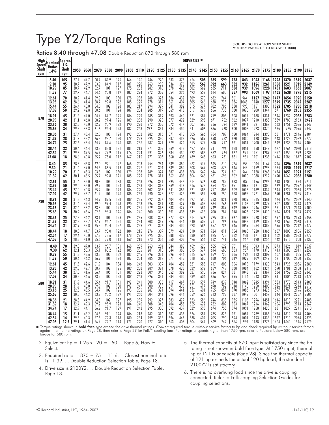# Type Y2/Torque Ratings

Ratios 8.40 through 47.08 Double Reduction 870 through 580 rpm

(POUND-INCHES AT LOW SPEED SHAFT. . . MULTIPLY VALUES LISTED BELOW BY 1000)

| High                         | Nominal                          | Approx.              |                              |                              |                              |                          |                          |                          |                          |                          |                          |                          |                          | DRIVE SIZE *             |                          |                          |                          |                          |                             |                              |                              |                              |                              |                              |                              |
|------------------------------|----------------------------------|----------------------|------------------------------|------------------------------|------------------------------|--------------------------|--------------------------|--------------------------|--------------------------|--------------------------|--------------------------|--------------------------|--------------------------|--------------------------|--------------------------|--------------------------|--------------------------|--------------------------|-----------------------------|------------------------------|------------------------------|------------------------------|------------------------------|------------------------------|------------------------------|
| <b>Speed</b><br>Shaft<br>rpm | <b>Ratios</b><br>$\pm 4\%$       | L.S.<br>Shaft<br>rpm | 2050                         | 2060                         | 2070                         | 2080                     | 2090                     | 2100                     | 2110                     | 2120                     | 2125                     | 2130                     | 2135                     |                          | 2140 2145                | 2150                     | 2155                     | 2160                     | 2165                        | 2170                         | 2175                         | 2180                         | 2185                         | 2190                         | 2195                         |
|                              | 8.40                             | 105                  | 27.7                         | 44.7                         | 60.7                         | 89.9                     | 125                      | 164                      | 196                      | 246                      | 276                      | 333                      | 373                      | 454                      | 508                      | 535                      | 599                      | 753                      | 843                         | 1043                         | 1168                         | 1223                         | 1370                         | 1819                         | 2037                         |
|                              | 9.30                             | 95                   | 30.7                         | 47.9                         | 63.9                         | 84.9                     | 117                      | 181                      | 220                      | 263                      | 295                      | 336                      | 376                      | 502                      | 562                      | 592                      | 663                      | 832                      | 932                         | 1126                         | 1261                         | 1358                         | 1521                         | 1919                         | 2149                         |
|                              | 10.29                            | 85                   | 30.7                         | 42.9                         | 62.7                         | 101                      | 127                      | 175                      | 233                      | 282                      | 316                      | 378                      | 423                      | 502                      | 562                      | 635                      | 711                      | 838                      | 939                         | 1096                         | 1228                         | 1431                         | 1603                         | 1863                         | 2087                         |
|                              | 11.39                            | 77                   | 29.7                         | 44.7                         | 64.6                         | 98.8                     | 119                      | 183                      | 224                      | 272                      | 305                      | 354                      | 396                      | 493                      | 552                      | 614                      | 688                      | 887                      | 993                         | 1069                         | 1197                         | 1463                         | 1638                         | 1978                         | 2215                         |
|                              | 12.61                            | 70                   | 30.9                         | 41.4                         | 59.9                         | 103                      | 130                      | 178                      | 238                      | 288                      | 323                      | 386                      | 432                      | 509                      | 570                      | 682                      | 764                      | 861                      | 964                         | 1127                         | 1262                         | 1477                         | 1654                         | 1920                         | 2150                         |
|                              | 13.95                            | 62                   | 28.6                         | 41.4                         | 58.7                         | 99.8                     | 122                      | 185                      | 229                      | 278                      | 311                      | 361                      | 404                      | 505                      | 566                      | 638                      | 715                      | 936                      | 048                         | 1140                         | 1277                         | 1549                         | 1735                         | 2042                         | 2287                         |
|                              | 15.44                            | 55                   | 26.4                         | 40.0                         | 54.0                         | 102                      | 128                      | 183                      | 217                      | 294                      | 329                      | 341                      | 382                      | 515                      | 577                      | 702                      | 786                      | 888                      | 995                         | 1161                         | 1300                         | 1522                         | 1705                         | 1980                         | 2218                         |
|                              | 17.09                            | 50                   | 29.2                         | 42.8                         | 60.6                         | 101                      | 124                      | 187                      | 234                      | 285                      | 319                      | 369                      | 413                      | 517                      | 579                      | 656                      | 735                      | 960                      | 1075                        | 1200                         | 1344                         | 1571                         | 1760                         | 2103                         | 2355                         |
| 870                          | 18.91                            | 45                   | 31.6                         | 44.0                         | 64.4                         | 87.7                     | 125                      | 186                      | 229                      | 285                      | 319                      | 393                      | 440                      | 521                      | 584                      | 719                      | 805                      | 908                      | 1017                        | 1188                         | 1331                         | 1546                         | 1732                         | 2038                         | 2283                         |
|                              | 20.93                            | 42                   | 31.1                         | 46.8                         | 68.2                         | 97.4                     | 126                      | 189                      | 238                      | 290                      | 325                      | 377                      | 422                      | 529                      | 593                      | 671                      | 752                      | 962                      | 1077                        | 1210                         | 1355                         | 1589                         | 1780                         | 2163                         | 2422                         |
|                              | 23.16                            | 38                   | 32.3                         | 43.0                         | 62.9                         | 98.9                     | 122                      | 190                      | 228                      | 272                      | 305                      | 372                      | 417                      | 507                      | 568                      | 736                      | 824                      | 929                      | 1041                        | 1221                         | 1367                         | 1563                         | 1751                         | 2096                         | 2347                         |
|                              | 25.63                            | 34                   | 29.8                         | 43.3                         | 61.6                         | 94.4                     | 123                      | 182                      | 243                      | 296                      | 331                      | 384                      | 430                      | 541                      | 606                      | 686                      | 768                      | 900                      | 1008                        | 1223                         | 1370                         | 1585                         | 1775                         | 2096                         | 2347                         |
|                              | 28.36                            | 31                   | 27.4                         | 43.4                         | 62.0                         | 100                      | 124                      | 192                      | 232                      | 282                      | 316                      | 371                      | 415                      | 505                      | 566                      | 704                      | 789                      | 950                      | 1064                        | 1244                         | 1393                         | 1581                         | 1771                         | 2146                         | 2404                         |
|                              | 31.39                            | 28                   | 31.7                         | 48.2                         | 66.8                         | 93.7                     | 120                      | 179                      | 229                      | 295                      | 330                      | 387                      | 433                      | 526                      | 589                      | 698                      | 782                      | 920                      | 1030                        | 1168                         | 1308                         | 1543                         | 1728                         | 2029                         | 2272                         |
|                              | 34.74                            | 25                   | 32.6                         | 43.4                         | 64.7                         | 89.6                     | 126                      | 183                      | 236                      | 287                      | 321                      | 379                      | 424                      | 515                      | 577                      | 640                      | 717                      | 921                      | 1031                        | 1200                         | 1344                         | 1549                         | 1735                         | 2146                         | 2404                         |
|                              | 38.44                            | 22                   | 30.4                         | 44.4                         | 63.3                         | 88.8                     | 121                      | 181                      | 213                      | 271                      | 303                      | 369                      | 413                      | 497                      | 557                      | 711                      | 796                      | 938                      | 1051                        | 1198                         | 1342                         | 1577                         | 1766                         | 2070                         | 2318                         |
|                              | 42.54                            | 21                   | 29.3                         | 39.5                         | 56.9                         | 77.9                     | 115                      | 176                      | 224                      | 291                      | 326                      | 384                      | 430                      | 522                      | 585                      | 682                      | 764                      | 867                      | 971                         | 1151                         | 1289                         | 1477                         | 1654                         | 1999                         | 2239                         |
|                              | 47.08                            | 18                   | 28.6                         | 40.8                         | 55.2                         | 78.0                     | 112                      | 167                      | 215                      | 271                      | 303                      | 360                      | 403                      | 489                      | 548                      | 653                      | 731                      | 831                      | 931                         | 1101                         | 1233                         | 1416                         | 1586                         | 1877                         | 2102                         |
|                              | 8.40                             | 85                   | 28.3                         | 45.8                         | 62.0                         | 92.1                     | 127                      | 168                      | 203                      | 254                      | 284                      | 339                      | 380                      | 462                      | 517                      | 545                      | 610                      | 766                      | 858                         | 1044                         | 1169                         | 1246                         | 1396                         | 1819                         | 2037                         |
|                              | 9.30                             | 71                   | 31.4                         | 49.0                         | 64.5                         | 86.5                     | 119                      | 183                      | 227                      | 271                      | 304                      | 339                      | 380                      | 508                      | 569                      | 603                      | 675                      | 846                      | 948                         | 1159                         | 1298                         | 1384                         | 1550                         | 1979                         | 2217                         |
|                              | 10.29                            | 70                   | 31.0                         | 43.3                         | 63.3                         | 102                      | 130                      | 179                      | 238                      | 289                      | 324                      | 387                      | 433                      | 508                      | 569                      | 646                      | 724                      | 861                      | 964                         | 1128                         | 1263                         | 1474                         | 1651                         | 1921                         | 2151                         |
|                              | 11.39                            | 62                   | 30.1                         | 45.5                         | 65.7                         | 99.8                     | 121                      | 185                      | 229                      | 278                      | 311                      | 362                      | 405                      | 504                      | 565                      | 621                      | 696                      | 902                      | 1010                        | 1088                         | 1219                         | 1490                         | 1669                         | 2036                         | 2280                         |
|                              | 12.61<br>13.95<br>15.44<br>17.09 | 55<br>50<br>45<br>42 | 31.4<br>29.0<br>27.0<br>29.9 | 42.0<br>42.0<br>40.8<br>43.7 | 60.8<br>59.7<br>55.2<br>61.9 | 103<br>101<br>104<br>101 | 133<br>124<br>129<br>126 | 182<br>187<br>186<br>188 | 243<br>233<br>220<br>239 | 296<br>284<br>302<br>290 | 331<br>318<br>338<br>325 | 395<br>369<br>341<br>377 | 442<br>413<br>382<br>422 | 514<br>516<br>521<br>529 | 576<br>578<br>583<br>592 | 698<br>654<br>717<br>670 | 782<br>732<br>803<br>750 | 883<br>951<br>909<br>978 | 989<br>1065<br>1018<br>1095 | 1156<br>1161<br>1189<br>1221 | 1295<br>1300<br>1332<br>1367 | 1518<br>1569<br>1544<br>1590 | 1700<br>1757<br>1729<br>1781 | 1974<br>2097<br>2034<br>2155 | 2211<br>2349<br>2278<br>2414 |
| 720                          | 18.91                            | 38                   | 31.8                         | 44.3                         | 64.9                         | 89.5                     | 128                      | 189                      | 235                      | 292                      | 327                      | 404                      | 453                      | 527                      | 590                      | 733                      | 821                      | 928                      | 1039                        | 1215                         | 1361                         | 1564                         | 1752                         | 2089                         | 2340                         |
|                              | 20.93                            | 34                   | 31.4                         | 47.4                         | 69.0                         | 99.4                     | 128                      | 190                      | 243                      | 296                      | 331                      | 383                      | 429                      | 540                      | 605                      | 684                      | 766                      | 989                      | 1108                        | 1229                         | 1377                         | 1607                         | 1800                         | 2213                         | 2478                         |
|                              | 23.16                            | 31                   | 32.4                         | 43.2                         | 63.8                         | 100                      | 124                      | 192                      | 231                      | 279                      | 313                      | 383                      | 429                      | 521                      | 584                      | 749                      | 839                      | 949                      | 1063                        | 1246                         | 1395                         | 1581                         | 1771                         | 2143                         | 2400                         |
|                              | 25.63                            | 28                   | 30.2                         | 43.6                         | 62.3                         | 96.3                     | 126                      | 186                      | 246                      | 300                      | 336                      | 391                      | 438                      | 549                      | 615                      | 700                      | 784                      | 918                      | 1028                        | 1259                         | 1410                         | 1626                         | 1821                         | 2163                         | 2422                         |
|                              | 28.36                            | 25                   | 27.8                         | 44.2                         | 63.1                         | 101                      | 126                      | 194                      | 235                      | 288                      | 322                      | 377                      | 422                      | 514                      | 576                      | 725                      | 812                      | 967                      | 1083                        | 1268                         | 1420                         | 1597                         | 1789                         | 2193                         | 2456                         |
|                              | 31.39                            | 22                   | 32.2                         | 48.7                         | 67.9                         | 94.7                     | 121                      | 182                      | 234                      | 303                      | 339                      | 396                      | 444                      | 540                      | 605                      | 711                      | 796                      | 936                      | 1048                        | 1189                         | 1332                         | 1573                         | 1762                         | 2068                         | 2316                         |
|                              | 34.74                            | 21                   | 32.9                         | 43.8                         | 65.3                         | 90.4                     | 127                      | 187                      | 239                      | 291                      | 326                      | 384                      | 430                      | 523                      | 586                      | 657                      | 736                      | 946                      | 1059                        | 1234                         | 1382                         | 1596                         | 1787                         | 2212                         | 2477                         |
|                              | 38.44                            | 18                   | 30.8                         | 44.7                         | 63.7                         | 90.0                     | 122                      | 184                      | 215                      | 276                      | 309                      | 379                      | 424                      | 510                      | 571                      | 724                      | 811                      | 954                      | 1068                        | 1220                         | 1366                         | 1607                         | 1800                         | 2106                         | 2359                         |
|                              | 42.54                            | 17                   | 29.6                         | 40.0                         | 57.2                         | 78.6                     | 117                      | 178                      | 229                      | 295                      | 330                      | 388                      | 435                      | 530                      | 594                      | 695                      | 778                      | 882                      | 988                         | 1171                         | 1311                         | 1502                         | 1682                         | 2033                         | 2277                         |
|                              | 47.08                            | 15                   | 28.8                         | 41.0                         | 55.5                         | 79.0                     | 113                      | 169                      | 218                      | 273                      | 306                      | 360                      | 403                      | 496                      | 556                      | 662                      | 741                      | 846                      | 947                         | 1120                         | 1254                         | 1442                         | 1615                         | 1908                         | 2137                         |
|                              | 8.40                             | 70                   | 29.0                         | 47.0                         | 63.7                         | 93.7                     | 131                      | 168                      | 209                      | 263                      | 294                      | 344                      | 385                      | 469                      | 525                      | 555                      | 622                      | 781                      | 875                         | 1043                         | 1168                         | 1273                         | 1426                         | 1819                         | 2037                         |
|                              | 9.30                             | 62                   | 32.1                         | 50.3                         | 65.1                         | 88.2                     | 122                      | 185                      | 235                      | 281                      | 315                      | 344                      | 385                      | 515                      | 577                      | 614                      | 688                      | 863                      | 967                         | 1170                         | 1310                         | 1413                         | 1583                         | 2011                         | 2252                         |
|                              | 10.29                            | 55                   | 31.3                         | 43.6                         | 63.8                         | 103                      | 132                      | 183                      | 245                      | 296                      | 331                      | 396                      | 444                      | 515                      | 577                      | 659                      | 738                      | 886                      | 992                         | 1163                         | 1302                         | 1507                         | 1688                         | 1985                         | 2223                         |
|                              | 11.39                            | 50                   | 30.6                         | 46.2                         | 66.9                         | 101                      | 124                      | 187                      | 234                      | 285                      | 319                      | 371                      | 415                      | 518                      | 580                      | 630                      | 706                      | 919                      | 1029                        | 1109                         | 1242                         | 1521                         | 1703                         | 2100                         | 2352                         |
|                              | 12.61                            | 45                   | 31.8                         | 42.6                         | 61.9                         | 104                      | 134                      | 186                      | 248                      | 303                      | 339                      | 404                      | 452                      | 521                      | 583                      | 717                      | 803                      | 906                      | 1015                        | 1179                         | 1320                         | 1543                         | 1728                         | 2036                         | 2280                         |
|                              | 13.95                            | 42                   | 29.5                         | 42.7                         | 60.7                         | 102                      | 126                      | 189                      | 238                      | 289                      | 324                      | 378                      | 423                      | 529                      | 592                      | 669                      | 749                      | 968                      | 1084                        | 1182                         | 1324                         | 1590                         | 1781                         | 2158                         | 2417                         |
|                              | 15.44                            | 38                   | 27.5                         | 41.6                         | 56.4                         | 105                      | 131                      | 189                      | 223                      | 309                      | 346                      | 352                      | 382                      | 527                      | 590                      | 736                      | 824                      | 931                      | 1043                        | 1221                         | 1367                         | 1564                         | 1752                         | 2092                         | 2343                         |
|                              | 17.09                            | 34                   | 30.5                         | 44.6                         | 63.2                         | 102                      | 128                      | 189                      | 243                      | 296                      | 331                      | 384                      | 430                      | 539                      | 604                      | 686                      | 768                      | 995                      | 1114                        | 1243                         | 1392                         | 1611                         | 1804                         | 2213                         | 2479                         |
| 580                          | 18.91                            | 31                   | 31.9                         | 44.6                         | 65.4                         | 91.7                     | 131                      | 192                      | 241                      | 300                      | 336                      | 417                      | 467                      | 533                      | 597                      | 749                      | 839                      | 948                      | 1062                        | 1245                         | 1394                         | 1583                         | 1773                         | 2143                         | 2400                         |
|                              | 20.93                            | 28                   | 31.9                         | 48.0                         | 69.9                         | 102                      | 130                      | 192                      | 247                      | 300                      | 336                      | 391                      | 438                      | 551                      | 617                      | 698                      | 782                      | 1018                     | 1140                        | 1250                         | 1400                         | 1626                         | 1821                         | 2244                         | 2513                         |
|                              | 23.16                            | 25                   | 32.5                         | 43.5                         | 64.7                         | 102                      | 126                      | 193                      | 236                      | 287                      | 321                      | 394                      | 441                      | 537                      | 601                      | 765                      | 857                      | 970                      | 1086                        | 1273                         | 1426                         | 1597                         | 1789                         | 2196                         | 2459                         |
|                              | 25.63                            | 22                   | 30.5                         | 44.2                         | 63.2                         | 98.2                     | 129                      | 191                      | 250                      | 304                      | 341                      | 396                      | 444                      | 559                      | 626                      | 713                      | 799                      | 937                      | 1049                        | 1301                         | 1457                         | 1644                         | 1841                         | 2237                         | 2505                         |
|                              | 28.36                            | 21                   | 28.3                         | 44.9                         | 64.3                         | 102                      | 127                      | 195                      | 239                      | 292                      | 327                      | 383                      | 429                      | 523                      | 586                      | 746                      | 835                      | 985                      | 1103                        | 1296                         | 1451                         | 1616                         | 1810                         | 2221                         | 2488                         |
|                              | 31.39                            | 18                   | 32.4                         | 49.3                         | 69.2                         | 95.9                     | 123                      | 184                      | 240                      | 308                      | 345                      | 404                      | 453                      | 555                      | 622                      | 722                      | 809                      | 953                      | 1067                        | 1216                         | 1362                         | 1606                         | 1799                         | 2113                         | 2367                         |
|                              | 34.74                            | 17                   | 32.9                         | 44.1                         | 66.2                         | 91.7                     | 129                      | 191                      | 243                      | 295                      | 330                      | 392                      | 439                      | 529                      | 593                      | 674                      | 755                      | 974                      | 1091                        | 1268                         | 1420                         | 1631                         | 1827                         | 2241                         | 2510                         |
|                              | 38.44                            | 15                   | 31.1                         | 45.2                         | 64.5                         | 91.1                     | 124                      | 186                      | 218                      | 282                      | 316                      | 387                      | 433                      | 524                      | 587                      | 735                      | 823                      | 971                      | 1087                        | 1239                         | 1388                         | 1624                         | 1819                         | 2148                         | 2406                         |
|                              | 42.54                            | 14                   | 29.8                         | 40.3                         | 57.5                         | 79.3                     | 118                      | 180                      | 234                      | 299                      | 335                      | 396                      | 443                      | 538                      | 602                      | 705                      | 790                      | 894                      | 1001                        | 1193                         | 1336                         | 1527                         | 1710                         | 2074                         | 2323                         |
|                              | 47.08                            | 12.5                 | 129.1                        | 41.4                         | 56.4                         | 79.7                     | 114                      | 171                      | 220                      | 277                      | 310                      | 363                      | 407                      | 504                      | 564                      | 669                      | 749                      | 856                      | 959                         | 1138                         | 1275                         | 1464                         | 1640                         | 1946                         | 2179                         |

¥ Torque ratings shown in **bold face** type exceed the drive thermal ratings. Convert required torque (without service factor) to hp and check required hp (without service factor)<br>against thermal hp ratings on Page 28, the

- 2. Equivalent  $hp = 1.25 \times 120 = 150...$  Page 6, How to Select.
- 3. Required ratio =  $870 \div 75 = 11.6$ . . Closest nominal ratio is 11.39. . . Double Reduction Selection Table, Page 18.
- 4. Drive size is 2100Y2. . . Double Reduction Selection Table, Page 18.
- 5. The thermal capacity at 870 input is satisfactory since the hp rating is not shown in bold face type. At 1750 input, thermal hp of 121 is adequate (Page 28). Since the thermal capacity of 121 hp exceeds the actual 120 hp load, the standard 2100Y2 is satisfactory.
- 6. There is no overhung load since the drive is coupling connected. Refer to Falk coupling Selection Guides for coupling selections.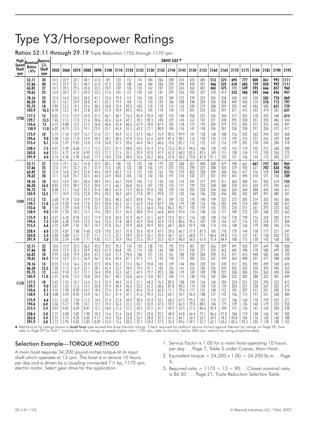# Type Y3/Horsepower Ratings

Ratios 52.11 through 29.19 Triple Reduction 1750 through 1170 rpm

| High                         | Nominal             | Approx.              |       |      |      |      |      |      |      |      |      |      |      | DRIVE SIZE * |      |      |      |      |      |      |      |      |      |      |      |
|------------------------------|---------------------|----------------------|-------|------|------|------|------|------|------|------|------|------|------|--------------|------|------|------|------|------|------|------|------|------|------|------|
| <b>Speed</b><br>Shaft<br>rpm | Ratios<br>$\pm 4\%$ | L.S.<br>Shaft<br>rpm | 2050  | 2060 | 2070 | 2080 | 2090 | 2100 | 2110 | 2120 | 2125 | 2130 | 2135 | 2140         | 2145 | 2150 | 2155 | 2160 | 2165 | 2170 | 2175 | 2180 | 2185 | 2190 | 2195 |
|                              | 52.11               | 34                   | 14.5  | 22.9 | 32.1 | 48.1 | 61.0 | 101  | 122  | 157  | 176  | 184  | 206  | 280          | 314  | 433  | 485  | 513  | 574  | 694  | 777  | 800  | 861  | 992  | 1111 |
|                              | 57.66               | 30                   | 14.5  | 22.9 | 32.1 | 48.1 | 61.0 | 91.3 | 122  | 148  | 166  | 184  | 206  | 259          | 290  | 349  | 391  | 466  | 522  | 610  | 683  | 759  | 850  | 992  | 1111 |
|                              | 63.82               | 27                   | 14.5  | 20.5 | 29.5 | 45.0 | 53.5 | 78.9 | 102  | 136  | 152  | 167  | 187  | 237          | 265  | 363  | 407  | 465  | 475  | 490  | 549  | 595  | 666  | 857  | 960  |
|                              | 70.62               | 25                   | 13.4  | 20.3 | 31.1 | 39.3 | 53.5 | 77.6 | 101  | 127  | 142  | 162  | 181  | 229          | 256  | 292  | 327  | 370  | 414  | 523  | 586  | 595  | 666  | 846  | 947  |
|                              | 78.16               | 22                   | 12.4  | 16.3 | 24.5 | 34.3 | 47.1 | 72.4 | 79.9 | 113  | 126  | 130  | 139  | 189          | 212  | 299  | 335  | 345  | 358  | 420  | 470  | 520  | 582  | 776  | 869  |
|                              | 86.50               | 20                   | 10.7  | 16.1 | 24.9 | 30.8 | 41.1 | 62.7 | 79.9 | 104  | 116  | 124  | 139  | 186          | 208  | 240  | 269  | 320  | 358  | 449  | 503  | 514  | 576  | 712  | 797  |
|                              | 95.73               | 18                   | 9.84  | 13.5 | 19.5 | 29.6 | 38.2 | 58.8 | 79.3 | 92.0 | 103  | 110  | 118  | 157          | 176  | 249  | 279  | 288  | 299  | 395  | 442  | 446  | 500  | 651  | 729  |
|                              | 105.9               | 16.5                 | 8.70  | 13.2 | 18.2 | 27.8 | 35.9 | 51.4 | 70.4 | 84.5 | 94.6 | 105  | 118  | 154          | 173  | 201  | 225  | 265  | 297  | 371  | 415  | 423  | 474  | 581  | 651  |
| 1750                         | 117.2               | 15                   | 8.05  | 11.2 | 15.9 | 24.3 | 31.2 | 46.1 | 58.1 | 76.3 | 85.4 | 92.0 | 103  | 132          | 148  | 206  | 231  | 245  | 260  | 317  | 355  | 378  | 423  | 548  | 614  |
|                              | 129.7               | 13.5                 | 7.43  | 11.3 | 17.0 | 21.6 | 30.6 | 43.6 | 56.4 | 69.7 | 78.1 | 89.3 | 100  | 129          | 145  | 167  | 187  | 221  | 248  | 295  | 330  | 351  | 393  | 486  | 544  |
|                              | 143.6               | 12                   | 6.75  | 8.88 | 13.2 | 21.5 | 26.8 | 40.6 | 45.4 | 60.6 | 67.9 | 78.0 | 87.4 | 105          | 118  | 172  | 193  | 205  | 219  | 272  | 305  | 317  | 355  | 443  | 497  |
|                              | 158.9               | 11.0                 | 6.02  | 8.75 | 12.5 | 19.1 | 23.9 | 35.1 | 45.4 | 55.5 | 62.2 | 72.1 | 80.8 | 104          | 116  | 141  | 158  | 185  | 207  | 230  | 258  | 291  | 326  | 372  | 417  |
|                              | 175.9               | 10                   | 5.19  | 7.54 | 10.9 | 16.7 | 21.0 | 31.1 | 40.4 | 51.2 | 57.4 | 68.7 | 76.9 | 89.2         | 99.9 | 141  | 158  | 168  | 188  | 216  | 242  | 263  | 294  | 329  | 368  |
|                              | 194.6               | 9.0                  | 5.00  | 7.63 | 11.8 | 14.9 | 20.3 | 28.7 | 38.6 | 47.0 | 52.6 | 61.6 | 69.0 | 87.6         | 98.1 | 116  | 130  | 155  | 174  | 192  | 215  | 237  | 265  | 329  | 368  |
|                              | 215.4               | 8.1                  | 4.54  | 5.97 | 9.05 | 13.0 | 17.8 | 26.8 | 31.5 | 39.6 | 44.4 | 54.1 | 60.6 | 73.8         | 82.7 | 112  | 125  | 137  | 153  | 179  | 201  | 218  | 244  | 284  | 318  |
|                              | 238.4               | 7.5                  | 4.07  | 5.92 | 8.60 | 11.7 | 15.5 | 23.1 | 31.5 | 38.8 | 43.5 | 51.4 | 57.6 | 72.6         | 81.3 | 94.6 | 106  | 128  | 143  | 155  | 174  | 192  | 215  | 268  | 300  |
|                              | 263.8               | 6.6                  | 3.51  | 4.72 | 6.24 | 8.99 | 13.5 | 21.2 | 27.6 | 35.1 | 39.3 | 42.8 | 47.9 | 61.0         | 68.3 | 83.5 | 93.5 | 103  | 115  | 138  | 154  | 172  | 193  | 246  | 275  |
|                              | 291.9               | 6.0                  | 3.14  | 4.36 | 5.98 | 8.65 | 11.9 | 18.4 | 23.0 | 30.0 | 33.6 | 36.2 | 40.6 | 52.0         | 58.2 | 73.0 | 81.8 | 91.1 | 102  | 121  | 136  | 154  | 173  | 203  | 227  |
|                              | 52.11               | 27                   | 12.0  | 19.1 | 26.7 | 41.8 | 52.9 | 84.1 | 106  | 131  | 147  | 160  | 179  | 232          | 260  | 361  | 404  | 428  | 479  | 590  | 661  | 667  | 747  | 861  | 964  |
|                              | 57.66               | 25                   | 12.0  | 19.1 | 26.7 | 41.7 | 51.9 | 75.2 | 105  | 123  | 138  | 156  | 175  | 225          | 252  | 290  | 325  | 388  | 435  | 529  | 593  | 627  | 702  | 838  | 938  |
|                              | 63.82               | 22                   | 12.0  | 16.8 | 24.2 | 37.0 | 44.6 | 65.9 | 85.2 | 113  | 127  | 145  | 162  | 196          | 219  | 302  | 338  | 349  | 360  | 426  | 477  | 516  | 578  | 744  | 833  |
|                              | 70.62               | 20                   | 11.1  | 16.8 | 25.7 | 32.5 | 44.3 | 63.9 | 84.0 | 105  | 118  | 134  | 150  | 191          | 214  | 243  | 272  | 321  | 359  | 441  | 494  | 510  | 571  | 704  | 789  |
|                              | 78.16               | 18                   | 10.2  | 13.4 | 20.1 | 28.4 | 38.9 | 59.5 | 66.7 | 93.8 | 105  | 112  | 120  | 155          | 174  | 247  | 277  | 292  | 311  | 364  | 408  | 451  | 505  | 674  | 755  |
|                              | 86.50               | 16.5                 | 8.85  | 13.4 | 20.5 | 25.5 | 34.0 | 51.5 | 66.7 | 86.0 | 96.3 | 107  | 120  | 153          | 171  | 199  | 223  | 268  | 300  | 370  | 414  | 424  | 475  | 593  | 664  |
|                              | 95.73               | 15                   | 8.08  | 11.1 | 16.0 | 25.5 | 31.8 | 48.3 | 67.0 | 75.9 | 85.0 | 92.0 | 103  | 129          | 145  | 205  | 230  | 244  | 260  | 324  | 364  | 388  | 434  | 546  | 611  |
|                              | 105.9               | 13.5                 | 7.17  | 10.9 | 15.0 | 22.8 | 29.6 | 42.2 | 58.2 | 69.5 | 77.8 | 89.1 | 99.8 | 127          | 142  | 166  | 186  | 220  | 246  | 305  | 342  | 349  | 391  | 483  | 541  |
| 1430                         | 117.2               | 12                   | 6.60  | 9.19 | 13.0 | 19.9 | 25.9 | 38.3 | 48.3 | 62.3 | 69.8 | 79.6 | 89.1 | 109          | 122  | 170  | 190  | 199  | 223  | 272  | 305  | 314  | 352  | 452  | 506  |
|                              | 129.7               | 11.0                 | 6.10  | 9.28 | 14.0 | 17.8 | 25.2 | 35.8 | 46.5 | 57.1 | 63.9 | 74.0 | 82.9 | 106          | 119  | 138  | 155  | 183  | 205  | 245  | 274  | 289  | 324  | 403  | 451  |
|                              | 143.6               | 10                   | 5.54  | 7.29 | 10.8 | 17.8 | 22.1 | 33.4 | 37.7 | 49.6 | 55.5 | 66.6 | 74.6 | 86.3         | 96.7 | 142  | 159  | 165  | 185  | 224  | 251  | 261  | 292  | 323  | 362  |
|                              | 158.9               | 9.0                  | 4.95  | 7.20 | 10.3 | 15.7 | 19.6 | 28.9 | 37.7 | 45.4 | 50.8 | 59.6 | 66.8 | 84.8         | 95.0 | 116  | 130  | 153  | 171  | 189  | 212  | 239  | 268  | 323  | 362  |
|                              | 175.9               | 8.1                  | 4.27  | 6.18 | 8.94 | 13.7 | 17.4 | 25.8 | 33.5 | 41.9 | 46.9 | 57.1 | 63.9 | 73.3         | 82.1 | 116  | 130  | 138  | 154  | 178  | 199  | 216  | 242  | 285  | 319  |
|                              | 194.6               | 7.5                  | 4.09  | 6.28 | 9.69 | 12.3 | 16.6 | 23.6 | 31.8 | 38.3 | 42.9 | 50.8 | 56.9 | 72.0         | 80.6 | 95.5 | 107  | 129  | 144  | 157  | 176  | 195  | 218  | 271  | 304  |
|                              | 215.4               | 6.6                  | 3.72  | 4.89 | 7.42 | 10.7 | 14.7 | 22.0 | 26.1 | 32.9 | 36.8 | 44.9 | 50.3 | 60.7         | 68.0 | 92.9 | 104  | 113  | 126  | 148  | 166  | 179  | 200  | 246  | 276  |
|                              | 238.4               | 6.0                  | 3.35  | 4.87 | 7.08 | 9.60 | 12.8 | 19.0 | 26.1 | 31.8 | 35.6 | 42.4 | 47.5 | 59.6         | 66.7 | 77.9 | 87.3 | 105  | 118  | 129  | 144  | 158  | 177  | 221  | 247  |
|                              | 263.8               | 5.4                  | 2.88  | 3.88 | 5.11 | 7.37 | 11.1 | 17.5 | 22.7 | 28.9 | 32.4 | 35.1 | 39.3 | 50.1         | 56.1 | 68.8 | 77.1 | 84.6 | 94.8 | 113  | 127  | 141  | 158  | 203  | 227  |
|                              | 291.9               | 5.0                  | 2.58  | 3.59 | 4.90 | 7.11 | 9.82 | 15.1 | 18.9 | 24.6 | 27.6 | 29.7 | 33.3 | 42.9         | 48.0 | 60.2 | 67.4 | 75.4 | 84.4 | 100  | 112  | 128  | 143  | 168  | 188  |
|                              | 52.11               | 22                   | 10.0  | 15.9 | 22.3 | 36.3 | 45.5 | 70.2 | 92.2 | 110  | 123  | 138  | 155  | 192          | 215  | 301  | 337  | 356  | 399  | 491  | 550  | 579  | 649  | 748  | 838  |
|                              | 57.66               | 20                   | 10.0  | 15.9 | 22.3 | 34.9 | 43.0 | 61.9 | 86.8 | 102  | 114  | 130  | 146  | 188          | 211  | 242  | 271  | 323  | 362  | 445  | 498  | 518  | 580  | 699  | 783  |
|                              | 63.82               | 18                   | 9.95  | 13.8 | 19.9 | 30.4 | 37.2 | 55.0 | 71.2 | 94.6 | 106  | 121  | 135  | 161          | 180  | 250  | 280  | 290  | 313  | 371  | 415  | 448  | 502  | 646  | 724  |
|                              | 70.62               | 16.5                 | 9.14  | 13.9 | 21.2 | 26.9 | 36.7 | 52.6 | 69.6 | 87.1 | 97.5 | 111  | 124  | 158          | 177  | 202  | 226  | 267  | 299  | 364  | 408  | 421  | 471  | 588  | 658  |
|                              | 78.16               | 15                   | 8.35  | 11.0 | 16.6 | 23.4 | 32.2 | 49.0 | 55.7 | 77.4 | 86.7 | 93.8 | 105  | 129          | 144  | 204  | 228  | 241  | 270  | 317  | 355  | 392  | 439  | 558  | 625  |
|                              | 86.50               | 13.5                 | 7.30  | 11.3 | 16.9 | 21.1 | 28.1 | 42.4 | 55.7 | 70.9 | 79.4 | 91.1 | 102  | 126          | 141  | 165  | 185  | 222  | 249  | 305  | 342  | 350  | 392  | 494  | 553  |
|                              | 95.73               | $12 \,$              | 6.63  | 9.10 | 13.1 | 21.1 | 26.4 | 39.8 | 55.5 | 62.1 | 69.5 | 79.7 | 89.3 | 106          | 119  | 169  | 189  | 198  | 222  | 268  | 300  | 324  | 363  | 450  | 504  |
|                              | 105.9               | 11.0                 | 5.91  | 8.96 | 12.4 | 18.8 | 24.4 | 34.7 | 48.1 | 56.8 | 63.6 | 73.8 | 82.7 | 104          | 117  | 138  | 154  | 182  | 204  | 252  | 282  | 288  | 322  | 401  | 449  |
| 1170                         | 117.2               | 10                   | 5.42  | 7.55 | 10.7 | 16.4 | 21.5 | 31.9 | 40.2 | 51.0 | 57.1 | 68.3 | 76.5 | 89.3         | 100  | 139  | 156  | 164  | 184  | 224  | 251  | 259  | 290  | 372  | 417  |
|                              | 129.7               | 9.0                  | 5.01  | 7.65 | 11.6 | 14.7 | 20.8 | 29.4 | 38.4 | 46.6 | 52.2 | 61.2 | 68.6 | 87.8         | 98.3 | 114  | 128  | 152  | 170  | 203  | 227  | 238  | 267  | 332  | 372  |
|                              | 143.6               | 8.1                  | 4.55  | 5.98 | 8.89 | 14.7 | 18.3 | 27.4 | 31.4 | 40.5 | 45.4 | 55.4 | 62.0 | 71.1         | 79.6 | 117  | 131  | 140  | 152  | 185  | 207  | 215  | 241  | 280  | 314  |
|                              | 158.9               | 7.5                  | 4.08  | 5.93 | 8.45 | 12.9 | 16.1 | 23.7 | 31.4 | 37.1 | 41.6 | 49.3 | 55.2 | 69.7         | 78.1 | 96.4 | 108  | 127  | 142  | 156  | 175  | 197  | 221  | 268  | 300  |
|                              | 175.9               | 6.6                  | 3.51  | 5.07 | 7.34 | 11.2 | 14.4 | 21.4 | 27.8 | 34.3 | 38.4 | 47.4 | 53.1 | 60.3         | 67.5 | 95.5 | 107  | 113  | 127  | 146  | 164  | 178  | 199  | 247  | 277  |
|                              | 194.6               | 6.0                  | 3.36  | 5.17 | 7.98 | 10.1 | 13.7 | 19.4 | 26.3 | 31.3 | 35.1 | 42.0 | 47.0 | 59.2         | 66.3 | 79.0 | 88.5 | 106  | 119  | 129  | 145  | 160  | 179  | 223  | 250  |
|                              | 215.4               | 5.4                  | 3.05  | 4.02 | 6.09 | 8.81 | 12.1 | 18.0 | 21.6 | 27.2 | 30.5 | 37.2 | 41.7 | 49.9         | 55.9 | 77.3 | 86.6 | 92.9 | 104  | 121  | 136  | 147  | 165  | 204  | 228  |
|                              | 238.4               | 5.0                  | 2.75  | 4.00 | 5.82 | 7.90 | 10.5 | 15.6 | 21.6 | 26.0 | 29.1 | 35.0 | 39.2 | 48.9         | 54.8 | 64.4 | 72.1 | 86.6 | 97.0 | 106  | 119  | 130  | 146  | 181  | 203  |
|                              | 263.8               | 4.4                  | 2.37  | 3.19 | 4.20 | 6.05 | 9.17 | 14.4 | 18.6 | 23.8 | 26.7 | 28.8 | 32.3 | 41.2         | 46.1 | 56.9 | 63.7 | 69.9 | 78.3 | 93.8 | 105  | 116  | 130  | 168  | 188  |
|                              | 291.9               | 4.0                  | 12.12 | 2.95 | 4.02 | 5.85 | 8.09 | 12.4 | 15.6 | 20.3 | 22.7 | 24.4 | 27.3 | 35.4         | 39.6 | 49.7 | 55.7 | 62.1 | 69.6 | 82.6 | 92.5 | 105  | 118  | 138  | 155  |

**∗** Mechanical hp ratings shown in **bold face** type exceed the drive thermal ratings. Check required hp (without service factor) against thermal hp ratings on Page 28, ther<br>refer to Page 29 for Falk™ cooling fans. For ra

### Selection Example—TORQUE METHOD

A main hoist requires 34,200 pound-inches torque at its input shaft which operates at 13 rpm. The hoist is in service 10 hours per day and is driven by a coupling connected 7½ hp, 1170 rpm electric motor. Select gear drive for the application.

- 1. Service Factor is 1.00 for a main hoist operating 10 hours per day. . . Page 7, Table 3 under Cranes, Main Hoist.
- 2. Equivalent torque = 34,200 x 1.00 = 34,200 lb-in. . .Page 6.
- 3. Required ratio =  $1170 \div 13 = 90$ . . Closest nominal ratio is 86.50 . . . Page 21, Triple Reduction Selection Table.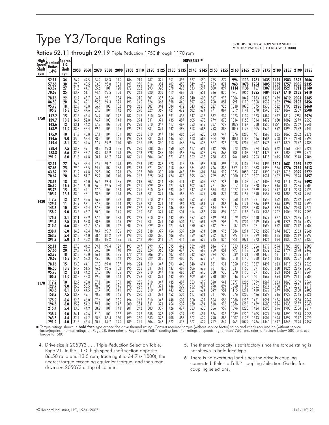# Type Y3/Torque Ratings

(POUND-INCHES AT LOW SPEED SHAFT. . . MULTIPLY VALUES LISTED BELOW BY 1000)

Ratios 52.11 through 29.19 Triple Reduction 1750 through 1170 rpm

| High<br>Speed | Nominal <sup>Approx</sup>  |                      |                             |                      |                      |                     |                   |                   |                   |                   |                   |                   |                   | <b>DRIVE SIZE *</b> |                   |                   |                   |                     |                      |                      |                      |                      |                      |                       |                      |
|---------------|----------------------------|----------------------|-----------------------------|----------------------|----------------------|---------------------|-------------------|-------------------|-------------------|-------------------|-------------------|-------------------|-------------------|---------------------|-------------------|-------------------|-------------------|---------------------|----------------------|----------------------|----------------------|----------------------|----------------------|-----------------------|----------------------|
| Shaft<br>rpm  | <b>Ratios</b><br>$\pm 4\%$ | L.S.<br>Shaft<br>rpm | 2050                        | 2060                 | 2070                 | 2080                | 2090              | 2100              | 2110              | 2120              | 2125              | 2130              | 2135              | 2140 2145           |                   | 2150              | 2155              | 2160                | 2165                 | 2170                 | 2175                 | 2180                 | 2185                 | 2190                  | 2195                 |
|               | 52.11                      | 34                   | 26.2                        | 42.5                 | 56.9                 | 86.3                | 116               | 186               | 219               | 287               | 321               | 351               | 393               | 527                 | 590               | 785               | 879               | 994                 | 1113                 | 1281                 | 1435                 | 1471                 | 1583                 | 1827                  | 2046                 |
|               | 57.66                      | 30                   | 29.0                        | 45.5                 | 63.8                 | 95.8                | 133               | 191               | 250               | 316               | 354               | 402               | 450               | 549                 | 615               | 733               | 821               | 963                 | 1078                 | 1254                 | 1405                 | 1569                 | 1757                 | 2085                  | 2335                 |
|               | 63.82                      | 27                   | 31.5                        | 44.7                 | 65.6                 | 101                 | 120               | 172               | 232               | 293               | 328               | 378               | 423               | 533                 | 597               | 800               | 897               | 1114                | 1138                 | 1167                 | 1307                 | 1358                 | 1521                 | 1911                  | 2140                 |
|               | 70.62                      | 25                   | 33.7                        | 51.1                 | 74.4                 | 99.5                | 138               | 192               | 262               | 320               | 358               | 419               | 469               | 581                 | 651               | 746               | 835               | 943                 | 1056                 | 1325                 | 1484                 | 1527                 | 1710                 | 2152                  | 2410                 |
|               | 78.16                      | 22                   | 32.7                        | 43.7                 | 66.1                 | 95.1                | 134               | 194               | 215               | 301               | 337               | 364               | 389               | 540                 | 605               | 817               | 915               | 1004                | 1042                 | 1183                 | 1325                 | 1439                 | 1612                 | 2094                  | 2345                 |
|               | 86.50                      | 20                   | 34.0                        | 49.1                 | 75.5                 | 94.3                | 129               | 193               | 245               | 324               | 363               | 398               | 446               | 597                 | 669               | 760               | 851               | 991                 | 1110                 | 1368                 | 1532                 | 1602                 | 1794                 | 2193                  | 2456                 |
|               | 95.73                      | 18                   | 32.9                        | 43.8                 | 66.7                 | 100                 | 132               | 196               | 266               | 307               | 344               | 384               | 412               | 543                 | 608               | 827               | 926               | 1038                | 1078                 | 1375                 | 1538                 | 1522                 | 1705                 | 2196                  | 2460                 |
|               | 105.9                      | 16.5                 | 32.7                        | 47.6                 | 67.9                 | 104                 | 142               | 195               | 270               | 329               | 369               | 421               | 472               | 602                 | 674               | 771               | 864               | 1019                | 1141                 | 1378                 | 1543                 | 1667                 | 1867                 | 2239                  | 2508                 |
| 1750          | 117.2                      | 15                   | 32.5                        | 45.4                 | 66.7                 | 103                 | 127               | 182               | 247               | 310               | 347               | 391               | 438               | 547                 | 613               | 832               | 932               | 1073                | 1139                 | 1323                 | 1482                 | 1622                 | 1817                 | 2254                  | 2524                 |
|               | 129.7                      | 13.5                 | 34.7                        | 52.8                 | 76.7                 | 103                 | 143               | 196               | 274               | 331               | 371               | 435               | 487               | 605                 | 678               | 779               | 873               | 1034                | 1158                 | 1314                 | 1472                 | 1680                 | 1882                 | 2279                  | 2553                 |
|               | 143.6                      | 12                   | 33.1                        | 44.2                 | 67.2                 | 107                 | 138               | 197               | 228               | 310               | 347               | 417               | 467               | 553                 | 619               | 837               | 937               | 1092                | 1167                 | 1388                 | 1555                 | 1654                 | 1852                 | 2269                  | 2546                 |
|               | 158.9                      | 11.0                 | 33.3                        | 48.4                 | 69.4                 | 105                 | 145               | 195               | 261               | 331               | 371               | 442               | 495               | 613                 | 686               | 793               | 888               | 1049                | 1175                 | 1405                 | 1574                 | 1692                 | 1895                 | 2179                  | 2441                 |
|               | 175.9                      | 10                   | 31.9                        | 45.8                 | 67.1                 | 104                 | 131               | 189               | 256               | 310               | 347               | 434               | 486               | 554                 | 620               | 843               | 944               | 1076                | 1205                 | 1401                 | 1569                 | 1665                 | 1865                 | 2032                  | 2276                 |
|               | 194.6                      | 9.0                  | 35.0                        | 53.4                 | 78.2                 | 105                 | 146               | 198               | 279               | 331               | 371               | 446               | 500               | 613                 | 687               | 804               | 900               | 1061                | 1188                 | 1416                 | 1586                 | 1708                 | 1913                 | 2320                  | 2598                 |
|               | 215.4                      | 8.1                  | 33.4                        | 44.6                 | 67.7                 | 99.9                | 140               | 200               | 236               | 295               | 330               | 413               | 463               | 556                 | 623               | 827               | 926               | 1078                | 1207                 | 1407                 | 1576                 | 1677                 | 1878                 | 2177                  | 2438                 |
|               | 238.4                      | 7.5                  | 33.7                        | 49.1                 | 70.2                 | 99.3                | 135               | 197               | 270               | 338               | 378               | 450               | 504               | 617                 | 691               | 812               | 909               | 1073                | 1202                 | 1374                 | 1539                 | 1662                 | 1861                 | 2345                  | 2626                 |
|               | 263.8                      | 6.6                  | 32.3                        | 43.7                 | 58.2                 | 84.9                | 128               | 196               | 248               | 328               | 367               | 404               | 453               | 556                 | 623               | 775               | 868               | 989                 | 1108                 | 1317                 | 1475                 | 1681                 | 1883                 | 2296                  | 2571                 |
|               | 291.9                      | 6.0                  | 31.5                        | 44.8                 | 60.1                 | 86.7                | 124               | 187               | 241               | 304               | 340               | 371               | 415               | 552                 | 618               | 738               | 827               | 944                 | 1057                 | 1263                 | 1415                 | 1615                 | 1809                 | 2148                  | 2406                 |
|               | 52.11                      | 27                   | 26.5                        | 43.4                 | 57.9                 | 91.7                | 123               | 190               | 233               | 293               | 328               | 373               | 418               | 534                 | 598               | 800               | 896               | 1015                | 1137                 | 1334                 | 1494                 | 1501                 | 1681                 | 1939                  | 2172                 |
|               | 57.66                      | 25                   | 29.4                        | 46.5                 | 64.9                 | 102                 | 138               | 193               | 263               | 321               | 360               | 418               | 468               | 584                 | 654               | 746               | 835               | 982                 | 1100                 | 1333                 | 1493                 | 1586                 | 1776                 | 2154                  | 2413                 |
|               | 63.82                      | 22                   | 31.9                        | 44.8                 | 65.8                 | 102                 | 123               | 176               | 237               | 300               | 336               | 400               | 448               | 539                 | 604               | 814               | 912               | 1023                | 1055                 | 1241                 | 1390                 | 1442                 | 1615                 | 2029                  | 2272                 |
|               | 70.62                      | 20                   | 34.2                        | 51.7                 | 75.2                 | 101                 | 140               | 194               | 267               | 325               | 364               | 424               | 475               | 595                 | 666               | 759               | 850               | 1000                | 1120                 | 1367                 | 1531                 | 1602                 | 1794                 | 2194                  | 2457                 |
|               | 78.16                      | 18                   | 33.0                        | 44.0                 | 66.4                 | 96.4                | 135               | 195               | 219               | 307               | 344               | 384               | 411               | 542                 | 607               | 827               | 926               | 1040                | 1108                 | 1257                 | 1408                 | 1528                 | 1711                 | 2226                  | 2493                 |
|               | 86.50                      | 16.5                 | 34.4                        | 50.0                 | 76.0                 | 95.5                | 130               | 194               | 251               | 329               | 368               | 421               | 471               | 602                 | 674               | 771               | 863               | 1017                | 1139                 | 1378                 | 1543                 | 1616                 | 1810                 | 2236                  | 2504                 |
|               | 95.73                      | 15                   | 33.0                        | 44.1                 | 67.0                 | 106                 | 134               | 197               | 275               | 310               | 347               | 393               | 440               | 547                 | 613               | 834               | 934               | 1077                | 1148                 | 1379                 | 1549                 | 1617                 | 1811                 | 2253                  | 2523                 |
|               | 105.9                      | 13.5                 | 33.0                        | 48.1                 | 68.5                 | 105                 | 143               | 196               | 273               | 331               | 371               | 436               | 488               | 604                 | 677               | 780               | 874               | 1033                | 1157                 | 1390                 | 1557                 | 1683                 | 1885                 | 2278                  | 2551                 |
| 1430          | 117.2                      | 12                   | 32.6                        | 45.6                 | 66.7                 | 104                 | 129               | 185               | 251               | 310               | 347               | 414               | 464               | 552                 | 618               | 838               | 938               | 1068                | 1196                 | 1391                 | 1558                 | 1652                 | 1850                 | 2272                  | 2545                 |
|               | 129.7                      | 11                   | 34.9                        | 53.1                 | 77.3                 | 104                 | 144               | 197               | 276               | 331               | 371               | 441               | 494               | 608                 | 681               | 791               | 886               | 1046                | 1171                 | 1336                 | 1496                 | 1696                 | 1899                 | 2313                  | 2590                 |
|               | 143.6                      | 10                   | 33.3                        | 44.4                 | 67.3                 | 108                 | 139               | 199               | 232               | 310               | 347               | 436               | 488               | 554                 | 620               | 844               | 945               | 1077                | 1206                 | 1398                 | 1566                 | 1664                 | 1864                 | 2028                  | 2271                 |
|               | 158.9                      | 9.0                  | 33.5                        | 48.7                 | 70.0                 | 106                 | 145               | 197               | 265               | 331               | 371               | 447               | 501               | 614                 | 688               | 798               | 894               | 1061                | 1188                 | 1413                 | 1583                 | 1702                 | 1906                 | 2315                  | 2593                 |
|               | 175.9                      | 8.1                  | 32.1                        | 45.9                 | 67.4                 | 105                 | 133               | 192               | 259               | 310               | 347               | 442               | 495               | 557                 | 624               | 849               | 951               | 1079                | 1208                 | 1410                 | 1579                 | 1677                 | 1878                 | 2155                  | 2414                 |
|               | 194.6                      | 7.5                  | 35.1                        | 53.8                 | 78.6                 | 106                 | 146               | 199               | 281               | 331               | 371               | 450               | 504               | 617                 | 691               | 809               | 906               | 1075                | 1204                 | 1419                 | 1589                 | 1720                 | 1926                 | 2346                  | 2627                 |
|               | 215.4                      | 6.6                  | 33.5                        | 44.7                 | 67.9                 | 101                 | 142               | 201               | 239               | 299               | 335               | 421               | 471               | 560                 | 627               | 842               | 943               | 1087                | 1217                 | 1421                 | 1592                 | 1682                 | 1884                 | 2312                  | 2589                 |
|               | 238.4                      | 6.0                  | 34.0                        | 49.4                 | 70.7                 | 99.7                | 136               | 199               | 273               | 338               | 379               | 454               | 509               | 620                 | 694               | 818               | 916               | 1084                | 1214                 | 1392                 | 1559                 | 1674                 | 1875                 | 2363                  | 2646                 |
|               | 263.8                      | 5.4                  | 32.5                        | 44.0                 | 58.4                 | 85.2                | 129               | 198               | 250               | 330               | 370               | 406               | 455               | 559                 | 626               | 782               | 876               | 997                 | 1117                 | 1329                 | 1488                 | 1685                 | 1887                 | 2319                  | 2597                 |
|               | 291.9                      | 5.0                  | 31.6                        | 45.2                 | 60.2                 | 87.2                | 125               | 188.              | 242               | 304               | 341               | 371               | 416               | 556                 | 623               | 745               | 834               | 956                 | 1071                 | 1273                 | 1426                 | 1634                 | 1830                 | 2177                  | 2438                 |
|               | 52.11                      | 22                   | 27.0                        | 44.2                 | 59.1                 | 97.4                | 129               | 193               | 247               | 299               | 335               | 395               | 442               | 539                 | 604               | 816               | 914               | 1033                | 1157                 | 1356                 | 1519                 | 1594                 | 1785                 | 2061                  | 2308                 |
|               | 57.66                      | 20                   | 29.9                        | 47.3                 | 66.3                 | 104                 | 140               | 194               | 266               | 324               | 363               | 426               | 477               | 597                 | 669               | 760               | 851               | 999                 | 1119                 | 1368                 | 1532                 | 1602                 | 1794                 | 2198                  | 2462                 |
|               | 63.82                      | 18                   | 32.3                        | 45.0                 | 66.1                 | 103                 | 125               | 179               | 242               | 306               | 343               | 407               | 456               | 542                 | 607               | 824               | 923               | 1039                | 1121                 | 1320                 | 1478                 | 1531                 | 1715                 | 2155                  | 2414                 |
|               | 70.62                      | 16.5                 | 34.4                        | 52.3                 | 75.8                 | 102                 | 142               | 195               | 270               | 329               | 368               | 429               | 480               | 601                 | 673               | 771               | 863               | 1018                | 1140                 | 1380                 | 1546                 | 1615                 | 1809                 | 2237                  | 2505                 |
|               | 78.16                      | 15                   | 33.0                        | 44.1                 | 67.0                 | 97.0                | 137               | 196               | 224               | 310               | 347               | 393               | 440               | 548                 | 614               | 831               | 931               | 1050                | 1176                 | 1337                 | 1497                 | 1623                 | 1818                 | 2253                  | 2523                 |
|               | 86.50                      | 13.5                 | 34.7                        | 51.5                 | 76.6                 | 96.6                | 132               | 195               | 256               | 331               | 371               | 437               | 489               | 606                 | 679               | 781               | 875               | 1031                | 1155                 | 1391                 | 1558                 | 1630                 | 1826                 | 2275                  | 2548                 |
|               | 95.73                      | $12 \,$              | 33.1                        | 44.2                 | 67.0                 | 107                 | 136               | 199               | 279               | 310               | 347               | 416               | 466               | 549                 | 615               | 838               | 938               | 1070                | 1198                 | 1391                 | 1558                 | 1653                 | 1851                 | 2271                  | 2544                 |
|               | 105.9                      | 11.0                 | 33.3                        | 48.3                 | 69.2                 | 106                 | 144               | 197               | 276               | 331               | 371               | 442               | 495               | 609                 | 682               | 790               | 885               | 1046                | 1172                 | 1401                 | 1569                 | 1694                 | 1897                 | 2311                  | 2588                 |
| 1170          | 117.2                      | 10                   | 32.7                        | 45.8                 | 67.1                 | 104                 | 131               | 189               | 255               | 310               | 347               | 435               | 487               | 553                 | 619               | 840               | 941               | 1077                | 1206                 | 1399                 | 1567                 | 1663                 | 1863                 | 2289                  | 2564                 |
|               | 129.7                      | 9.0                  | 35.0                        | 53.5                 | 78.3                 | 105                 | 146               | 198               | 279               | 331               | 371               | 446               | 500               | 613                 | 687               | 798               | 894               | 1060                | 1187                 | 1352                 | 1514                 | 1708                 | 1913                 | 2331                  | 2611                 |
|               | 143.6                      | 8.1                  | 33.4                        | 44.5                 | 67.7                 | 109                 | 141               | 199               | 236               | 310               | 347               | 443               | 496               | 557                 | 624               | 849               | 951               | 1115                | 1211                 | 1410                 | 1579                 | 1679                 | 1880                 | 2150                  | 2408                 |
|               | 158.9                      | 7.5                  | 33.7                        | 49.1                 | 70.2                 | 106                 | 146               | 197               | 270               | 331               | 371               | 452               | 506               | 617                 | 691               | 811               | 908               | 1076                | 1205                 | 1426                 | 1597                 | 1716                 | 1922                 | 2345                  | 2626                 |
|               | 175.9                      | 6.6                  | 32.3                        | 46.0                 | 67.6                 | 105                 | 135               | 194               | 263               | 310               | 347               | 448               | 502               | 560                 | 627               | 854               | 956               | 1088                | 1218                 | 1421                 | 1591                 | 1686                 | 1888                 | 2288                  | 2562                 |
|               | 194.6                      | 6.0                  | 35.2                        | 54.2                 | 79.1                 | 106                 | 147               | 200               | 284               | 331               | 371               | 454               | 509               | 620                 | 694               | 818               | 916               | 1086                | 1216                 | 1429                 | 1600                 | 1726                 | 1933                 | 2357                  | 2640                 |
|               | 215.4                      | 5.4                  | 33.5                        | 44.9                 | 68.2                 | 101                 | 143               | 201               | 242               | 303               | 339               | 426               | 477               | 563                 | 630               | 856               | 959               | 1096                | 1228                 | 1424                 | 1595                 | 1696                 | 1900                 | 2334                  | 2614                 |
|               | 238.4<br>263.8<br>291.9    | 5.0<br>4.4           | 34.1<br>32.7<br>4.0 $131.8$ | 49.6<br>44.2<br>45.4 | 71.0<br>58.6<br>60.4 | 100<br>85.4<br>87.7 | 137<br>130<br>126 | 199<br>199<br>189 | 277<br>250<br>245 | 338<br>333<br>306 | 378<br>373<br>343 | 459<br>408<br>372 | 514<br>457<br>417 | 622<br>562<br>562   | 697<br>629<br>629 | 826<br>790<br>752 | 925<br>885<br>842 | 1089<br>1007<br>963 | 1220<br>1128<br>1079 | 1405<br>1343<br>1286 | 1574<br>1504<br>1440 | 1688<br>1694<br>1647 | 1890<br>1897<br>1845 | 2373<br>2347<br> 2194 | 2658<br>2629<br>2457 |

Forque ratings shown in **bold face** type exceed the drive thermal rating. Convert required torque (without service factor) to hp and check required hp (without service factor) to hp and check required hp (without service

- 4. Drive size is 2050Y3 . . . Triple Reduction Selection Table, Page 21. In the 1170 high speed shaft section opposite 86.50 ratio and 13.5 rpm, trace right to 34.7 (x 1000), the nearest torque exceeding equivalent torque, and then read drive size 2050Y3 at top of column.
- 5. The thermal capacity is satisfactory since the torque rating is not shown in bold face type.
- 6. There is no overhung load since the drive is coupling connected. Refer to Falk™ coupling Selection Guides for coupling selections.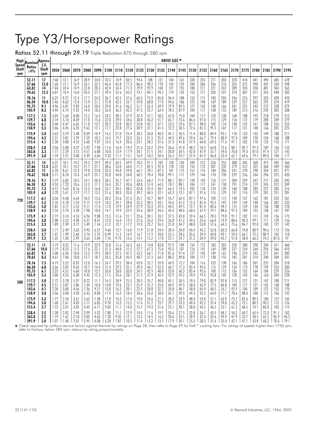# Type Y3/Horsepower Ratings

Ratios 52.11 through 29.19 Triple Reduction 870 through 580 rpm

| High                         | Nominal Approx.            |                      |                      |                          |                      |                      |                      |                      |                      |                      |                      |                      |                      | DRIVE SIZE *         |                      |                      |                      |                      |                      |                      |                      |                      |                     |                   |                   |
|------------------------------|----------------------------|----------------------|----------------------|--------------------------|----------------------|----------------------|----------------------|----------------------|----------------------|----------------------|----------------------|----------------------|----------------------|----------------------|----------------------|----------------------|----------------------|----------------------|----------------------|----------------------|----------------------|----------------------|---------------------|-------------------|-------------------|
| <b>Speed</b><br>Shaft<br>rpm | <b>Ratios</b><br>$\pm 4\%$ | L.S.<br>Shaft<br>rpm | 2050                 | 2060                     | 2070                 | 2080                 | 2090                 | 2100                 | 2110                 | 2120                 | 2125                 | 2130                 | 2135                 | 2140                 | 2145                 | 2150                 | 2155                 | 2160                 | 2165                 | 2170                 | 2175                 | 2180                 | 2185                | 2190              | 2195              |
|                              | 52.11                      | 17                   | 7.60                 | 12.1                     | 16.9                 | 28.9                 | 34.8                 | 53.2                 | 74.9                 | 84.5                 | 94.6                 | 108                  | 121                  | 144                  | 161                  | 228                  | 255                  | 271                  | 303                  | 370                  | 414                  | 441                  | 494                 | 605               | 678               |
|                              | 57.66                      | 15.0                 | 7.60                 | 12.1                     | 16.9                 | 26.1                 | 32.5                 | 46.4                 | 65.8                 | 77.3                 | 86.6                 | 98.2                 | 110                  | 142                  | 159                  | 184                  | 206                  | 246                  | 276                  | 335                  | 375                  | 390                  | 437                 | 534               | 598               |
|                              | 63.82                      | 14                   | 7.44                 | 10.4                     | 14.9                 | 22.8                 | 28.3                 | 42.0                 | 54.4                 | 71.3                 | 79.9                 | 92.9                 | 104                  | 121                  | 135                  | 188                  | 211                  | 221                  | 247                  | 289                  | 324                  | 358                  | 401                 | 504               | 565               |
|                              | 70.62                      | 12.5                 | 6.87                 | 10.4                     | 16.0                 | 20.3                 | 27.7                 | 39.4                 | 52.6                 | 65.3                 | 73.1                 | 84.1                 | 94.2                 | 119                  | 133                  | 153                  | 171                  | 203                  | 227                  | 274                  | 307                  | 317                  | 355                 | 448               | 502               |
|                              | 78.16                      | 11                   | 6.25                 | 8.21                     | 12.4                 | 17.7                 | 24.3                 | 36.7                 | 42.5                 | 57.6                 | 64.5                 | 75.9                 | 85.0                 | 96.4                 | 108                  | 153                  | 171                  | 183                  | 205                  | 246                  | 276                  | 297                  | 333                 | 420               | 470               |
|                              | 86.50                      | 10.0                 | 5.46                 | 8.62                     | 12.8                 | 15.9                 | 21.2                 | 31.8                 | 42.5                 | 52.7                 | 59.0                 | 68.8                 | 77.0                 | 94.6                 | 106                  | 125                  | 140                  | 169                  | 189                  | 229                  | 257                  | 263                  | 295                 | 374               | 419               |
|                              | 95.73                      | 9.1                  | 4.96                 | 6.81                     | 9.83                 | 16.0                 | 20.0                 | 29.8                 | 41.6                 | 46.2                 | 51.7                 | 62.4                 | 69.9                 | 79.9                 | 89.5                 | 127                  | 142                  | 148                  | 166                  | 201                  | 225                  | 243                  | 272                 | 338               | 379               |
|                              | 105.9                      | 8.3                  | 4.44                 | 6.74                     | 9.32                 | 14.0                 | 18.3                 | 26.0                 | 36.3                 | 42.2                 | 47.3                 | 55.7                 | 62.4                 | 78.5                 | 87.9                 | 104                  | 117                  | 138                  | 155                  | 189                  | 212                  | 216                  | 242                 | 302               | 338               |
| 870                          | 117.2                      | 7.5                  | 4.05                 | 5.64                     | 8.00                 | 12.2                 | 16.3                 | 24.2                 | 30.5                 | 37.9                 | 42.4                 | 52.1                 | 58.3                 | 67.0                 | 75.0                 | 104                  | 117                  | 123                  | 138                  | 168                  | 188                  | 195                  | 218                 | 279               | 313               |
|                              | 129.7                      | 6.8                  | 3.74                 | 5.74                     | 8.69                 | 11.0                 | 15.6                 | 22.0                 | 29.0                 | 34.6                 | 38.8                 | 46.2                 | 51.7                 | 65.7                 | 73.6                 | 86.6                 | 97.0                 | 115                  | 129                  | 154                  | 172                  | 179                  | 200                 | 249               | 279               |
|                              | 143.6                      | 6.1                  | 3.40                 | 4.47                     | 6.65                 | 11.0                 | 13.7                 | 20.5                 | 23.8                 | 30.2                 | 33.8                 | 42.1                 | 47.1                 | 53.2                 | 59.6                 | 87.5                 | 98.0                 | 102                  | 114                  | 138                  | 155                  | 161                  | 180                 | 226               | 253               |
|                              | 158.9                      | 5.5                  | 3.06                 | 4.45                     | 6.35                 | 9.62                 | 12.1                 | 17.7                 | 23.8                 | 27.6                 | 30.9                 | 37.1                 | 41.5                 | 52.2                 | 58.5                 | 72.6                 | 81.3                 | 95.5                 | 107                  | 117                  | 131                  | 148                  | 166                 | 201               | 225               |
|                              | 175.9                      | 5.0                  | 2.63                 | 3.79                     | 5.48                 | 8.39                 | 10.9                 | 16.2                 | 21.0                 | 25.4                 | 28.5                 | 36.0                 | 40.3                 | 45.1                 | 50.5                 | 71.4                 | 80.0                 | 84.9                 | 95.1                 | 110                  | 123                  | 133                  | 149                 | 188               | 211               |
|                              | 194.6                      | 4.5                  | 2.51                 | 3.87                     | 5.99                 | 7.59                 | 10.2                 | 14.5                 | 19.7                 | 23.3                 | 26.1                 | 31.5                 | 35.3                 | 44.3                 | 49.6                 | 59.6                 | 66.7                 | 79.4                 | 88.9                 | 97.3                 | 109                  | 120                  | 134                 | 168               | 188               |
|                              | 215.4                      | 4.1                  | 2.28                 | 3.00                     | 4.55                 | 6.60                 | 9.07                 | 13.5                 | 16.4                 | 20.6                 | 23.1                 | 28.2                 | 31.6                 | 37.3                 | 41.8                 | 57.9                 | 64.8                 | 69.3                 | 77.6                 | 91.1                 | 102                  | 110                  | 123                 | 153               | 171               |
|                              | 238.4<br>263.8<br>291.9    | 3.8<br>3.3<br>3.0    | 2.06<br>1.77<br>1.59 | 3.00<br>$^{2.39}_{2.21}$ | 4.37<br>3.13<br>3.00 | 5.92<br>4.51<br>4.39 | 7.90<br>6.88<br>6.06 | 11.6<br>10.8<br>9.33 | 16.4<br>13.9<br>11.7 | 19.3<br>17.9<br>15.1 | 21.6<br>20.1<br>16.9 | 26.2<br>21.5<br>18.2 | 29.4<br>24.1<br>20.4 | 36.6<br>30.8<br>26.5 | 41.0<br>34.5<br>29.7 | 48.5<br>42.8<br>37.4 | 54.3<br>47.9<br>41.9 | 64.8<br>52.7<br>46.8 | 72.6<br>59.0<br>52.4 | 80.1<br>70.8<br>62.1 | 89.7<br>79.3<br>69.6 | 97.3<br>87.0<br>79.5 | 109<br>97.4<br>89.0 | 136<br>127<br>104 | 152<br>142<br>117 |
|                              | 52.11                      | 14                   | 6.37                 | 10.1                     | 14.2                 | 24.3                 | 29.2                 | 44.3                 | 63.5                 | 69.9                 | 78.3                 | 91.1                 | 102                  | 120                  | 134                  | 189                  | 212                  | 226                  | 253                  | 308                  | 345                  | 368                  | 412                 | 505               | 566               |
|                              | 57.66                      | 12.5                 | 6.37                 | 10.1                     | 14.2                 | 21.7                 | 27.1                 | 38.6                 | 55.0                 | 64.0                 | 71.7                 | 82.5                 | 92.4                 | 118                  | 132                  | 154                  | 173                  | 207                  | 232                  | 279                  | 312                  | 325                  | 364                 | 449               | 503               |
|                              | 63.82                      | 11.                  | 6.18                 | 8.61                     | 12.4                 | 19.0                 | 23.8                 | 35.3                 | 45.8                 | 59.0                 | 66.1                 | 78.1                 | 87.5                 | 101                  | 113                  | 157                  | 176                  | 184                  | 206                  | 241                  | 270                  | 298                  | 334                 | 421               | 471               |
|                              | 70.62                      | 10.0                 | 5.71                 | 8.70                     | 13.4                 | 16.9                 | 23.1                 | 32.8                 | 44.0                 | 54.0                 | 60.5                 | 70.4                 | 78.8                 | 99.1                 | 111                  | 129                  | 144                  | 170                  | 190                  | 229                  | 256                  | 264                  | 296                 | 375               | 420               |
|                              | 78.16                      | 9.1                  | 5.19                 | 6.82                     | 10.3                 | 14.7                 | 20.3                 | 30.5                 | 35.7                 | 47.7                 | 53.4                 | 64.2                 | 71.9                 | 80.1                 | 89.7                 | 128                  | 143                  | 153                  | 171                  | 204                  | 229                  | 247                  | 277                 | 350               | 392               |
|                              | 86.50                      | 8.3                  | 4.53                 | 7.23                     | 10.6                 | 13.2                 | 17.7                 | 26.4                 | 35.7                 | 43.6                 | 48.8                 | 57.4                 | 64.3                 | 78.7                 | 88.1                 | 104                  | 117                  | 141                  | 158                  | 191                  | 214                  | 219                  | 245                 | 312               | 349               |
|                              | 95.73                      | 7.5                  | 4.12                 | 5.65                     | 8.16                 | 13.3                 | 16.8                 | 24.7                 | 34.5                 | 38.2                 | 42.8                 | 52.4                 | 58.7                 | 66.5                 | 74.5                 | 105                  | 118                  | 124                  | 139                  | 168                  | 188                  | 203                  | 227                 | 282               | 316               |
|                              | 105.9                      | 6.8                  | 3.70                 | 5.61                     | 7.77                 | 11.7                 | 15.2                 | 21.6                 | 30.3                 | 35.0                 | 39.2                 | 46.5                 | 52.1                 | 65.3                 | 73.1                 | 87.1                 | 97.6                 | 115                  | 129                  | 157                  | 176                  | 179                  | 201                 | 251               | 281               |
| 720                          | 117.2                      | 6.1                  | 3.36                 | 4.68                     | 6.64                 | 10.2                 | 13.6                 | 20.2                 | 25.6                 | 31.3                 | 35.1                 | 43.7                 | 48.9                 | 55.7                 | 62.4                 | 87.1                 | 97.6                 | 103                  | 115                  | 140                  | 157                  | 162                  | 181                 | 233               | 261               |
|                              | 129.7                      | 5.5                  | 3.10                 | 4.78                     | 7.24                 | 9.17                 | 12.9                 | 18.3                 | 24.1                 | 28.8                 | 32.2                 | 38.5                 | 43.1                 | 54.6                 | 61.2                 | 72.3                 | 81.0                 | 95.5                 | 107                  | 129                  | 144                  | 148                  | 166                 | 207               | 232               |
|                              | 143.6                      | 5.0                  | 2.82                 | 3.71                     | 5.52                 | 9.11                 | 11.4                 | 17.0                 | 19.9                 | 24.9                 | 27.9                 | 35.3                 | 39.5                 | 44.2                 | 49.5                 | 72.7                 | 81.4                 | 84.6                 | 94.7                 | 115                  | 129                  | 134                  | 150                 | 188               | 210               |
|                              | 158.9                      | 4.5                  | 2.54                 | 3.70                     | 5.28                 | 7.98                 | 10.0                 | 14.7                 | 19.9                 | 22.9                 | 25.6                 | 30.9                 | 34.6                 | 43.4                 | 48.6                 | 60.6                 | 67.9                 | 79.1                 | 88.6                 | 97.3                 | 109                  | 123                  | 138                 | 167               | 187               |
|                              | 175.9                      | 4.1                  | 2.19                 | 3.14                     | 4.55                 | 6.96                 | 9.08                 | 13.5                 | 17.6                 | 21.1                 | 23.6                 | 30.1                 | 33.7                 | 37.5                 | 42.0                 | 59.4                 | 66.5                 | 70.5                 | 79.0                 | 91.1                 | 102                  | 111                  | 124                 | 156               | 175               |
|                              | 194.6                      | 3.8                  | 2.08                 | 3.22                     | 4.98                 | 6.31                 | 8.47                 | 12.0                 | 16.4                 | 19.3                 | 21.6                 | 26.2                 | 29.4                 | 36.8                 | 41.2                 | 49.6                 | 55.6                 | 66.0                 | 73.9                 | 80.6                 | 90.3                 | 99.1                 | 111                 | 139               | 156               |
|                              | 215.4                      | 3.3                  | 1.89                 | 2.49                     | 3.77                 | 5.49                 | 7.54                 | 11.2                 | 13.7                 | 17.2                 | 19.3                 | 23.7                 | 26.5                 | 31.0                 | 34.7                 | 48.0                 | 53.8                 | 57.6                 | 64.5                 | 75.6                 | 84.7                 | 92.0                 | 103                 | 127               | 142               |
|                              | 238.4                      | 3.0                  | 1.71                 | 2.49                     | 3.63                 | 4.93                 | 6.57                 | 9.66                 | 13.7                 | 16.0                 | 17.9                 | 21.8                 | 24.4                 | 30.4                 | 34.0                 | 40.4                 | 45.2                 | 53.8                 | 60.3                 | 66.8                 | 74.8                 | 80.9                 | 90.6                | 113               | 126               |
|                              | 263.8                      | 2.7                  | 1.47                 | 1.99                     | 2.60                 | 3.74                 | 5.72                 | 8.99                 | 11.5                 | 14.9                 | 16.7                 | 17.9                 | 20.0                 | 25.5                 | 28.6                 | 35.6                 | 39.9                 | 43.8                 | 49.1                 | 59.0                 | 66.1                 | 72.2                 | 80.9                | 105               | 118               |
|                              | 291.9                      | 2.5                  | 1.32                 | 1.83                     | 2.49                 | 3.65                 | 5.04                 | 7.76                 | 9.72                 | 12.6                 | 14.1                 | 15.2                 | 17.0                 | 22.1                 | 24.7                 | 31.2                 | 34.9                 | 39.0                 | 43.7                 | 51.8                 | 58.0                 | 66.3                 | 74.2                | 87.0              | 97                |
|                              | 52.11                      | 11                   | 5.19                 | 8.25                     | 11.6                 | 19.9                 | 23.9                 | 35.8                 | 51.6                 | 56.3                 | 63.1                 | 74.8                 | 83.8                 | 97.3                 | 109                  | 154                  | 172                  | 183                  | 205                  | 250                  | 280                  | 298                  | 334                 | 411               | 460               |
|                              | 57.66                      | 10.0                 | 5.19                 | 8.25                     | 11.5                 | 17.6                 | 22.1                 | 31.3                 | 44.8                 | 51.5                 | 57.7                 | 67.3                 | 75.4                 | 95.5                 | 107                  | 126                  | 141                  | 169                  | 189                  | 227                  | 254                  | 264                  | 296                 | 366               | 410               |
|                              | 63.82                      | 9.1                  | 5.00                 | 6.96                     | 10.0                 | 15.3                 | 19.5                 | 28.9                 | 37.5                 | 47.5                 | 53.2                 | 64.1                 | 71.8                 | 81.6                 | 91.4                 | 127                  | 142                  | 149                  | 167                  | 196                  | 219                  | 242                  | 271                 | 341               | 382               |
|                              | 70.62                      | 8.3                  | 4.61                 | 7.06                     | 10.8                 | 13.7                 | 18.7                 | 26.5                 | 35.8                 | 43.5                 | 48.7                 | 57.3                 | 64.2                 | 80.2                 | 89.8                 | 104                  | 117                  | 138                  | 155                  | 185                  | 207                  | 214                  | 240                 | 304               | 341               |
|                              | 78.16                      | 7.5                  | 4.19                 | 5.52                     | 8.33                 | 12.0                 | 16.5                 | 24.7                 | 29.2                 | 38.4                 | 43.0                 | 52.7                 | 59.0                 | 64.9                 | 72.7                 | 104                  | 116                  | 123                  | 138                  | 166                  | 186                  | 201                  | 225                 | 284               | 318               |
|                              | 86.50                      | 6.8                  | 3.66                 | 5.87                     | 8.63                 | 10.7                 | 14.4                 | 21.4                 | 29.2                 | 35.1                 | 39.3                 | 46.7                 | 52.3                 | 63.7                 | 71.3                 | 85.4                 | 95.6                 | 115                  | 129                  | 154                  | 173                  | 178                  | 199                 | 253               | 283               |
|                              | 95.73                      | 6.1                  | 3.33                 | 4.57                     | 6.60                 | 10.8                 | 13.7                 | 20.0                 | 28.0                 | 30.8                 | 34.5                 | 42.9                 | 48.0                 | 53.8                 | 60.3                 | 85.4                 | 95.6                 | 100                  | 112                  | 136                  | 152                  | 164                  | 184                 | 229               | 256               |
|                              | 105.9                      | 5.5                  | 3.00                 | 4.55                     | 6.30                 | 9.42                 | 12.3                 | 17.5                 | 24.6                 | 28.1                 | 31.5                 | 37.9                 | 42.4                 | 52.9                 | 59.2                 | 70.9                 | 79.4                 | 93.8                 | 105                  | 128                  | 143                  | 146                  | 163                 | 204               | 228               |
| 580                          | 117.2                      | 5.0                  | 2.72                 | 3.78                     | 5.37                 | 8.22                 | 11.1                 | 16.5                 | 20.9                 | 25.3                 | 28.3                 | 35.7                 | 40.0                 | 45.1                 | 50.5                 | 70.5                 | 79.0                 | 82.9                 | 92.8                 | 113                  | 127                  | 131                  | 147                 | 188               | 211               |
|                              | 129.7                      | 4.5                  | 2.51                 | 3.87                     | 5.86                 | 7.44                 | 10.4                 | 14.8                 | 19.6                 | 23.1                 | 25.9                 | 31.3                 | 35.0                 | 44.2                 | 49.5                 | 58.8                 | 65.9                 | 77.5                 | 86.8                 | 104                  | 117                  | 121                  | 135                 | 168               | 188               |
|                              | 143.6                      | 4.1                  | 2.28                 | 3.00                     | 4.46                 | 7.36                 | 9.27                 | 13.8                 | 16.2                 | 20.1                 | 22.5                 | 28.8                 | 32.2                 | 35.8                 | 40.1                 | 58.8                 | 65.9                 | 68.5                 | 76.7                 | 92.9                 | 104                  | 109                  | 122                 | 152               | 170               |
|                              | 158.9                      | 3.8                  | 2.06                 | 3.00                     | 4.28                 | 6.45                 | 8.08                 | 11.9                 | 16.2                 | 18.4                 | 20.6                 | 25.0                 | 28.0                 | 35.1                 | 39.3                 | 49.3                 | 55.2                 | 64.0                 | 71.7                 | 78.6                 | 88.0                 | 100                  | 112                 | 136               | 152               |
|                              | 175.9                      | 3.3                  | 1.77                 | 2.54                     | 3.67                 | 5.62                 | 7.38                 | 11.0                 | 14.3                 | 17.0                 | 19.0                 | 24.6                 | 27.5                 | 30.3                 | 33.9                 | 48.0                 | 53.8                 | 57.1                 | 63.9                 | 73.7                 | 82.6                 | 89.3                 | 100                 | 127               | 142               |
|                              | 194.6                      | 3.0                  | 1.68                 | 2.61                     | 4.03                 | 5.11                 | 6.85                 | 9.70                 | 13.3                 | 15.5                 | 17.4                 | 21.2                 | 23.7                 | 29.7                 | 33.3                 | 40.4                 | 45.2                 | 53.4                 | 59.8                 | 65.3                 | 73.1                 | 80.5                 | 90.2                | 113               | 126               |
|                              | 215.4                      | 2.7                  | 1.52                 | 2.01                     | 3.05                 | 4.45                 | 6.11                 | 9.03                 | 11.1                 | 14.0                 | 15.7                 | 19.3                 | 21.6                 | 25.1                 | 28.1                 | 38.8                 | 43.5                 | 46.5                 | 52.1                 | 61.2                 | 68.5                 | 74.1                 | 83.0                | 103               | 115               |
|                              | 238.4                      | 2.5                  | 1.38                 | 2.02                     | 2.94                 | 3.99                 | 5.32                 | 7.80                 | 11.1                 | 12.9                 | 14.4                 | 17.6                 | 19.7                 | 24.6                 | 27.5                 | 32.8                 | 36.7                 | 43.5                 | 48.7                 | 54.2                 | 60.7                 | 65.4                 | 73.3                | 91.1              | 102               |
|                              | 263.8                      | 2.2                  | 1.19                 | 1.61                     | 2.10                 | 3.02                 | 4.63                 | 7.28                 | 9.32                 | 12.1                 | 13.5                 | 14.5                 | 16.2                 | 20.6                 | 23.1                 | 28.9                 | 32.4                 | 35.6                 | 39.9                 | 47.9                 | 53.7                 | 58.5                 | 65.5                | 85.9              | 96.2              |
|                              | 291.9                      | 2.0                  | 11.07                | 1.48                     | 2.01                 | 2.95                 | 4.08                 | 6.28                 | 7.87                 | 10.2                 | 11.4                 | 12.2                 | 13.7                 | 17.9                 | 20.1                 | 25.3                 | 28.3                 | 31.6                 | 35.4                 | 42.1                 | 47.1                 | 53.8                 | 60.2                | 70.6              | 79.1              |

★ Check required hp (without service factor) against thermal hp ratings on Page 28, then refer to Page 29 for Falk™ cooling fans. For ratings of speeds higher than 1750 rpm,<br>refer to Factory; below 580 rpm, reduce hp rati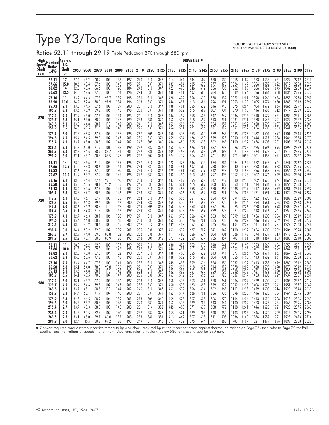# Type Y3/Torque Ratings

Ratios 52.11 through 29.19 Triple Reduction 870 through 580 rpm

(POUND-INCHES AT LOW SPEED SHAFT. . . MULTIPLY VALUES LISTED BELOW BY 1000)

|              | High Nominal Approx.<br>Speed Ratios L.S. |              |      |      |      |      |      |      |      |      |      |      |      | DRIVE SIZE * |     |      |      |      |      |      |      |      |      |      |      |
|--------------|-------------------------------------------|--------------|------|------|------|------|------|------|------|------|------|------|------|--------------|-----|------|------|------|------|------|------|------|------|------|------|
| Shaft<br>rpm | <b>Ratios</b><br>$\pm 4\%$                | Shaft<br>rpm | 2050 | 2060 | 2070 | 2080 | 2090 | 2100 | 2110 | 2120 | 2125 | 2130 | 2135 | 2140 2145    |     | 2150 | 2155 | 2160 | 2165 | 2170 | 2175 | 2180 | 2185 | 2190 | 2195 |
|              | 52.11                                     | 17           | 27.6 | 45.2 | 60.2 | 104  | 133  | 197  | 270  | 310  | 347  | 414  | 464  | 544          | 609 | 830  | 930  | 1055 | 1182 | 1373 | 1538 | 1631 | 1827 | 2242 | 2511 |
|              | 57.66                                     | 15.0         | 30.6 | 48.4 | 67.6 | 105  | 143  | 195  | 271  | 331  | 371  | 432  | 484  | 605          | 678 | 777  | 870  | 1024 | 1147 | 1386 | 1552 | 1622 | 1817 | 2258 | 2529 |
|              | 63.82                                     | 14           | 32.5 | 45.6 | 66.6 | 103  | 128  | 184  | 248  | 310  | 347  | 422  | 473  | 546          | 612 | 836  | 936  | 1062 | 1189 | 1386 | 1552 | 1645 | 1842 | 2263 | 2534 |
|              | 70.62                                     | 12.5         | 34.8 | 52.6 | 77.0 | 103  | 144  | 196  | 274  | 331  | 371  | 438  | 491  | 607          | 680 | 784  | 878  | 1039 | 1164 | 1396 | 1564 | 1638 | 1834 | 2295 | 2570 |
|              | 78.16                                     | 11           | 33.2 | 44.3 | 67.3 | 98.7 | 139  | 198  | 230  | 310  | 347  | 428  | 479  | 554          | 620 | 838  | 939  | 1072 | 1201 | 1398 | 1566 | 1656 | 1855 | 2278 | 2551 |
|              | 86.50                                     | 10.0         | 34.9 | 52.8 | 78.0 | 97.9 | 134  | 196  | 263  | 331  | 371  | 444  | 497  | 613          | 686 | 796  | 891  | 1053 | 1179 | 1405 | 1574 | 1650 | 1848 | 2319 | 2597 |
|              | 95.73                                     | 9.1          | 33.3 | 44.5 | 67.6 | 109  | 139  | 200  | 281  | 310  | 347  | 438  | 491  | 555          | 622 | 846  | 948  | 1075 | 1204 | 1404 | 1572 | 1666 | 1866 | 2297 | 2573 |
|              | 105.9                                     | 8.3          | 33.6 | 48.9 | 69.9 | 106  | 146  | 198  | 280  | 331  | 371  | 448  | 502  | 615          | 689 | 807  | 904  | 1070 | 1198 | 1416 | 1586 | 1712 | 1917 | 2339 | 2620 |
| 870          | 117.2                                     | 7.5          | 32.9 | 46.0 | 67.5 | 104  | 134  | 193  | 261  | 310  | 347  | 446  | 499  | 558          | 625 | 847  | 949  | 1086 | 1216 | 1410 | 1579 | 1681 | 1883 | 2311 | 2588 |
|              | 129.7                                     | 6.8          | 35.1 | 54.0 | 78.9 | 106  | 147  | 199  | 283  | 330  | 370  | 453  | 507  | 618          | 692 | 813  | 911  | 1081 | 1211 | 1378 | 1543 | 1721 | 1927 | 2352 | 2634 |
|              | 143.6                                     | 6.1          | 33.5 | 44.8 | 68.1 | 110  | 142  | 200  | 241  | 310  | 347  | 452  | 506  | 561          | 628 | 854  | 957  | 1091 | 1222 | 1420 | 1590 | 1687 | 1889 | 2329 | 2609 |
|              | 158.9                                     | 5.5          | 34.0 | 49.5 | 71.0 | 107  | 148  | 198  | 275  | 331  | 371  | 456  | 511  | 621          | 696 | 821  | 919  | 1091 | 1222 | 1436 | 1608 | 1733 | 1941 | 2365 | 2649 |
|              | 175.9                                     | 5.0          | 32.5 | 46.3 | 67.9 | 105  | 137  | 198  | 267  | 309  | 346  | 458  | 513  | 563          | 630 | 859  | 962  | 1095 | 1226 | 1432 | 1604 | 1697 | 1901 | 2344 | 2625 |
|              | 194.6                                     | 4.5          | 35.4 | 54.5 | 79.9 | 107  | 147  | 201  | 286  | 331  | 371  | 459  | 514  | 624          | 699 | 829  | 928  | 1090 | 1221 | 1444 | 1617 | 1738 | 1946 | 2384 | 2670 |
|              | 215.4                                     | 4.1          | 33.7 | 45.0 | 68.5 | 102  | 144  | 202  | 247  | 309  | 346  | 434  | 486  | 565          | 633 | 862  | 965  | 1100 | 1232 | 1436 | 1608 | 1701 | 1905 | 2354 | 2637 |
|              | 238.4                                     | 3.8          | 34.3 | 50.0 | 71.7 | 101  | 138  | 199  | 282  | 337  | 377  | 463  | 518  | 626          | 701 | 837  | 937  | 1096 | 1228 | 1425 | 1596 | 1695 | 1898 | 2389 | 2676 |
|              | 263.8                                     | 3.3          | 32.8 | 44.5 | 58.7 | 85.7 | 131  | 201  | 252  | 338  | 378  | 409  | 458  | 565          | 633 | 799  | 895  | 1021 | 1143 | 1364 | 1528 | 1707 | 1912 | 2385 | 2671 |
|              | 291.9                                     | 3.0          | 32.1 | 45.7 | 60.6 | 88.5 | 127  | 191  | 247  | 307  | 344  | 374  | 419  | 566          | 634 | 761  | 852  | 976  | 1093 | 1301 | 1457 | 1671 | 1872 | 2227 | 2494 |
|              | 52.11                                     | 14           | 28.0 | 45.6 | 61.2 | 106  | 135  | 198  | 277  | 310  | 347  | 422  | 473  | 546          | 612 | 834  | 934  | 1064 | 1192 | 1382 | 1548 | 1644 | 1841 | 2262 | 2533 |
|              | 57.66                                     | 12.5         | 31.0 | 48.8 | 68.6 | 105  | 144  | 196  | 274  | 331  | 371  | 438  | 491  | 607          | 680 | 788  | 882  | 1040 | 1165 | 1393 | 1560 | 1633 | 1829 | 2295 | 2570 |
|              | 63.82                                     | н            | 32.6 | 45.6 | 67.0 | 104  | 130  | 187  | 253  | 310  | 347  | 429  | 481  | 553          | 619 | 842  | 943  | 1070 | 1198 | 1396 | 1563 | 1655 | 1854 | 2279 | 2552 |
|              | 70.62                                     | 10.0         | 34.9 | 53.2 | 77.9 | 104  | 145  | 198  | 277  | 331  | 371  | 443  | 496  | 613          | 686 | 797  | 893  | 1052 | 1178 | 1407 | 1576 | 1649 | 1847 | 2320 | 2598 |
|              | 78.16                                     | 9.1          | 33.3 | 44.4 | 67.6 | 99.1 | 140  | 199  | 233  | 310  | 347  | 437  | 489  | 555          | 622 | 847  | 949  | 1080 | 1210 | 1402 | 1570 | 1664 | 1864 | 2296 | 2571 |
|              | 86.50                                     | 8.3          | 35.0 | 53.5 | 78.1 | 98.2 | 135  | 197  | 266  | 331  | 371  | 447  | 501  | 615          | 689 | 803  | 899  | 1063 | 1191 | 1414 | 1584 | 1655 | 1854 | 2333 | 2613 |
|              | 95.13                                     | 7.5          | 33.4 | 44.6 | 67.9 | 109  | 141  | 201  | 281  | 310  | 347  | 445  | 498  | 558          | 625 | 850  | 952  | 1088 | 1219 | 1417 | 1587 | 1679 | 1881 | 2314 | 2592 |
|              | 105.9                                     | 6.8          | 33.8 | 49.2 | 70.5 | 107  | 146  | 199  | 283  | 331  | 371  | 452  | 506  | 618          | 692 | 813  | 911  | 1076 | 1205 | 1421 | 1591 | 1718 | 1924 | 2350 | 2632 |
| 720          | 117.2                                     | 6.1          | 33.0 | 46.1 | 67.7 | 105  | 135  | 194  | 264  | 310  | 347  | 452  | 506  | 561          | 628 | 854  | 957  | 1094 | 1225 | 1422 | 1593 | 1687 | 1889 | 2329 | 2608 |
|              | 129.7                                     | 5.5          | 35.2 | 54.3 | 79.4 | 107  | 147  | 200  | 284  | 332  | 372  | 455  | 510  | 621          | 695 | 821  | 920  | 1084 | 1214 | 1394 | 1561 | 1725 | 1932 | 2363 | 2646 |
|              | 143.6                                     | 5.0          | 33.6 | 44.9 | 68.3 | 110  | 142  | 201  | 243  | 309  | 346  | 458  | 513  | 563          | 631 | 857  | 960  | 1095 | 1226 | 1428 | 1599 | 1698 | 1902 | 2337 | 2617 |
|              | 158.9                                     | 4.5          | 34.1 | 49.8 | 71.3 | 107  | 147  | 199  | 278  | 331  | 371  | 460  | 515  | 624          | 699 | 829  | 928  | 1091 | 1222 | 1443 | 1616 | 1741 | 1950 | 2375 | 2660 |
|              | 175.9                                     | 4.1          | 32.7 | 46.3 | 68.1 | 106  | 138  | 199  | 271  | 310  | 347  | 463  | 518  | 566          | 634 | 863  | 966  | 1099 | 1231 | 1436 | 1608 | 1706 | 1911 | 2349 | 2631 |
|              | 194.6                                     | 3.8          | 35.4 | 54.8 | 80.2 | 108  | 148  | 201  | 288  | 331  | 371  | 463  | 518  | 626          | 701 | 835  | 935  | 1096 | 1227 | 1446 | 1619 | 1739 | 1948 | 2390 | 2677 |
|              | 215.4                                     | 3.3          | 33.8 | 45.2 | 68.6 | 103  | 145  | 203  | 249  | 312  | 349  | 439  | 492  | 567          | 635 | 865  | 969  | 1104 | 1237 | 1441 | 1614 | 1721 | 1927 | 2363 | 2646 |
|              | 238.4                                     | 3.0          | 34.4 | 50.2 | 72.0 | 102  | 139  | 201  | 285  | 338  | 378  | 463  | 519  | 627          | 702 | 841  | 942  | 1100 | 1232 | 1436 | 1608 | 1702 | 1906 | 2394 | 2681 |
|              | 263.8                                     | 2.7          | 32.9 | 44.8 | 59.0 | 85.8 | 132  | 202  | 252  | 338  | 379  | 411  | 460  | 566          | 634 | 804  | 901  | 1026 | 1149 | 1374 | 1539 | 1713 | 1919 | 2395 | 2682 |
|              | 291.9                                     | 2.5          | 32.2 | 45.7 | 60.8 | 88.9 | 128  | 192  | 248  | 309  | 346  | 377  | 422  | 569          | 637 | 765  | 857  | 983  | 1101 | 1310 | 1467 | 1683 | 1885 | 2240 | 2509 |
|              | 52.11                                     | 11           | 28.3 | 46.2 | 62.0 | 108  | 137  | 199  | 279  | 310  | 347  | 430  | 482  | 552          | 618 | 840  | 941  | 1071 | 1199 | 1393 | 1560 | 1654 | 1853 | 2281 | 2555 |
|              | 57.66                                     | 10.0         | 31.3 | 49.5 | 69.0 | 106  | 145  | 198  | 277  | 331  | 371  | 444  | 497  | 611          | 684 | 797  | 893  | 1052 | 1178 | 1407 | 1576 | 1649 | 1847 | 2321 | 2600 |
|              | 63.82                                     | 9.1          | 32.8 | 45.8 | 67.0 | 104  | 132  | 190  | 257  | 310  | 347  | 438  | 490  | 555          | 622 | 843  | 944  | 1077 | 1206 | 1405 | 1574 | 1667 | 1867 | 2294 | 2569 |
|              | 70.62                                     | 8.3          | 35.0 | 53.6 | 77.9 | 105  | 146  | 198  | 280  | 331  | 371  | 448  | 502  | 615          | 689 | 804  | 901  | 1065 | 1193 | 1413 | 1582 | 1661 | 1860 | 2338 | 2619 |
|              | 78.16                                     | 7.5          | 33.4 | 44.7 | 67.8 | 100  | 141  | 200  | 237  | 310  | 347  | 445  | 498  | 559          | 626 | 854  | 956  | 1082 | 1212 | 1413 | 1583 | 1679 | 1880 | 2312 | 2589 |
|              | 86.50                                     | 6.8          | 35.1 | 54.0 | 78.9 | 98.8 | 136  | 198  | 271  | 331  | 371  | 452  | 506  | 618          | 692 | 814  | 912  | 1078 | 1207 | 1420 | 1590 | 1670 | 1870 | 2349 | 2631 |
|              | 95.13                                     | 6.1          | 33.6 | 44.8 | 68.1 | 110  | 142  | 202  | 284  | 310  | 347  | 452  | 506  | 561          | 628 | 854  | 957  | 1088 | 1219 | 1421 | 1592 | 1690 | 1893 | 2328 | 2607 |
|              | 105.9                                     | 5.5          | 34.1 | 49.5 | 70.9 | 107  | 147  | 200  | 285  | 330  | 370  | 457  | 512  | 621          | 696 | 821  | 920  | 1087 | 1217 | 1433 | 1605 | 1729 | 1937 | 2367 | 2651 |
| 580          | 117.2                                     | 5.0          | 33.1 | 46.2 | 67.9 | 106  | 136  | 197  | 268  | 310  | 347  | 458  | 513  | 563          | 631 | 858  | 961  | 1096 | 1227 | 1429 | 1600 | 1701 | 1905 | 2337 | 2617 |
|              | 129.7                                     | 4.5          | 35.4 | 54.6 | 79.8 | 107  | 147  | 201  | 287  | 331  | 371  | 460  | 515  | 623          | 698 | 829  | 929  | 1092 | 1223 | 1406 | 1575 | 1742 | 1951 | 2377 | 2662 |
|              | 143.6                                     | 4.1          | 33.7 | 45.1 | 68.5 | 110  | 144  | 202  | 246  | 310  | 347  | 463  | 519  | 566          | 634 | 862  | 965  | 1101 | 1233 | 1429 | 1600 | 1714 | 1920 | 2348 | 2630 |
|              | 158.9                                     | 3.8          | 34.4 | 50.1 | 71.7 | 107  | 148  | 200  | 281  | 331  | 371  | 462  | 517  | 626          | 701 | 836  | 936  | 1096 | 1228 | 1446 | 1620 | 1754 | 1964 | 2396 | 2684 |
|              | 175.9                                     | 3.3          | 32.8 | 46.5 | 68.2 | 106  | 139  | 201  | 273  | 309  | 346  | 469  | 525  | 567          | 635 | 866  | 970  | 1104 | 1236 | 1443 | 1616 | 1708 | 1913 | 2366 | 2650 |
|              | 194.6                                     | 3.0          | 35.5 | 55.2 | 80.6 | 108  | 148  | 202  | 290  | 331  | 371  | 463  | 518  | 629          | 704 | 843  | 944  | 1100 | 1232 | 1453 | 1627 | 1754 | 1965 | 2396 | 2684 |
|              | 215.4                                     | 2.7          | 33.7 | 45.3 | 68.9 | 103  | 145  | 203  | 251  | 314  | 352  | 445  | 498  | 571          | 639 | 868  | 972  | 1108 | 1241 | 1446 | 1620 | 1721 | 1928 | 2375 | 2660 |
|              | 238.4                                     | 2.5          | 34.5 | 50.5 | 72.4 | 102  | 140  | 201  | 287  | 337  | 377  | 465  | 521  | 629          | 705 | 848  | 950  | 1103 | 1235 | 1446 | 1620 | 1709 | 1914 | 2405 | 2694 |
|              | 263.8                                     | 2.2          | 33.1 | 45.0 | 59.1 | 86.0 | 132  | 203  | 253  | 340  | 381  | 413  | 462  | 567          | 635 | 811  | 908  | 1036 | 1160 | 1386 | 1552 | 1721 | 1928 | 2423 | 2714 |
|              | 291.9                                     | 2.0          | 32.4 | 45.9 | 60.9 | 89.2 | 128  | 193  | 249  | 311  | 348  | 377  | 422  | 575          | 644 | 771  | 863  | 988  | 1107 | 1321 | 1479 | 1696 | 1899 | 2258 | 2529 |

\* Convert required torque (without service factor) to hp and check required hp (without service factor) against thermal hp ratings on Page 28, then refer to Page 29 for Falk™<br>cooling fans. For ratings at speeds higher tha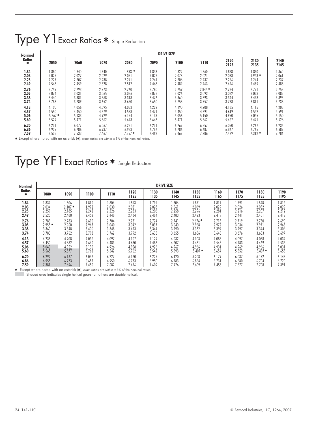# Type Y1 Exact Ratios \* Single Reduction

| <b>Nominal</b>   |          |       |       |           |       | <b>DRIVE SIZE</b> |          |              |              |              |
|------------------|----------|-------|-------|-----------|-------|-------------------|----------|--------------|--------------|--------------|
| Ratios<br>$\ast$ | 2050     | 2060  | 2070  | 2080      | 2090  | 2100              | 2110     | 2120<br>2125 | 2130<br>2135 | 2140<br>2145 |
| 1.84             | 1.880    | 840   | 1.840 | $1.893$ * | 1.848 | 1.822             | 1.860    | 1.878        | 1.830        | .860         |
| 2.03             | 2.027    | 2.027 | 2.029 | 2.051     | 2.022 | 2.078             | 2.021    | 2.038        | $1.943*$     | 2.061        |
| 2.25             | 2.227    | 2.207 | 2.238 | 2.241     | 2.241 | 2.206             | 2.237    | 2.256        | 2.244        | 2.237        |
| 2.49             | 2.548    | 2.459 | 2.528 | 2.512     | 2.468 | 2.489             | 2.463    | 2.426        | 2.489        | 2.488        |
| 2.76             | 2.759    | 2.793 | 2.773 | 2.760     | 2.760 | 2.759             | $2.844*$ | 2.784        | 2.771        | 2.758        |
| 3.05             | 3.074    | 3.031 | 3.065 | 3.086     | 3.075 | 3.026             | 3.093    | 3.082        | 3.023        | 3.082        |
| 3.38             | 3.440    | 3.381 | 3.368 | 3.318     | 3.476 | 3.360             | 3.393    | 3.344        | 3.433        | 3.393        |
| 3.74             | 3.783    | 3.789 | 3.652 | 3.650     | 3.650 | 3.758             | 3.757    | 3.738        | 3.811        | 3.738        |
| 4.13             | 4.190    | 4.056 | 4.095 | 4.053     | 4.222 | 4.190             | 4.208    | 4.185        | 4.115        | 4.208        |
| 4.57             | 4.550    | 4.450 | 4.579 | 4.588     | 4.471 | 4.450             | 4.591    | 4.619        | 4.542        | 4.591        |
| 5.06             | $5.267*$ | 5.133 | 4.929 | 5.154     | 5.133 | 5.056             | 5.150    | 4.950        | 5.045        | 5.150        |
| 5.60             | 5.529    | 5.471 | 5.562 | 5.643     | 5.643 | 5.471             | 5.562    | 5.467        | 5.471        | 5.526        |
| 6.20             | 6.231    | 6.077 | 6.067 | 6.231     | 6.231 | 6.267             | 6.357    | 6.050        | 6.267        | 6.235        |
| 6.86             | 6.929    | 6.786 | 6.937 | 6.933     | 6.786 | 6.786             | 6.687    | 6.867        | 6.765        | 6.687        |
| 7.59             | 7.538    | 7.533 | 7.467 | $7.357*$  | 7.462 | 7.467             | 7.786    | 7.429        | $7.312*$     | 7.786        |

\* Except where noted with an asterisk (\*), exact ratios are within  $\pm 3$ % of the nominal ratios.

# Type YF1 Exact Ratios \* Single Reduction

| <b>Nominal</b>     |          |          |       |       |              |              | <b>DRIVE SIZE</b> |              |              |              |              |              |
|--------------------|----------|----------|-------|-------|--------------|--------------|-------------------|--------------|--------------|--------------|--------------|--------------|
| <b>Ratios</b><br>* | 1080     | 1090     | 1100  | 1110  | 1120<br>1125 | 1130<br>1135 | 1140<br>1145      | 1150<br>1155 | 1160<br>1165 | 1170<br>1175 | 1180<br>1185 | 1190<br>1195 |
| 1.84               | .839     | 1.806    | 816   | 806.  | .853         | 1.795        | .806              | 1.871        | .811         | 1.791        | 1.848        | 1.816        |
| 2.03               | 2.034    | $2.107*$ | 1.972 | 2.030 | 2.031        | 2.028        | 2.061             | 2.069        | 2.029        | 2.026        | 2.032        | 2.029        |
| 2.25               | 2.259    | 2.185    | 2.242 | 2.226 | 2.233        | 2,206        | 2.258             | 2.296        | 2.281        | 2.216        | 2.207        | 2.212        |
| 2.49               | 2.520    | 2.480    | 2.452 | 2.448 | 2.464        | 2,484        | 2.483             | 2.423        | 2.419        | 2.441        | 2.481        | 2.419        |
| 2.76               | 2.783    | 2.783    | 2.690 | 2.704 | 2.731        | 2,724        | 2.741             | $2.676*$     | 2.718        | 2.719        | 2.730        | 2.690        |
| 3.05               | $2.955*$ | 2.960    | 2.963 | 3.040 | 3.042        | 3.037        | 3.040             | 2.968        | 2.972        | 3.034        | 2.971        | 2.963        |
| 3.38               | 3.360    | 3.348    | 3.406 | 3.348 | 3.423        | 3,344        | 3.290             | 3.382        | 3.394        | 3.297        | 3.344        | 3.306        |
| 3.74               | 3.783    | 3.762    | 3.793 | 3.762 | 3.792        | 3.633        | 3.655             | 3.656        | 3.645        | 3.676        | 3.633        | 3.697        |
| 4.13               | 4.238    | 4.208    | 4.036 | 4.097 | 4.107        | 4.129        | 4.032             | 4.103        | 4.088        | 4.097        | 4.088        | 4.032        |
| 4.57               | 4.450    | 4.682    | 4.640 | 4.483 | 4.680        | 4.483        | 4.607             | 4.481        | 4.548        | 4.483        | 4.469        | 4.536        |
| 5.06               | 5.040    | 4.952    | 5.130 | 4.926 | 4.958        | 4,926        | 4.967             | 4.966        | 4.931        | 4.969        | 4.966        | 5.031        |
| 5.60               | 5.565    | 5.577    | 5.762 | 5.542 | 5.762        | 5.542        | 5.593             | $5.407*$     | 5.654        | 5.552        | $5.407*$     | 5.655        |
| 6.20               | 6.292    | 6.167    | 6.042 | 6.227 | 6.120        | 6.227        | 6.120             | 6.208        | 6.179        | 6.037        | 6.172        | 6.148        |
| 6.86               | 6.955    | 6.773    | 6.682 | 6.950 | 6.783        | 6.950        | 6.783             | 6.864        | 6.731        | 6.680        | 6.704        | 6.720        |
| 7.59               | 7.381    | 7.696    | 7.450 | 7.682 | 7.476        | 7.609        | 7.476             | 7.609        | 7.458        | 7.577        | 7.708        | 7.391        |

**\*** Except where noted with an asterisk  $(\ast)$ , exact ratios are within  $\pm 3\%$  of the nominal ratios.<br>Shaded area indicates single belical gears: all others are double belical

Shaded area indicates single helical gears; all others are double helical.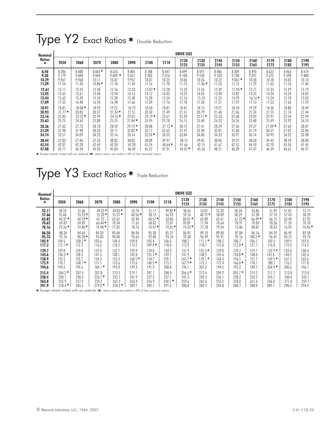# Type Y2 Exact Ratios \* Double Reduction

| Nominal            |          |          |          |           |          |          |          | <b>DRIVE SIZE</b> |              |              |              |              |              |              |              |
|--------------------|----------|----------|----------|-----------|----------|----------|----------|-------------------|--------------|--------------|--------------|--------------|--------------|--------------|--------------|
| <b>Ratios</b><br>* | 2050     | 2060     | 2070     | 2080      | 2090     | 2100     | 2110     | 2120<br>2125      | 2130<br>2135 | 2140<br>2145 | 2150<br>2155 | 2160<br>2165 | 2170<br>2175 | 2180<br>2185 | 2190<br>2195 |
| 8.40               | 8.286    | 8.488    | $8.065*$ | 8.626     | 8.405    | 8.188    | 8.447    | 8.499             | 8.597        | 8.486        | 8.309        | 8.493        | 8.622        | 8.463        | 8.574        |
| 9.30               | 9.179    | 9.084    | 9.044    | $9.689$ * | 9.651    | 9.302    | 9.476    | 9.108             | 9.550        | 9.520        | 9.190        | 9.391        | 9.672        | 9.398        | 9.480        |
| 10.29              | 9.967    | 9.968    | 10.11    | 10.07     | 9.957    | 10.07    | 10.23    | 10.06             | 10.36        | 10.22        | $9.861$ *    | 10.58        | 10.28        | 10.02        | 10.14        |
| 11.39              | 11.54    | 11.50    | $10.88*$ | 11.18     | 11.43    | 11.16    | 11.70    | 11.75             | $11.86*$     | 11.53        | 11.13        | 11.29        | 11.62        | 11.53        | 11.40        |
| 12.61              | 12.11    | 12.25    | 12.28    | 12.56     | 12.33    | $12.07*$ | 12.28    | 12.23             | 12.26        | 12.39        | $11.94*$     | 12.71        | 12.35        | 12.29        | 12.19        |
| 13.95              | 13.65    | 13.61    | 13.40    | 13.94     | 14.16    | 14.12    | 14.03    | 14.29             | 14.05        | 13.98        | 13.82        | 14.35        | 14.34        | 14.24        | 14.05        |
| 15.44              | 15.63    | 15.39    | 15.10    | 15.30     | 15.38    | 15.28    | 15.54    | 15.16             | 15.10        | 15.25        | 14.93        | $16.16*$     | 15.24        | 15.18        | 15.03        |
| 17.09              | 17.32    | 16.48    | 16.93    | 16.98     | 17.66    | 17.09    | 17.76    | 17.70             | 17.30        | 17.21        | 17.29        | 17.13        | 17.22        | 17.63        | 17.29        |
| 18.91              | 18.81    | $18.08*$ | 18.93    | 19.22     | 18.73    | 18.50    | 18.81    | 18.41             | 18.15        | 19.21        | 18.18        | 19.29        | 18.30        | 18.80        | 18.49        |
| 20.93              | $21.77*$ | 20.85    | 20.37    | $21.34*$  | 21.51    | 20.50    | 21.49    | 21.51             | 20.79        | 21.68        | 21.06        | 21.24        | 21.55        | 21.14        | 21.44        |
| 23.16              | 22.85    | $22.22*$ | 22.99    | $24.16*$  | 23.65    | $22.19*$ | 22.61    | 22.39             | $22.17*$     | 23.33        | 22.68        | 23.92        | 22.91        | 22.54        | 22.94        |
| 25.63              | 25.75    | 24.69    | 25.08    | 25.25     | $27.04*$ | 25.95    | 25.78    | 26.15             | 25.40        | 26.33        | 26.26        | 25.48        | 25.49        | 25.92        | 26.24        |
| 28.36              | 27.62    | 27.73    | 28.18    | 28.59     | $29.72*$ | 28.08    | $27.12*$ | 28.12             | 27.41        | 28.24        | 27.36        | 29.27        | $27.09*$     | 27.63        | 28.07        |
| 31.39              | 31.98    | 31.98    | 30.33    | 32.11     | $32.82*$ | 32.17    | 32.63    | 31.47             | 32.30        | 32.01        | 31.68        | 31.19        | 30.57        | 31.07        | 32.04        |
| 34.74              | 33.57    | 34.09    | 34.23    | 35.16     | 35.16    | $33.24*$ | 34.33    | 33.84             | 34.86        | 34.33        | 33.91        | 36.14        | 34.95        | 34.32        | 33.98        |
| 38.44              | 37.83    | 37.86    | 37.33    | 38.82     | 38.82    | 38.08    | 39.97    | 38.73             | 39.05        | 38.85        | 39.27        | 38.50        | 39.43        | 38.59        | 38.80        |
| 42.54              | 42.07    | 42.28    | 42.69    | 43.20     | 42.28    | 41.24    | $40.64*$ | 41.66             | 42.15        | 41.67        | 42.52        | 44.10        | 42.70        | 43.50        | 41.45        |
| 47.08              | 45.77    | 46.94    | 45.95    | 45.84     | 46.49    | 45.37    | 47.31    | $45.07*$          | 45.56        | 48.51        | 46.28        | 47.47        | 46.39        | 46.61        | 46.97        |

 $\bm *$  Except where noted with an asterisk  $\ket{\bm *}$ , extra ratios are within $\pm$ 4% of the nominal ratios.

# Type Y3 Exact Ratios \* Triple Reduction

| Nominal                                   |                                              |                                              |                                              |                                           |                                              |                                                        |                                           | <b>DRIVE SIZE</b>                               |                                                 |                                           |                                                 |                                           |                                                    |                                           |                                           |
|-------------------------------------------|----------------------------------------------|----------------------------------------------|----------------------------------------------|-------------------------------------------|----------------------------------------------|--------------------------------------------------------|-------------------------------------------|-------------------------------------------------|-------------------------------------------------|-------------------------------------------|-------------------------------------------------|-------------------------------------------|----------------------------------------------------|-------------------------------------------|-------------------------------------------|
| <b>Ratios</b><br>*                        | 2050                                         | 2060                                         | 2070                                         | 2080                                      | 2090                                         | 2100                                                   | 2110                                      | 2120<br>2125                                    | 2130<br>2135                                    | 2140<br>2145                              | 2150<br>2155                                    | 2160<br>2165                              | 2170<br>2175                                       | 2180<br>2185                              | 2190<br>2195                              |
| 52.11                                     | 50.18                                        | 51.60                                        | $49.23*$                                     | $49.82*$                                  | 52.74                                        | 51.17                                                  | $49.82*$                                  | 50.65                                           | 53.01                                           | 52.20                                     | 50.34                                           | 53.86                                     | 51.29                                              | 51.07                                     | 51.15                                     |
| 57.66                                     | 55.60                                        | $55.22*$                                     | $55.20*$                                     | $55.31*$                                  | $60.56*$                                     | 58.13                                                  | 56.93                                     | 59.16                                           | $60.72*$                                        | 58.89                                     | 58.29                                           | 57.38                                     | 57.14                                              | 57.43                                     | 58.39                                     |
| 63.82                                     | $60.37*$                                     | $60.59*$                                     | 61.72                                        | 62.62                                     | 62.40                                        | $60.57*$                                               | 63.06                                     | $60.01$ *                                       | 62.80                                           | 62.61                                     | $61.23*$                                        | $66.49*$                                  | 66.15                                              | 63.44                                     | 61.92                                     |
| 70.62                                     | 69.87                                        | 69.89                                        | $66.44*$                                     | 70.34                                     | 71.65                                        | 68.82                                                  | 72.07                                     | 70.09                                           | 71.94                                           | 70.64                                     | 70.91                                           | 70.83                                     | 70.36                                              | 71.33                                     | 70.70                                     |
| 78.16                                     | $73.36*$                                     | $74.48*$                                     | 74.98 *                                      | 77.02                                     | 78.76                                        | $74.47*$                                               | $74.65*$                                  | $74.33*$                                        | 77.78                                           | 79.24                                     | 75.86                                           | 80.87                                     | 78.33                                              | 76.92                                     | 74.96 *                                   |
| 86.50                                     | 88.36                                        | 84.64                                        | 84.20                                        | 85.04                                     | 86.96                                        | 85.30                                                  | 85.31                                     | 86.81                                           | 89.10                                           | 89.40                                     | 87.84                                           | 86.16                                     | 84.59                                              | 86.49                                     | 85.58                                     |
| 95.73                                     | 92.76                                        | $90.20*$                                     | 95.03                                        | 94.00                                     | 95.65                                        | 92.80                                                  | 93.24                                     | 92.68                                           | 96.99                                           | 95.91                                     | 92.16                                           | $100.2*$                                  | 96.45                                              | 94.72                                     | 93.74                                     |
| 105.9                                     | 104.5                                        | $100.2*$                                     | 103.6                                        | 104.4                                     | 109.8                                        | 105.4                                                  | 106.6                                     | 108.2                                           | $111.1*$                                        | 108.2                                     | 106.7                                           | 106.7                                     | 103.3                                              | 109.4                                     | 107.0                                     |
| 117.2                                     | $112.1*$                                     | 112.5                                        | 116.5                                        | 118.2                                     | 113.2                                        | $109.9*$                                               | 118.0                                     | 112.9                                           | 118.1                                           | 115.0                                     | $112.0*$                                        | 121.7                                     | 116.0                                              | 119.3                                     | 114.2                                     |
| 129.7<br>143.6<br>158.9<br>175.9<br>194.6 | 129.8<br>$136.3*$<br>153.5<br>170.7<br>194.5 | 129.8<br>138.3<br>153.7<br>$168.7*$<br>194.6 | 125.4<br>141.5<br>154.3<br>171.1<br>$184.1*$ | 132.7<br>138.1<br>153.3<br>173.6<br>195.0 | 129.9<br>142.8<br>$168.5*$<br>173.6<br>199.3 | 124.8<br>135.1<br>$\ast$<br>154.7<br>$168.5*$<br>191.4 | 134.9<br>139.7<br>159.7<br>175.7<br>200.8 | 131.9<br>141.9<br>$165.7*$<br>$167.9*$<br>196.1 | $135.3*$<br>148.5<br>$170.1*$<br>175.7<br>201.2 | 129.8<br>145.6<br>164.3<br>172.4<br>194.5 | 129.7<br>$134.8*$<br>156.1<br>$166.0*$<br>192.2 | 129.7<br>148.0<br>157.7<br>178.1<br>189.7 | $123.9*$<br>141.6<br>$169.5*$<br>180.1<br>$204.9*$ | 133.0<br>144.9<br>161.5<br>176.2<br>200.6 | 130.4<br>142.4<br>162.6<br>171.8<br>196.1 |
| 215.4                                     | $204.2*$                                     | 207.4                                        | 207.8                                        | 213.5                                     | 219.1                                        | 207.1                                                  | 208.0                                     | $206.6*$                                        | 212.4                                           | 209.2                                     | $205.7*$                                        | 219.2                                     | 217.7                                              | 213.8                                     | 213.0                                     |
| 238.4                                     | 230.1                                        | 230.3                                        | $226.7*$                                     | 235.7                                     | 241.9                                        | 237.3                                                  | 237.7                                     | 241.3                                           | 243.3                                           | 236.1                                     | 238.2                                           | 233.5                                     | 245.7                                              | 240.4                                     | 243.1                                     |
| 263.8                                     | 255.9                                        | 257.2                                        | 259.2                                        | 262.3                                     | 263.4                                        | 256.9                                                  | $250.1*$                                  | 259.6                                           | 262.6                                           | 253.2                                     | 258.0                                           | 267.6                                     | 266.0                                              | 271.0                                     | 259.7                                     |
| 291.9                                     | $278.4*$                                     | 285.5                                        | $279.0*$                                     | $278.3*$                                  | 289.7                                        | 282.7                                                  | 291.2                                     | 280.8                                           | 283.9                                           | 294.8                                     | 280.7                                           | 288.0                                     | 289.1                                              | 290.4                                     | 294.4                                     |

\* Except where noted with an asterisk  $(*)$ , extra ratios are within $\pm 4\%$  of the nominal ratios.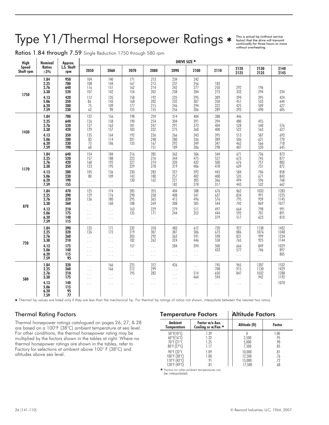# Type Y1/Thermal Horsepower Ratings  $*$  This is actual hp (without service)<br>
without service will transmit<br>
without overheating.

Ratios 1.84 through 7.59 Single Reduction 1750 through 580 rpm

| <b>High</b>               | Nominal                                                              | Approx.                                                     |                                                                               |                                                                          |                                                                |                                                                |                                                             | DRIVE SIZE *                                                |                                                             |                                                             |                                                             |                                                             |
|---------------------------|----------------------------------------------------------------------|-------------------------------------------------------------|-------------------------------------------------------------------------------|--------------------------------------------------------------------------|----------------------------------------------------------------|----------------------------------------------------------------|-------------------------------------------------------------|-------------------------------------------------------------|-------------------------------------------------------------|-------------------------------------------------------------|-------------------------------------------------------------|-------------------------------------------------------------|
| <b>Speed</b><br>Shaft rpm | <b>Ratios</b><br>$\pm 3\%$                                           | L.S. Shaft<br>rpm                                           | 2050                                                                          | 2060                                                                     | 2070                                                           | 2080                                                           | 2090                                                        | 2100                                                        | 2110                                                        | 2120<br>2125                                                | 2130<br>2135                                                | 2140<br>2145                                                |
| 1750                      | 1.84<br>2.25<br>2.76<br>3.38<br>4.13<br>5.06<br>6.20<br>7.59         | 950<br>780<br>640<br>520<br>420<br>350<br>280<br>230        | 104<br>108<br>116<br>107<br>112<br>86<br>75<br>62                             | 140<br>144<br>151<br>142<br>135<br>143<br>109<br>98                      | 171<br>167<br>162<br>154<br>158<br>168<br>177<br>125           | 213<br>213<br>214<br>202<br>192<br>202<br>215<br>155           | 234<br>237<br>242<br>238<br>235<br>232<br>246<br>256        | 242<br>256<br>277<br>284<br>295<br>307<br>294<br>306        | 183<br>250<br>273<br>309<br>350<br>322<br>289               | 292<br>333<br>394<br>451<br>425<br>393                      | 196<br>294<br>395<br>533<br>509<br>490                      | 234<br>424<br>644<br>627<br>605                             |
| 1430                      | 1.84<br>2.25<br>2.76<br>3.38<br>4.13<br>5.06<br>6.20                 | 780<br>640<br>520<br>420<br>350<br>280<br>230               | 122<br>126<br>127<br>129<br>135<br>83<br>73                                   | 156<br>158<br>163<br>157<br>164<br>114<br>106                            | 198<br>190<br>181<br>183<br>192<br>201<br>135                  | 259<br>254<br>247<br>232<br>236<br>248<br>167                  | 314<br>304<br>291<br>275<br>266<br>280<br>292               | 404<br>391<br>373<br>360<br>343<br>336<br>349               | 388<br>394<br>404<br>400<br>395<br>389<br>347               | 446<br>480<br>528<br>522<br>513<br>506<br>462               | 455<br>540<br>563<br>587<br>621<br>566                      | 576<br>627<br>693<br>770<br>718                             |
| 1170                      | 7.59<br>1.84<br>2.25<br>2.76<br>3.38<br>4.13<br>5.06<br>6.20<br>7.59 | 190<br>640<br>520<br>420<br>350<br>280<br>230<br>190<br>155 | 60<br>154<br>157<br>160<br>123<br>105<br>80<br>$\cdots$                       | $\cdots$<br>184<br>188<br>192<br>195<br>136<br>109<br>$\ldots$           | $\cdots$<br>216<br>223<br>227<br>229<br>230<br>143<br>130      | 151<br>285<br>276<br>274<br>278<br>283<br>180<br>162           | 189<br>363<br>344<br>320<br>319<br>327<br>257<br>221<br>182 | 286<br>506<br>475<br>432<br>406<br>392<br>402<br>305<br>278 | 298<br>544<br>527<br>500<br>478<br>445<br>408<br>366<br>317 | 407<br>671<br>673<br>676<br>639<br>584<br>535<br>494<br>443 | 520<br>736<br>745<br>757<br>731<br>706<br>671<br>596<br>532 | 645<br>873<br>877<br>883<br>872<br>858<br>843<br>768<br>662 |
| 870                       | 1.84<br>2.25<br>2.76<br>3.38<br>4.13<br>5.06<br>6.20<br>7.59         | 470<br>390<br>320<br>260<br>210<br>175<br>140<br>115        | $\ldots$<br>125<br>129<br>136<br>$\cdots$<br>$\cdots$<br>$\cdots$<br>$\cdots$ | $\ldots$<br>174<br>176<br>180<br>160<br>$\ldots$<br>$\ldots$<br>$\cdots$ | $\ldots$<br>285<br>290<br>295<br>188<br>163<br>135<br>$\ldots$ | $\ldots$<br>355<br>358<br>365<br>269<br>229<br>171<br>$\cdots$ | 404<br>408<br>415<br>308<br>279<br>244<br>$\ldots$          | 588<br>541<br>496<br>505<br>511<br>352<br>$\cdots$          | 676<br>637<br>576<br>544<br>497<br>444<br>379               | 862<br>834<br>795<br>742<br>664<br>593<br>517               | 1033<br>991<br>939<br>869<br>798<br>701<br>623              | 1283<br>1225<br>1145<br>1077<br>991<br>891<br>810           |
| 720                       | 1.84<br>2.25<br>2.76<br>3.38<br>4.13<br>5.06<br>6.20<br>7.59         | 390<br>320<br>260<br>210<br>175<br>140<br>115<br>95         | 123<br>126<br>$\cdots$<br>$\ldots$<br>$\cdots$<br>$\ldots$<br>$\cdots$        | 171<br>172<br>$\cdots$<br>$\ldots$<br>$\cdots$<br>$\ldots$<br>$\ldots$   | 232<br>219<br>203<br>182<br>157<br>$\cdots$<br>$\ldots$        | 318<br>307<br>292<br>262<br>.<br>$\ldots$<br>$\ldots$          | 483<br>387<br>363<br>324<br>284<br>$\cdots$<br>$\ldots$     | 612<br>586<br>591<br>446<br>394<br>$\cdots$<br>$\cdots$     | 720<br>673<br>598<br>558<br>500<br>433<br>$\ldots$          | 927<br>886<br>831<br>765<br>666<br>577<br>$\cdots$          | 1138<br>1076<br>999<br>925<br>849<br>746<br>$\cdots$        | 1432<br>1348<br>1234<br>1144<br>1029<br>897<br>805          |
| 580                       | 1.84<br>2.25<br>2.76<br>3.38<br>4.13<br>5.06<br>6.20<br>7.59         | 320<br>260<br>210<br>175<br>140<br>115<br>95<br>77          | $\ldots$<br>$\cdots$<br>$\cdots$<br>$\cdots$<br>$\cdots$                      | 166<br>166<br>$\cdots$<br>$\ldots$<br>$\ldots$                           | 225<br>212<br>195<br>$\cdots$<br>$\ldots$                      | 312<br>299<br>282<br>$\cdots$<br>$\ldots$                      | 426<br><br>$\cdots$<br>$\ldots$<br>$\cdots$                 | $\cdots$<br>.<br>514<br>464<br>$\cdots$                     | 745<br>708<br>650<br>594<br>$\ldots$                        | 965<br>915<br>847<br>$\cdots$<br>$\cdots$                   | 1207<br>1130<br>1032<br>942<br>$\cdots$                     | 1532<br>1429<br>1288<br>1192<br>1070                        |

Thermal hp values are listed only if they are less than the mechanical hp. For thermal hp ratings of ratios not shown, interpolate between the nearest two ratios.

### Thermal Rating Factors

Thermal horsepower ratings catalogued on pages 26, 27, & 28 are based on a 100°F (38°C) ambient temperature at sea level. For other conditions, the thermal horsepower rating may be multiplied by the factors shown in the tables at right. Where no thermal horsepower ratings are shown in the tables, refer to Factory for selections at ambient above 100° F (38°C) and altitudes above sea level.

| <b>Temperature Factors</b>                                                                                      |                                             | Altitude Factors                     |                           |
|-----------------------------------------------------------------------------------------------------------------|---------------------------------------------|--------------------------------------|---------------------------|
| <b>Ambient</b><br>Temperature                                                                                   | Factor w/o Aux.<br>Cooling or w/Fan $\star$ | Altitude (ft)                        | <b>Factor</b>             |
| 50°F(10°C)<br>$60^{\circ}$ F(16 $^{\circ}$ C)<br>$70^\circ$ F (21 $\circ$ C<br>$80^{\circ}$ F (27 $^{\circ}$ C) | 1.39<br>1.32<br>1.25<br>1.17                | 2,500<br>5,000<br>7,500              | 1.00<br>.95<br>.90<br>.85 |
| 90°F (32°C<br>100°F (38°C)<br>110°F (43°C)<br>120°F (49°C                                                       | 1.09<br>1.00<br>.91<br>.81                  | 10,000<br>12,500<br>15,000<br>17,500 | .81<br>.76<br>.72<br>.68  |

- Factors tor other ambient temperatures can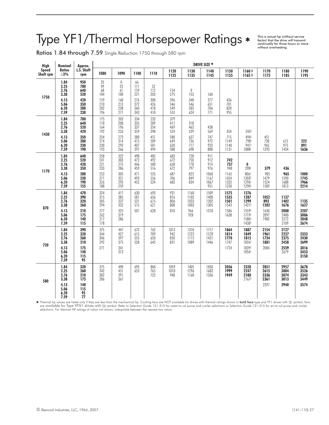# Type YF1/Thermal Horsepower Ratings

This is actual hp (without service factor) that the drive will transmit continually for three hours or more without overheating.

Ratios 1.84 through 7.59 Single Reduction 1750 through 580 rpm

| <b>High</b>        | Nominal                                                                    | Approx.                                                           |                                                                           |                                                                    |                                                      |                                                             |                                                      |                                                                    | DRIVE SIZE *                                            |                                                          |                                                                             |                                             |                                                              |                                              |
|--------------------|----------------------------------------------------------------------------|-------------------------------------------------------------------|---------------------------------------------------------------------------|--------------------------------------------------------------------|------------------------------------------------------|-------------------------------------------------------------|------------------------------------------------------|--------------------------------------------------------------------|---------------------------------------------------------|----------------------------------------------------------|-----------------------------------------------------------------------------|---------------------------------------------|--------------------------------------------------------------|----------------------------------------------|
| Speed<br>Shaft rpm | <b>Ratios</b><br>$\pm 3\%$                                                 | L.S. Shaft<br>rpm                                                 | 1080                                                                      | 1090                                                               | 1100                                                 | 1110                                                        | 1120<br>1125                                         | 1130<br>1135                                                       | 1140<br>1145                                            | 1150<br>1155                                             | 1160 ‡<br>$1165+$                                                           | 1170<br>1175                                | 1180<br>1185                                                 | 1190<br>1195                                 |
| 1750               | 1.84<br>2.25<br>2.76<br>3.38<br>4.13<br>5.06<br>$6.20$<br>$7.59$           | 950<br>780<br>640<br>520<br>420<br>350<br>280<br>230              | 35<br>49<br>68<br>104<br>159<br>$\frac{210}{202}$<br>196                  | $\pmb{0}$<br>23<br>61<br>100<br>160<br>213<br>238<br>271           | 66<br>111<br>159<br>221<br>276<br>372<br>360<br>343  | 52<br>112<br>203<br>308<br>426<br>418<br>410                | 154<br>275<br>396<br>546<br>549<br>553               | $\mathbf 0$<br>153<br>348<br>$\frac{546}{583}$<br>624              | 160<br>377<br>651<br>706<br>771                         | 436<br>701<br>$\frac{820}{955}$                          |                                                                             |                                             |                                                              |                                              |
| 1430               | $\frac{1.84}{2.25}$<br>$\frac{2.76}{3.38}$<br>4.13<br>5.06<br>6.20<br>7.59 | 780<br>640<br>520<br>420<br>350<br>280<br>230<br>190              | $\frac{175}{170}$<br>164<br>192<br>234<br>274<br>230<br>193               | 203<br>$\overline{200}$<br>196<br>226<br>273<br>314<br>292<br>266  | 334<br>335<br>337<br>359<br>380<br>415<br>407<br>397 | 233<br>289<br>$\frac{354}{398}$<br>451<br>509<br>501<br>494 | 379<br>417<br>469<br>524<br>580<br>649<br>620<br>588 | 318<br>463<br>539<br>637<br>$736$<br>$717$<br>698                  | 438<br>569<br>747<br>972<br>933<br>888                  | 354<br>715<br>1149<br>1140<br>1131                       | $243+$<br>494#<br>$798^{\frac{1}{4}}$<br>1088#                              | 451<br>738<br>965<br>1293                   | $615$<br>975<br>1434                                         | 222<br>891<br>1636                           |
| 1170               | 1.84<br>2.25<br>2.76<br>3.38<br>4.13<br>5.06<br>6.20<br>7.59               | 640<br>520<br>420<br>350<br>280<br>230<br>190<br>155              | $\frac{258}{241}$<br>$\frac{221}{221}$<br>233<br>253<br>271<br>226<br>188 | 322<br>$\frac{303}{275}$<br>286<br>305<br>321<br>$\frac{293}{259}$ | 498<br>472<br>446<br>459<br>471<br>493<br>452        | 485<br>492<br>500<br>516<br>535<br>556<br>524               | 683<br>672<br>658<br>672<br>687<br>706<br>683        | 728<br>750<br>778<br>797<br>823<br>849<br>834                      | 911<br>912<br>914<br>976<br>1060<br>1167<br>1067<br>951 | 742<br>737<br>948<br>1165<br>1424<br>$\frac{1332}{1230}$ | 0<br>398#<br>806#<br>1303 <sup>‡</sup><br>1296#<br>1290#                    | 379<br>905<br>1479<br>1524<br>1589          | 436<br>965<br>1590<br>1688<br>1813                           | 1000<br>1745<br>1966<br>2214                 |
| 870                | 1.84<br>2.25<br>2.76<br>3.38<br>4.13<br>5.06<br>6.20<br>7.59               | 470<br>390<br>320<br>260<br>210<br>$\overline{175}$<br>140<br>115 | 324<br>$\frac{315}{305}$<br>294<br>277<br>$\frac{262}{217}$<br>178        | 417<br>$\frac{385}{337}$<br>332<br>325<br>319<br>286               | 630<br>581<br>531<br>515<br>501                      | 693<br>$656$<br>$615$<br>621<br>628                         | 931<br>876<br>806<br>808<br>810                      | 1160<br>$\frac{1103}{1033}$<br>1003<br>966<br>928                  | 1509<br>1408<br>1302<br>1305<br>1310                    | 1575<br>1535<br>1501<br>1543<br>1586<br>1638             | 1276<br>1287<br>1299<br>1427 <sup>‡</sup><br>1559#<br>1719<br>1580<br>1438# | 1052<br>893<br>1202<br>1630<br>2097<br>1982 | 1137<br>1402<br>1676<br>2008<br>2400<br>2400<br>2272<br>2109 | 1135<br>1627<br>2207<br>3006<br>2848<br>2674 |
| 720                | $\frac{1.84}{2.25}$<br>2.76<br>3.38<br>4.13<br>5.06<br>6.20<br>7.59        | 390<br>320<br>260<br>210<br>175<br>140<br>115<br>95               | 375<br>344<br>$\frac{306}{292}$<br>271                                    | 447<br>427<br>397<br>$\overline{375}$<br>341<br>313                | $673$<br>$615$<br>555<br>528                         | 762<br>709<br>650<br>642                                    | 1013<br>942<br>850<br>831                            | $\begin{array}{c} 1310 \\ 1223 \end{array}$<br>$\frac{1115}{1089}$ | 1717<br>1578<br>1431<br>1446                            | 1864<br>1814<br>1770<br>1747<br>1724                     | 1887<br>1849<br>1815<br>1826#<br>1839#<br>1854#                             | 2154<br>1961<br>1734<br>1881<br>2084        | 2127<br>2227<br>2375<br>2458<br>2559<br>2679                 | 2353<br>2430<br>2699<br>3016<br>3453<br>3150 |
| 580                | $\frac{1.84}{2.25}$<br>2.76<br>3.38<br>4.13<br>5.06<br>6.20<br>7.59        | 320<br>260<br>210<br>175<br>140<br>115<br>95<br>77                | $375$<br>$342$<br>$302$<br>286                                            | 490<br>451<br>$\frac{391}{367}$                                    | 695<br>653                                           | 804<br>$\frac{765}{722}$                                    | 1059<br>1010<br>948                                  | 1405<br>1296<br>1160                                               | 1850<br>1683<br>1506                                    | 2056<br>1999<br>1949                                     | 2320<br>2247<br>2180<br>2167 <sup>‡</sup>                                   | 2851<br>2615<br>2336<br>2361<br>2397        | 2957<br>3004<br>3074<br>3013<br>2940                         | 3678<br>3526<br>3343<br>3449<br>3574         |

Fhermal hp values are listed only if they are less than the mechanical hp. Cooling fans are NOT available for drives with thermal ratings shown in **bold face** type and YF1 drives with (‡) symbol, fans are NoT are available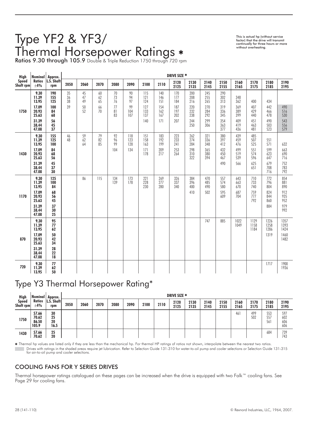# Type YF2 & YF3/ Thermal Horsepower Ratings

This is actual hp (without service factor) that the drive will transmit continually for three hours or more without overheating.

Ratios 9.30 through 105.9 Double & Triple Reduction 1750 through 720 rpm

| High               | Nominal                                                             | Approx.                                      |                |                 |                |                       |                          |                                 |                                 | DRIVE SIZE *                    |                                        |                                        |                                        |                                        |                                        |                                        |                                        |
|--------------------|---------------------------------------------------------------------|----------------------------------------------|----------------|-----------------|----------------|-----------------------|--------------------------|---------------------------------|---------------------------------|---------------------------------|----------------------------------------|----------------------------------------|----------------------------------------|----------------------------------------|----------------------------------------|----------------------------------------|----------------------------------------|
| Speed<br>Shaft rpm | <b>Ratios</b><br>$\pm 4\%$                                          | L.S. Shaft<br>rpm                            | 2050           | 2060            | 2070           | 2080                  | 2090                     | 2100                            | 2110                            | 2120<br>2125                    | 2130<br>2135                           | 2140<br>2145                           | 2150<br>2155                           | 2160<br>2165                           | 2170<br>2175                           | 2180<br>2185                           | 2190<br>2195                           |
|                    | 9.30<br>11.39<br>13.95                                              | 190<br>155<br>125                            | 35<br>36<br>38 | 45<br>47<br>49  | 60<br>62<br>65 | 70<br>73<br>76        | 90<br>94<br>97           | 115<br>121<br>124               | 140<br>146<br>151               | 170<br>177<br>184               | 200<br>208<br>216                      | 245<br>$\frac{255}{265}$               | 290<br>302<br>313                      | 348<br>362                             | 400                                    | 434                                    |                                        |
| 1750               | 17.09<br>20.93<br>25.63<br>31.39<br>38.44<br>47.08                  | 100<br>84<br>68<br>56<br>45<br>37            | 39             | $\frac{50}{52}$ | 66<br>70       | 77<br>81<br>83        | 99<br>104<br>107         | 127<br>133<br>137<br>140        | 154<br>162<br>167<br>171        | 187<br>197<br>202<br>207        | 220<br>232<br>238<br>244<br>250        | 270<br>284<br>292<br>299<br>306        | 319<br>336<br>345<br>354<br>363<br>377 | 369<br>389<br>399<br>409<br>419<br>436 | 407<br>429<br>440<br>451<br>463<br>481 | 442<br>466<br>478<br>490<br>503<br>523 | 490<br>516<br>530<br>543<br>556<br>579 |
| 1430               | 9.30<br>11.39<br>13.95<br>17.09<br>20.93<br>25.63                   | 155<br>125<br>100<br>84<br>68<br>56          | 46<br>48       | 59<br>62<br>64  | 79<br>82<br>85 | 92<br>96<br>99<br>104 | 118<br>123<br>128<br>134 | 151<br>158<br>163<br>171<br>178 | 183<br>192<br>199<br>209<br>217 | 223<br>233<br>241<br>253<br>264 | 262<br>274<br>284<br>298<br>310<br>322 | 321<br>336<br>348<br>365<br>380<br>394 | 380<br>397<br>412<br>432<br>450<br>467 | 439<br>459<br>476<br>499<br>519<br>539 | 485<br>507<br>525<br>551<br>574<br>596 | 551<br>571<br>599<br>623<br>647        | 632<br>663<br>690<br>716               |
|                    | 31.39<br>38.44<br>47.08                                             | 45<br>37<br>30                               |                |                 |                |                       |                          |                                 |                                 |                                 |                                        |                                        | 490                                    | 566                                    | 625<br>651                             | 679<br>708<br>716                      | 752<br>783<br>792                      |
| 1170               | 9.30<br>11.39<br>13.95<br>17.09<br>20.93                            | 125<br>100<br>84<br>68<br>56                 |                | 86              | 115            | 134<br>139            | 173<br>178               | 221<br>228<br>230               | 269<br>277<br>280               | 326<br>337<br>340               | 384<br>396<br>400<br>410               | 470<br>485<br>490<br>502               | 557<br>574<br>580<br>595<br>609        | 643<br>663<br>670<br>687<br>704        | 710<br>733<br>740<br>759<br>777        | 772<br>796<br>804<br>824<br>844        | 854<br>881<br>890<br>912<br>935<br>952 |
|                    | 25.63<br>31.39<br>38.44<br>47.08                                    | 45<br>37<br>30<br>25                         |                |                 |                |                       |                          |                                 |                                 |                                 |                                        |                                        |                                        |                                        | 792                                    | 860<br>884                             | 979<br>992                             |
| 870                | 9.30<br>11.39<br>13.95<br>17.09<br>20.93<br>25.63<br>31.39<br>38.44 | 95<br>77<br>62<br>50<br>42<br>34<br>28<br>22 |                |                 |                |                       |                          |                                 |                                 |                                 |                                        | 747                                    | 885                                    | 1022<br>1049                           | 1129<br>1158<br>1184                   | 1226<br>1258<br>1286<br>1319           | 1357<br>1393<br>1424<br>1460<br>1482   |
| 720                | 47.08<br>9.30<br>11.39<br>13.95                                     | 18<br>$77\,$<br>62<br>50                     |                |                 |                |                       |                          |                                 |                                 |                                 |                                        |                                        |                                        |                                        |                                        | 1717                                   | 1900<br>1936                           |

### Type Y3 Thermal Horsepower Rating\*

| High                      | <b>Nominal</b>                   | Approx.                       |      |      |      |      |      |      |      | DRIVE SIZE * |              |              |              |              |              |                   |                          |
|---------------------------|----------------------------------|-------------------------------|------|------|------|------|------|------|------|--------------|--------------|--------------|--------------|--------------|--------------|-------------------|--------------------------|
| <b>Speed</b><br>Shaft rpm | Ratios<br>±4%                    | L.S. Shaft<br>rpm             | 2050 | 2060 | 2070 | 2080 | 2090 | 2100 | 2110 | 2120<br>2125 | 2130<br>2135 | 2140<br>2145 | 2150<br>2155 | 2160<br>2165 | 2170<br>2175 | 2180<br>2185      | 2190<br>2195             |
| 1750                      | 57.66<br>70.62<br>86.50<br>105.9 | 30<br>$\frac{25}{20}$<br>16.5 |      |      |      |      |      |      |      |              |              |              |              | 461          | 499<br>502   | 553<br>557<br>561 | 597<br>602<br>606<br>606 |
| 1430                      | 57.66<br>70.62                   | 25<br>20                      |      |      |      |      |      |      |      |              |              |              |              |              |              | 684               | 739<br>743               |

 Thermal hp values are listed only if they are less than the mechanical hp. For thermal HP ratings of ratios not shown, interpolate between the nearest two ratios. Drives with ratings in the shaded areas require jet lubrication. Refer to Selection Guide 131-310 for water-to-oil pump and cooler selections or Selection Guide 131-315<br>for air-to-oil pump and cooler selections.

### COOLING FANS FOR Y SERIES DRIVES

Thermal horsepower ratings catalogued on these pages can be increased when the drive is equipped with two Falk™ cooling fans. See Page 29 for cooling fans.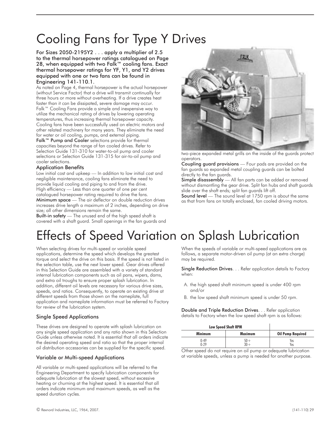# Cooling Fans for Type Y Drives

For Sizes 2050-2195Y2... apply a multiplier of 2.5 to the thermal horsepower ratings catalogued on Page 28, when equipped with two Falk™ cooling fans. Exact thermal horsepower ratings for YF, Y1, and Y2 drives equipped with one or two fans can be found in Engineering 141-110.1.

As noted on Page 4, thermal horsepower is the actual horsepower (without Service Factor) that a drive will transmit continually for three hours or more without overheating. If a drive creates heat faster than it can be dissipated, severe damage may occur. Falk™ Cooling Fans provide a simple and inexpensive way to utilize the mechanical rating of drives by lowering operating temperatures, thus increasing thermal horsepower capacity. Cooling fans have been successfully used on electric motors and other related machinery for many years. They eliminate the need for water or oil cooling, pumps, and external piping.

Falk™ Pump and Cooler selections provide for thermal capacities beyond the range of fan cooled drives. Refer to Selection Guide 131-310 for water-to-oil pump and cooler selections or Selection Guide 131-315 for air-to-oil pump and cooler selections.

### Application Benefits

Low initial cost and upkeep — In addition to low initial cost and negligible maintenance, cooling fans eliminate the need to provide liquid cooling and piping to and from the drive. High efficiency — Less than one quarter of one per cent catalogued horsepower rating required to drive the fans. Minimum space — The air deflector on double reduction drives increases drive length a maximum of 2 inches, depending on drive size; all other dimensions remain the same.

**Built-in safety** — The unused end of the high speed shaft is covered with a shaft guard. Small openings in the fan guards and



two-piece expanded metal grills on the inside of the guards protect operators.

Coupling guard provisions — Four pads are provided on the fan guards so expanded metal coupling guards can be bolted directly to the fan guards.

Simple disassembly — All fan parts can be added or removed without dismantling the gear drive. Split fan hubs and shaft guards slide over the shaft ends; split fan guards lift off.

Sound level — The sound level at 1750 rpm is about the same as that from fans on totally enclosed, fan cooled driving motors.

# Effects of Speed Variation on Splash Lubrication

When selecting drives for multi-speed or variable speed applications, determine the speed which develops the greatest torque and select the drive on this basis. If the speed is not listed in the selection table, use the next lower speed. Gear drives offered in this Selection Guide are assembled with a variety of standard internal lubrication components such as oil pans, wipers, dams, and extra oil troughs to ensure proper splash lubrication. In addition, different oil levels are necessary for various drive sizes, speeds, and ratios. Consequently, to operate an existing drive at different speeds from those shown on the nameplate, full application and nameplate information must be referred to Factory for review of the lubrication system.

### Single Speed Applications

These drives are designed to operate with splash lubrication on any single speed application and any ratio shown in this Selection Guide unless otherwise noted. It is essential that all orders indicate the desired operating speed and ratio so that the proper internal oil distribution accessories can be supplied for the specific speed.

### Variable or Multi-speed Applications

All variable or multi-speed applications will be referred to the Engineering Department to specify lubrication components for adequate lubrication at the slowest speed, without excessive heating or churning at the highest speed. It is essential that all orders indicate minimum and maximum speeds, as well as the speed duration cycles.

When the speeds of variable or multi-speed applications are as follows, a separate motor-driven oil pump (at an extra charge) may be required.

Single Reduction Drives. . . Refer application details to Factory when:

- A. the high speed shaft minimum speed is under 400 rpm and/or
- B. the low speed shaft minimum speed is under 50 rpm.

Double and Triple Reduction Drives. . . Refer application details to Factory when the low speed shaft rpm is as follows:

| <b>Low Speed Shaft RPM</b> |                          |
|----------------------------|--------------------------|
| Maximum                    | <b>Oil Pump Required</b> |
| $50+$<br>$30 +$            | Yes<br>Yes               |
|                            |                          |

Other speed do not require on oil pump or adequate lubrication at variable speeds, unless a pump is needed for another purpose.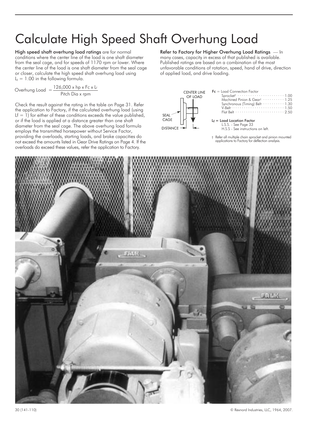# Calculate High Speed Shaft Overhung Load

High speed shaft overhung load ratings are for normal conditions where the center line of the load is one shaft diameter from the seal cage, and for speeds of 1170 rpm or lower. Where the center line of the load is one shaft diameter from the seal cage or closer, calculate the high speed shaft overhung load using  $L_f = 1.00$  in the following formula.

Overhung Load = 
$$
\frac{126,000 \times hp \times Fc \times L}{Pitch Dia \times rpm}
$$

Check the result against the rating in the table on Page 31. Refer the application to Factory, if the calculated overhung load (using Lf  $=$  1) for either of these conditions exceeds the value published, or if the load is applied at a distance greater than one shaft diameter from the seal cage. The above overhung load formula employs the transmitted horsepower without Service Factor, providing the overloads, starting loads, and brake capacities do not exceed the amounts listed in Gear Drive Ratings on Page 4. If the overloads do exceed these values, refer the application to Factory.

### Refer to Factory for Higher Overhung Load Ratings — In many cases, capacity in excess of that published is available. Published ratings are based on a combination of the most unfavorable conditions of rotation, speed, hand of drive, direction of applied load, and drive loading.



† Refer all multiple chain sprocket and pinion mounted applications to Factory for deflection analysis.

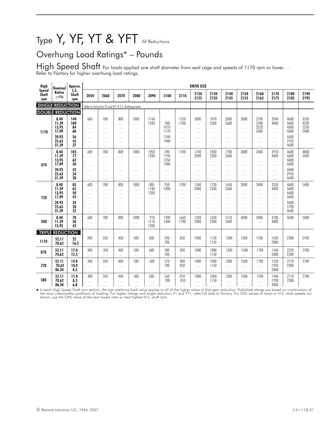# Type Y, YF, YT & YFT All Reductions

### Overhung Load Ratings\* – Pounds

 ${\sf High\ Speed\ Short}$  For loads applied one shaft diameter from seal cage and speeds of 1170 rpm or lower. . . Refer to Factory for higher overhung load ratings.

| High                         | Nominal                         | Approx.                |                                         |                                           |                                                       |                                          |                                      |                                     |                                            | <b>DRIVE SIZE</b>                        |                                      |                                        |                                          |                                          |                                      |                              |                              |
|------------------------------|---------------------------------|------------------------|-----------------------------------------|-------------------------------------------|-------------------------------------------------------|------------------------------------------|--------------------------------------|-------------------------------------|--------------------------------------------|------------------------------------------|--------------------------------------|----------------------------------------|------------------------------------------|------------------------------------------|--------------------------------------|------------------------------|------------------------------|
| Speed<br><b>Shaft</b><br>rpm | <b>Ratios</b><br>±4%            | LS.<br>Shaft<br>rpm    | 2050                                    | 2060                                      | 2070                                                  | 2080                                     | 2090                                 | 2100                                | 2110                                       | 2120<br>2125                             | 2130<br>2135                         | 2140<br>2145                           | 2150<br>2155                             | 2160<br>2165                             | 2170<br>2175                         | 2180<br>2185                 | 2190<br>2195                 |
|                              | <b>SINGLE REDUCTION</b>         |                        |                                         |                                           | Refer to Factory for Y1 and YF1 H.S.S. Overhung loads |                                          |                                      |                                     |                                            |                                          |                                      |                                        |                                          |                                          |                                      |                              |                              |
|                              | <b>DOUBLE REDUCTION</b>         |                        |                                         |                                           |                                                       |                                          |                                      |                                     |                                            |                                          |                                      |                                        |                                          |                                          |                                      |                              |                              |
| 1170                         | 8.40<br>11.39<br>13.95<br>17.09 | 140<br>100<br>84<br>68 | 600<br>.<br>$\cdots$<br>$\cdots$        | 700<br>$\cdots$<br>$\ldots$<br>$\ldots$   | 800<br>$\cdots$<br>$\cdots$<br>$\cdots$               | 1000<br>.<br>$\cdots$<br>$\ldots$ .      | 1160<br>1200<br>$\ldots$<br>$\ldots$ | $\cdots$<br>900<br>1010<br>1170     | 1520<br>1700<br>$\cdots$<br>$\ldots$       | 2000<br>$\cdots$<br>$\ldots$<br>$\cdots$ | 1070<br>2300<br>$\ldots$<br>$\ldots$ | 2000<br>2600<br>$\ldots$<br>$\ldots$   | 3000<br>$\ldots$<br>$\cdots$<br>$\ldots$ | 2790<br>2780<br>3220<br>3400             | 3340<br>4000<br>$\cdots$<br>.        | 4600<br>4600<br>4600<br>4600 | 3350<br>4230<br>5250<br>5400 |
|                              | 20.93<br>25.63<br>31.39         | 56<br>45<br>37         | $\cdots$<br>$\ldots$<br>$\ldots$        | $\cdots$<br>$\ldots$<br>$\ldots$          | $\cdots$<br>$\cdots$<br>$\ldots$                      | $\cdots$<br>.<br>$\cdots$                | $\cdots$<br>$\ldots$<br>$\ldots$     | 1240<br>1400<br>$\cdots$            | $\cdots$<br>$\ldots$<br>$\ldots$           | $\cdots$<br>$\cdots$<br>$\ldots$         | $\cdots$<br>$\cdots$<br>$\ldots$     | $\cdots$<br>$\cdots$<br>$\cdots$       | $\cdots$<br>$\cdots$<br>$\ldots$         | $\cdots$<br>.<br>.                       | $\cdots$<br>$\ldots$<br>.            | 4600<br>1910<br>4600         |                              |
| 870                          | 8.40<br>11.39<br>13.95<br>17.09 | 105<br>77<br>62<br>50  | 600<br>.<br>$\ldots$<br>$\ldots$ .      | 700<br>$\ldots$ .<br>$\cdots$<br>$\cdots$ | 800<br>$\cdots$<br>$\cdots$<br>$\cdots$               | 1000<br>$\cdots$<br>$\cdots$<br>$\ldots$ | 1050<br>1200<br>$\ldots$<br>$\ldots$ | 390<br>1190<br>1350<br>1400         | 1700<br>$\cdots$<br>$\ldots$<br>$\ldots$ . | 1740<br>2000<br>$\ldots$<br>$\ldots$     | 1830<br>2300<br>$\ldots$<br>$\ldots$ | 1780<br>2600<br>$\ldots$<br>$\ldots$ . | 3000<br>$\ldots$<br>$\cdots$<br>$\cdots$ | 3400<br>$\cdots$<br>.<br>$\cdots$        | 3910<br>4000<br>.<br>$\cdots$        | 4600<br>4600<br>4600<br>4600 | 4800<br>5400                 |
|                              | 20.93<br>25.63<br>31.39         | 42<br>34<br>28         | .<br>$\ldots$<br>$\ldots$ .             | $\ldots$<br>$\ldots$<br>$\ldots$ .        | $\ldots$<br>$\ldots$<br>$\ldots$                      | .<br>$\cdots$<br>$\ldots$ .              | $\ldots$<br>$\ldots$ .<br>$\ldots$ . | $\cdots$<br>$\cdots$<br>$\ldots$    | $\ldots$<br>$\ldots$<br>$\ldots$ .         | $\ldots$<br>$\ldots$<br>$\ldots$         | $\cdots$<br>$\cdots$<br>$\ldots$     | $\cdots$<br>$\cdots$<br>$\ldots$       | $\cdots$<br>$\ldots$<br>$\ldots$         | .<br>.<br>$\cdots$                       | $\ldots$<br>$\cdots$<br>$\cdots$     | 4600<br>2910<br>4600         |                              |
| 720                          | 8.40<br>11.39<br>13.95<br>17.09 | 85<br>62<br>50<br>42   | 600<br>$\cdots$<br>$\cdots$<br>$\cdots$ | 700<br>$\ldots$<br>$\cdots$<br>$\ldots$   | 800<br>$\cdots$<br>$\cdots$<br>$\ldots$               | 1000<br>$\cdots$<br>$\cdots$<br>$\cdots$ | 980<br>1180<br>1200<br>$\ldots$ .    | 950<br>1400<br>$\cdots$<br>$\cdots$ | 1700<br>$\cdots$<br>$\cdots$<br>$\ldots$   | 1540<br>2000<br>$\ldots$<br>$\ldots$     | 1730<br>2300<br>$\ldots$<br>$\ldots$ | 1650<br>2600<br>$\cdots$<br>$\ldots$   | 3000<br>$\ldots$<br>$\cdots$<br>$\cdots$ | 3400<br>$\cdots$<br>$\cdots$<br>$\cdots$ | 3350<br>4000<br>$\cdots$<br>$\cdots$ | 4600<br>4600<br>4600<br>4600 | 5400                         |
|                              | 20.93<br>25.63<br>31.39         | 34<br>28<br>22         | $\cdots$<br>.<br>$\cdots$               | $\cdots$<br>$\ldots$<br>$\ldots$          | $\cdots$<br>$\ldots$<br>$\ldots$                      | $\cdots$<br>$\cdots$<br>$\cdots$         | $\cdots$<br>$\ldots$<br>$\ldots$     | $\ldots$<br>$\cdots$<br>$\cdots$    | $\cdots$<br>$\ldots$<br>$\cdots$           | $\cdots$<br>$\ldots$<br>$\ldots$         | $\cdots$<br>$\ldots$<br>$\ldots$     | $\cdots$<br>$\ldots$<br>$\ldots$       | $\cdots$<br>$\ldots$<br>$\cdots$         | $\cdots$<br>.<br>$\cdots$                | $\cdots$<br>$\cdots$<br>$\cdots$     | 4600<br>3790<br>4600         |                              |
| 580                          | 8.40<br>11.39<br>13.95          | 70<br>50<br>42         | 600<br>.<br>.                           | 700<br>$\ldots$<br>$\cdots$               | 800<br>$\cdots$<br>$\cdots$                           | 1000<br>$\ldots$ .<br>.                  | 910<br>1110<br>1200                  | 1390<br>1400                        | 1660<br>1700                               | 1320<br>2000                             | 1630<br>2300                         | 1510<br>2600                           | 3000<br>$\ldots$                         | 3400<br>$\ldots$                         | 3180<br>4000                         | 4600                         | 5400                         |
|                              | <b>TRIPLE REDUCTION</b>         |                        |                                         |                                           |                                                       |                                          |                                      |                                     |                                            |                                          |                                      |                                        |                                          |                                          |                                      |                              |                              |
| 1170                         | 52.11<br>70.62                  | 22<br>16.5             | 300<br>.                                | 350<br>$\ldots$                           | 400<br>$\cdots$                                       | 500<br>.                                 | 600<br>$\ldots$                      | 590<br>700                          | 850<br>$\ldots$                            | 1000<br>$\ldots$                         | 1120<br>1150                         | 1300<br>$\cdots$                       | 1500<br>$\ldots$                         | 1700<br>$\ldots$                         | 1650<br>2000                         | 2300                         | 2700                         |
| 870                          | 52.11<br>70.62                  | 17.0<br>12.5           | 300<br>.                                | 350<br>$\ldots$                           | 400<br>$\cdots$                                       | 500<br>.                                 | 600<br>$\ldots$                      | 580<br>700                          | 850<br>.                                   | 1000<br>$\ldots$                         | 1080<br>1150                         | 1300<br>$\cdots$                       | 1500<br>$\cdots$                         | 1700<br>$\cdots$                         | 1560<br>2000                         | 2220<br>2300                 | 2700                         |
| 720                          | 52.11<br>70.62<br>86.50         | 14.0<br>10.0<br>8.3    | 300<br>$\cdots$<br>$\cdots$             | 350<br>$\ldots$<br>$\ldots$               | 400<br>$\cdots$<br>$\cdots$                           | 500<br>$\cdots$<br>$\cdots$              | 600<br>$\cdots$<br>$\ldots$ .        | 570<br>700<br>$\cdots$              | 840<br>850<br>$\cdots$                     | 1000<br>$\ldots$<br>$\ldots$             | 1040<br>1150<br>$\ldots$             | 1300<br>$\ldots$<br>$\ldots$           | 1500<br>$\ldots$<br>$\ldots$             | 1700<br>$\ldots$<br>$\cdots$             | 1520<br>1950<br>2000                 | 2170<br>2300                 | 2700                         |
| 580                          | 52.11<br>70.62<br>86.50         | 11.0<br>8.3<br>6.8     | 300<br>$\cdots$<br>$\sim$ $\sim$        | 350<br>$\cdots$<br>$\cdots$               | 400<br>$\cdots$<br>$\cdots$                           | 500<br>$\cdots$<br>$\cdots$              | 600<br>$\cdots$<br>$\cdots$          | 560<br>700<br>$\cdots$              | 810<br>850<br>$\cdots$                     | 1000<br>$\ldots$<br>$\ldots$ .           | 1000<br>1150<br>$\cdots$             | 1300<br>$\cdots$<br>$\cdots$           | 1500<br>$\cdots$<br>$\cdots$             | 1700<br>$\ldots$<br>$\cdots$             | 1440<br>1930<br>2000                 | 2110<br>2300                 | 2700                         |

¥ In each High Speed Shaft rpm section, the last overhung load value applies to all of the higher ratios of that gear reduction. Published ratings are based on combination o<br>the most unfavorable conditions of loading. For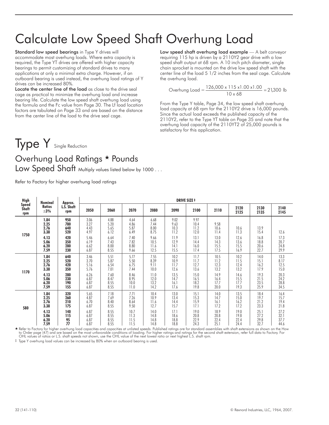# Calculate Low Speed Shaft Overhung Load

Standard low speed bearings in Type Y drives will accommodate most overhung loads. Where extra capacity is required, the Type YT drives are offered with higher capacity bearings to permit customizing of standard drives to many applications at only a minimal extra charge. However, if an outboard bearing is used instead, the overhung load ratings of Y drives can be increased 80%.

Locate the center line of the load as close to the drive seal cage as practical to minimize the overhung load and increase bearing life. Calculate the low speed shaft overhung load using the formula and the Fc value from Page 30. The Lf load location factors are tabulated on Page 33 and are based on the distance from the center line of the load to the drive seal cage.

Low speed shaft overhung load example - A belt conveyor requiring 115 hp is driven by a 2110Y2 gear drive with a low speed shaft output at 68 rpm. A 10 inch pitch diameter, single chain sprocket is mounted on the drive low speed shaft with the center line of the load 5 1/2 inches from the seal cage. Calculate the overhung load.

Overhung Load = 
$$
\frac{126,000 \times 115 \times 1.00 \times 1.00}{10 \times 68} = 21,300
$$
 lb

From the Type Y table, Page 34, the low speed shaft overhung load capacity at 68 rpm for the 2110Y2 drive is 16,000 pounds. Since the actual load exceeds the published capacity of the 2110Y2, refer to the Type YT table on Page 35 and note that the overhung load capacity of the 2110YT2 of 25,000 pounds is satisfactory for this application.

# Type Y Single Reduction

# Overhung Load Ratings \* Pounds

Low Speed Shaft Multiply values listed below by 1000...

Refer to Factory for higher overhung load ratings

| <b>High</b>           | Nominal                      | Approx.                  |                              |                              |                              |                              |                              | <b>DRIVE SIZE ‡</b>          |                      |              |              |              |
|-----------------------|------------------------------|--------------------------|------------------------------|------------------------------|------------------------------|------------------------------|------------------------------|------------------------------|----------------------|--------------|--------------|--------------|
| Speed<br>Shaft<br>rpm | <b>Ratios</b><br>$\pm 3\%$   | L.S. Shaft<br>rpm        | 2050                         | 2060                         | 2070                         | 2080                         | 2090                         | 2100                         | 2110                 | 2120<br>2125 | 2130<br>2135 | 2140<br>2145 |
| 1750                  | 1.84<br>2.25<br>2.76<br>3.38 | 950<br>780<br>640<br>520 | 3.06<br>3.27<br>4.43<br>4.97 | 4.88<br>5.20<br>5.65<br>6.12 | 4.64<br>4.86<br>5.87<br>6.49 | 6.68<br>7.44<br>8.00<br>8.75 | 9.02<br>9.63<br>10.3<br>11.2 | 9.97<br>10.4<br>11.2<br>12.0 | 9.58<br>10.6<br>11.4 | 10.6<br>11.3 | 13.9<br>15.4 | 12.6         |
|                       | 4.13                         | 420                      | 5.46                         | 6.64                         | 7.40                         | 9.66                         | 11.9                         | 13.1                         | 13.0                 | 12.6         | 16.8         | 17.3         |
|                       | 5.06                         | 350                      | 6.19                         | 7.43                         | 7.82                         | 10.5                         | 12.9                         | 14.4                         | 14.3                 | 13.6         | 18.8         | 20.7         |
|                       | 6.20                         | 280                      | 6.62                         | 8.00                         | 8.80                         | 11.6                         | 14.1                         | 16.0                         | 15.5                 | 15.5         | 20.6         | 24.8         |
|                       | 7.59                         | 230                      | 6.87                         | 8.55                         | 9.66                         | 12.5                         | 15.5                         | 17.4                         | 17.5                 | 16.9         | 22.7         | 29.9         |
|                       | 1.84                         | 640                      | 3.46                         | 5.51                         | 5.77                         | 7.55                         | 10.2                         | 11.7                         | 10.5                 | 10.2         | 14.0         | 13.3         |
|                       | 2.25                         | 520                      | 3.70                         | 5.87                         | 5.50                         | 8.39                         | 10.9                         | 11.7                         | 11.2                 | 11.5         | 15.1         | 8.17         |
|                       | 2.76                         | 420                      | 5.16                         | 6.54                         | 6.75                         | 9.11                         | 11.7                         | 12.7                         | 12.3                 | 12.4         | 16.2         | 12.5         |
|                       | 3.38                         | 350                      | 5.76                         | 7.01                         | 7.44                         | 10.0                         | 12.6                         | 13.6                         | 13.2                 | 13.2         | 17.9         | 15.0         |
| 1170                  | 4.13                         | 280                      | 6.26                         | 7.60                         | 8.46                         | 11.0                         | 13.5                         | 15.0                         | 14.9                 | 14.6         | 19.3         | 20.3         |
|                       | 5.06                         | 230                      | 6.87                         | 8.47                         | 8.95                         | 12.0                         | 14.7                         | 16.5                         | 16.4                 | 15.5         | 21.5         | 24.2         |
|                       | 6.20                         | 190                      | 6.87                         | 8.55                         | 10.0                         | 13.2                         | 16.1                         | 18.2                         | 17.7                 | 17.7         | 23.5         | 28.8         |
|                       | 7.59                         | 155                      | 6.87                         | 8.55                         | 11.0                         | 14.2                         | 17.6                         | 19.8                         | 20.0                 | 19.3         | 25.9         | 34.5         |
| 580                   | 1.84                         | 320                      | 5.65                         | 7.18                         | 7.71                         | 10.4                         | 13.0                         | 15.1                         | 14.0                 | 13.5         | 18.4         | 16.4         |
|                       | 2.25                         | 260                      | 4.87                         | 7.69                         | 7.26                         | 10.9                         | 13.4                         | 15.3                         | 14.7                 | 15.0         | 19.7         | 15.7         |
|                       | 2.76                         | 210                      | 6.70                         | 8.40                         | 8.64                         | 11.6                         | 14.4                         | 15.9                         | 16.1                 | 16.2         | 21.2         | 19.4         |
|                       | 3.38                         | 175                      | 6.87                         | 8.55                         | 9.50                         | 12.7                         | 15.7                         | 17.1                         | 17.2                 | 17.2         | 23.3         | 21.8         |
|                       | 4.13                         | 140                      | 6.87                         | 8.55                         | 10.7                         | 14.0                         | 17.1                         | 19.0                         | 18.9                 | 19.0         | 25.1         | 27.2         |
|                       | 5.06                         | 115                      | 6.87                         | 8.55                         | 11.3                         | 14.8                         | 18.6                         | 20.8                         | 20.8                 | 19.8         | 27.2         | 32.1         |
|                       | 6.20                         | 95                       | 6.87                         | 8.55                         | 11.5                         | 14.8                         | 18.8                         | 22.9                         | 22.4                 | 22.4         | 29.8         | 37.7         |
|                       | 7.59                         | 77                       | 6.87                         | 8.55                         | 11.5                         | 14.8                         | 18.8                         | 24.3                         | 25.                  | 24.4         | 32.7         | 44.6         |

→ 7.59 | 77 | 6.87 | 8.55 | 11.5 | 14.8 | 18.8 | 24.3 | 25.1 | 24.4 | 32.7 | 44.6<br>♦ Refer to Factory for higher overhung load capacities and capacities at unlisted speeds. Published ratings ore for standard assemblies wit to Order page (47) and are based on the most unfavorable conditions of loading. For higher ratings and ratings for the second shaft extension, refer full data to Factory. Foi<br>OHL values of ratios or L.S. shaft speeds not s

‡ Type Y overhung load values can be increased by 80% when an outboard bearing is used.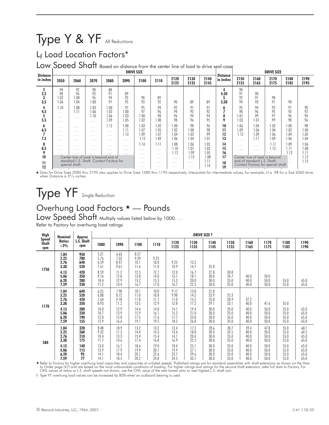# Type Y & YF All Reductions

### L<sub>f</sub> Load Location Factors\*

Low Speed Shaft Based on distance from the center line of load to drive seal cage

| <b>Distance</b>           |                                                      |                                                                            |                                                                            |                                                                                         |                                                 | <b>DRIVE SIZE</b>                        |                                          |                                  |                              |                            |                               |                                 |                                                                   | <b>DRIVE SIZE</b>            |                                |                              |
|---------------------------|------------------------------------------------------|----------------------------------------------------------------------------|----------------------------------------------------------------------------|-----------------------------------------------------------------------------------------|-------------------------------------------------|------------------------------------------|------------------------------------------|----------------------------------|------------------------------|----------------------------|-------------------------------|---------------------------------|-------------------------------------------------------------------|------------------------------|--------------------------------|------------------------------|
| in inches                 | 2050                                                 | 2060                                                                       | 2070                                                                       | 2080                                                                                    | 2090                                            | 2100                                     | 2110                                     | 2120<br>2125                     | 2130<br>2135                 | 2140<br>2145               | <b>Distance</b><br>in inches  | 2150<br>2155                    | 2160<br>2165                                                      | 2170<br>2175                 | 2180<br>2185                   | 2190<br>2195                 |
| $\mathbf 2$<br>2.5<br>3.5 | .94<br>.98<br>1.02<br>.06                            | .92<br>.96<br>.00<br>1.04                                                  | .90<br>.93<br>.96<br>1.00                                                  | .88<br>.91<br>.94<br>.97                                                                | .89<br>.92<br>.95                               | .90<br>.93                               | .89<br>.92                               | .90                              | .89                          | .89                        | 4<br>4.50<br>5.50             | .90<br>.91<br>.92<br>.94        | .90<br>.91<br>.93                                                 | .90<br>.91                   | .90                            |                              |
| 4<br>4.5<br>5.5           | 1.10<br>$\cdots$<br>$\cdots$<br>$\cdots$             | 1.08<br>1.11<br>$\cdots$                                                   | 1.03<br>1.06<br>1.10<br>.                                                  | 1.00<br>1.03<br>1.06<br>1.09                                                            | .97<br>00.1<br>.03<br>.05                       | .95<br>.97<br>0.00<br>1.02               | .94<br>.96<br>.98<br>1.00                | .92<br>.94<br>.96<br>.98         | .91<br>.92<br>.94<br>.96     | .91<br>.92<br>.94<br>.95   | 6<br>$\overline{ }$<br>8<br>9 | .95<br>.98<br>.01<br>1.03       | .94<br>.96<br>.99<br>1.01                                         | .92<br>.95<br>.97<br>.99     | .91<br>.93<br>.96<br>.98       | .90<br>.92<br>.94<br>.96     |
| 6<br>6.5<br>7.5           | $\cdots$<br>$\cdot$ $\cdot$ $\cdot$<br>$\cdots$<br>. | $\cdot$ $\cdot$ $\cdot$<br>$\cdot$ $\cdot$ $\cdot$<br>$\cdots$<br>$\cdots$ | $\cdot$ $\cdot$ $\cdot$<br>$\cdot$ $\cdot$ $\cdot$<br>$\cdots$<br>$\cdots$ | 1.12<br>$\cdots$<br>$\cdots$<br>$\cdots$                                                | 0.08<br>1.11<br>1.13<br>$\cdots$                | 1.03<br>1.07<br>1.09<br>1.12             | 1.02<br>1.05<br>1.07<br>1.09             | 00.1<br>.02<br>.04<br>1.06       | .98<br>1.00<br>1.02<br>1.04  | .96<br>.98<br>.99<br>1.01  | 10<br>11<br>12<br>13          | 1.06<br>.09<br>1.12<br>$\cdots$ | 1.04<br>1.06<br>1.09<br>1.11                                      | 1.02<br>1.04<br>1.06<br>1.09 | .00<br>.02<br>.04<br>.06       | .98<br>1.00<br>1.02<br>1.04  |
| 8<br>8.5<br>9<br>10       | $\cdots$<br>.<br>.                                   | $\cdots$<br>$\cdots$<br>$\cdot$ $\cdot$ $\cdot$                            | $\cdots$<br>$\cdots$<br>.                                                  | $\cdots$<br>$\cdots$<br>$\cdot$ $\cdot$ $\cdot$<br>Center line of load is beyond end of | $\cdots$<br>$\cdots$<br>$\cdot$ $\cdot$ $\cdot$ | 1.14<br>$\cdots$<br>$\cdots$<br>$\cdots$ | 1.11<br>$\cdots$<br>$\cdots$<br>$\cdots$ | 0.08<br>1.10<br>1.12<br>$\cdots$ | 1.06<br>1.07<br>1.09<br>1.13 | .02<br>1.03<br>.05<br>0.08 | 14<br>15<br>16<br>17          | $\cdots$<br>$\cdots$            | $\cdots$<br>$\cdots$<br>Center line of load is beyond             | 1.11<br>1.13                 | .09<br>$\overline{11}$<br>1.13 | 1.06<br>1.08<br>1.11<br>1.12 |
| $\mathbf{1}$<br>12        |                                                      | special shaft.                                                             |                                                                            | standard L.S. Shaft. Contact Factory for                                                |                                                 | $\cdots$<br>$\cdots$                     | $\cdots$<br>$\cdots$                     | $\cdots$<br>$\cdots$             | $\cdots$<br>$\cdots$         | 1.11<br>1.14               | 18<br>19                      |                                 | end of standard L.S. Shaft.<br>Contact Factory for special shaft. |                              |                                | 1.13                         |

Data for Drive Sizes 2080 thru 2195 also applies to Drive Sizes 1080 thru 1195 respectively. Interpolate for intermediate values, for example, Lf is .98 for a Size 2060 drive when Distance is 23/4 inches.

# Type YF Single Reduction

### Overhung Load Factors \* - Pounds

Low Speed Shaft Multiply values listed below by 1000. . .

Refer to Factory for overhung load ratings

| <b>High</b><br><b>Speed</b><br>Shaft<br>rpm | Nominal                      | <b>Approx</b>            |                              |                              |                              |                              |                              |                              | <b>DRIVE SIZE ‡</b>          |                              |                              |                              |                              |                              |
|---------------------------------------------|------------------------------|--------------------------|------------------------------|------------------------------|------------------------------|------------------------------|------------------------------|------------------------------|------------------------------|------------------------------|------------------------------|------------------------------|------------------------------|------------------------------|
|                                             | <b>Ratios</b><br>$\pm 3\%$   | L.S. Shaft<br>rpm        | 1080                         | 1090                         | 1100                         | 1110                         | 1120<br>1125                 | 1130<br>1135                 | 1140<br>1145                 | 1150<br>1155                 | 1160<br>1165                 | 1170<br>1175                 | 1180<br>1185                 | 1190<br>1190                 |
|                                             | 1.84<br>2.25<br>2.76<br>3.38 | 950<br>780<br>640<br>520 | 5.21<br>5.76<br>6.59<br>7.61 | 6.63<br>7.33<br>8.47<br>9.61 | 8.57<br>9.39<br>10.1<br>11.6 | 9.25<br>10.0<br>11.0         | 9.25<br>10.9                 | 13.2<br>14.7                 | 25.0                         |                              |                              |                              |                              |                              |
| 1750                                        | 4.13<br>5.06<br>6.20<br>7.59 | 420<br>350<br>280<br>230 | 8.59<br>9.16<br>10.4<br>11.2 | 11.2<br>12.0<br>12.9<br>14.4 | 12.5<br>13.8<br>15.2<br>16.7 | 12.7<br>14.0<br>15.3<br>17.0 | 12.0<br>13.1<br>15.3<br>16.7 | 16.7<br>18.1<br>20.0<br>22.5 | 27.8<br>30.0<br>30.0<br>30.0 | 30.8<br>34.7<br>35.0<br>35.0 | 40.0<br>40.0<br>40.0         | 50.0<br>50.0<br>50.0         | 55.0<br>55.0                 | 65.0<br>65.0                 |
| 1170                                        | 1.84<br>2.25<br>2.76<br>3.38 | 640<br>520<br>420<br>350 | 6.25<br>6.88<br>7.64<br>8.93 | 7.90<br>8.72<br>9.78<br>11.2 | 10.1<br>11.0<br>11.8<br>13.5 | 10.0<br>10.8<br>11.7<br>12.9 | 9.17<br>9.98<br>11.0<br>12.8 | 13.0<br>14.2<br>15.5<br>17.2 | 21.8<br>23.9<br>25.8<br>29.1 | 25.3<br>28.9<br>33.1         | 37.2<br>40.0                 | 47.6                         | 55.0                         |                              |
|                                             | 4.13<br>5.06<br>6.20<br>7.59 | 280<br>230<br>190<br>155 | 10.0<br>10.7<br>12.0<br>12.9 | 12.9<br>13.9<br>15.0<br>16.6 | 14.4<br>15.9<br>17.5<br>19.1 | 14.8<br>16.1<br>17.6<br>19.5 | 14.1<br>15.3<br>17.7<br>18.2 | 19.4<br>21.0<br>23.0<br>26.0 | 30.0<br>30.0<br>30.0<br>30.0 | 35.0<br>35.0<br>35.0<br>35.0 | 40.0<br>40.0<br>40.0<br>40.0 | 50.0<br>50.0<br>50.0<br>50.0 | 55.0<br>55.0<br>55.0<br>55.0 | 65.0<br>65.0<br>65.0<br>65.0 |
| 580                                         | 1.84<br>2.25<br>2.76<br>3.38 | 320<br>260<br>210<br>175 | 8.48<br>9.32<br>10.4<br>11.7 | 10.9<br>11.5<br>13.3<br>14.6 | 13.2<br>14.4<br>15.4<br>17.4 | 13.2<br>14.3<br>15.4<br>16.8 | 12.4<br>13.4<br>14.7<br>16.9 | 17.2<br>18.8<br>20.4<br>22.5 | 28.6<br>30.0<br>30.0<br>30.0 | 30.7<br>33.5<br>35.0<br>35.0 | 39.4<br>40.0<br>40.0<br>40.0 | 47.8<br>50.0<br>50.0<br>50.0 | 55.0<br>55.0<br>55.0<br>55.0 | 60.1<br>64.5<br>65.0<br>65.0 |
|                                             | 4.13<br>5.06<br>6.20<br>7.59 | 140<br>115<br>95<br>77   | 13.0<br>13.9<br>14.1<br>14.1 | 16.7<br>17.9<br>18.4<br>18.5 | 18.6<br>19.9<br>20.1<br>20.2 | 19.0<br>20.7<br>22.6<br>24.8 | 18.4<br>19.9<br>22.7<br>24.5 | 25.1<br>27.1<br>29.6<br>33.1 | 30.0<br>30.0<br>30.0<br>30.0 | 35.0<br>35.0<br>35.0<br>35.0 | 40.0<br>40.0<br>40.0<br>40.0 | 50.0<br>50.0<br>50.0<br>50.0 | 55.0<br>55.0<br>55.0<br>55.0 | 65.0<br>65.0<br>65.0<br>65.0 |

★ Refer to Factory for higher overhung load capacities and capacities at unlisted speeds. Published ratings are for standard assemblies with shaft extensions as shown on the How<br>to Order page (47) and are based on the mos

‡ Type YF overhung load values can be increased by 80% when an outboard bearing is used.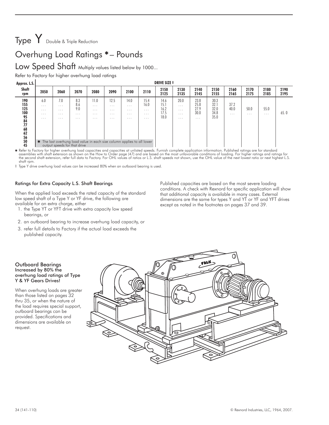# Type Y Double & Triple Reduction

### Overhung Load Ratings – Pounds

### Low Speed Shaft Multiply values listed below by 1000...

Refer to Factory for higher overhung load ratings

| Approx. L.S.                                                                      |                                                                                   |                                                                |                                           |                                                                     |                                                                                                                   |                                                      |                                                  | <b>DRIVE SIZE ‡</b>                  |                                                                     |                                   |                                      |                          |                  |                  |              |
|-----------------------------------------------------------------------------------|-----------------------------------------------------------------------------------|----------------------------------------------------------------|-------------------------------------------|---------------------------------------------------------------------|-------------------------------------------------------------------------------------------------------------------|------------------------------------------------------|--------------------------------------------------|--------------------------------------|---------------------------------------------------------------------|-----------------------------------|--------------------------------------|--------------------------|------------------|------------------|--------------|
| Shaft<br>rpm                                                                      | 2050                                                                              | 2060                                                           | 2070                                      | 2080                                                                | 2090                                                                                                              | 2100                                                 | 2110                                             | 2150<br>2125                         | 2130<br>2135                                                        | 2140<br>2145                      | 2150<br>2155                         | 2160<br>2165             | 2170<br>2175     | 2180<br>2185     | 2190<br>2195 |
| 190<br>155<br>125<br>100<br>95<br>84<br>$77$<br>68<br>$\frac{62}{56}$<br>50<br>45 | 6.0<br>$\cdot$ $\cdot$ $\cdot$<br>$\cdots$<br>$\cdot$ $\cdot$ $\cdot$<br>$\cdots$ | 7.0<br>.<br>.<br>.<br>$\cdots$<br>output speeds for that drive | 8.3<br>8.6<br>9.0<br>$\cdots$<br>$\cdots$ | 11.0<br>$\cdot$ $\cdot$ $\cdot$<br>$\cdots$<br>$\cdots$<br>$\cdots$ | 12.5<br>.<br>$\cdots$<br>.<br>$\cdots$<br>* The last overhung load value in each size column applies to all lower | 14.0<br>$\cdots$<br>$\cdots$<br>$\cdots$<br>$\cdots$ | 15.4<br>16.0<br>$\cdots$<br>$\cdots$<br>$\cdots$ | 14.6<br>15.1<br>16.2<br>17.5<br>18.0 | 20.0<br>$\cdot$ $\cdot$ $\cdot$<br>$\cdots$<br>$\cdots$<br>$\cdots$ | 23.8<br>25.8<br>27.9<br>30.0<br>. | 30.3<br>32.1<br>32.0<br>34.8<br>35.0 | 37.2<br>40.0<br>$\cdots$ | 50.0<br>$\cdots$ | 55.0<br>$\cdots$ | 65.0         |

Refer to Factory for higher overhung load capacities and capacities at unlisted speeds. Furnish complete application information. Published ratings are for standard (47) and the most mussemblies with shaft excepted in the shaft rpm.

‡ Type Y drive overhung load values can be increased 80% when an outboard bearing is used.

### Ratings for Extra Capacity L.S. Shaft Bearings

When the applied load exceeds the rated capacity of the standard low speed shaft of a Type Y or YF drive, the following are available for an extra charge, either

- 1. the Type YT or YFT drive with extra capacity low speed bearings, or
- 2. an outboard bearing to increase overhung load capacity, or
- 3. refer full details to Factory if the actual load exceeds the published capacity.

### Published capacities are based on the most severe loading conditions. A check with Rexnord for specific application will show that additional capacity is available in many cases. External dimensions are the same for types Y and YT or YF and YFT drives except as noted in the footnotes on pages 37 and 39.

### Outboard Bearings Increased by 80% the overhung load ratings of Type Y & YF Gears Drives!

When overhung loads are greater than those listed on pages 32 thru 35, or when the nature of the load requires special support, outboard bearings can be provided. Specifications and dimensions are available on request.

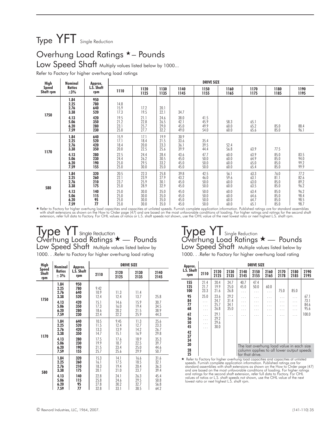# Type YFT Single Reduction

### Overhung Load Ratings \*- Pounds

### Low Speed Shaft Multiply values listed below by 1000...

Refer to Factory for higher overhung load ratings

| High<br><b>Speed</b> | Nominal                      | Approx.                       |                              |                              |                              |                              | <b>DRIVE SIZE</b>            |                              |                              |                              |                              |
|----------------------|------------------------------|-------------------------------|------------------------------|------------------------------|------------------------------|------------------------------|------------------------------|------------------------------|------------------------------|------------------------------|------------------------------|
| Shaft rpm            | Ratios<br>$\pm 3\%$          | L.S. Shaft<br>rpm             | 1110                         | 1120<br>1125                 | 1130<br>1135                 | 1140<br>1145                 | 1150<br>1155                 | 1160<br>1165                 | 1170<br>1175                 | 1180<br>1185                 | 1190<br>1195                 |
| 1750                 | 1.84<br>2.25<br>2.76<br>3.38 | 950<br>780<br>640<br>520      | 14.8<br>15.9<br>17.3         | 17.2<br>19.5                 | 20.1<br>22.1                 | 34.7                         |                              |                              |                              |                              |                              |
|                      | 4.13<br>5.06<br>6.20<br>7.59 | 420<br>350<br>280<br>230      | 19.5<br>21.2<br>23.1<br>25.0 | 21.1<br>22.8<br>25.7<br>27.7 | 24.6<br>26.5<br>29.0<br>32.2 | 38.0<br>42.1<br>45.0<br>49.0 | 41.5<br>45.9<br>49.9<br>54.0 | 58.3<br>60.0<br>60.0         | 65.1<br>65.2<br>65.6         | 85.0<br>85.0                 | 88.4<br>96.1                 |
| 1170                 | 1.84<br>2.25<br>2.76<br>3.38 | 640<br>520<br>420<br>350      | 15.9<br>17.1<br>18.4<br>20.0 | 17.1<br>18.4<br>20.0<br>22.5 | 19.9<br>21.5<br>23.3<br>25.6 | 30.9<br>33.6<br>36.1<br>39.9 | 35.4<br>39.5<br>44.4         | 52.4<br>56.8                 | 63.9                         | 77.5                         |                              |
|                      | 4.13<br>5.06<br>6.20<br>7.59 | 280<br>230<br>190<br>155      | 22.5<br>24.4<br>25.0<br>25.0 | 24.4<br>26.2<br>29.5<br>30.0 | 28.4<br>30.5<br>33.2<br>35.0 | 43.6<br>45.0<br>45.0<br>45.0 | 47.7<br>50.0<br>50.0<br>50.0 | 60.0<br>60.0<br>60.0<br>60.0 | 63.9<br>64.9<br>65.0<br>65.4 | 85.0<br>85.0<br>85.0<br>85.0 | 83.5<br>94.0<br>99.2<br>99.9 |
| 580                  | 1.84<br>2.25<br>2.76<br>3.38 | 320<br>260<br>210<br>175      | 20.5<br>22.1<br>23.7<br>25.0 | 22.3<br>23.9<br>25.9<br>28.9 | 25.8<br>27.9<br>30.1<br>32.9 | 39.8<br>43.2<br>45.0<br>45.0 | 42.5<br>46.0<br>50.0<br>50.0 | 56.1<br>59.6<br>60.0<br>60.0 | 63.3<br>63.1<br>63.0<br>63.5 | 76.0<br>81.1<br>85.0<br>85.0 | 77.2<br>82.6<br>89.2<br>96.2 |
|                      | 4.13<br>5.06<br>6.20<br>7.59 | 140<br>115<br>$\frac{95}{77}$ | 25.0<br>25.0<br>25.0<br>25.0 | 30.0<br>30.0<br>30.0<br>30.0 | 35.0<br>35.0<br>35.0<br>35.0 | 45.0<br>45.0<br>45.0<br>45.0 | 50.0<br>50.0<br>50.0<br>50.0 | 60.0<br>60.0<br>60.0<br>60.0 | 63.4<br>64.6<br>64.7<br>65.1 | 85.0<br>85.0<br>85.0<br>85.0 | 96.2<br>98.4<br>98.5<br>98.7 |

kefer to Factory for higher overhung load capacities and capacities at unlisted speeds. Furnish complete application information. Published ratings ore for standard assemblies → Refer to Factory for higher overhung load c with shaft extensions as shown on the How to Order page (47) and are based on the most unfavorable conditions of loading. For higher ratings and ratings for the second shaft<br>extension, refer full data to Factory. For OHL v

### Type YT single Reduction Overhung Load Ratings \* - Pounds Low Speed Shaft Multiple values listed below by 1000. . .Refer to Factory for higher overhung load rating

DRIVE SIZE

2130 2135 2140 2145

Type YT Single Reduction Overhung Load Ratings  $\star$  — Pounds Low Speed Shaft Multiple values listed below by

1000. . . Refer to Factory for higher overhung load rating

| Approx.                                                                             |                                                                 |                                                                                      |                                                           |                                              | <b>DRIVE SIZE</b>                                 |                                           |                               |                                      |                                       |
|-------------------------------------------------------------------------------------|-----------------------------------------------------------------|--------------------------------------------------------------------------------------|-----------------------------------------------------------|----------------------------------------------|---------------------------------------------------|-------------------------------------------|-------------------------------|--------------------------------------|---------------------------------------|
| L.S. Shaft<br>rpm                                                                   | 2110                                                            | 2120<br>2125                                                                         | 2130<br>2135                                              | 2140<br>2145                                 | 2150<br>2155                                      | 2160<br>2165                              | 2170<br>2178                  | 2180<br>2185                         | 2190<br>2195                          |
| 155<br>125<br>100<br>95<br>84<br>77<br>68<br>62<br>56<br>50<br>45<br>42<br>37<br>34 | 21.4<br>21.7<br>23.3<br>25.0<br>.<br>.<br>.<br>.<br>.<br>.<br>. | 20.4<br>19.9<br>21.6<br>23.6<br>24.7<br>25.7<br>26.8<br>29.1<br>29.2<br>29.6<br>30.0 | 24.7<br>25.0<br>26.8<br>29.2<br>31.4<br>34.1<br>35.0<br>. | 40.7<br>45.0<br>$\cdots$<br>.<br>.<br>.<br>. | 47.4<br>50.0<br>$\cdots$<br>.<br>.<br>.<br>.<br>. | 60.0<br>.<br>.                            | 75.0<br>.<br>.<br>.<br>.<br>. | 85.0<br>$\cdots$<br>.<br>.<br>.<br>. | 67.1<br>73.1<br>84.6<br>95.6<br>100.0 |
| 30                                                                                  |                                                                 |                                                                                      |                                                           |                                              |                                                   | The last overhung load value in each size |                               |                                      |                                       |
| 28<br>25                                                                            |                                                                 |                                                                                      |                                                           | for that drive.                              |                                                   | column applies to all lower output speeds |                               |                                      |                                       |
| ★ Refer to Eactory for higher overhung load capacities and capacities at unlisted   |                                                                 |                                                                                      |                                                           |                                              |                                                   |                                           |                               |                                      |                                       |

★ Refer to Factory for higher overhung load capacities and capacities at unlisted<br>speeds. Furnish complete application information. Published ratings ore for<br>standard assemblies with shaft extensions as shown on the How t and are based on the most unfavorable conditions of loading. For higher ratings<br>and ratings for the second shaft extension, refer full data to Factory. For OHL<br>values of ratios or L.S. shaft speeds not shown, use the OHL v lowest ratio or next highest L.S. shaft rpm.

|      | 2.76 | 640 | 10.9        | ن. ا | 1.4  |
|------|------|-----|-------------|------|------|
| 1750 | 3.38 | 520 | 74<br>1 L.T | Д    | 13./ |

Approx. L.S. Shaft rpm

1.84 950 2.25 780 9.42

High Speed Shaft rpm

Nominal Ratios  $\pm$  3%

| 1750 | 2.76<br>3.38                 | 64V<br>520               | 10.7<br>12.4                 | II.3<br>12.4                 | 11.4<br>13.7                 | 25.8                         |
|------|------------------------------|--------------------------|------------------------------|------------------------------|------------------------------|------------------------------|
|      | 4.13                         | 420                      | 15.1                         | 14.6                         | 15.9                         | 30.7                         |
|      | 5.06                         | 350                      | 17.3                         | 16.0                         | 19.4                         | 34.5                         |
|      | 6.20                         | 280                      | 18.6                         | 20.2                         | 21.5                         | 38.9                         |
|      | 7.59                         | 230                      | 22.4                         | 22.2                         | 25.9                         | 44.3                         |
| 1170 | 1.84                         | 640                      | 10.5                         | 9.45                         | 11.3                         | 25.6                         |
|      | 2.25                         | 520                      | 11.5                         | 12.4                         | 12.7                         | 23.3                         |
|      | 2.76                         | 420                      | 13.3                         | 13.9                         | 14.2                         | 26.7                         |
|      | 3.38                         | 350                      | 14.7                         | 15.1                         | 16.9                         | 29.8                         |
|      | 4.13                         | 280                      | 17.5                         | 17.6                         | 18.9                         | 35.3                         |
|      | 5.06                         | 230                      | 19.9                         | 18.7                         | 22.5                         | 39.7                         |
|      | 6.20                         | 190                      | 21.5                         | 23.4                         | 25.0                         | 44.6                         |
|      | 7.59                         | 155                      | 25.7                         | 25.6                         | 29.9                         | 50.7                         |
| 580  | 1.84<br>2.25<br>2.76<br>3.38 | 320<br>260<br>210<br>175 | 15.3<br>16.1<br>18.3<br>20.1 | 14.1<br>17.5<br>19.4<br>21.0 | 16.6<br>18.5<br>20.4<br>23.7 | 31.6<br>32.1<br>36.3<br>39.4 |
|      | 4.13<br>5.06<br>6.20<br>7.59 | 140<br>115<br>95<br>77   | 22.8<br>25.8<br>27.8<br>32.8 | 24.1<br>24.6<br>30.2<br>33.1 | 26.3<br>29.5<br>32.7<br>38.5 | 45.4<br>50.8<br>56.8<br>64.2 |

2110 2120 2125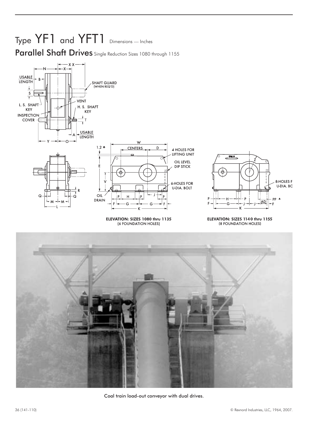# Type YF1 and YFT1 Dimensions — Inches Parallel Shaft Drives Single Reduction Sizes 1080 through 1155



ELEVATION: SIZES 1080 thru 1135 (6 FOUNDATION HOLES)



### ELEVATION: SIZES 1140 thru 1155 (8 FOUNDATION HOLES)



Coal train load-out conveyor with dual drives.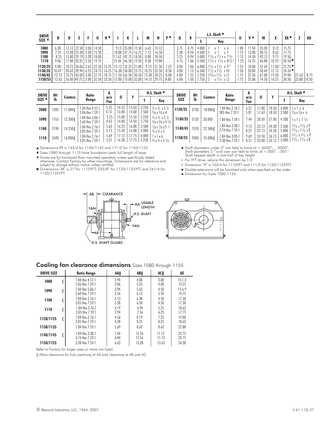| <b>DRIVE</b> |                |               |               |      |       |                       |                         |                 |                                       |                 |       | D 1      |      |       |       | L.S. Shaft $*$                                       |      | v★    |       | v     |                        |       |       |
|--------------|----------------|---------------|---------------|------|-------|-----------------------|-------------------------|-----------------|---------------------------------------|-----------------|-------|----------|------|-------|-------|------------------------------------------------------|------|-------|-------|-------|------------------------|-------|-------|
| SIZE $\star$ |                | D             |               |      | G     | H۹                    |                         |                 |                                       | M               |       |          | Q    | R     |       | Key                                                  | U    |       |       | n     | XX ●                   |       | AD    |
| 1080         | 6.38           | 12.13   22.50 |               | 3.00 | 14.50 | $\cdots$              | 9.13                    | 35.00           | 15.50                                 | 6.63            | 15.13 | $\cdots$ | 3.75 | 0.75  | 4.000 |                                                      | .00  | 1.50  | 35.38 | 8.13  | 15.75                  |       |       |
| 1090         | 25             |               | 13.38 25.38   | 3.38 | 15.50 | $\cdots$              |                         | $10.00$   37.75 | 16.75                                 | 1.13            | 16.50 | $\cdots$ | 3.38 | 0.94  | 4.500 |                                                      |      | 13.00 | 38.13 | 8.63  | 17.75                  |       |       |
| 1100         | 8.25           |               | 15.00 29.19   | 3.38 | 18.00 | $\cdots$              | 11.63                   | 42.75           | 18.50                                 | 8.00            | 18.50 | $\cdots$ | 3.25 | 0.94  | 5.000 | $11/4 \times 11/4 \times 71/2$                       | I.I3 | 14.50 | 43.13 | 9.75  | 19.50                  |       |       |
| 1110         | 9.061          | 17.00 32.81   |               | 3.50 | 19.75 |                       | 13.50                   | 46.50           | 19.50                                 | 8.38            | 19.88 | $\cdots$ | 4.75 | i.O6  | 5.500 | $1^{1}/4 \times 1^{1}/4 \times 8^{1}/2$ <sup>†</sup> | 1.25 | 16.25 | 46.88 | 10.25 | $20.50$ $\blacksquare$ |       |       |
| 1120/25      | $9.88^{\circ}$ | 18.75 36.06   |               | 3.63 | 22.50 | 5.25                  |                         | $15.13$   52.25 | 21.00                                 | 9.13            | 21.50 |          | 4.00 | 06، ١ | 6.000 | $1\frac{1}{2}x1\frac{1}{2}x9$ †                      | .25  | 18.00 | 52.69 | 1.00  | 22.25                  |       |       |
| 1130/35      | $10.69+$       |               | 20.63 39.94   | 4.25 | 24.75 |                       |                         |                 | 16.25   16.38   58.00   23.75   10.25 |                 | 23.50 | 8.50     | 4.00 | . 13  | 6.500 | $11/2 \times 11/2 \times 10$                         | .50  | 20.00 | 58.44 | 12.13 | $24.34$ $\blacksquare$ |       |       |
| 1140/45      | 12.13          |               | 23.75   45.00 | 3.00 | 27.75 |                       | $18.75$   11.50   65.50 |                 |                                       | $30.50$   13.38 | 28.25 | 8.00     | 6.00 | .25   | 250   | $13/4 \times 11/4 \times 11$                         | . 75 | 22.50 | 67.00 | 15.50 | 29.00                  | 21.63 | 8.75  |
| 1150/55      | 12.63          |               | 26.00 49.75   | 3.00 |       | 32.50   23.50   12.00 |                         | 73.00           | 32.00   14.13                         |                 | 29.75 | 8.00     | 6.00 | .50   | .750  | $x1\frac{1}{2}x12$                                   |      | 25.00 | 74.50 | 16.25 | 30.50                  | 23.88 | 10.50 |

| <b>DRIVE</b> | Wt   |                | Ratio                                    | A            |                |                |                | H.S. Shaft *                                                                                 | <b>DRIVE</b> | Wt   |                | Ratio                                | A                              |                |                |                | H.S. Shaft *                                                                   |
|--------------|------|----------------|------------------------------------------|--------------|----------------|----------------|----------------|----------------------------------------------------------------------------------------------|--------------|------|----------------|--------------------------------------|--------------------------------|----------------|----------------|----------------|--------------------------------------------------------------------------------|
| SIZE $\star$ | lb   | <b>Centers</b> | Range                                    | w/o<br>Fan   | 0              |                |                | Key                                                                                          | <b>SIZE</b>  | lb   | <b>Centers</b> | Range                                | W/O<br>Fan                     | 0              |                |                | Key                                                                            |
| 2080         | 1285 | 11.000         | 1.84 thru 4.57:1<br>5.06 thru 7.59:1     | 5.25<br>4.13 | 14.53<br>13.00 | 15.03<br>14.00 | 3.250<br>2.500 | $\frac{3}{4} \times \frac{3}{4} \times 5 \frac{1}{2}$<br>$\frac{5}{8}$ x $\frac{5}{8}$ x 4   | 1120/25      | 3730 | 18.000{        | 1.84 thru 2.76:1<br>305 thru 7.59:1  | $6.3^{\circ}$<br>$5.8^{\circ}$ | 17.88<br>17.63 | 18.50<br>18.50 | 4.000<br>3.500 | 1 x 1 x 6<br>$\frac{7}{8}x \frac{7}{8}x$ 6                                     |
| 1090         | 1765 | 12.500{        | 1.84 thru 5.06:1<br>5.60 thru 7.59:1     | 5.25<br>4.63 | 15.00<br>14.00 | 15.50<br>14.50 | 3.250<br>2.750 | $\frac{3}{4} \times \frac{3}{4} \times 5 \frac{1}{2}$<br>$5/8 \times 5/8 \times 4$ $1/2$     | 1130/35      | 5120 | 20,000         | 1.84 thru 7.59:1                     | . 44                           | 20.50          | 21.00          | 4.500          | $\frac{1}{2}$ x $\frac{1}{2}$ $\frac{1}{2}$                                    |
| 1100         | 2190 | 14.250         | 1.84 thru 2.76:1<br>3.05 thru 7.59:1     | 5.63<br>5.13 | 16.25<br>15.50 | 16.88<br>16.88 | 3.500<br>3.000 | $\frac{7}{8}$ x $\frac{7}{8}$ x 5 $\frac{1}{2}$<br>$\frac{3}{4} \times \frac{3}{4} \times 5$ | 1140/45      | 7570 | 22.500         | 1.84 thru 3.38:1<br>3.74 thru 7.59:1 | 9.13<br>8.25                   | 23.13<br>22.13 | 24.38<br>24.38 | 5.500<br>5.000 | $1\frac{1}{4} \times 1\frac{1}{4} \times 9$<br>$1^{1}/_{4}$ x $1^{1}/_{4}$ x 8 |
| 1110         | 2690 | 16.000{        | 1.84 thru 2.76:1<br>7.59:<br>$3.05$ thru | 5.69<br>5.31 | 17.13<br>16.38 | 17.75<br>17.75 | 4.000<br>3.250 | $\lceil x \rceil x 6$<br>$\frac{3}{4}$ x $\frac{3}{4}$ x 5 $\frac{1}{2}$                     | 1150/55      | 9300 | 25.000{        | 1.84 thru 3.05:1<br>59.              | 9.69<br>83                     | 24.50<br>23.00 | 26.13<br>26.13 | 6.000<br>5.000 | $1\frac{1}{2}x1\frac{1}{2}x9$<br>$11/4 \times 11/4 \times 8$                   |

▲ Dimensions PP is 143/4 for 1140/1145 and 171/2 for 1150/1155.

- Sizes 1080 through 1110 have foundation pads full length of base.

- Drives are for horizontal floor mounted operation unless specifically stated

otherwise. Contact Factory for other mountings. Dimensions are for reference and subject to change without notice unless certified. ■ Dimensions 'XX' is 21"for 1110YFT, 235/8" for 1120/1125YFT and 241/4 for

1130/1135YFT.



‡ Dimension "X" is 103/4 for 1110YFT and 111/2 for 1120/1125YFT.

Double extensions will be furnished only when specified on the order.

Dimension for Sizes 1080-1135.





### Cooling fan clearance dimensions Sizes 1080 through 1155

| <b>DRIVE SIZE</b> | <b>Ratio Range</b>                         | AA§          | ABŞ            | AC§            | AE             |
|-------------------|--------------------------------------------|--------------|----------------|----------------|----------------|
| 1080              | $1.84$ thru $4.57:1$<br>5.06 thru $7.59:1$ | 3.94<br>3.06 | 4.88<br>5.25   | 3.00<br>4.00   | 15.13<br>14.25 |
| 1090              | 1.84 thru 5.06:1<br>5.60 thru $7.59:1$     | 3.94<br>3.56 | 5.63<br>6.13   | 4.50<br>5.50   | 15.69<br>14.75 |
| 1100              | 1.84 thru 2.76:1<br>$3.05$ thru $7.59:1$   | 4.13<br>3.38 | 6.38<br>6.50   | 4.50<br>4.50   | 17.50<br>17.38 |
| 1110              | 1.84 thru 2.76:1<br>$3.05$ thru $7.59:1$   | 4.19<br>3.94 | 6.94<br>7.56   | 5.25<br>6.25   | 18.63<br>17.75 |
| 1120/1125         | 1.84 thru 2.76:1<br>$3.05$ thru $7.59:1$   | 4.56<br>4.38 | 8.19<br>8.25   | 7.25<br>8.25   | 19.00<br>18.63 |
| 1130/1135         | 1.84 thru 7.59:1                           | 5.69         | 8.69           | 8.63           | 22.88          |
| 1140/1145         | 1.84 thru 3.38:1<br>$3.74$ thru $7.59:1$   | 7.44<br>6.44 | 12.56<br>12.56 | 11.13<br>11.13 | 23.75<br>23.75 |
| 1150/1155         | 3.38 thru 7.59:1                           | 6.63         | 13.38          | 13.63          | 24.38          |

Refer to Factory for larger sizes or ratios not listed.

§ Allow clearance for hub overhung at AA and clearance at AB and AC.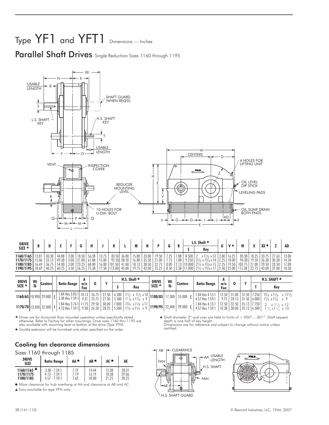# Type  $YF1$  and  $YFT1$  Dimensions — Inches

Parallel Shaft Drives Single Reduction Sizes 1160 through 1195



- Drives are for horizontal floor mounted operation unless specifically stated otherwise. Refer to Factory for other mountings. Drive sizes 1160 thru 1195 are also available with mounting level at bottom of the drive (Type YFN).

Double extension will be furnished only when specified on the order.



Sizes 1160 through 1185

| <b>DRIVE</b><br><b>SIZE</b>                   | <b>Ratio Range</b> | AA . | $AB =$ | $AC =$ | AE    |
|-----------------------------------------------|--------------------|------|--------|--------|-------|
| $1160/1165$ <sup><math>\triangle</math></sup> | $3.38 - 7.59$ :    | 7.19 | 14.44  | 15.38  | 28.31 |
| 1170/1175                                     | $4.13 - 7.59:1$    | 7.19 | 16.19  | 18.38  | 29.06 |
| 1180/1185                                     | $457 - 759-1$      | 7.63 | 18.00  | 21.25  | 30.25 |

Allow clearance for hub overhang at AA and clearance at AB and AC.

Fans available for type YFN only.

 Shaft diameter 3" and over are held to limits of +.000", -.001". Shaft keyseat depth is one-half of key height. Dimensions are for reference and subject to change without notice unless certified.



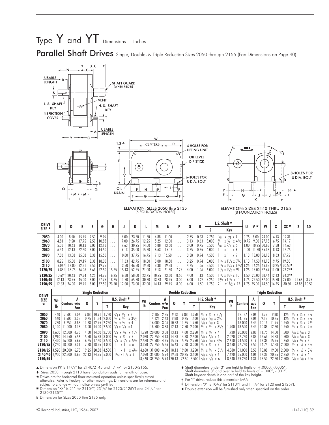# Type  $Y$  and  $YT$  Dimensions — Inches

Parallel Shaft Drives Single, Double, & Triple Reduction Sizes 2050 through 2155 (Fan Dimensions on Page 40)



 $\triangle$  Dimension PP is 143/<sub>4</sub>" for 2140/2145 and 17<sup>1</sup>/<sub>2</sub>" for 2150/2155.

- Sizes 2050 through 2110 have foundation pads full length of base.

- Drives are for horizontal floor mounted operation unless specifically stated otherwise. Refer to Factory for other mountings. Dimensions are for reference and subject to change without notice unless certified.

■ Dimension "XX" is 21" for 2110YT, 23<sup>5</sup>/<sub>8</sub>" for 2120/2125YT and 24<sup>1</sup>/<sub>4</sub>" for 2130/2135YT.

§ Dimension for Sizes 2050 thru 2135 only.

 $*$  Shaft diameters under 3" are held to limits of  $+.0000, -.0005"$ .

Shaft diameters 3" and over re held to limits of +.000", -.001". Shaft keyseat depth is one-half of the key height.

† For YT drive, reduce this dimension by1/2.

‡ Dimension "X" is 103/4'' for 2110YT and 111/2" for 2120 and 2125YT.

Double extension will be furnished only when specified on the order.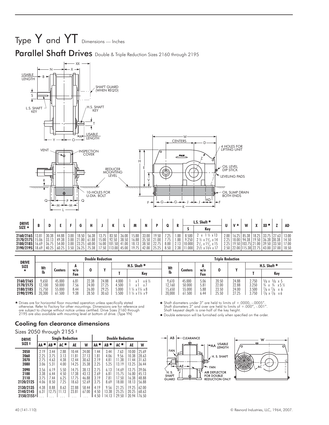



| <b>DRIVE</b>    |       |       |       |      |       |       |       |        |       |       |       |         |      |      |                   | $L.S.$ Shaft $*$                   |      |       | M                      |       | xx ·              |       |       |
|-----------------|-------|-------|-------|------|-------|-------|-------|--------|-------|-------|-------|---------|------|------|-------------------|------------------------------------|------|-------|------------------------|-------|-------------------|-------|-------|
| $SIZE$ *        |       |       |       |      |       |       |       |        |       | M     |       |         |      | n    |                   | Kev                                |      |       |                        |       |                   |       | AD    |
| 2160/2165       |       | 30.38 | 44.88 | 3.00 | 18.50 | 56.38 | 13.75 | 83.50  | 36.00 | 15.88 | 33.00 | $19.50$ | 7.25 | .88  | 8.500             |                                    | 2.00 | 16.25 | 85.38                  | 18.25 | 33.75             | 27.63 | 13.00 |
| 2170/2175       | 15.06 |       | 49.38 | 3.00 | 21.00 | 61.88 | 15.00 | 92.50  | 38.50 | 16.88 | 35.50 | 21.00   |      | .88  | 9.250             | $2\frac{1}{2} \times 13$ , $x14$   | 2.25 | 18.00 | 94.38                  |       | 19.50 36.38 30.38 |       | 14.50 |
| 2180/2185 16.69 |       | 36.75 | 54.00 | 3.00 | 23.25 | 68.00 | 16.00 | 101.50 | 41.00 | 18.13 | 38.50 | 22.75   | 8.00 |      | 10.000            | $2^{1/2} \times 1^{3/2} \times 15$ | 2.25 |       | 19.50   103.75   21.00 |       | 39.50 33.50       |       | 17.00 |
| 2190/21951      | 18.69 | 40.25 | 60.25 | 3.50 | 26.25 | 75.38 | 17.50 | 113.00 | 45.00 | 19.75 | 42.00 | 2525    | 8.50 | 2.38 | .000 <sup>1</sup> | $21/2 \times 13/4 \times 17$       | 2.50 | 22.00 | 115.38 22.75           |       | 43.00 37.00       |       | 18.50 |

| <b>DRIVE</b>                                     |                                   |                                      |                              |                                  | <b>Double Reduction</b>          |                                 |                                                                                   |                                   |                                      |                              | <b>Triple Reduction</b>          |                                  |                                  |                                                                                                                                                                |
|--------------------------------------------------|-----------------------------------|--------------------------------------|------------------------------|----------------------------------|----------------------------------|---------------------------------|-----------------------------------------------------------------------------------|-----------------------------------|--------------------------------------|------------------------------|----------------------------------|----------------------------------|----------------------------------|----------------------------------------------------------------------------------------------------------------------------------------------------------------|
| <b>SIZE</b>                                      | Wt                                |                                      | A                            |                                  | $\mathbf{v}$                     |                                 | H.S. Shaft *                                                                      | Wt                                |                                      | A                            |                                  |                                  |                                  | H.S. Shaft *                                                                                                                                                   |
| ★                                                | lb                                | <b>Centers</b>                       | w/o<br>Fan                   | 0                                |                                  |                                 | Kev                                                                               | lb                                | <b>Centers</b>                       | W/O<br>Fan                   |                                  |                                  |                                  | Key                                                                                                                                                            |
| 2160/2165<br>2170/2175<br>2180/2185<br>2190/2195 | 9.650<br>2.100<br>5.750<br>20,300 | 45.000<br>50.000<br>55,000<br>61.500 | 6.81<br>7.56<br>8.44<br>9.38 | 22.38<br>24.00<br>26.00<br>28.50 | 24.88<br>27.25<br>29.25<br>30.63 | 4.000<br>1.500<br>5.000<br>.500 | $x 6 \frac{1}{2}$<br>$1\frac{1}{4} \times 1\frac{1}{4} \times 8$<br>1 ¼ x 1 ¼ x 9 | 9.610<br>2.160<br>5,650<br>20,000 | 45.000<br>50.000<br>55,000<br>61.500 | 5.06<br>5.81<br>5.88<br>0.44 | 20.50<br>22.00<br>23.50<br>25.50 | 24.88<br>22.88<br>24.00<br>27.25 | 2.750<br>3.250<br>3.500<br>3.750 | $\frac{5}{8}$ x 5<br>$^{5}/_{8}$ x<br>$^{3}/_{4}$<br>$x 5\frac{1}{2}$<br>3/4<br>$\frac{7}{8}$ x $\frac{7}{8}$ x 6<br>$\frac{7}{8} \times \frac{7}{8} \times 6$ |

 $\star$  Drives are for horizontal floor mounted operation unless specifically stated<br>otherwise. Refer to Factory for other mountings. Dimensions are for reference and<br>are subject to change without notice unless certified. Dr

### Cooling fan clearance dimensions

Sizes 2050 through 2155 ‡

| <b>DRIVE</b>                          |                             |                              | <b>Single Reduction</b>      |                                  |                                  |                              |                              | <b>Double Reduction</b>          |                                  |                                  |
|---------------------------------------|-----------------------------|------------------------------|------------------------------|----------------------------------|----------------------------------|------------------------------|------------------------------|----------------------------------|----------------------------------|----------------------------------|
| SIZE ‡                                | AA "                        | AB ™                         | AC                           | AE                               | W                                | AA "                         | AB '                         | $AC =$                           | AE                               | W                                |
| 2050<br>2060<br>2070<br>2080          | 2.19<br>225<br>2.75<br>3.06 | 3.44<br>3.75<br>4.63<br>5.31 | 2.88<br>3.13<br>4.38<br>4.00 | 10.44<br>11.81<br>12.44<br>14.25 | 24.00<br>27.13<br>30.63<br>35.38 | 1.44<br>1.81<br>2.19<br>2.25 | 3.44<br>4.06<br>4.81<br>5.25 | 7.63<br>9.56<br>11.38<br>13.19   | 10.00<br>10.38<br>11.44<br>13.25 | 25.69<br>28.63<br>31.63<br>36.44 |
| 2090<br>2100<br>2110<br>2120/2125     | 3.56<br>3.38<br>375<br>4.06 | 6.19<br>6.44<br>7.44<br>8.50 | 5.50<br>4.50<br>6.25<br>7.25 | 14.75<br>17.38<br>17.75<br>18.63 | 38.13<br>43.13<br>46.88<br>52.69 | 2.75<br>2.69<br>3.19<br>3.75 | 6.13<br>6.81<br>7.81<br>8.69 | 14.69<br>15.75<br>17.50<br>18.00 | 13.75<br>16.00<br>16.38<br>18.13 | 39.06<br>45.13<br>48.88<br>56.88 |
| 2130/2135<br>2140/2145<br>2150/2155 * | 4.38<br>6.31                | 8.88<br>12.75                | 8.63<br>11.13                | 22.88<br>23.81                   | 58.44<br>67.00                   | 4.19<br>4.50<br>4.50         | 9.56<br>13.38<br>14.13       | 21.25<br>25.25<br>29.50          | 19.25<br>20.25<br>20.94          | 62.00<br>68.63<br>76.50          |

 Shaft diameters under 3" are held to limits of +.0000, -.0005". Shaft diameters 3" and over are held to limits of +.000", -.001". Shaft keyseat depth is one-half of the key height.

Double extension will be furnished only when specified on the order.



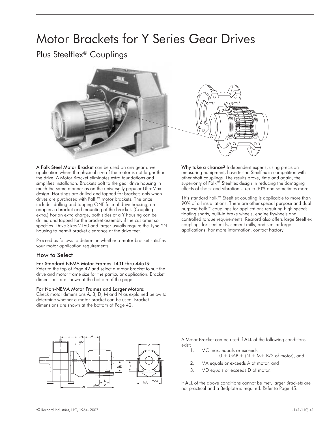# Motor Brackets for Y Series Gear Drives

Plus Steelflex® Couplings



A Falk Steel Motor Bracket can be used on any gear drive application where the physical size of the motor is not larger than the drive. A Motor Bracket eliminates extra foundations and simplifies installation. Brackets bolt to the gear drive housing in much the same manner as on the universally popular UltraMax design. Housings are drilled and tapped for brackets only when drives are purchased with Falk™ motor brackets. The price includes drilling and tapping ONE face of drive housing, an adapter, a bracket and mounting of the bracket. (Coupling is extra.) For an extra charge, both sides of a Y housing can be drilled and tapped for the bracket assembly if the customer so specifies. Drive Sizes 2160 and larger usually require the Type YN housing to permit bracket clearance at the drive feet.

Proceed as follows to determine whether a motor bracket satisfies your motor application requirements.

### How to Select

### For Standard NEMA Motor Frames 143T thru 445TS:

Refer to the top of Page 42 and select a motor bracket to suit the drive and motor frame size for the particular application. Bracket dimensions are shown at the bottom of the page.

### For Non-NEMA Motor Frames and Larger Motors:

Check motor dimensions A, B, D, M and N as explained below to determine whether a motor bracket can be used. Bracket dimensions are shown at the bottom of Page 42.



measuring equipment, have tested Steelflex in competition with other shaft couplings. The results prove, time and again, the superiority of Falk™ Steelflex design in reducing the damaging effects of shock and vibration... up to 30% and sometimes more.

This standard Falk™ Steelflex coupling is applicable to more than 90% of all installations. There are other special purpose and dual purpose Falk™ couplings for applications requiring high speeds, floating shafts, built-in brake wheels, engine flywheels and controlled torque requirements. Rexnord also offers large Steelflex couplings for steel mills, cement mills, and similar large applications. For more information, contact Factory.



A Motor Bracket can be used if ALL of the following conditions exist:<br>1.

- MC max. equals or exceeds
	- $0 + \overline{GAP} + (N + M + B/2)$  of motor), and
- 2. MA equals or exceeds A of motor, and
- 3. MD equals or exceeds D of motor.

If ALL of the above conditions cannot be met, larger Brackets are not practical and a Bedplate is required. Refer to Page 45.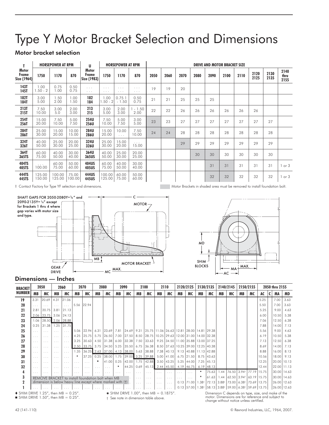# Type Y Motor Bracket Selection and Dimensions

### Motor bracket selection

|                               |                         | <b>HORSEPOWER AT RPM</b> |                 | U                             |                      | <b>HORSEPOWER AT RPM</b>      |                   | <b>DRIVE AND MOTOR BRACKET SIZE</b> |      |      |      |      |      |      |              |              |                      |  |  |  |
|-------------------------------|-------------------------|--------------------------|-----------------|-------------------------------|----------------------|-------------------------------|-------------------|-------------------------------------|------|------|------|------|------|------|--------------|--------------|----------------------|--|--|--|
| Motor<br>Frame<br>Size (1964) | 1750                    | 1170                     | 870             | Motor<br>Frame<br>Size (1983) | 1750                 | 1170                          | 870               | 2050                                | 2060 | 2070 | 2080 | 2090 | 2100 | 2110 | 2120<br>2125 | 2130<br>2135 | 2140<br>thru<br>2155 |  |  |  |
| <b>143T</b><br>145T           | 1.00<br>$1.50 - 2$      | 0.75<br>1.00             | 0.50<br>0.75    | $\cdots$<br>$\cdots$          | $\cdots$<br>$\cdots$ | $\cdots$<br>$\cdots$          | .<br>$\cdots$     | 19                                  | 19   | 20   |      |      |      |      |              |              |                      |  |  |  |
| <b>182T</b><br><b>184T</b>    | 3.00<br>5.00            | 1.50<br>2.00             | .00<br>.50      | 182<br>184                    | 1.00<br>$.50 - 2$    | 0.751<br>$-1.50$              | 0.50<br>0.75      | 21                                  | 21   | 25   | 25   | 25   |      |      |              |              |                      |  |  |  |
| 213T<br>215T                  | 7.50<br>10.00           | 3.00<br>5.0              | 2.00<br>3.00    | 213<br>215                    | 3.00<br>5.00         | 2.00<br>3.00                  | $-1.50$<br>2.00   | 22                                  | 22   | 26   | 26   | 26   | 26   | 26   | 26           |              |                      |  |  |  |
| 254T<br>256T                  | 15.00<br>20.00          | 7.50<br>10.00            | 5.00<br>7.50    | 254U<br>256U                  | 7.50<br>10.00        | 5.00<br>7.50                  | 3.00<br>5.00      | 23                                  | 23   | 27   | 27   | 27   | 27   | 27   | 27           | 27           |                      |  |  |  |
| 284T<br>286T                  | 25.00<br>30.00          | 15.00<br>20.00           | 10.00<br>15.00  | 284U<br>286U                  | 15.00<br>20.00       | 10.00<br>$\sim$ $\sim$ $\sim$ | 7.50<br>10.00     | 24                                  | 24   | 28   | 28   | 28   | 28   | 28   | 28           | 28           |                      |  |  |  |
| 324T<br>326T                  | 40.00<br>50.00          | 25.00<br>30.00           | 20.00<br>25.00  | 324U<br>326U                  | 25.00<br>30.00       | 15.00<br>20.00                | $\cdots$<br>15.00 |                                     |      | 29   | 29   | 29   | 29   | 29   | 29           | 29           |                      |  |  |  |
| 364T<br>365TS                 | 60.00<br>75.00          | 40.00<br>50.00           | 30.00<br>40.00  | 364U<br>365US                 | 40.00<br>50.00       | 25.00<br>30.00                | 20.00<br>25.00    |                                     |      |      | 30   | 30   | 30   | 30   | 30           | 30           |                      |  |  |  |
| 404TS<br>405TS                | $\sim$ $\sim$<br>100.00 | 60.00<br>75.00           | 50.00<br>60.00  | 404US<br>405US                | 60.00<br>75.00       | 40.00<br>50.00                | 30.00<br>40.00    |                                     |      |      |      | 31   | 31   | 31   | 31           | 31           | or 3                 |  |  |  |
| 444TS<br>445TS                | 125.00<br>150.00        | 100.00<br>125.00         | 75.00<br>100.00 | 444US<br>445US                | 100.00<br>125.00     | 60.00<br>75.00                | 50.00<br>60.00    |                                     |      |      |      | 32   | 32   | 32   | 32           | 32           | or 3                 |  |  |  |

‡ Contact Factory for Type YF selection and dimensions. Motor Brackets in shaded area must be removed to install foundation bolt.





### Dimensions — Inches

| <b>BRACKET</b> | 2050     |                                                            | 2060                    |                         | 2070                    |                         | 2080                    |                             | 2090                 |                      |                      | 2100                                                  |          | 2110                    | 2120/2125 |                                    | 2130/2135        |              | 2140/2145 |                                                    | 2150/2155 |             | 2050 thru 2155 |   |               |      |
|----------------|----------|------------------------------------------------------------|-------------------------|-------------------------|-------------------------|-------------------------|-------------------------|-----------------------------|----------------------|----------------------|----------------------|-------------------------------------------------------|----------|-------------------------|-----------|------------------------------------|------------------|--------------|-----------|----------------------------------------------------|-----------|-------------|----------------|---|---------------|------|
| <b>NUMBER</b>  | MB       | МC                                                         | MB                      | МC                      | MB                      | МC                      | MB                      | МC                          | MB                   | MC                   | MВ                   | МC                                                    | MB       | МC                      | MB        | МC                                 | MB               | МC           | MB        | МC                                                 | MB        | МC          | AC             | C | MA            | MD   |
| 19             | 3.31     | 20.69                                                      | 4.31                    | 21.06                   |                         |                         |                         |                             |                      |                      |                      |                                                       |          |                         |           |                                    |                  |              |           |                                                    |           |             | 5.25           |   | 7.00          | 3.63 |
| 20             |          | $\cdots$                                                   |                         | $\cdots$                | 5.56                    | 22.94                   |                         |                             |                      |                      |                      |                                                       |          |                         |           |                                    |                  |              |           |                                                    |           |             | 5.50           |   | 7.00          | 3.63 |
| 21             | 2.81     | 20.75                                                      | 3.81                    | 21.13                   |                         |                         |                         |                             |                      |                      |                      |                                                       |          |                         |           |                                    |                  |              |           |                                                    |           |             | 5.25           |   | 9.00          | 4.63 |
| 22             |          | 2.06 23.75                                                 | 3.06                    | 24.13                   |                         |                         |                         |                             |                      |                      |                      |                                                       |          |                         |           |                                    |                  |              |           |                                                    |           |             | 6.00           |   | 10.50         | 5.38 |
| 23             | 1.06     |                                                            |                         | 28.50 2.06 28.88        |                         |                         |                         |                             |                      |                      |                      |                                                       |          |                         |           |                                    |                  |              |           |                                                    |           |             | 7.06           |   | 12.50         | 6.38 |
| 24             | 0.25     | 31.38                                                      |                         | 1.25 31.75              |                         |                         |                         |                             |                      |                      |                      |                                                       |          |                         |           |                                    |                  |              |           |                                                    |           |             | 7.88           |   | 14.00         | 7.13 |
| 25             | $\cdots$ | $\cdots$                                                   | $\cdots$                | $\cdots$                | 5.06                    | $22.94$ 6.31            |                         | 23.69                       | 7.81                 | 24.69                | 9.31                 | 25.75   11.06   26.63   12.81   28.00   14.81   29.38 |          |                         |           |                                    |                  |              |           |                                                    |           |             | 5.56           |   | 9.00          | 4.63 |
| 26             | $\cdots$ | $\cdots$                                                   |                         | $\cdots$                | 4.25                    | 25.75                   | 5.75                    | 26.50                       | 7.00                 |                      |                      | 27.50   8.50   28.75   10.25   29.63                  |          |                         |           | 12.00 31.00 14.00 32.38            |                  |              |           |                                                    |           |             | 6.19           |   | 10.50         | 5.38 |
| 27             | .        | $\cdots$                                                   | $\cdots$                | $\cdots$                | 3.25                    |                         | $30.63$   4.50          | 31.38                       | 6.00                 | 32.38                |                      | 7.50 33.63                                            |          |                         |           | 9.25 34.50 11.00 35.88 13.00 37.25 |                  |              |           |                                                    |           |             | 7.13           |   | 12.50         | 6.38 |
| 28             | $\cdots$ | $\cdots$                                                   | $\cdots$                | $\cdots$                |                         | $2.50$   33.75   3.75   |                         | 34.50                       | 5.25                 | 35.50                |                      | $6.75$ 36.38                                          |          | 8.50 37.63              |           | 10.25 39.00                        | 12.25 40.38      |              |           |                                                    |           |             | 8.69           |   | 14.00         | 7.13 |
| 29             | $\cdots$ | $\cdots$                                                   | $\cdots$                | $\cdots$                | 1.35                    |                         |                         | 36.25 2.63 37.00 4.13 38.00 |                      |                      |                      | $5.63$ 38.88                                          |          | $7.38$ 40.13            |           | $9.13$ 40.88                       | 11.13 42.88      |              |           |                                                    |           |             | 8.88           |   | 16.00         | 8.13 |
| 30             | $\cdots$ | $\cdots$                                                   | $\cdot$ $\cdot$ $\cdot$ | $\cdots$                |                         | 37.25                   | 0.25                    | 38.00                       | 1.75                 |                      |                      | 39.00 3.25 39.88                                      |          | $5.00$   41.00          |           | $6.75$   21.50                     |                  | 8.75 43.63   |           |                                                    |           |             | 10.56          |   | 18.00         | 9.13 |
| 31             | $\cdots$ | $\cdots$                                                   | $\cdots$                | $\cdots$                | $\cdots$                | $\cdots$                | ٠                       | 41.00                       | 0.25                 | 42.00                |                      | $1.75$   42.88                                        |          | $3.50$ 43.25            |           | $5.25$ 44.00                       | 7.25             | 45.13        |           |                                                    |           |             | 12.25          |   | 20.00 10.13   |      |
| 32             | $\cdots$ | $\cdots$                                                   | $\cdots$                | $\cdots$                | $\cdots$                | $\cdots$                | $\cdots$                | $\cdots$                    |                      | 44.25                | 0.69                 | $ 45.13 $ 2.44 $ 45.50 $                              |          |                         |           | 4.19 46.75                         |                  | $6.19$ 48.13 |           |                                                    |           |             | 12.44          |   | 22.00 11.13   |      |
| 4              | .        | $\cdots$                                                   |                         | $\cdot$ $\cdot$ $\cdot$ | $\cdot$ $\cdot$ $\cdot$ | $\cdot$ $\cdot$ $\cdot$ | $\cdot$ $\cdot$ $\cdot$ | $\sim$ $\sim$ $\sim$        | $\cdots$             | $\cdots$             | .                    | $\cdot$ $\cdot$ $\cdot$                               | $\cdots$ | $\cdot$ $\cdot$ $\cdot$ | $\cdots$  | $\cdots$                           | $\ast$           | 75.63        | .44       | 76.50 3.94                                         |           | 77.19 15.75 |                |   | 30.00   14.63 |      |
|                |          | REMOVE BRACKET to install foundation bolt when MB          |                         |                         |                         |                         |                         |                             |                      |                      | $\cdots$             | $\cdots$                                              | $\cdots$ | $\cdots$                | $\cdots$  | $\cdots$                           |                  | 61.63        | 1.44      | 62.50 3.94                                         |           | 63.19 15.75 |                |   | 30.00 14.63   |      |
|                |          | dimension is below heavy line except where marked with (†) |                         |                         |                         |                         |                         |                             |                      |                      | $\cdots$             | $\cdots$                                              | $\cdots$ | $\cdots$                |           | $0.13$ 71.00                       | .38 <sup>†</sup> | 72.13 3.88   |           | 73.00 6.38                                         |           | 73.69 13.75 |                |   | 26.00 12.63   |      |
|                |          |                                                            |                         | $\cdots$                | $\cdots$                | $\cdots$                | $\cdots$                | $\sim$ $\sim$ $\sim$        | $\sim$ $\sim$ $\sim$ | $\sim$ $\sim$ $\sim$ | $\sim$ $\sim$ $\sim$ | $\sim$ $\sim$ $\sim$                                  | $\cdots$ | $\sim$ $\sim$ $\sim$    |           | $0.13$ 57.00                       |                  |              |           | 1.38   58.13   3.88   59.00   6.38   59.69   13.75 |           |             |                |   | 26.00 12.63   |      |

 $\blacklozenge$  SHIM DRIVE 1.25", then MB = 0.25".<br>SHIM DRIVE 1.50", then MB = 0.25".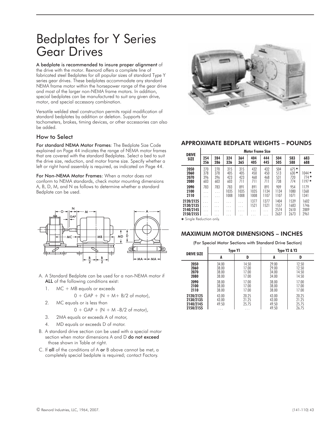# Bedplates for Y Series Gear Drives

### A bedplate is recommended to insure proper alignment of

the drive with the motor. Rexnord offers a complete line of fabricated steel Bedplates for all popular sizes of standard Type Y series gear drives. These bedplates accommodate any standard NEMA frame motor within the horsepower range of the gear drive and most of the larger non-NEMA frame motors. In addition, special bedplates can be manufactured to suit any given drive, motor, and special accessory combination.

Versatile welded steel construction permits rapid modification of standard bedplates by addition or deletion. Supports for tachometers, brakes, timing devices, or other accessories can also be added.

### How to Select

For standard NEMA Motor Frames: The Bedplate Size Code explained on Page 44 indicates the range of NEMA motor frames that are covered with the standard Bedplates. Select a bed to suit the drive size, reduction, and motor frame size. Specify whether a left or right hand assembly is required, as indicated on Page 44.

For Non-NEMA Motor Frames: When a motor does not conform to NEMA standards, check motor mounting dimensions A, B, D, M, and N as follows to determine whether a standard Bedplate can be used.



- A. A Standard Bedplate can be used for a non-NEMA motor if ALL of the following conditions exist:
	- 1. MC + MB equals or exceeds

$$
0 + \text{GAP} + (N + M + B/2 \text{ of motor}),
$$

2. MC equals or is less than

$$
0 + \text{GAP} + (N + M - B/2 \text{ of motor}),
$$

- 3. 2MA equals or exceeds A of motor,
- 4. MD equals or exceeds D of motor.
- B. A standard drive section can be used with a special motor section when motor dimensions A and D do not exceed those shown in Table at right.
- C. If all of the conditions of A or B above cannot be met, a completely special bedplate is required; contact Factory.



### APPROXIMATE BEDPLATE WEIGHTS – POUNDS

| <b>DRIVE</b>                                      |                           |                          |                          |                          | <b>Motor Frame Size</b>       |                          |                              |                                |                              |
|---------------------------------------------------|---------------------------|--------------------------|--------------------------|--------------------------|-------------------------------|--------------------------|------------------------------|--------------------------------|------------------------------|
| <b>SIZE</b>                                       | 254<br>256                | 284<br>286               | 324<br>326               | 364<br>365               | 404<br>405                    | 444<br>445               | 504<br>505                   | 583<br>588                     | 683<br>688                   |
| 2050<br>2060<br>2070<br>2080                      | 270<br>378<br>396<br>603  | 270<br>378<br>396<br>603 | 315<br>405<br>423<br>603 | 315<br>405<br>423<br>711 | 432<br>450<br>468<br>711      | 432<br>450<br>468<br>711 | 504<br>513<br>531<br>738     | $675*$<br>$630*$<br>720<br>774 | $1044*$<br>$774*$<br>$1197*$ |
| 2090<br>2100<br>2110                              | 783<br>.<br>.             | 783<br>.<br>.            | 783<br>1035<br>1008      | 891<br>1035<br>1008      | 891<br>1035<br>1008           | 891<br>1134<br>1107      | 909<br>1134<br>1107          | 954<br>1080<br>1071            | 1179<br>1368<br>1341         |
| 2120/2125<br>2130/2135<br>2140/2145<br>2150/21551 | .<br>$\cdots$<br>$\cdots$ | .<br>.<br>.              | .<br>.<br>.              | .<br>$\cdots$<br>.       | 1377<br>1521<br>$\cdots$<br>. | 1377<br>1521<br>.<br>.   | 1404<br>1557<br>2574<br>2637 | 1539<br>1683<br>2610<br>2673   | 1602<br>1746<br>2889<br>2961 |

\* Single Reduction only.

### MAXIMUM MOTOR DIMENSIONS – INCHES

(For Special Motor Sections with Standard Drive Section)

| <b>DRIVE SIZE</b> |       | Type Y1 | Type Y2 & Y3 |       |
|-------------------|-------|---------|--------------|-------|
|                   | A     | D       | A            | D     |
| 2050              | 34.00 | 14.50   | 29.00        | 12.50 |
| 2060              | 38.00 | 17.00   | 29.00        | 12.50 |
| 2070              | 38.00 | 17.00   | 34.00        | 14.50 |
| 2080              | 38.00 | 17.00   | 34.00        | 14.50 |
| 2090              | 38.00 | 17.00   | 38.00        | 17.00 |
| 2100              | 38.00 | 17.00   | 38.00        | 17.00 |
| 2110              | 38.00 | 17.00   | 38.00        | 17.00 |
| 2120/2125         | 43.00 | 20.25   | 43.00        | 20.25 |
| 2130/2135         | 43.00 | 21 25   | 43.00        | 21.25 |
| 2140/2145         | 49.50 | 25.75   | 49.50        | 2575  |
| 2150/2155         | .     | .       | 49.50        | 26.75 |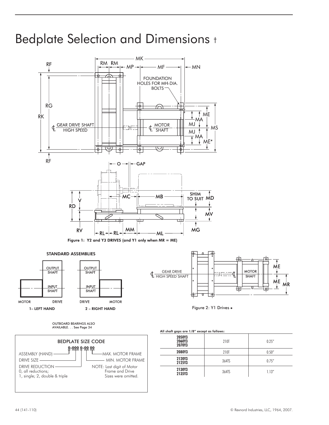# Bedplate Selection and Dimensions †

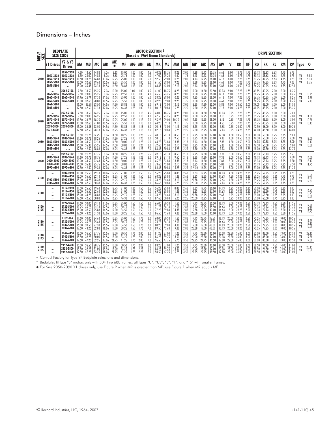### Dimensions – Inches

| <b>DRIVE</b><br>SIZE |                                                                           | <b>BEDPLATE</b><br><b>SIZE CODE</b>                                                                                                                                                                                                                                                                                   |                                                  |                                                              |                                                    |                                                  |                                                    |                                                    |                                              |                                                                             |                                        | <b>MOTOR SECTION ‡</b>                             | (Based o 1964 Nema Standards)                      |                                                 |                                              |                                                    |                                                    |                                                                                  |                                               |                                              |                                                                     |                                              |                                                    | <b>DRIVE SECTION</b>                               |                                              |                                              |                                                |                      |                                      |
|----------------------|---------------------------------------------------------------------------|-----------------------------------------------------------------------------------------------------------------------------------------------------------------------------------------------------------------------------------------------------------------------------------------------------------------------|--------------------------------------------------|--------------------------------------------------------------|----------------------------------------------------|--------------------------------------------------|----------------------------------------------------|----------------------------------------------------|----------------------------------------------|-----------------------------------------------------------------------------|----------------------------------------|----------------------------------------------------|----------------------------------------------------|-------------------------------------------------|----------------------------------------------|----------------------------------------------------|----------------------------------------------------|----------------------------------------------------------------------------------|-----------------------------------------------|----------------------------------------------|---------------------------------------------------------------------|----------------------------------------------|----------------------------------------------------|----------------------------------------------------|----------------------------------------------|----------------------------------------------|------------------------------------------------|----------------------|--------------------------------------|
|                      | <b>Y1 Drives</b>                                                          | <b>Y2 &amp; Y3</b><br><b>Drives</b>                                                                                                                                                                                                                                                                                   | MA                                               | MB                                                           | MС                                                 | MD                                               | ME                                                 | MF                                                 | MG                                           | MН                                                                          | MJ                                     | MK                                                 | ML                                                 | мm                                              | MN                                           | MP                                                 | MR                                                 | MS                                                                               | ΜV                                            | v                                            | <b>RD</b>                                                           | RF                                           | RG                                                 | RK                                                 | RL.                                          | <b>RM</b>                                    | RV                                             | <b>Type</b>          | - 0                                  |
| 2050                 | 2050-3236<br>2050-4044<br>2050-5000<br>2051-5800                          | 2052-2128<br>2050-3236<br>2050-4044<br>2050-5000<br>$\cdots$                                                                                                                                                                                                                                                          | 7.50<br>9.50<br>11.50<br>13.00                   | 18.50<br>23.00<br>28.75<br>32.63<br>15.00   35.38            | 14.88<br>14.88<br>16.88<br>19.63<br>23.13          | 7.06<br>9.06<br>11.06<br>12.56<br>14.56          | 8.63<br>8.63<br>12.25<br>12.25<br>14.50            | 15.00<br>25.75<br>25.00<br>35.50<br>38.88          | 00.1<br>1.00<br>1.00<br>1.00<br>1.13         | 1.00<br>1.00<br>1.00<br>1.00<br>1.00                                        | 4.5<br>4.0<br>5.0<br>6.0<br>6.0        | 40.25<br>47.00<br>52.50<br>61.50<br>68.38          | 18.75<br>29.25<br>29.00<br>39.00<br>43.00          | 8.25<br>4.50<br>10.25<br>9.25<br>12.13          | 2.00<br>1.75<br>2.00<br>1.75<br>2.00         | 11.88<br>8.13<br>14.13<br>12.88<br>16.13           | 12.13<br>12.13<br>12.25<br>12.25<br>14.50          | 20.75<br>20.75<br>28.00<br>28.00<br>33.00                                        | 6.63<br>4.63<br>6.13<br>4.63<br>5.88          | 8.00<br>8.00<br>8.00<br>8.00<br>8.00         | 13.75<br>13.75<br>17.25<br>17.25<br>20.50                           | 1.75<br>1.75<br>1.75<br>1.75<br>2.00         | 30.13<br>30.13<br>33.75<br>33.75<br>36.25          | 33.63<br>33.63<br>37.25<br>37.25<br>40.25          | 6.63<br>6.63<br>6.63<br>6.63<br>6.63         | 4.75<br>4.75<br>4.75<br>4.75<br>4.75         | 5.75<br>5.75<br>9.25<br>9.25<br>12.50          | Y1<br>Y2<br>Y3       | 9.88<br>9.13<br>8.75                 |
| 2060                 | $\cdots$<br>2060-3236<br>2060-4044<br>2060-5000<br>2061-5800<br>2061-6800 | 2062-2128<br>2060-3236<br>2060-4044<br>2060-5000<br>$\cdots$<br>$\cdots$                                                                                                                                                                                                                                              | 7.50<br>9.50<br>11.50<br>13.00<br>15.00<br>17.50 | 18.50<br>23.00<br>28.75<br>32.63<br>35.38<br>42.50           | 15.25<br>15.25<br>17.25<br>20.00<br>23.50<br>27.13 | 7.06<br>9.06<br>11.06<br>12.56<br>14.56<br>17.06 | 10.00<br>12.25<br>12.25<br>12.25<br>14.50<br>16.25 | 15.00<br>19.50<br>25.00<br>35.50<br>38.88<br>46.38 | 1.00<br>1.00<br>1.00<br>1.00<br>1.13<br>1.25 | 1.00<br>1.00<br>1.00<br>1.00<br>1.00<br>1.00                                | 4.5<br>4.0<br>5.0<br>6.0<br>6.0<br>7.0 | 41.00<br>45.50<br>53.25<br>62.25<br>69.13<br>80.13 | 18.75<br>23.25<br>29.00<br>39.00<br>43.00<br>50.88 | 8.25<br>8.25<br>10.25<br>9.25<br>12.13<br>15.25 | 2.00<br>2.00<br>2.00<br>1.75<br>2.00<br>2.25 | 12.00<br>12.00<br>14.25<br>13.00<br>16.25<br>19.50 | 14.50<br>12.25<br>12.25<br>12.25<br>14.50<br>16.25 | 23.50<br>28.00<br>28.00<br>28.00<br>33.00<br>37.00                               | 10.13<br>8.13<br>6.13<br>4.63<br>5.88<br>7.13 | 9.00<br>9.00<br>9.00<br>9.00<br>9.00<br>9.00 | 17.25<br>17.25<br>17.25<br>17.25<br>20.50<br>24.25                  | 1.75<br>1.75<br>1.75<br>1.75<br>2.00<br>2.25 | 36.75<br>36.75<br>36.75<br>36.75<br>39.00<br>41.25 | 40.25<br>40.25<br>40.25<br>40.25<br>43.00<br>45.75 | 7.00<br>7.00<br>7.00<br>7.00<br>7.00<br>7.00 | 5.00<br>5.00<br>5.00<br>5.00<br>5.00<br>5.00 | 8.25<br>8.25<br>8.25<br>8.25<br>11.50<br>15.25 | Y1<br>Υ2<br>Y3       | 10.75<br>9.88<br>9.13                |
| 2070                 | $\cdots$<br>2070-3236<br>2070-4044<br>2070-5000<br>2070-5800<br>2071-6800 | 2072-2128<br>2072-3236<br>2070-4044<br>2070-5000<br>2070-5800<br>$\cdots$                                                                                                                                                                                                                                             | 7.50<br>9.50<br>11.50<br>13.00<br>15.00          | 18.50<br>23.00<br>28.75<br>32.63<br>35.38<br>$17.50$   42.50 | 16.25<br>16.25<br>18.25<br>21.00<br>23.50<br>28.13 | 7.06<br>9.06<br>11.06<br>12.56<br>14.56<br>17.06 | 10.00<br>12.25<br>12.25<br>12.25<br>14.50<br>16.25 | 15.00<br>19.50<br>25.00<br>35.50<br>38.88<br>46.38 | 1.00<br>1.00<br>1.00<br>1.00<br>1.13<br>1.25 | 1.13<br>1.13<br>1.13<br>1.13<br>1.13<br>1.13                                | 4.5<br>4.0<br>5.0<br>6.0<br>6.0<br>7.0 | 43.00<br>47.50<br>55.25<br>64.25<br>70.13<br>82.13 | 18.75<br>23.25<br>29.00<br>39.13<br>43.00<br>50.88 | 8.25<br>8.25<br>10.25<br>9.13<br>11.13<br>15.25 | 2.00<br>2.00<br>2.00<br>1.75<br>2.00<br>2.25 | 12.00<br>12.00<br>14.25<br>13.00<br>15.25<br>19.50 | 14.50<br>12.25<br>12.25<br>12.25<br>14.75<br>16.25 | 23.50<br>28.00<br>28.00<br>28.00<br>33.00<br>37.00                               | 10.13<br>8.13<br>6.13<br>4.63<br>5.88<br>7.13 | 10.25<br>10.25<br>10.25<br>10.25<br>10.25    | 17.25<br>17.25<br>17.25<br>  17.25<br>$10.25$   20.50<br>24.25      | 1.75<br>1.75<br>1.75<br>1.75<br>1.75<br>2.25 | 39.75<br>39.75<br>39.75<br>39.75<br>42.50<br>44.00 | 43.25<br>43.25<br>43.25<br>43.25<br>46.00<br>48.50 | 8.00<br>8.00<br>8.00<br>8.00<br>8.00<br>8.00 | 6.00<br>6.00<br>6.00<br>6.00<br>6.00<br>6.00 | 7.00<br>7.00<br>7.00<br>7.00<br>10.25<br>14.00 | Y1<br>Υ2<br>Υ3       | 11.88<br>10.88<br>10.13              |
| 2080                 | 2080-3644<br>2080-5000<br>2080-5800<br>2081-6800                          | 2082-2132<br>2082-3644<br>2080-5000<br>2080-5800<br>$\cdots$                                                                                                                                                                                                                                                          | 8.50<br>11.50<br>13.00<br>15.00                  | 21.75<br>30.75<br>33.50<br>35.38<br>$17.50$   42.50          | 17.25<br>18.25<br>22.13<br>25.25<br>28.88          | 8.06<br>11.06<br>12.56<br>14.56<br>17.06         | 11.50<br>14.50<br>14.50<br>14.50<br>16.25          | 18.25<br>27.25<br>30.00<br>38.88<br>46.38          | l.13<br>1.13<br>1.13<br>1.13<br>1.25         | 1.25<br>1.25<br>1.25<br>1.25<br>1.25                                        | 5.5<br>6.0<br>6.0<br>6.0<br>7.0        | 48.13<br>58.13<br>64.75<br>72.63<br>83.63          | 22.13<br>31.13<br>33.88<br>43.00<br>50.88          | 8.50<br>9.50<br>13.38<br>12.13<br>15.25         | 2.13<br>2.13<br>2.00<br>2.25                 | 12.25<br>13.25<br>17.13<br>16.25<br>19.50          | 17.50<br>14.50<br>14.50<br>14.50<br>16.25          | 27.00<br>33.00<br>33.00<br>33.00<br>37.00                                        | 12.38<br>9.38<br>7.88<br>5.88<br>7.13         | 11.50<br>11.50<br>11.50                      | 20.50<br>20.50<br>$11.50$   20.50<br>$11.50$   20.50<br>24.25       | 2.00<br>2.00<br>2.00<br>2.00<br>2.25         | 46.38<br>46.38<br>46.38<br>46.38<br>48.00          | 50.38<br>50.38<br>50.38<br>50.38<br>52.50          | 8.75<br>8.75<br>8.75<br>8.75<br>8.75         | 6.75<br>6.75<br>6.75<br>6.75<br>6.75         | 9.00<br>9.00<br>9.00<br>9.00<br>12.75          | Y1<br>Y2<br>Y3       | 13.00<br>12.13<br>10.88              |
| 2090                 | 2090-3644<br>2090-5000<br>2090-5800<br>2090-6800                          | 2092-2132<br>2092-3644<br>2090-5000<br>2090-5080<br>2090-6800                                                                                                                                                                                                                                                         | 8.50<br>11.50<br>13.00                           | 121.75<br>30.75<br>33.50<br>15.00   35.38<br>17.50   42.50   | 17.75<br>18.75<br>22.63<br>25.75<br>29.38          | 8.06<br>11.06<br>12.56<br>14.56<br>17.06         | 11.50<br>14.50<br>14.50<br>14.50<br>16.25          | 18.25<br>27.25<br>30.00<br>38.88<br>46.38          | 1.13<br>1.13<br>1.13<br>1.13<br>1.25         | 1.25<br>1.25<br>1.25<br>1.25<br>1.25                                        | 5.5<br>6.0<br>6.0<br>6.0<br>7.0        | 49.13<br>59.13<br>65.75<br>73.63<br>84.63          | 22.13<br>31.13<br>33.88<br>43.00<br>50.88          | 8.50<br>9.50<br>13.38<br>12.13<br>15.25         | 2.13<br>2.13<br>2.13<br>2.00<br>2.25         | 12.25<br>13.25<br>17.13<br>16.25<br>19.50          | 17.50<br>14.50<br>14.50<br>14.50<br>16.25          | 27.00<br>33.00<br>33.00<br>33.00<br>37.00                                        | 12.38<br>9.38<br>7.88<br>5.88<br>7.13         | 13.00<br>13.00<br>13.00                      | $ 20.50\rangle$<br>20.50<br>20.50<br>13.00   20.50<br>13.00   24.25 | 2.00<br>2.00<br>2.00<br>2.00<br>2.25         | 49.13<br>49.13<br>49.13<br>49.13<br>51.00          | 53.13<br>53.13<br>53.13<br>53.13<br>55.50          | 9.25<br>9.25<br>9.25<br>9.25<br>9.25         | 7.25<br>7.25<br>7.25<br>7.25<br>7.25         | 7.50<br>7.50<br>7.50<br>7.50<br>11.25          | Y1<br>Υ2<br>Υ3       | 14.00<br>13.13<br>11.75              |
| 2100                 | .<br>2100-5800<br>2100-6800                                               | 2102-2840<br>2102-4450<br>2100-5800<br>2100-6800                                                                                                                                                                                                                                                                      | 11.00<br>13.00<br>15.00                          | 25.50<br>35.50<br>34.25<br>17.50   42.50                     | 19.13<br>22.13<br>28.38<br>30.38                   | 10.06<br>12.56<br>14.56<br>17.06                 | 12.75<br>16.25<br>16.25<br>16.25                   | 21.00<br>31.00<br>29.75<br>46.38                   | 1.25<br>1.25<br>1.25<br>1.25                 | 1.50<br>1.50<br>1.50<br>1.50                                                | 6.5<br>6.0<br>6.0<br>7.0               | 55.25<br>68.25<br>73.25<br>86.63                   | 25.88<br>35.88<br>34.63<br>50.88                   | 8.88<br>11.88<br>18.13<br>15.25                 | 2.63<br>2.63<br>2.63<br>2.25                 | 13.63<br>16.63<br>22.88<br>20.00                   | 19.75<br>16.25<br>16.25<br>16.25                   | 30.00<br>37.00<br>37.00<br>37.00                                                 | 14.13<br>11.63<br>9.63<br>7.13                | 14.50<br>14.50                               | 24.25<br>14.50 24.25<br>24.25<br>14.50   24.25                      | 2.25<br>2.25<br>2.25<br>2.25                 | 55.25<br>55.25<br>55.25<br>55.25                   | 59.75<br>59.75<br>59.75<br>59.75                   | 10.25<br>10.25<br>10.25<br>10.25             | 7.75<br>7.75<br>7.75<br>7.75                 | 9.75<br>9.75<br>9.75<br>9.75                   | Y1<br>Υ2<br>Y3       | 15.50<br>14.38<br>12.63              |
| 2110                 | <br>$\cdots$<br><br>                                                      | 2112-2840<br>2112-4450<br>2110-5800<br>2110-6800                                                                                                                                                                                                                                                                      | 11.00<br>13.00<br>15.00                          | 25.50<br>35.50<br>34.25<br>$17.50$   42.50                   | 19.63<br>22.63<br>28.88<br>30.88                   | 10.06<br>12.56<br>14.56<br>17.06                 | 12.75<br>16.25<br>16.25<br>16.25                   | 21.00<br>31.00<br>29.75<br>46.38                   | 1.25<br>1.25<br>1.25<br>1.25                 | 1.50<br>1.50<br>1.50<br>1.50                                                | 6.5<br>6.0<br>6.0<br>7.0               | 56.25<br>69.25<br>74.25<br>87.63                   | 25.88<br>35.88<br>34.63<br>50.88                   | 8.88<br>11.88<br>18.13<br>15.25                 | 2.63<br>2.63<br>2.63<br>2.25                 | 13.63<br>16.63<br>22.88<br>20.00                   | 19.75<br>16.25<br>16.25<br>16.25                   | 30.00<br>37.00<br>37.00<br>37.00                                                 | 14.13<br>11.63<br>9.63<br>7.13                |                                              | 16.25 24.25<br>16.25   24.25<br>$16.25$   24.25<br>$16.25$   24.25  | 2.25<br>2.25<br>2.25<br>2.25                 | 59.00<br>59.00<br>59.00<br>59.00                   | 63.50<br>63.50<br>63.50<br>63.50                   | 10.75<br>10.75<br>10.75<br>10.75             | 8.25<br>8.25<br>8.25<br>8.25                 | 8.00<br>8.00<br>8.00<br>8.00                   | Y1<br>Υ2<br>Y3       | $\substack{16.25 \\ 15.25 \\ 13.38}$ |
| 2120<br>2125         | $\cdots$<br>$\cdots$<br>$\cdots$<br>                                      | 2122-3644<br>2122-5000<br>2120-5800<br>2120-6800                                                                                                                                                                                                                                                                      | 11.50<br>13.25<br>15.00                          | 30.00<br>35.75<br> 39.50<br>17.50   43.25   31.38            | 23.13<br>24.13<br>25.88                            | 11.06<br>12.56<br>14.56<br>17.06                 | 15.25<br>15.25<br>19.00<br>19.00                   | 25.00<br>30.75<br>34.50<br>38.25                   | .50<br>.50<br>1.50<br>1.50                   | 1.50<br>1.50<br>1.50<br>1.50                                                | 6.0<br>6.0<br>6.0<br>7.0               | 65.00<br>71.75<br>77.25<br>86.50                   | 30.38<br>36.13<br>39.88<br>43.63                   | 11.63<br>12.63<br>14.38<br>19.88                | 2.88<br>2.88<br>2.88<br>2.88                 | 17.13<br>18.13<br>19.88<br>25.38                   | 22.75<br>22.75<br>19.00<br>19.00                   | 35.50<br>35.50<br>43.00<br>43.00                                                 | 18.13<br>16.63<br>14.63<br>12.13              | 18.00<br>18.00                               | 29.25<br>18.00 29.25<br>18.00   29.25<br>  29.25                    | 2.50<br>2.50<br>2.50<br>2.50                 | 67.13<br>67.13<br>67.13<br>67.13                   | 72.13<br>72.13<br>72.13<br>72.13                   | 11.50<br>11.50<br>11.50<br>11.50             | 8.50<br>8.50<br>8.50<br>8.50                 | 11.25<br>11.25<br>11.25<br>11.25               | Y1<br>Υ2<br>Υ3       | 17.38<br>16.63<br>14.75              |
| 2130<br>2135         | <br>$\cdots$<br>$\cdots$<br>                                              | 2132-364<br>2132-5000<br>2132-5800<br>2132-6800                                                                                                                                                                                                                                                                       | 11.50<br>13.25                                   | 30.00<br>35.75<br>15.00   39.50  <br>17.50   43.25   32.88   | 24.63<br>25.63<br>27.38                            | 12.06<br>13.56<br>15.56<br>18.06                 | 15.25<br>15.25<br>19.00<br>19.00                   | 25.00<br>30.75<br>34.50<br>38.25                   | .50<br>.50<br>1.50<br>1.50                   | 1.75<br>1.75<br>1.75<br>1.75                                                | 6.0<br>6.0<br>6.0<br>7.0               | 68.00<br>74.75<br>80.25<br>89.50                   | 30.38<br>36.13<br>39.88<br>43.63                   | 11.63<br>12.63<br>14.38<br>19.88                | 2.88<br>2.88<br>2.88<br>2.88                 | 17.13<br>18.13<br>19.88<br>25.38                   | 22.75<br>22.75<br>19.00<br>19.00                   | 35.50<br>35.50<br>43.00<br>43.00                                                 | 18.13<br>16.63<br>14.63<br>12.13              | 20.00<br>20.00<br>20.00<br>20.00             | 30.25<br>30.25<br>30.25<br>30.25                                    | 2.50<br>2.50<br>2.50<br>2.50                 | 72.25<br>72.25<br>72.25<br>72.25                   | 77.25<br>77.25<br>77.25<br>77.25                   | 13.00<br>13.00<br>13.00<br>13.00             | 10.00<br>10.00<br>10.00<br>10.00             | 10.25<br>10.25<br>10.25<br>10.25               | Y1<br>Υ2<br>Y3       | $\frac{19.25}{18.13}$<br>15.88       |
| 2140<br>2145         | <br>.<br>$\cdots$                                                         | 2142-4450<br>2142-5800<br>2142-6800                                                                                                                                                                                                                                                                                   | 13.00<br>$15.50$ 39.25                           | 36.50<br>17.50   47.25   32.25                               | 27.75<br>30.00                                     | 12.56<br>14.56<br>17.06                          | 18.00<br>18.00<br>21.75                            | 30.50<br>33.25<br>41.25                            | 1.75<br>1.75<br>1.75                         | $2.00$<br>$2.00$<br>2.00                                                    | 6.0<br>6.0<br>7.0                      | 81.25<br>86.25<br>96.50                            | 37.00<br>39.75<br>47.75                            | 11.25<br>13.50<br>15.75                         | 3.50<br>3.50<br>3.50                         | 17.75<br>20.00<br>22.25                            | 25.50<br>25.50<br>21.75                            | $42.00$<br>$42.00$<br>49.50                                                      | 22.38<br>20.38<br>17.88                       | $^{22.50}_{22.50}$<br>22.50                  | $35.00$<br>$35.00$<br>35.00                                         | 3.00<br>3.00<br>3.00                         | 82.00<br>82.00<br>82.00                            | 88.00<br>88.00<br>88.00                            | 16.50<br>16.50<br>16.50                      | 13.00<br>13.00                               | 12.50<br>12.50<br>13.00   12.50                | YI<br>Y2<br>Υ3       | 22.13<br>19.38<br>17.38              |
| 2150<br>2155         | $\cdots$<br>                                                              | 2152-4450<br>2152-5800<br>2152-6800   17.50   47.25   33.25   18.06   21.75                                                                                                                                                                                                                                           | 13.00<br>15.50                                   | 36.50<br>39.25                                               | 28.75<br>31.00                                     | 13.56<br>15.56                                   | 18.00<br>18.00                                     | 30.50<br>33.25<br>41.25                            | 1.75                                         | 2.25<br>$\begin{array}{ c c c c }\n1.75 & 2.25 \\ 1.75 & 2.25\n\end{array}$ | 6.0<br>6.0<br>7.0                      | 83.25<br>88.25                                     | 37.00<br>39.75                                     | 11.25<br>13.50<br>98.50 47.75 15.75             | 3.50<br>3.50<br>3.50                         | 17.75                                              | 25.50                                              | 42.00<br>20.00 25.50 42.00 20.38 25.00 36.00 22.25 29.25 49.50 17.88 25.00 36.00 | 22.38                                         | 25.00                                        | 36.00                                                               | 3.00<br>3.00<br>3.00                         | 88.50<br>88.50                                     | 94.50<br>94.50<br>88.50   94.50                    | 17.50<br>17.50<br>17.50                      | 14.00<br>14.00<br>14.00   11.00              | 11.00<br>11.00                                 | Y <sub>2</sub><br>Y3 | 18.50                                |
|                      |                                                                           | t Contact Factory for Type YF Bedplate selections and dimensions.<br>‡ Bedplates fit type "S" motors only with 504 thru 688 frames; all types "U", "US", "S", "T", and "TS" with smaller frames.<br>$\ast$ For Size 2050-2090 Y1 drives only, use Figure 2 when MR is greater than ME: use Figure 1 when MR equals ME |                                                  |                                                              |                                                    |                                                  |                                                    |                                                    |                                              |                                                                             |                                        |                                                    |                                                    |                                                 |                                              |                                                    |                                                    |                                                                                  |                                               |                                              |                                                                     |                                              |                                                    |                                                    |                                              |                                              |                                                |                      |                                      |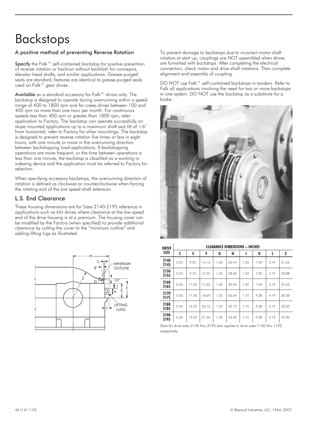# Backstops

### A positive method of preventing Reverse Rotation

Specify the Falk™ self-contained backstop for positive prevention of reverse rotation or backrun without backlash for conveyors, elevator head shafts, and similar applications. Grease-purged seals are standard; features are identical to grease-purged seals used on Falk™ gear drives.

Available as a standard accessory for Falk™ drives only. The backstop is designed to operate during overrunning within a speed range of 400 to 1800 rpm and for creep drives between 100 and 400 rpm no more than one hour per month. For continuous speeds less than 400 rpm or greater than 1800 rpm, refer application to Factory. The backstop can operate successfully on slope mounted applications up to a maximum shaft axis tilt of  $\pm 6^{\circ}$ from horizontal; refer to Factory for other mountings. The backstop is designed to prevent reverse rotation five times or less in eight hours, with one minute or more in the overrunning direction between backstopping load applications. If backstopping operations are more frequent, or the time between operations is less than one minute, the backstop is classified as a working or indexing device and the application must be referred to Factory for selection.

When specifying accessory backstops, the overrunning direction of rotation is defined as clockwise or counterclockwise when forcing the rotating end of the low speed shaft extension.

### L.S. End Clearance

These housing dimensions are for Sizes 2140-2195 reference in applications such as kiln drives where clearance at the low speed end of the drive housing is at a premium. The housing cover can be modified by the Factory (when specified) to provide additional clearance by cutting the cover to the "minimum outline" and adding lifting lugs as illustrated.



To prevent damage to backstops due to incorrect motor shaft rotation at start up, couplings are NOT assembled when drives are furnished with backstops. After completing the electrical connection, check motor and drive shaft rotations. Then complete alignment and assembly of coupling.

DO NOT use Falk™ self-contained backstops in tandem. Refer to Falk all applications involving the need for two or more backstops in one system. DO NOT use the backstop as a substitute for a brake.



| <b>DRIVE</b> |      |       |       |      | <b>CLEARANCE DIMENSIONS - INCHES</b> |      |      |      |       |
|--------------|------|-------|-------|------|--------------------------------------|------|------|------|-------|
| <b>SIZE</b>  | C    | E     | F     | G    | н                                    | J    | K    | ι    | z     |
| 2140<br>2145 | 0.25 | 9.25  | 14.13 | 1.50 | 26.44                                | 1.50 | 7.00 | 3.19 | 21.63 |
| 2150<br>2155 | 0.25 | 9.75  | 15.25 | 1.50 | 28.69                                | 1.50 | 7.00 | 3.19 | 23.88 |
| 2160<br>2165 | 0.50 | 11.25 | 17.63 | 1.50 | 32.94                                | 1.50 | 7.00 | 3.19 | 27.63 |
| 2170<br>2175 | 0.50 | 11.50 | 18.69 | 1.50 | 36.69                                | 1.75 | 9.38 | 4.19 | 30.38 |
| 2180<br>2185 | 0.50 | 12.50 | 20.13 | 1.50 | 40.19                                | 1.75 | 9.38 | 4.19 | 33.50 |
| 2190<br>2195 | 0.50 | 13.50 | 21.50 | 1.50 | 43.69                                | 1.75 | 9.38 | 4.19 | 37.00 |

Data for drive sizes 2140 thru 2195 also applies to drive sizes 1140 thru 1195 respectively.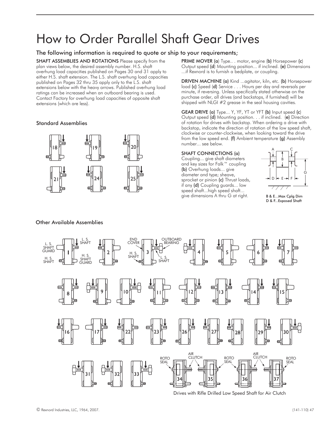# How to Order Parallel Shaft Gear Drives

### The following information is required to quote or ship to your requirements;

SHAFT ASSEMBLIES AND ROTATIONS Please specify from the plan views below, the desired assembly number. H.S. shaft overhung load capacities published on Pages 30 and 31 apply to either H.S. shaft extension. The L.S. shaft overhung load capacities published on Pages 32 thru 35 apply only to the L.S. shaft extensions below with the heavy arrows. Published overhung load ratings can be increased when an outboard bearing is used. Contact Factory for overhung load capacities of opposite shaft extensions (which are less).

### Standard Assemblies



### Other Available Assemblies

PRIME MOVER (a) Type... motor, engine (b) Horsepower (c) Output speed (d) Mounting position... if inclined. (e) Dimensions ...if Rexnord is to furnish a bedplate, or coupling.

DRIVEN MACHINE (a) Kind ...agitator, kiln, etc. (b) Horsepower load (c) Speed (d) Service... Hours per day and reversals per minute, if reversing. Unless specifically stated otherwise on the purchase order, all drives (and backstops, if furnished) will be shipped with NLGI #2 grease in the seal housing cavities.

GEAR DRIVE (a) Type... Y, YF, YT or YFT (b) Input speed (c) Output speed (d) Mounting position. . . if inclined. (e) Direction of rotation for drives with backstop. When ordering a drive with backstop, indicate the direction of rotation of the low speed shaft, clockwise or counter-clockwise, when looking toward the drive from the low speed end. (f) Ambient temperature (g) Assembly number... see below.

### SHAFT CONNECTIONS (a)

Coupling... give shaft diameters and key sizes for Falk™ coupling (b) Overhung loads... give diameter and type; sheave, sprocket or pinion (c) Thrust loads, if any (d) Coupling guards... low speed shaft...high speed shaft... give dimensions A thru G at right.



B & E...Max Cplg Dim D & F...Exposed Shaft



Drives with Rifle Drilled Low Speed Shaft for Air Clutch